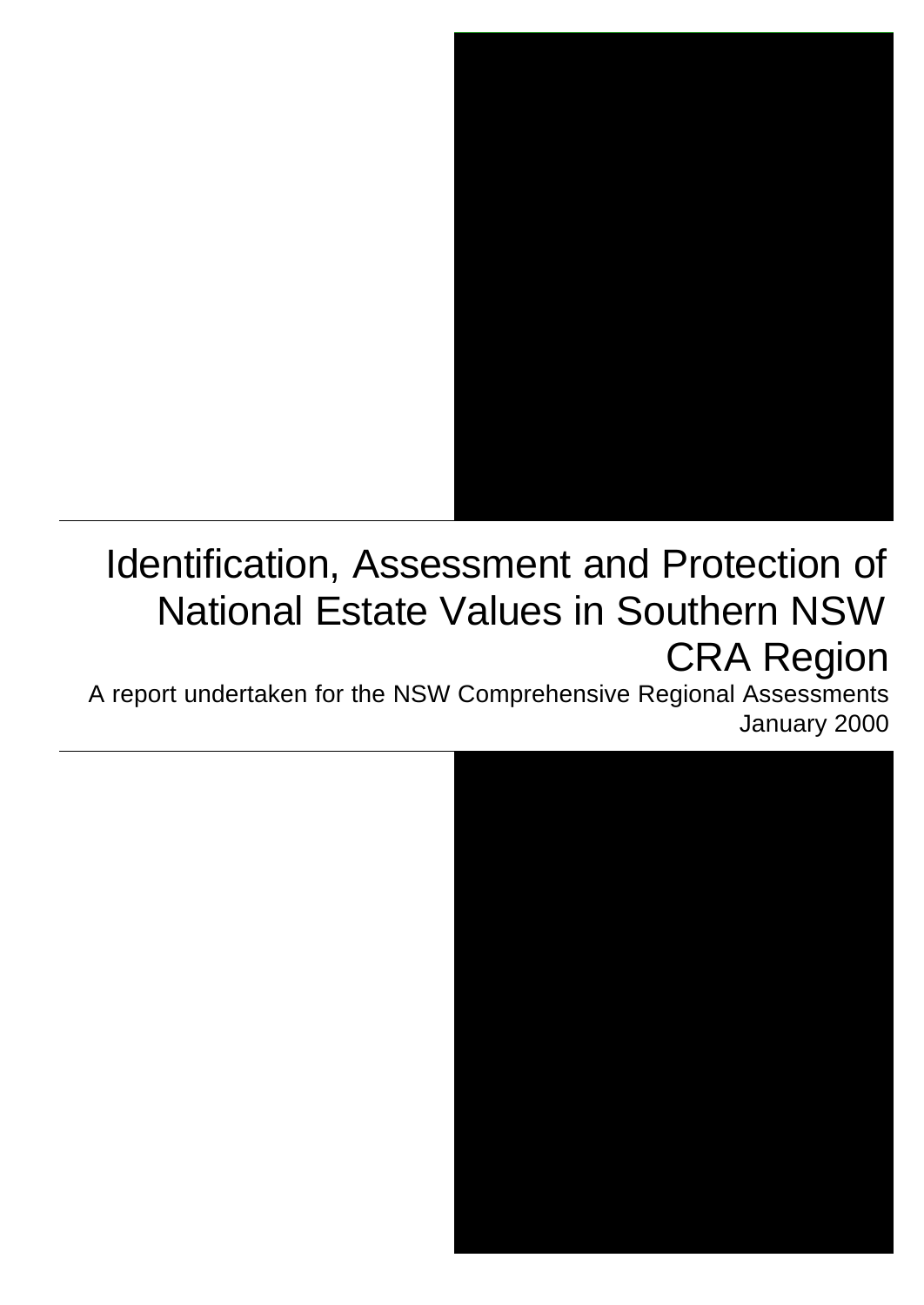

# Identification, Assessment and Protection of National Estate Values in Southern NSW CRA Region

A report undertaken for the NSW Comprehensive Regional Assessments January 2000

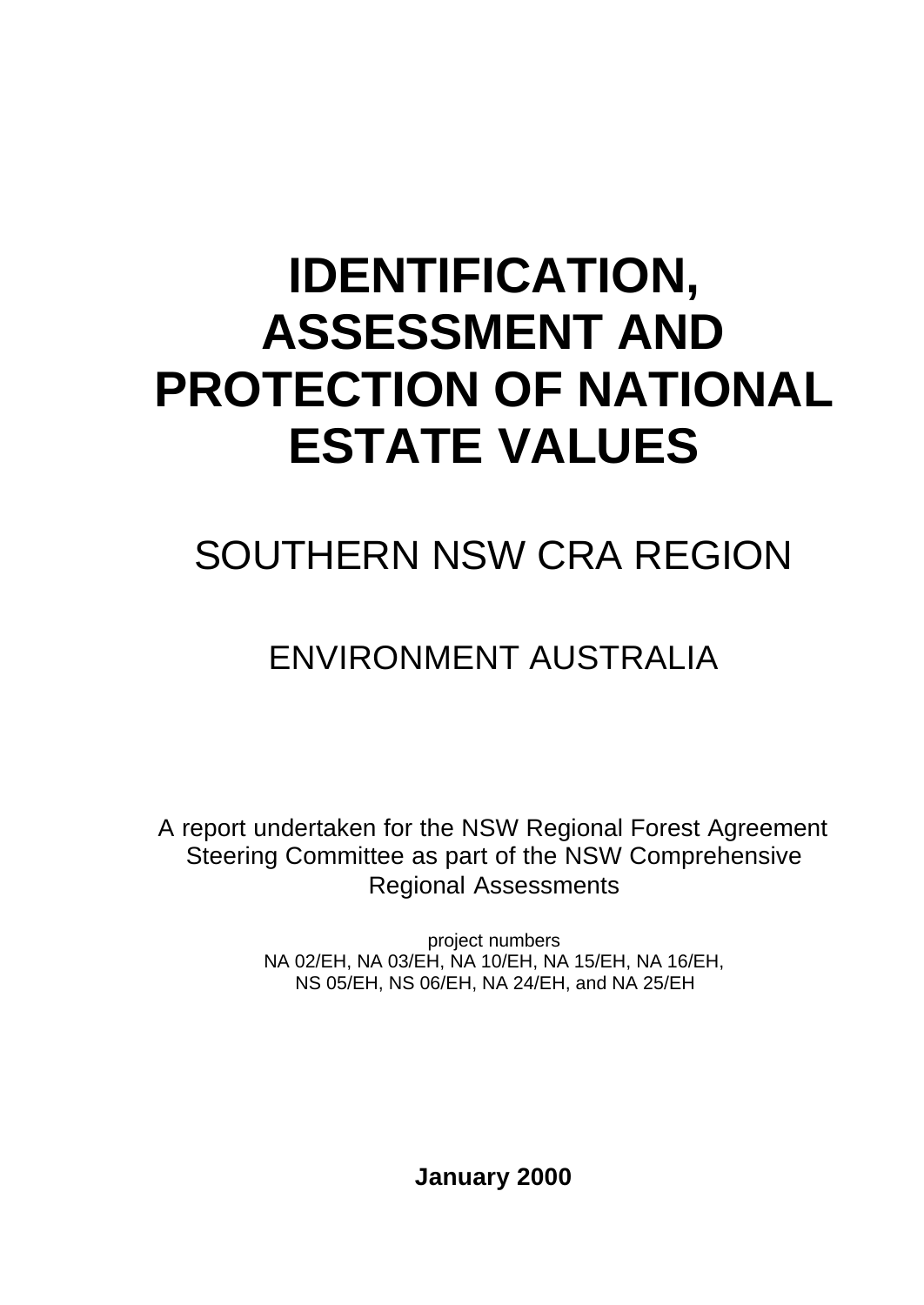# **IDENTIFICATION, ASSESSMENT AND PROTECTION OF NATIONAL ESTATE VALUES**

# SOUTHERN NSW CRA REGION

# ENVIRONMENT AUSTRALIA

A report undertaken for the NSW Regional Forest Agreement Steering Committee as part of the NSW Comprehensive Regional Assessments

> project numbers NA 02/EH, NA 03/EH, NA 10/EH, NA 15/EH, NA 16/EH, NS 05/EH, NS 06/EH, NA 24/EH, and NA 25/EH

> > **January 2000**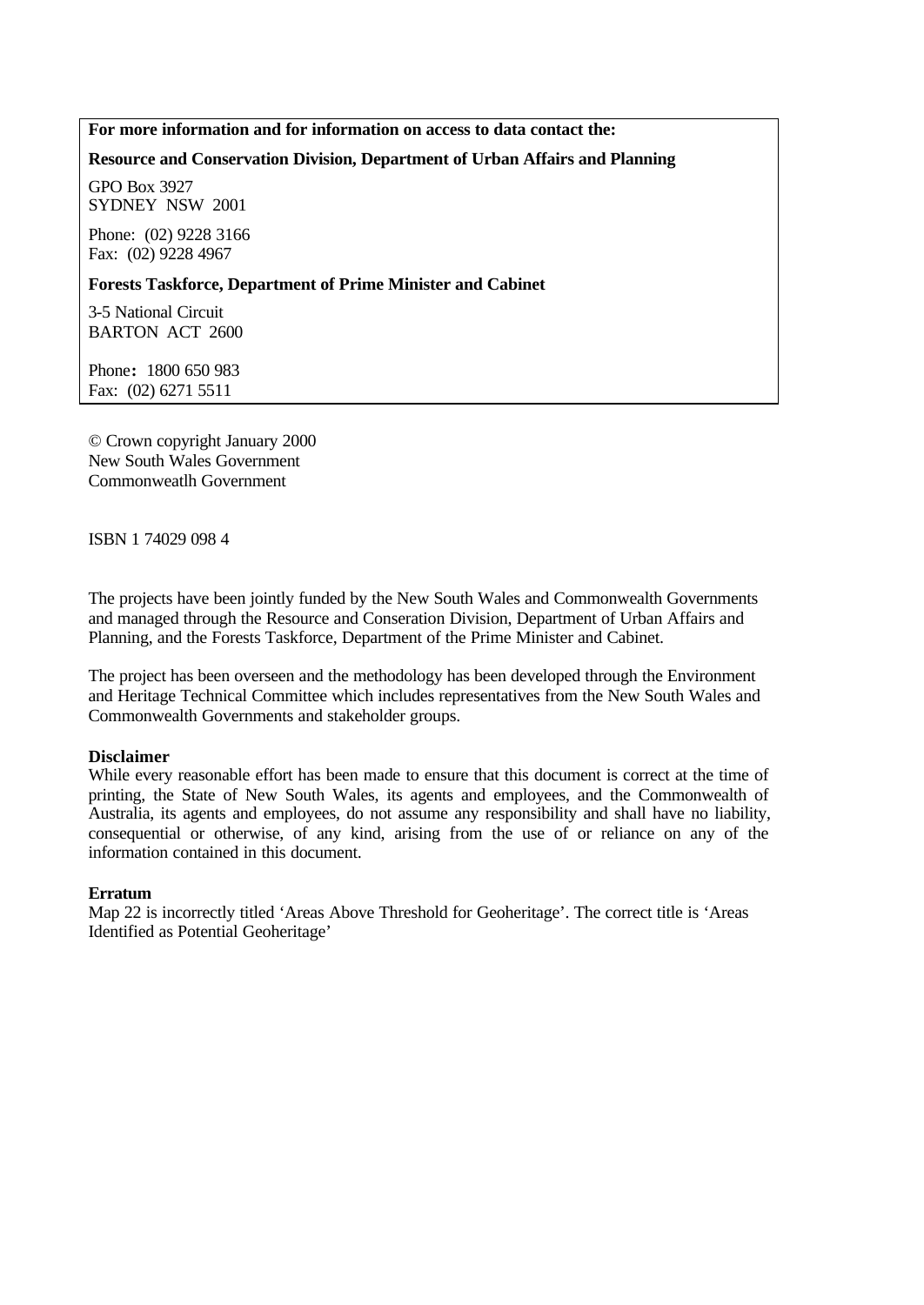#### **For more information and for information on access to data contact the:**

#### **Resource and Conservation Division, Department of Urban Affairs and Planning**

GPO Box 3927 SYDNEY NSW 2001

Phone: (02) 9228 3166 Fax: (02) 9228 4967

#### **Forests Taskforce, Department of Prime Minister and Cabinet**

3-5 National Circuit BARTON ACT 2600

Phone**:** 1800 650 983 Fax: (02) 6271 5511

© Crown copyright January 2000 New South Wales Government Commonweatlh Government

ISBN 1 74029 098 4

The projects have been jointly funded by the New South Wales and Commonwealth Governments and managed through the Resource and Conseration Division, Department of Urban Affairs and Planning, and the Forests Taskforce, Department of the Prime Minister and Cabinet.

The project has been overseen and the methodology has been developed through the Environment and Heritage Technical Committee which includes representatives from the New South Wales and Commonwealth Governments and stakeholder groups.

#### **Disclaimer**

While every reasonable effort has been made to ensure that this document is correct at the time of printing, the State of New South Wales, its agents and employees, and the Commonwealth of Australia, its agents and employees, do not assume any responsibility and shall have no liability, consequential or otherwise, of any kind, arising from the use of or reliance on any of the information contained in this document.

#### **Erratum**

Map 22 is incorrectly titled 'Areas Above Threshold for Geoheritage'. The correct title is 'Areas Identified as Potential Geoheritage'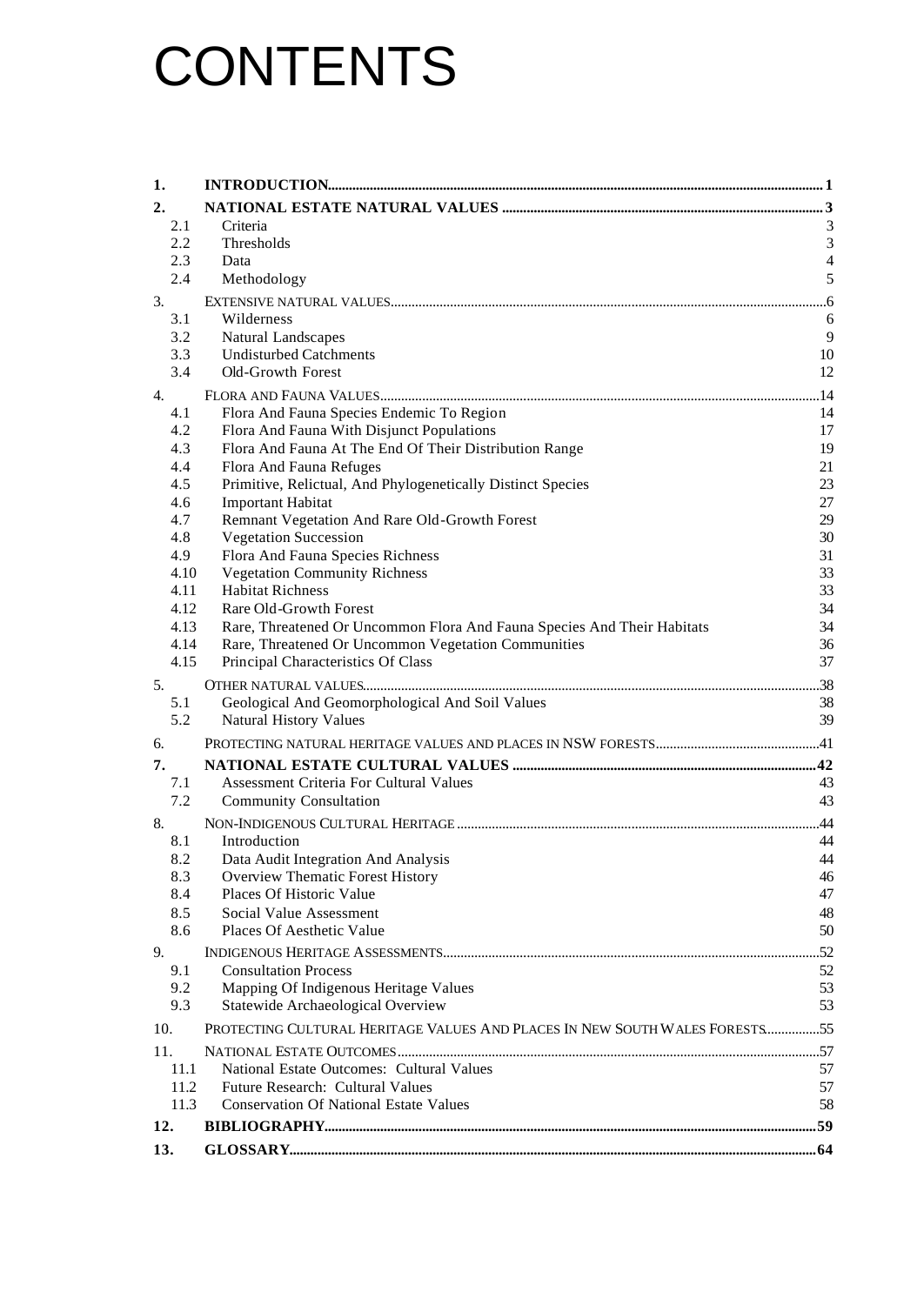# **CONTENTS**

| 1.               |                                                                             |                |
|------------------|-----------------------------------------------------------------------------|----------------|
| 2.               |                                                                             |                |
| 2.1              | Criteria                                                                    | 3              |
| 2.2              | Thresholds                                                                  | $\overline{3}$ |
| 2.3              | Data                                                                        | $\overline{4}$ |
| 2.4              | Methodology                                                                 | 5              |
| 3.               |                                                                             |                |
| 3.1              | Wilderness                                                                  | 6              |
| 3.2              | Natural Landscapes                                                          | 9              |
| 3.3              | <b>Undisturbed Catchments</b>                                               | 10             |
| 3.4              | Old-Growth Forest                                                           | 12             |
| $\overline{4}$ . |                                                                             | .14            |
| 4.1              | Flora And Fauna Species Endemic To Region                                   | 14             |
| 4.2              | Flora And Fauna With Disjunct Populations                                   | 17             |
| 4.3              | Flora And Fauna At The End Of Their Distribution Range                      | 19             |
| 4.4              | Flora And Fauna Refuges                                                     | 21             |
| 4.5              | Primitive, Relictual, And Phylogenetically Distinct Species                 | 23             |
| 4.6<br>4.7       | <b>Important Habitat</b><br>Remnant Vegetation And Rare Old-Growth Forest   | 27<br>29       |
| 4.8              | <b>Vegetation Succession</b>                                                | 30             |
| 4.9              | Flora And Fauna Species Richness                                            | 31             |
| 4.10             | <b>Vegetation Community Richness</b>                                        | 33             |
| 4.11             | <b>Habitat Richness</b>                                                     | 33             |
| 4.12             | Rare Old-Growth Forest                                                      | 34             |
| 4.13             | Rare, Threatened Or Uncommon Flora And Fauna Species And Their Habitats     | 34             |
| 4.14             | Rare, Threatened Or Uncommon Vegetation Communities                         | 36             |
| 4.15             | Principal Characteristics Of Class                                          | 37             |
| 5.               |                                                                             |                |
| 5.1              | Geological And Geomorphological And Soil Values                             | 38             |
| 5.2              | <b>Natural History Values</b>                                               | 39             |
| 6.               |                                                                             |                |
| 7.               |                                                                             |                |
| 7.1              | Assessment Criteria For Cultural Values                                     | 43             |
| 7.2              | <b>Community Consultation</b>                                               | 43             |
| 8.               |                                                                             | .44            |
| 8.1              | Introduction                                                                | 44             |
| 8.2              | Data Audit Integration And Analysis                                         | 44             |
| 8.3              | Overview Thematic Forest History                                            | 46             |
| 8.4              | Places Of Historic Value                                                    | 47             |
| 8.5              | Social Value Assessment                                                     | 48             |
| 8.6              | Places Of Aesthetic Value                                                   | 50             |
| 9.               |                                                                             |                |
| 9.1              | <b>Consultation Process</b>                                                 | 52             |
| 9.2              | Mapping Of Indigenous Heritage Values                                       | 53             |
| 9.3              | Statewide Archaeological Overview                                           | 53             |
| 10.              | PROTECTING CULTURAL HERITAGE VALUES AND PLACES IN NEW SOUTH WALES FORESTS55 |                |
| 11.              |                                                                             |                |
| 11.1             | National Estate Outcomes: Cultural Values                                   | 57             |
| 11.2             | Future Research: Cultural Values                                            | 57             |
| 11.3             | <b>Conservation Of National Estate Values</b>                               | 58             |
| 12.              |                                                                             |                |
| 13.              |                                                                             |                |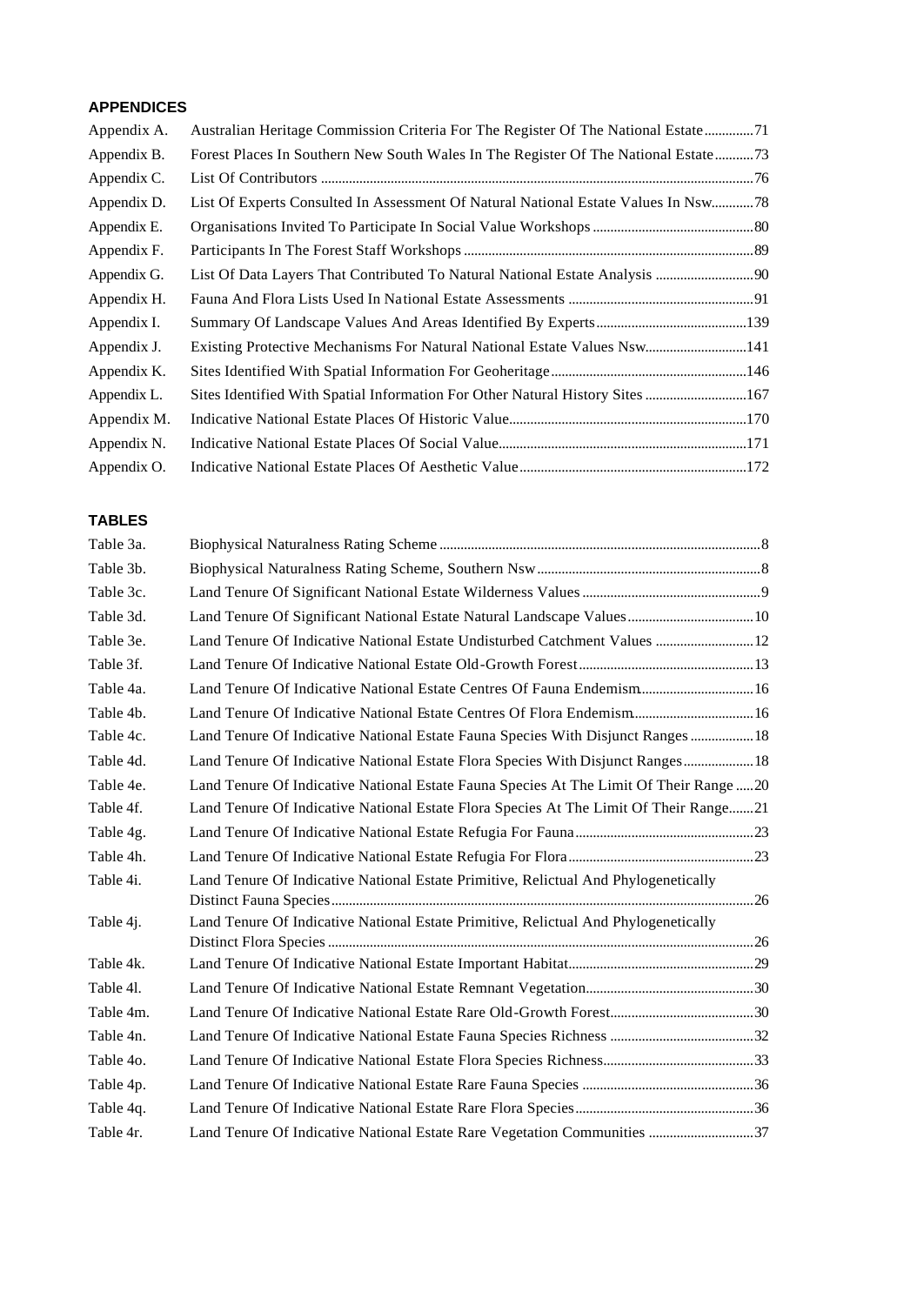#### **APPENDICES**

| Appendix A. | Australian Heritage Commission Criteria For The Register Of The National Estate71     |  |
|-------------|---------------------------------------------------------------------------------------|--|
| Appendix B. | Forest Places In Southern New South Wales In The Register Of The National Estate73    |  |
| Appendix C. |                                                                                       |  |
| Appendix D. | 18 List Of Experts Consulted In Assessment Of Natural National Estate Values In Nsw78 |  |
| Appendix E. |                                                                                       |  |
| Appendix F. |                                                                                       |  |
| Appendix G. |                                                                                       |  |
| Appendix H. |                                                                                       |  |
| Appendix I. |                                                                                       |  |
| Appendix J. | Existing Protective Mechanisms For Natural National Estate Values Nsw141              |  |
| Appendix K. |                                                                                       |  |
| Appendix L. | Sites Identified With Spatial Information For Other Natural History Sites 167         |  |
| Appendix M. |                                                                                       |  |
| Appendix N. |                                                                                       |  |
| Appendix O. |                                                                                       |  |

# **TABLES**

| Table 3a.          |                                                                                       |  |
|--------------------|---------------------------------------------------------------------------------------|--|
| Table 3b.          |                                                                                       |  |
| Table 3c.          |                                                                                       |  |
| Table 3d.          | Land Tenure Of Significant National Estate Natural Landscape Values 10                |  |
| Table 3e.          | Land Tenure Of Indicative National Estate Undisturbed Catchment Values  12            |  |
| Table 3f.          |                                                                                       |  |
| Table 4a.          | Land Tenure Of Indicative National Estate Centres Of Fauna Endemism 16                |  |
| Table 4b.          | Land Tenure Of Indicative National Estate Centres Of Flora Endemism 16                |  |
| Table 4c.          | Land Tenure Of Indicative National Estate Fauna Species With Disjunct Ranges  18      |  |
| Table 4d.          | Land Tenure Of Indicative National Estate Flora Species With Disjunct Ranges 18       |  |
| Table 4e.          | Land Tenure Of Indicative National Estate Fauna Species At The Limit Of Their Range20 |  |
| Table 4f.          | Land Tenure Of Indicative National Estate Flora Species At The Limit Of Their Range21 |  |
| Table 4g.          |                                                                                       |  |
| Table 4h.          |                                                                                       |  |
| Table 4i.          | Land Tenure Of Indicative National Estate Primitive, Relictual And Phylogenetically   |  |
|                    |                                                                                       |  |
| Table 4 <i>j</i> . | Land Tenure Of Indicative National Estate Primitive, Relictual And Phylogenetically   |  |
| Table 4k.          |                                                                                       |  |
| Table 41.          |                                                                                       |  |
| Table 4m.          |                                                                                       |  |
| Table 4n.          |                                                                                       |  |
| Table 40.          |                                                                                       |  |
| Table 4p.          |                                                                                       |  |
| Table 4q.          |                                                                                       |  |
| Table 4r.          | Land Tenure Of Indicative National Estate Rare Vegetation Communities 37              |  |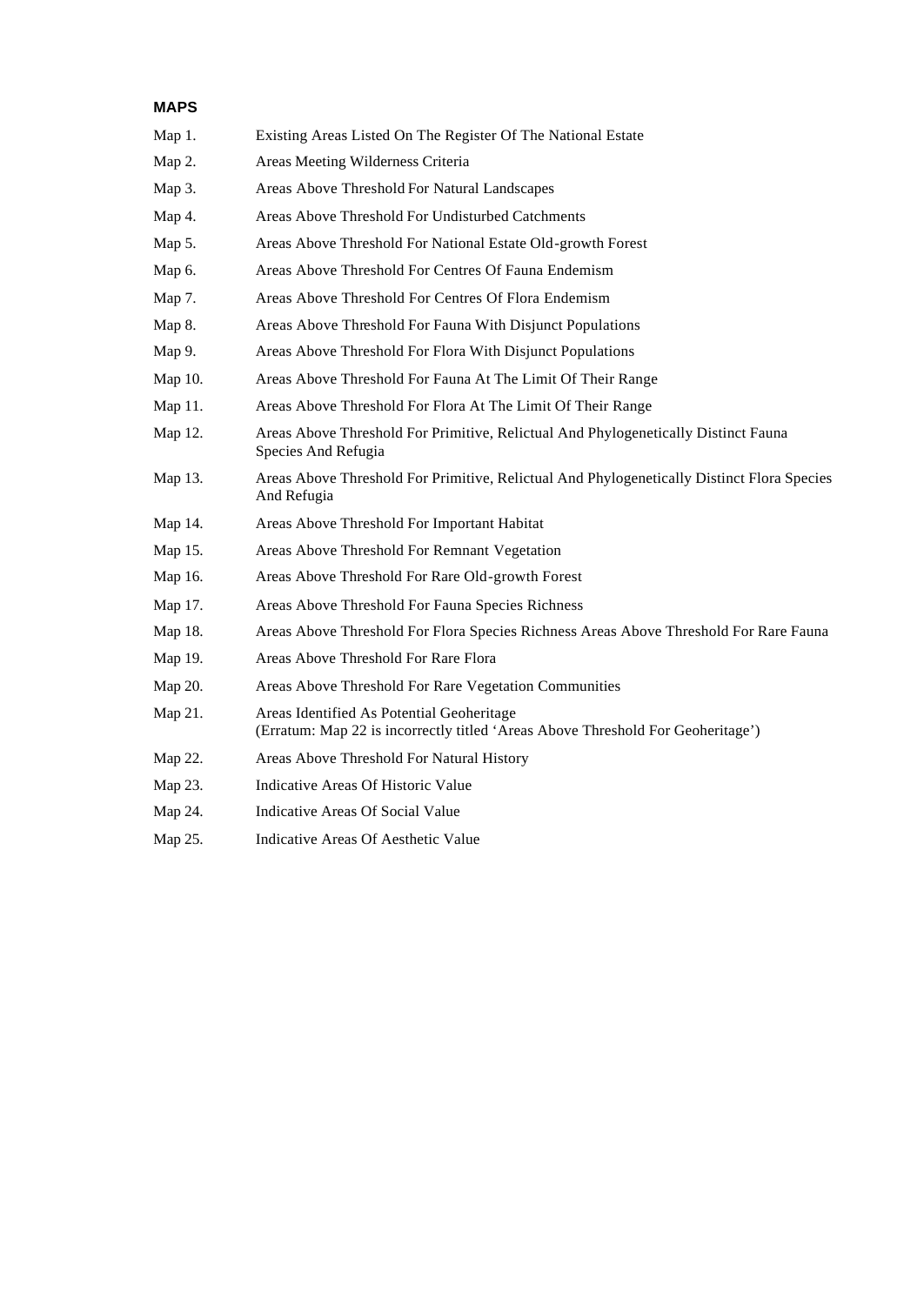### **MAPS**

| Map 1.  | Existing Areas Listed On The Register Of The National Estate                                                                 |
|---------|------------------------------------------------------------------------------------------------------------------------------|
| Map 2.  | Areas Meeting Wilderness Criteria                                                                                            |
| Map 3.  | Areas Above Threshold For Natural Landscapes                                                                                 |
| Map 4.  | Areas Above Threshold For Undisturbed Catchments                                                                             |
| Map 5.  | Areas Above Threshold For National Estate Old-growth Forest                                                                  |
| Map 6.  | Areas Above Threshold For Centres Of Fauna Endemism                                                                          |
| Map 7.  | Areas Above Threshold For Centres Of Flora Endemism                                                                          |
| Map 8.  | Areas Above Threshold For Fauna With Disjunct Populations                                                                    |
| Map 9.  | Areas Above Threshold For Flora With Disjunct Populations                                                                    |
| Map 10. | Areas Above Threshold For Fauna At The Limit Of Their Range                                                                  |
| Map 11. | Areas Above Threshold For Flora At The Limit Of Their Range                                                                  |
| Map 12. | Areas Above Threshold For Primitive, Relictual And Phylogenetically Distinct Fauna<br>Species And Refugia                    |
| Map 13. | Areas Above Threshold For Primitive, Relictual And Phylogenetically Distinct Flora Species<br>And Refugia                    |
| Map 14. | Areas Above Threshold For Important Habitat                                                                                  |
| Map 15. | Areas Above Threshold For Remnant Vegetation                                                                                 |
| Map 16. | Areas Above Threshold For Rare Old-growth Forest                                                                             |
| Map 17. | Areas Above Threshold For Fauna Species Richness                                                                             |
| Map 18. | Areas Above Threshold For Flora Species Richness Areas Above Threshold For Rare Fauna                                        |
| Map 19. | Areas Above Threshold For Rare Flora                                                                                         |
| Map 20. | Areas Above Threshold For Rare Vegetation Communities                                                                        |
| Map 21. | Areas Identified As Potential Geoheritage<br>(Erratum: Map 22 is incorrectly titled 'Areas Above Threshold For Geoheritage') |
| Map 22. | Areas Above Threshold For Natural History                                                                                    |
| Map 23. | Indicative Areas Of Historic Value                                                                                           |
| Map 24. | Indicative Areas Of Social Value                                                                                             |
| Map 25. | Indicative Areas Of Aesthetic Value                                                                                          |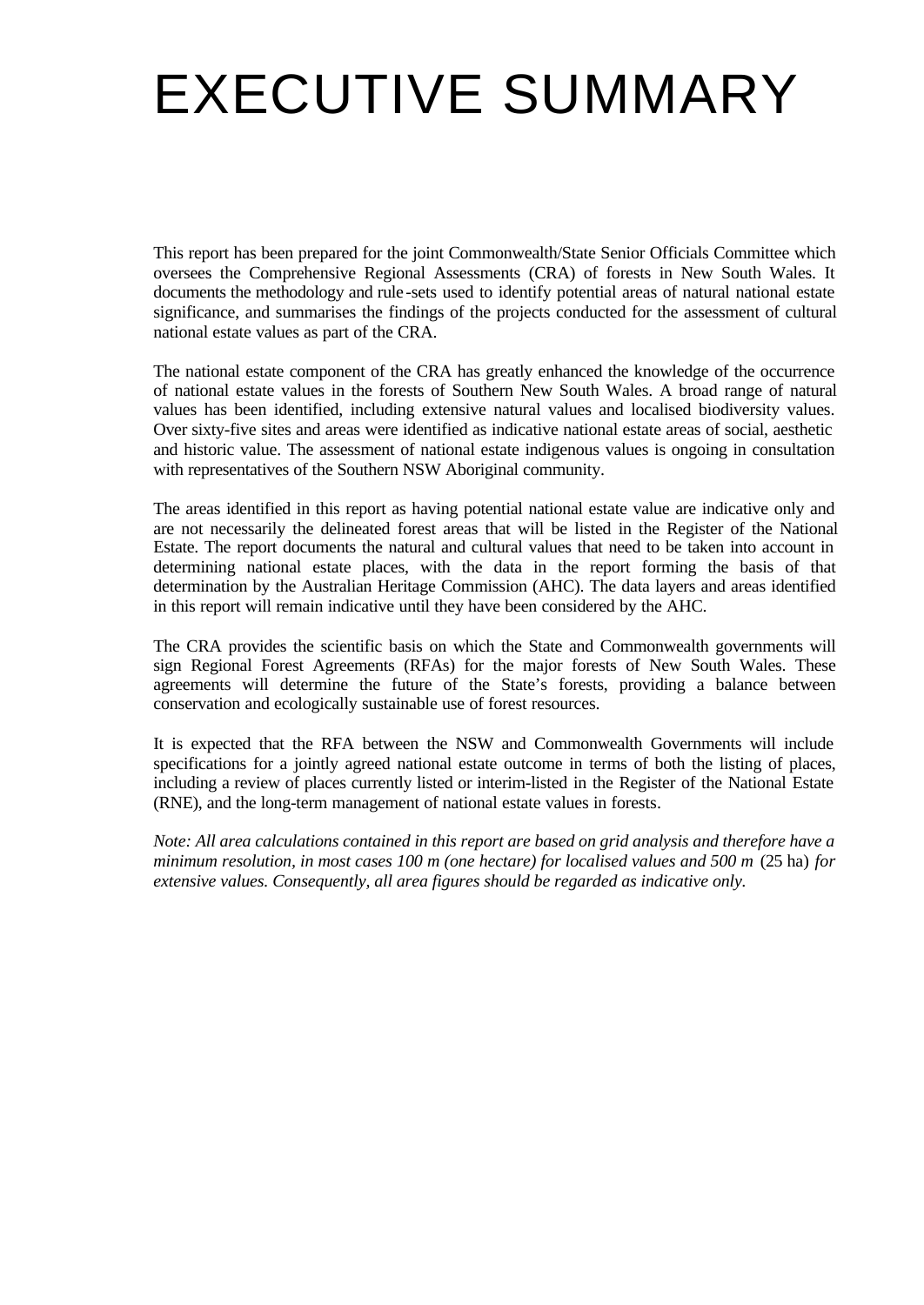# EXECUTIVE SUMMARY

This report has been prepared for the joint Commonwealth/State Senior Officials Committee which oversees the Comprehensive Regional Assessments (CRA) of forests in New South Wales. It documents the methodology and rule -sets used to identify potential areas of natural national estate significance, and summarises the findings of the projects conducted for the assessment of cultural national estate values as part of the CRA.

The national estate component of the CRA has greatly enhanced the knowledge of the occurrence of national estate values in the forests of Southern New South Wales. A broad range of natural values has been identified, including extensive natural values and localised biodiversity values. Over sixty-five sites and areas were identified as indicative national estate areas of social, aesthetic and historic value. The assessment of national estate indigenous values is ongoing in consultation with representatives of the Southern NSW Aboriginal community.

The areas identified in this report as having potential national estate value are indicative only and are not necessarily the delineated forest areas that will be listed in the Register of the National Estate. The report documents the natural and cultural values that need to be taken into account in determining national estate places, with the data in the report forming the basis of that determination by the Australian Heritage Commission (AHC). The data layers and areas identified in this report will remain indicative until they have been considered by the AHC.

The CRA provides the scientific basis on which the State and Commonwealth governments will sign Regional Forest Agreements (RFAs) for the major forests of New South Wales. These agreements will determine the future of the State's forests, providing a balance between conservation and ecologically sustainable use of forest resources.

It is expected that the RFA between the NSW and Commonwealth Governments will include specifications for a jointly agreed national estate outcome in terms of both the listing of places, including a review of places currently listed or interim-listed in the Register of the National Estate (RNE), and the long-term management of national estate values in forests.

*Note: All area calculations contained in this report are based on grid analysis and therefore have a minimum resolution, in most cases 100 m (one hectare) for localised values and 500 m* (25 ha) *for extensive values. Consequently, all area figures should be regarded as indicative only.*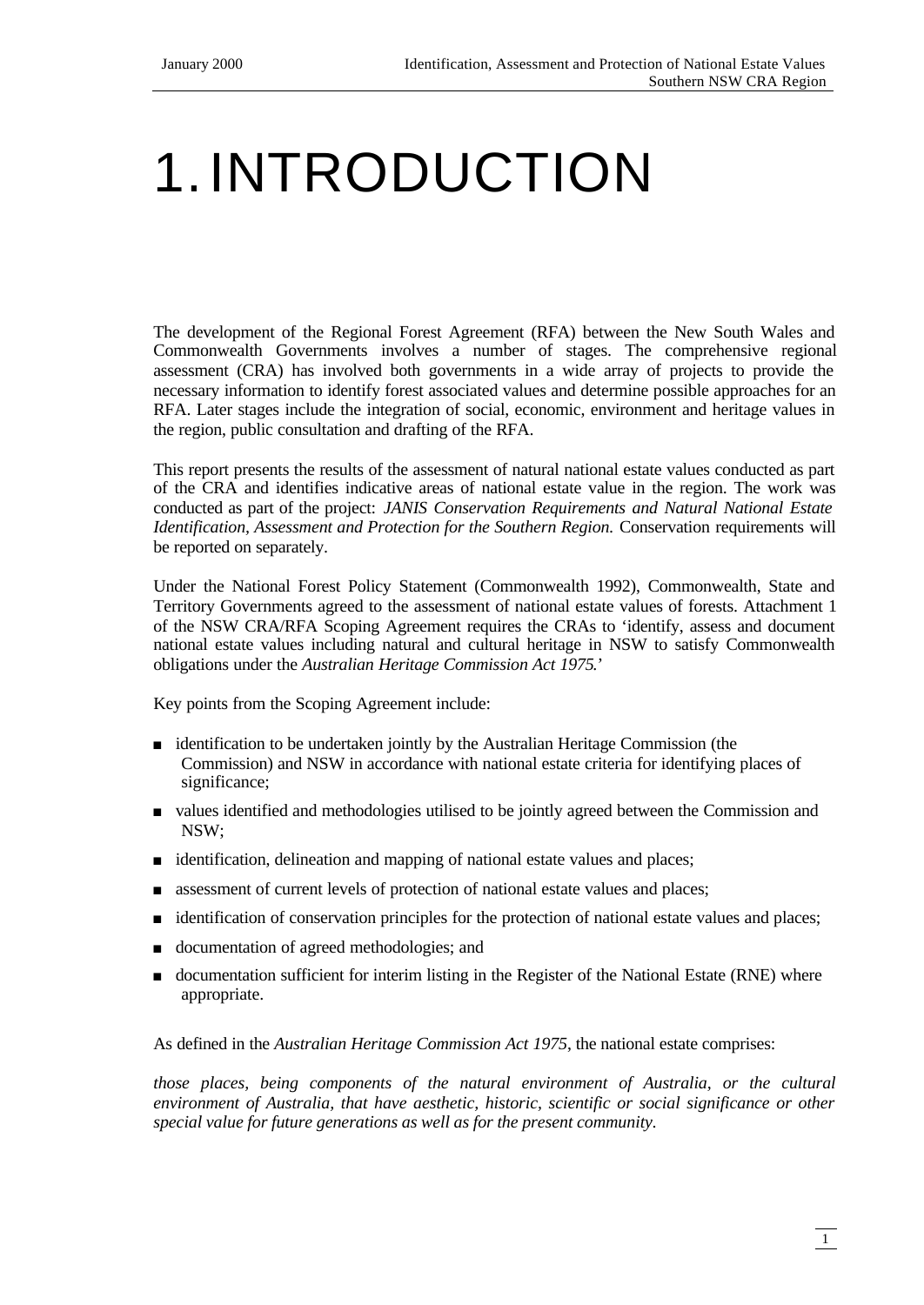# 1.INTRODUCTION

The development of the Regional Forest Agreement (RFA) between the New South Wales and Commonwealth Governments involves a number of stages. The comprehensive regional assessment (CRA) has involved both governments in a wide array of projects to provide the necessary information to identify forest associated values and determine possible approaches for an RFA. Later stages include the integration of social, economic, environment and heritage values in the region, public consultation and drafting of the RFA.

This report presents the results of the assessment of natural national estate values conducted as part of the CRA and identifies indicative areas of national estate value in the region. The work was conducted as part of the project: *JANIS Conservation Requirements and Natural National Estate Identification, Assessment and Protection for the Southern Region. Conservation requirements will* be reported on separately.

Under the National Forest Policy Statement (Commonwealth 1992), Commonwealth, State and Territory Governments agreed to the assessment of national estate values of forests. Attachment 1 of the NSW CRA/RFA Scoping Agreement requires the CRAs to 'identify, assess and document national estate values including natural and cultural heritage in NSW to satisfy Commonwealth obligations under the *Australian Heritage Commission Act 1975*.'

Key points from the Scoping Agreement include:

- <sup>n</sup> identification to be undertaken jointly by the Australian Heritage Commission (the Commission) and NSW in accordance with national estate criteria for identifying places of significance;
- <sup>n</sup> values identified and methodologies utilised to be jointly agreed between the Commission and NSW;
- <sup>n</sup> identification, delineation and mapping of national estate values and places;
- n assessment of current levels of protection of national estate values and places;
- identification of conservation principles for the protection of national estate values and places;
- <sup>n</sup> documentation of agreed methodologies; and
- <sup>n</sup> documentation sufficient for interim listing in the Register of the National Estate (RNE) where appropriate.

As defined in the *Australian Heritage Commission Act 1975*, the national estate comprises:

*those places, being components of the natural environment of Australia, or the cultural environment of Australia, that have aesthetic, historic, scientific or social significance or other special value for future generations as well as for the present community.*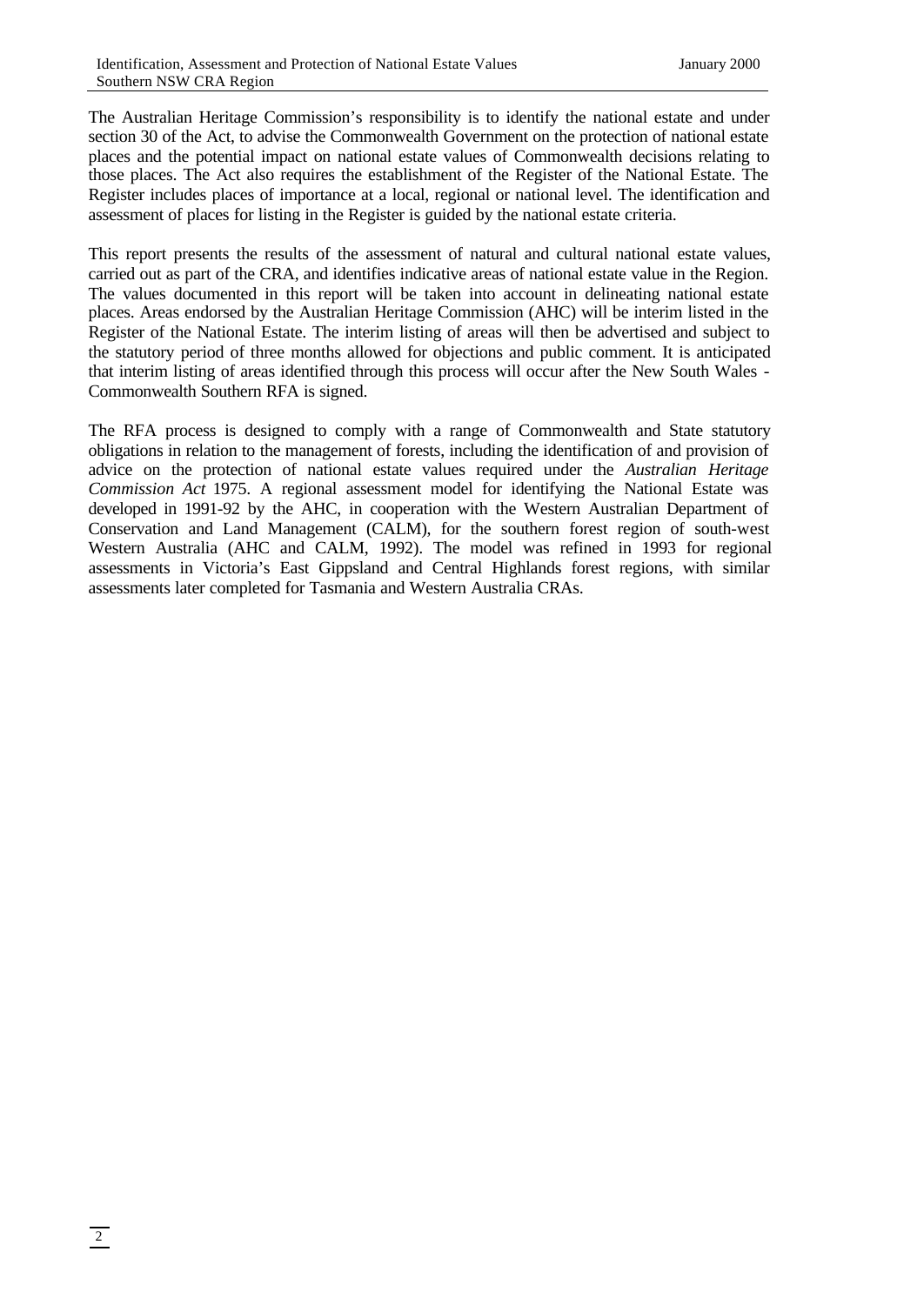The Australian Heritage Commission's responsibility is to identify the national estate and under section 30 of the Act, to advise the Commonwealth Government on the protection of national estate places and the potential impact on national estate values of Commonwealth decisions relating to those places. The Act also requires the establishment of the Register of the National Estate. The Register includes places of importance at a local, regional or national level. The identification and assessment of places for listing in the Register is guided by the national estate criteria.

This report presents the results of the assessment of natural and cultural national estate values, carried out as part of the CRA, and identifies indicative areas of national estate value in the Region. The values documented in this report will be taken into account in delineating national estate places. Areas endorsed by the Australian Heritage Commission (AHC) will be interim listed in the Register of the National Estate. The interim listing of areas will then be advertised and subject to the statutory period of three months allowed for objections and public comment. It is anticipated that interim listing of areas identified through this process will occur after the New South Wales - Commonwealth Southern RFA is signed.

The RFA process is designed to comply with a range of Commonwealth and State statutory obligations in relation to the management of forests, including the identification of and provision of advice on the protection of national estate values required under the *Australian Heritage Commission Act* 1975. A regional assessment model for identifying the National Estate was developed in 1991-92 by the AHC, in cooperation with the Western Australian Department of Conservation and Land Management (CALM), for the southern forest region of south-west Western Australia (AHC and CALM, 1992). The model was refined in 1993 for regional assessments in Victoria's East Gippsland and Central Highlands forest regions, with similar assessments later completed for Tasmania and Western Australia CRAs.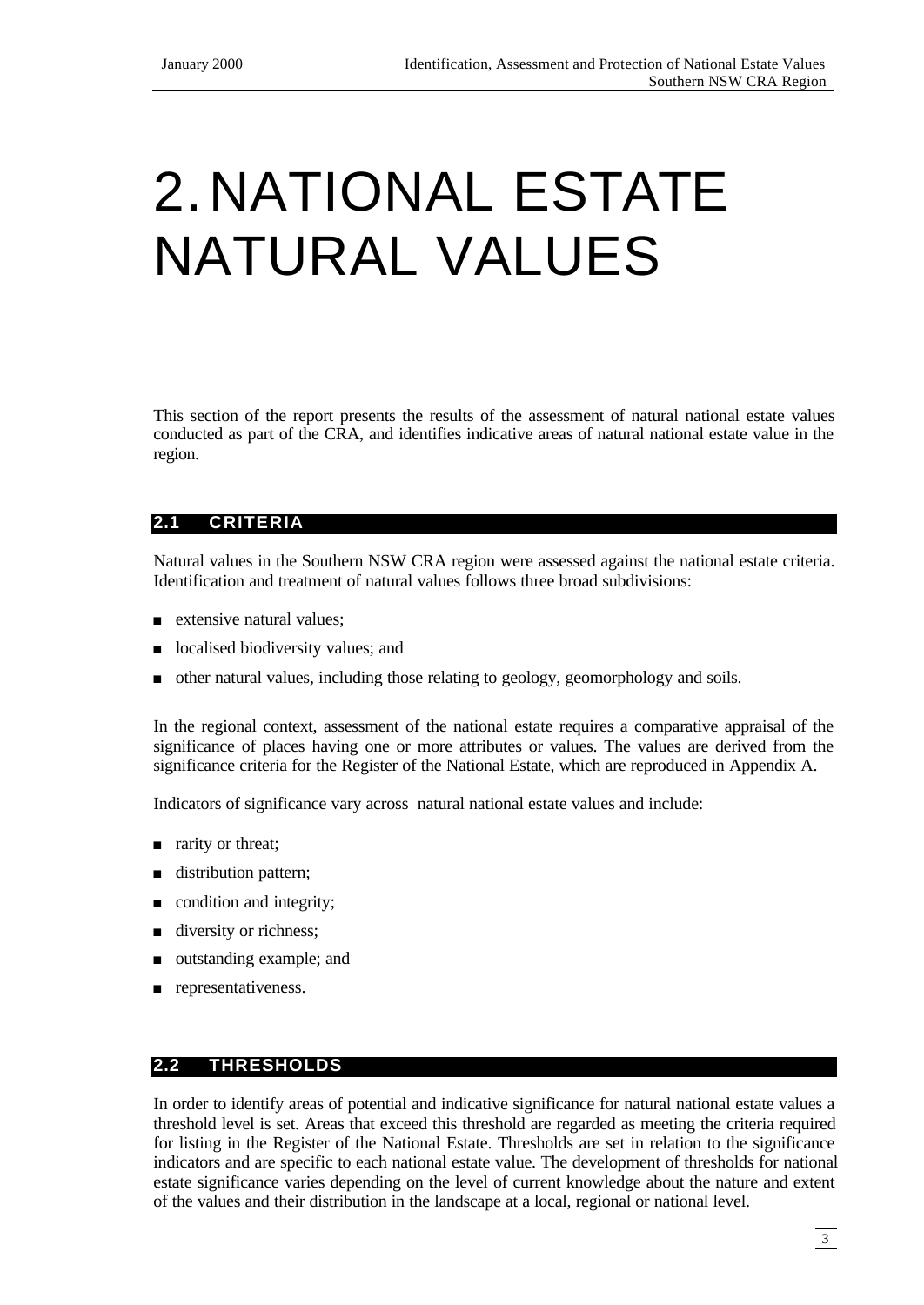# 2.NATIONAL ESTATE NATURAL VALUES

This section of the report presents the results of the assessment of natural national estate values conducted as part of the CRA, and identifies indicative areas of natural national estate value in the region.

# **2.1 CRITERIA**

Natural values in the Southern NSW CRA region were assessed against the national estate criteria. Identification and treatment of natural values follows three broad subdivisions:

- $\blacksquare$  extensive natural values;
- localised biodiversity values; and
- <sup>n</sup> other natural values, including those relating to geology, geomorphology and soils.

In the regional context, assessment of the national estate requires a comparative appraisal of the significance of places having one or more attributes or values. The values are derived from the significance criteria for the Register of the National Estate, which are reproduced in Appendix A.

Indicators of significance vary across natural national estate values and include:

- n rarity or threat;
- distribution pattern;
- $\Box$  condition and integrity;
- $\blacksquare$  diversity or richness;
- outstanding example; and
- n representativeness.

#### **2.2 THRESHOLDS**

In order to identify areas of potential and indicative significance for natural national estate values a threshold level is set. Areas that exceed this threshold are regarded as meeting the criteria required for listing in the Register of the National Estate. Thresholds are set in relation to the significance indicators and are specific to each national estate value. The development of thresholds for national estate significance varies depending on the level of current knowledge about the nature and extent of the values and their distribution in the landscape at a local, regional or national level.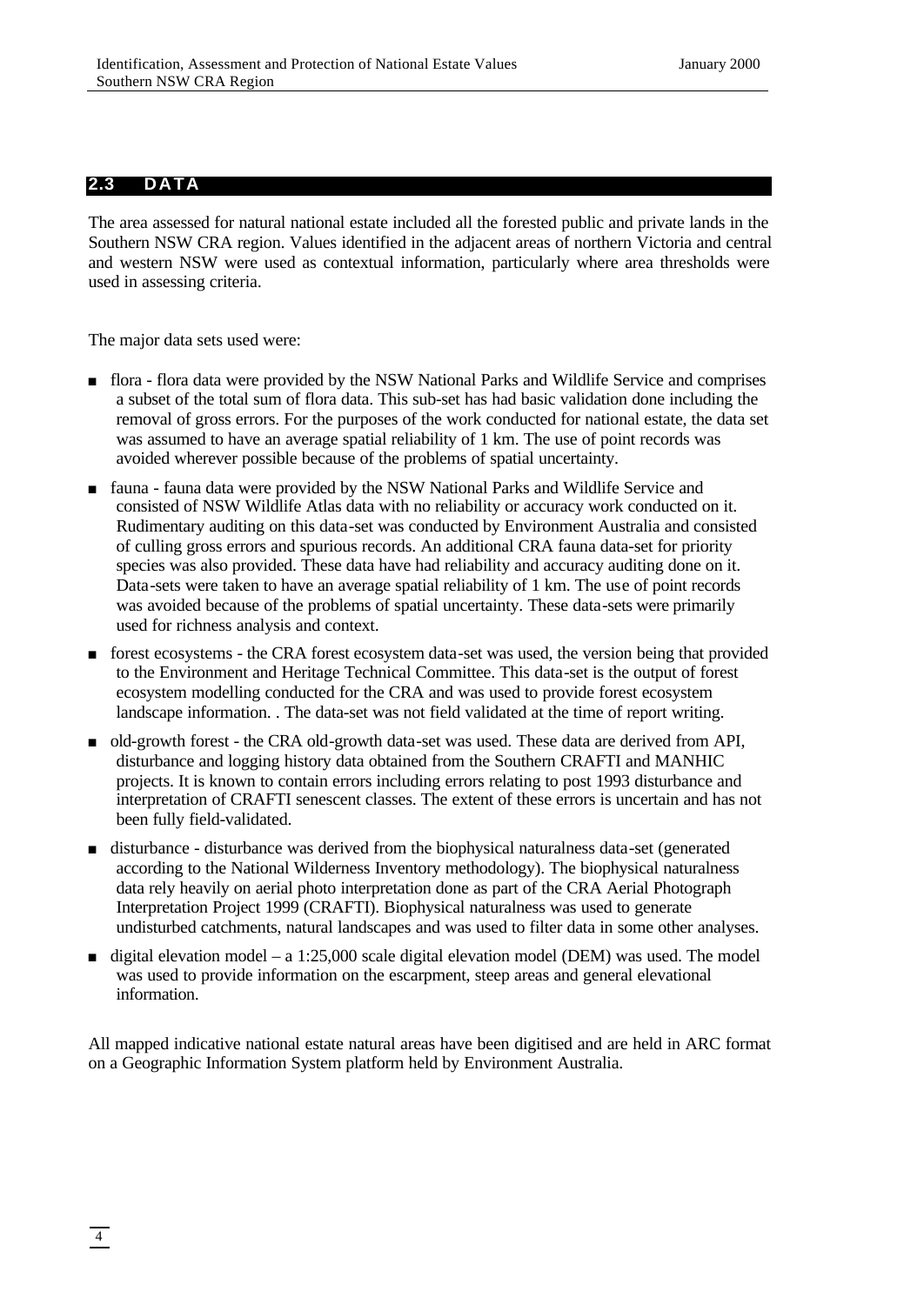#### **2.3 DATA**

The area assessed for natural national estate included all the forested public and private lands in the Southern NSW CRA region. Values identified in the adjacent areas of northern Victoria and central and western NSW were used as contextual information, particularly where area thresholds were used in assessing criteria.

The major data sets used were:

- <sup>n</sup> flora flora data were provided by the NSW National Parks and Wildlife Service and comprises a subset of the total sum of flora data. This sub-set has had basic validation done including the removal of gross errors. For the purposes of the work conducted for national estate, the data set was assumed to have an average spatial reliability of 1 km. The use of point records was avoided wherever possible because of the problems of spatial uncertainty.
- <sup>n</sup> fauna fauna data were provided by the NSW National Parks and Wildlife Service and consisted of NSW Wildlife Atlas data with no reliability or accuracy work conducted on it. Rudimentary auditing on this data-set was conducted by Environment Australia and consisted of culling gross errors and spurious records. An additional CRA fauna data-set for priority species was also provided. These data have had reliability and accuracy auditing done on it. Data-sets were taken to have an average spatial reliability of 1 km. The use of point records was avoided because of the problems of spatial uncertainty. These data-sets were primarily used for richness analysis and context.
- <sup>n</sup> forest ecosystems the CRA forest ecosystem data-set was used, the version being that provided to the Environment and Heritage Technical Committee. This data-set is the output of forest ecosystem modelling conducted for the CRA and was used to provide forest ecosystem landscape information. . The data-set was not field validated at the time of report writing.
- <sup>n</sup> old-growth forest the CRA old-growth data-set was used. These data are derived from API, disturbance and logging history data obtained from the Southern CRAFTI and MANHIC projects. It is known to contain errors including errors relating to post 1993 disturbance and interpretation of CRAFTI senescent classes. The extent of these errors is uncertain and has not been fully field-validated.
- <sup>n</sup> disturbance disturbance was derived from the biophysical naturalness data-set (generated according to the National Wilderness Inventory methodology). The biophysical naturalness data rely heavily on aerial photo interpretation done as part of the CRA Aerial Photograph Interpretation Project 1999 (CRAFTI). Biophysical naturalness was used to generate undisturbed catchments, natural landscapes and was used to filter data in some other analyses.
- $\blacksquare$  digital elevation model a 1:25,000 scale digital elevation model (DEM) was used. The model was used to provide information on the escarpment, steep areas and general elevational information.

All mapped indicative national estate natural areas have been digitised and are held in ARC format on a Geographic Information System platform held by Environment Australia.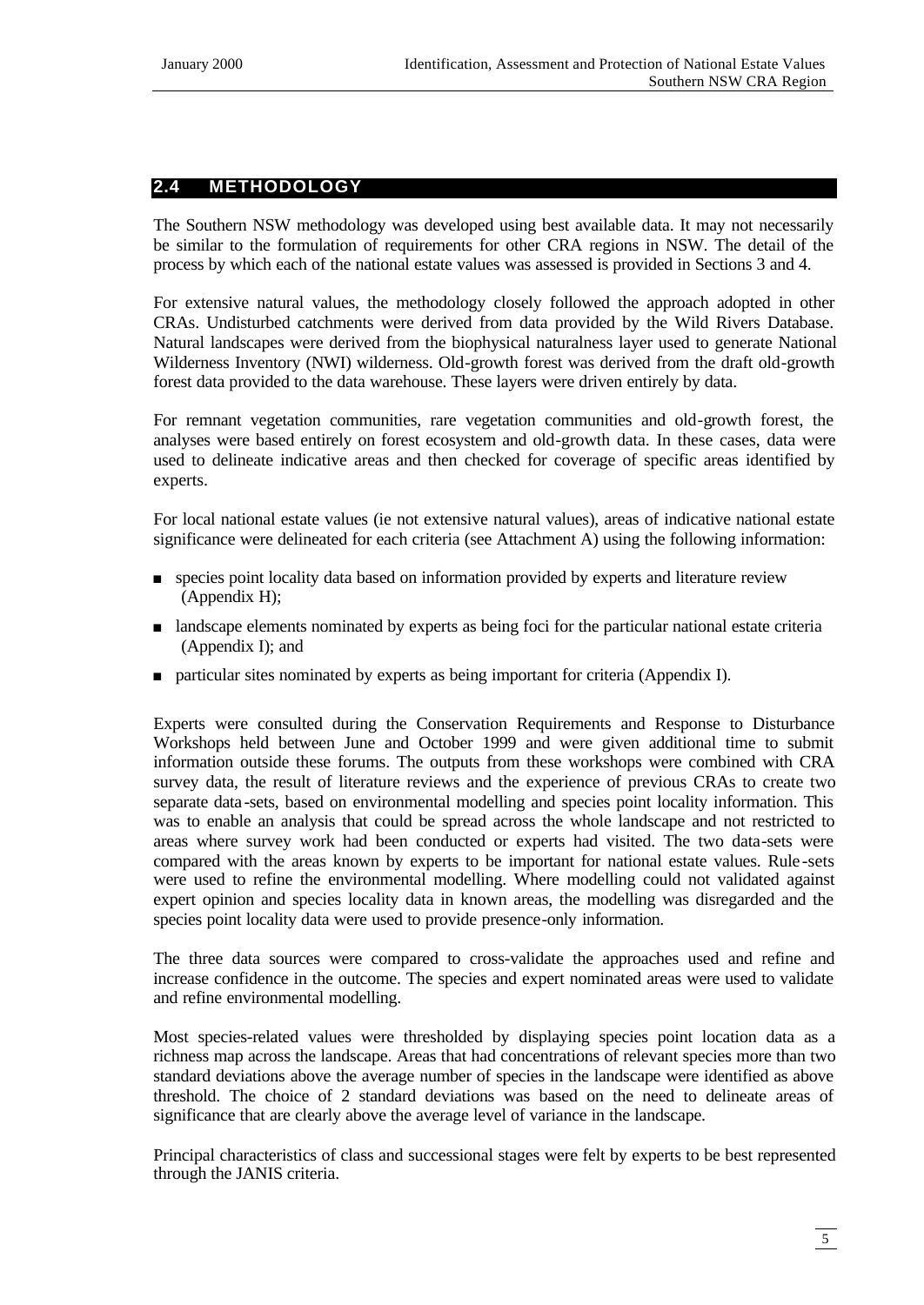# **2.4 METHODOLOGY**

The Southern NSW methodology was developed using best available data. It may not necessarily be similar to the formulation of requirements for other CRA regions in NSW. The detail of the process by which each of the national estate values was assessed is provided in Sections 3 and 4.

For extensive natural values, the methodology closely followed the approach adopted in other CRAs. Undisturbed catchments were derived from data provided by the Wild Rivers Database. Natural landscapes were derived from the biophysical naturalness layer used to generate National Wilderness Inventory (NWI) wilderness. Old-growth forest was derived from the draft old-growth forest data provided to the data warehouse. These layers were driven entirely by data.

For remnant vegetation communities, rare vegetation communities and old-growth forest, the analyses were based entirely on forest ecosystem and old-growth data. In these cases, data were used to delineate indicative areas and then checked for coverage of specific areas identified by experts.

For local national estate values (ie not extensive natural values), areas of indicative national estate significance were delineated for each criteria (see Attachment A) using the following information:

- <sup>n</sup> species point locality data based on information provided by experts and literature review (Appendix H);
- n landscape elements nominated by experts as being foci for the particular national estate criteria (Appendix I); and
- n particular sites nominated by experts as being important for criteria (Appendix I).

Experts were consulted during the Conservation Requirements and Response to Disturbance Workshops held between June and October 1999 and were given additional time to submit information outside these forums. The outputs from these workshops were combined with CRA survey data, the result of literature reviews and the experience of previous CRAs to create two separate data -sets, based on environmental modelling and species point locality information. This was to enable an analysis that could be spread across the whole landscape and not restricted to areas where survey work had been conducted or experts had visited. The two data-sets were compared with the areas known by experts to be important for national estate values. Rule -sets were used to refine the environmental modelling. Where modelling could not validated against expert opinion and species locality data in known areas, the modelling was disregarded and the species point locality data were used to provide presence-only information.

The three data sources were compared to cross-validate the approaches used and refine and increase confidence in the outcome. The species and expert nominated areas were used to validate and refine environmental modelling.

Most species-related values were thresholded by displaying species point location data as a richness map across the landscape. Areas that had concentrations of relevant species more than two standard deviations above the average number of species in the landscape were identified as above threshold. The choice of 2 standard deviations was based on the need to delineate areas of significance that are clearly above the average level of variance in the landscape.

Principal characteristics of class and successional stages were felt by experts to be best represented through the JANIS criteria.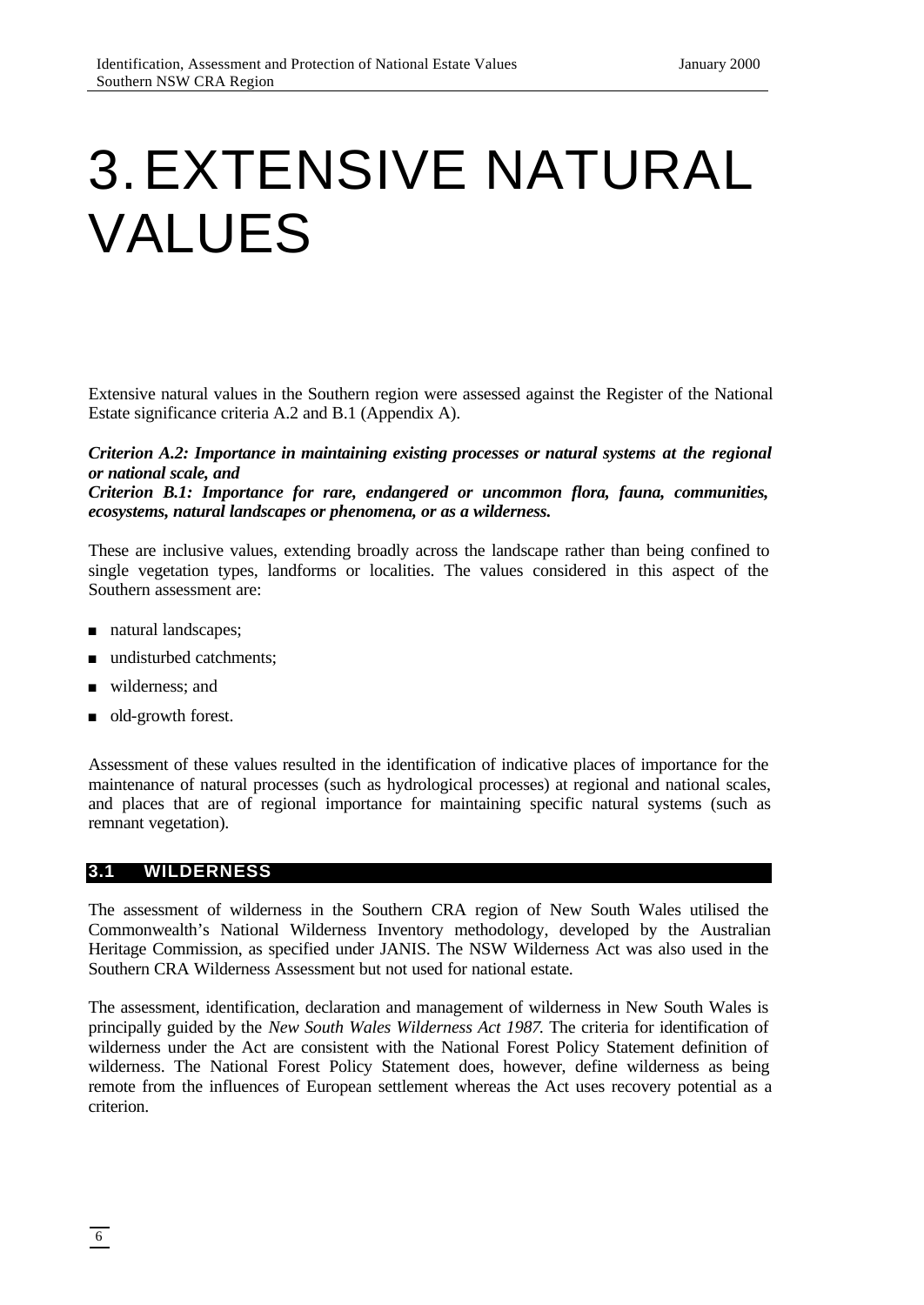# 3.EXTENSIVE NATURAL VALUES

Extensive natural values in the Southern region were assessed against the Register of the National Estate significance criteria A.2 and B.1 (Appendix A).

#### *Criterion A.2: Importance in maintaining existing processes or natural systems at the regional or national scale, and*

*Criterion B.1: Importance for rare, endangered or uncommon flora, fauna, communities, ecosystems, natural landscapes or phenomena, or as a wilderness.*

These are inclusive values, extending broadly across the landscape rather than being confined to single vegetation types, landforms or localities. The values considered in this aspect of the Southern assessment are:

- natural landscapes;
- n undisturbed catchments:
- wilderness; and
- old-growth forest.

Assessment of these values resulted in the identification of indicative places of importance for the maintenance of natural processes (such as hydrological processes) at regional and national scales, and places that are of regional importance for maintaining specific natural systems (such as remnant vegetation).

#### **3.1 WILDERNESS**

The assessment of wilderness in the Southern CRA region of New South Wales utilised the Commonwealth's National Wilderness Inventory methodology, developed by the Australian Heritage Commission, as specified under JANIS. The NSW Wilderness Act was also used in the Southern CRA Wilderness Assessment but not used for national estate.

The assessment, identification, declaration and management of wilderness in New South Wales is principally guided by the *New South Wales Wilderness Act 1987*. The criteria for identification of wilderness under the Act are consistent with the National Forest Policy Statement definition of wilderness. The National Forest Policy Statement does, however, define wilderness as being remote from the influences of European settlement whereas the Act uses recovery potential as a criterion.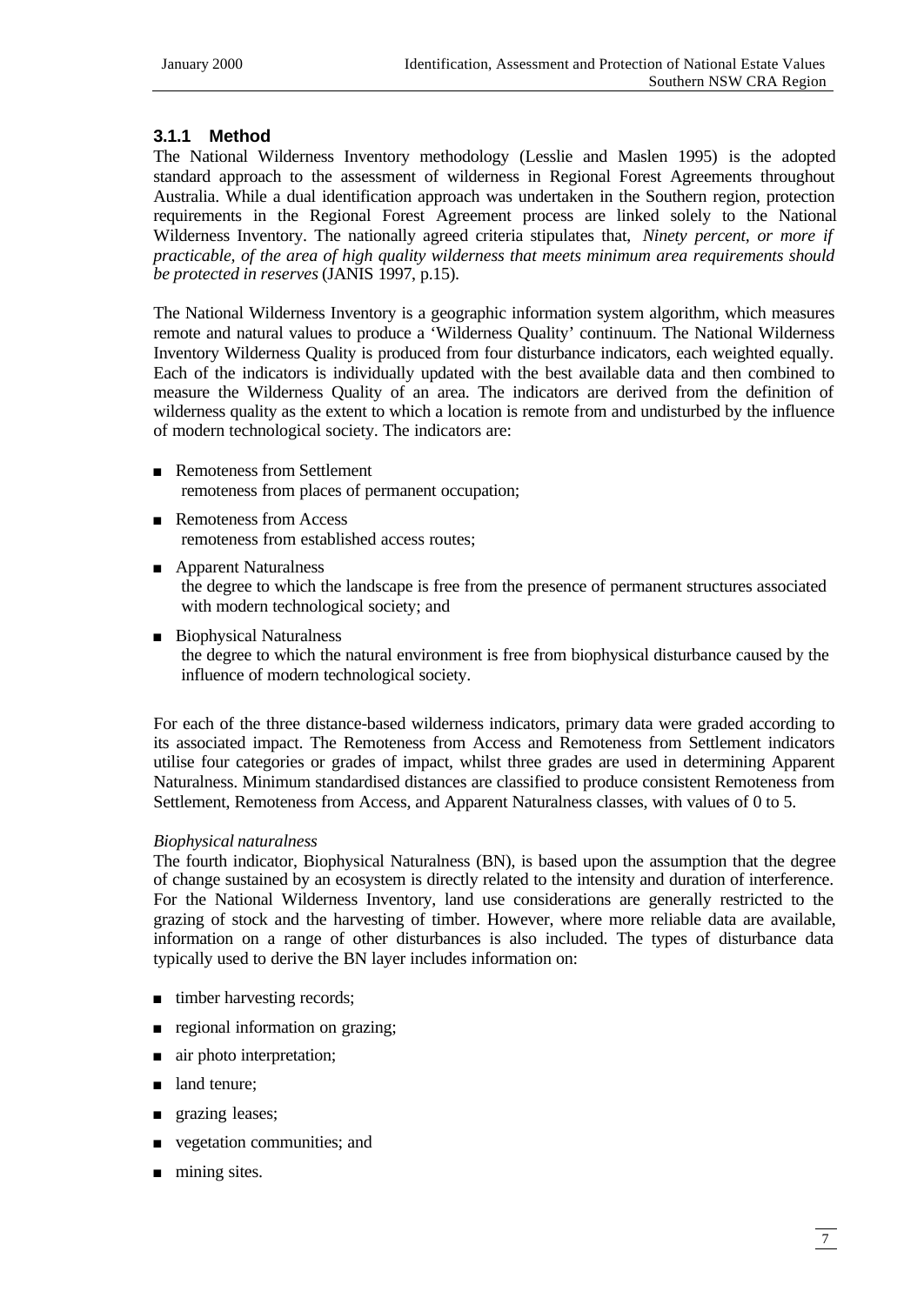# **3.1.1 Method**

The National Wilderness Inventory methodology (Lesslie and Maslen 1995) is the adopted standard approach to the assessment of wilderness in Regional Forest Agreements throughout Australia. While a dual identification approach was undertaken in the Southern region, protection requirements in the Regional Forest Agreement process are linked solely to the National Wilderness Inventory. The nationally agreed criteria stipulates that, *Ninety percent, or more if practicable, of the area of high quality wilderness that meets minimum area requirements should be protected in reserves* (JANIS 1997, p.15).

The National Wilderness Inventory is a geographic information system algorithm, which measures remote and natural values to produce a 'Wilderness Quality' continuum. The National Wilderness Inventory Wilderness Quality is produced from four disturbance indicators, each weighted equally. Each of the indicators is individually updated with the best available data and then combined to measure the Wilderness Quality of an area. The indicators are derived from the definition of wilderness quality as the extent to which a location is remote from and undisturbed by the influence of modern technological society. The indicators are:

- **Remoteness from Settlement** remoteness from places of permanent occupation;
- **n** Remoteness from Access remoteness from established access routes;
- **n** Apparent Naturalness the degree to which the landscape is free from the presence of permanent structures associated with modern technological society; and
- Biophysical Naturalness the degree to which the natural environment is free from biophysical disturbance caused by the influence of modern technological society.

For each of the three distance-based wilderness indicators, primary data were graded according to its associated impact. The Remoteness from Access and Remoteness from Settlement indicators utilise four categories or grades of impact, whilst three grades are used in determining Apparent Naturalness. Minimum standardised distances are classified to produce consistent Remoteness from Settlement, Remoteness from Access, and Apparent Naturalness classes, with values of 0 to 5.

#### *Biophysical naturalness*

The fourth indicator, Biophysical Naturalness (BN), is based upon the assumption that the degree of change sustained by an ecosystem is directly related to the intensity and duration of interference. For the National Wilderness Inventory, land use considerations are generally restricted to the grazing of stock and the harvesting of timber. However, where more reliable data are available, information on a range of other disturbances is also included. The types of disturbance data typically used to derive the BN layer includes information on:

- $\blacksquare$  timber harvesting records;
- $\Box$  regional information on grazing;
- air photo interpretation;
- land tenure;
- grazing leases;
- vegetation communities; and
- $\blacksquare$  mining sites.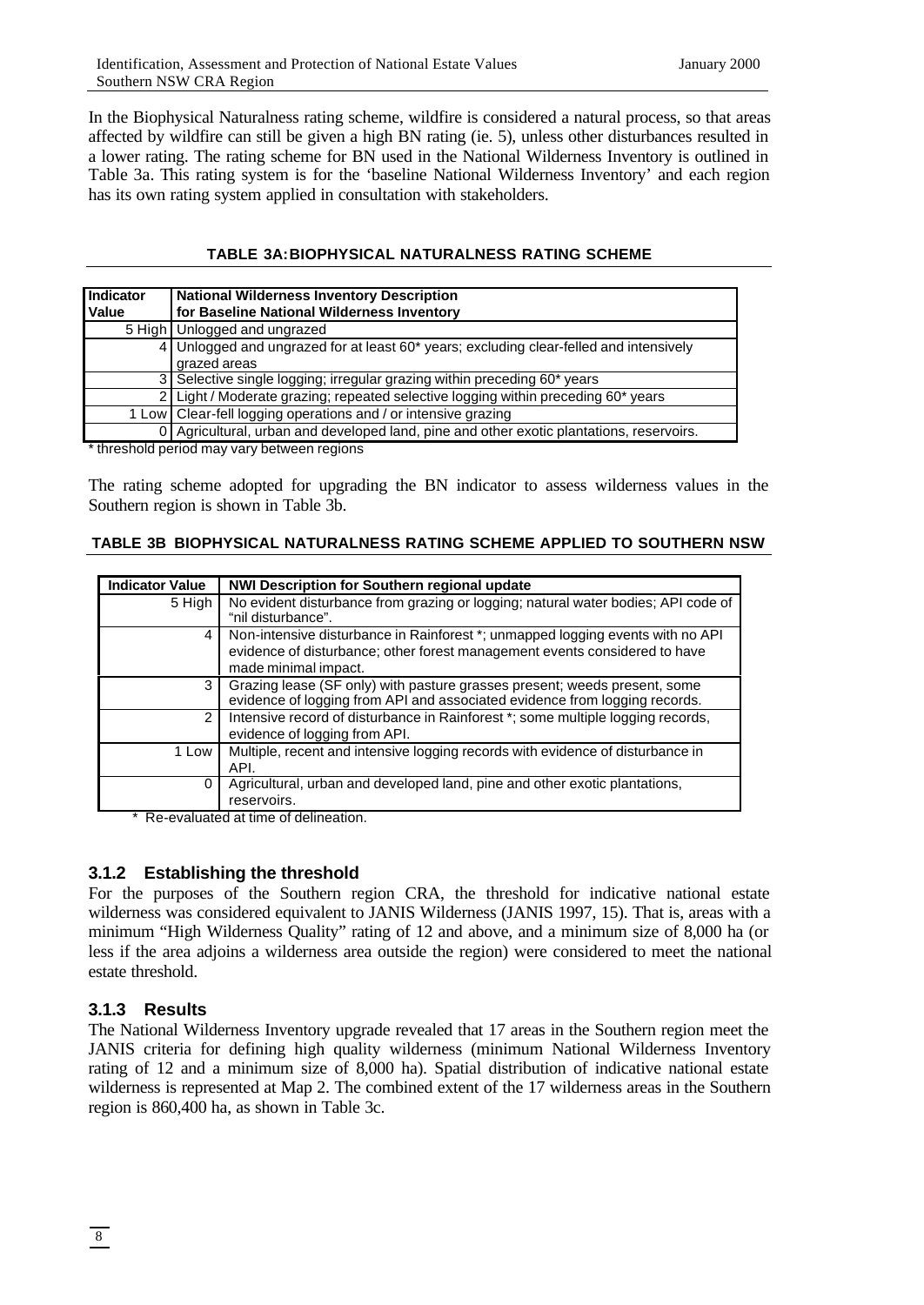In the Biophysical Naturalness rating scheme, wildfire is considered a natural process, so that areas affected by wildfire can still be given a high BN rating (ie. 5), unless other disturbances resulted in a lower rating. The rating scheme for BN used in the National Wilderness Inventory is outlined in Table 3a. This rating system is for the 'baseline National Wilderness Inventory' and each region has its own rating system applied in consultation with stakeholders.

#### **TABLE 3A:BIOPHYSICAL NATURALNESS RATING SCHEME**

| Indicator<br>Value | <b>National Wilderness Inventory Description</b><br>for Baseline National Wilderness Inventory         |
|--------------------|--------------------------------------------------------------------------------------------------------|
|                    | 5 High   Unlogged and ungrazed                                                                         |
|                    | 4 Unlogged and ungrazed for at least 60* years; excluding clear-felled and intensively<br>grazed areas |
|                    | 3 Selective single logging; irregular grazing within preceding 60* years                               |
|                    | 2 Light / Moderate grazing; repeated selective logging within preceding 60* years                      |
|                    | 1 Low   Clear-fell logging operations and / or intensive grazing                                       |
|                    | 0 Agricultural, urban and developed land, pine and other exotic plantations, reservoirs.               |

\* threshold period may vary between regions

The rating scheme adopted for upgrading the BN indicator to assess wilderness values in the Southern region is shown in Table 3b.

#### **TABLE 3B BIOPHYSICAL NATURALNESS RATING SCHEME APPLIED TO SOUTHERN NSW**

| <b>Indicator Value</b> | <b>NWI Description for Southern regional update</b>                                                                                                                                  |
|------------------------|--------------------------------------------------------------------------------------------------------------------------------------------------------------------------------------|
| 5 High                 | No evident disturbance from grazing or logging; natural water bodies; API code of<br>"nil disturbance".                                                                              |
| 4                      | Non-intensive disturbance in Rainforest *; unmapped logging events with no API<br>evidence of disturbance; other forest management events considered to have<br>made minimal impact. |
| 3                      | Grazing lease (SF only) with pasture grasses present; weeds present, some<br>evidence of logging from API and associated evidence from logging records.                              |
| $\mathcal{P}$          | Intensive record of disturbance in Rainforest *; some multiple logging records,<br>evidence of logging from API.                                                                     |
| 1 Low                  | Multiple, recent and intensive logging records with evidence of disturbance in<br>API.                                                                                               |
| 0                      | Agricultural, urban and developed land, pine and other exotic plantations,<br>reservoirs.                                                                                            |

Re-evaluated at time of delineation.

# **3.1.2 Establishing the threshold**

For the purposes of the Southern region CRA, the threshold for indicative national estate wilderness was considered equivalent to JANIS Wilderness (JANIS 1997, 15). That is, areas with a minimum "High Wilderness Quality" rating of 12 and above, and a minimum size of 8,000 ha (or less if the area adjoins a wilderness area outside the region) were considered to meet the national estate threshold.

# **3.1.3 Results**

The National Wilderness Inventory upgrade revealed that 17 areas in the Southern region meet the JANIS criteria for defining high quality wilderness (minimum National Wilderness Inventory rating of 12 and a minimum size of 8,000 ha). Spatial distribution of indicative national estate wilderness is represented at Map 2. The combined extent of the 17 wilderness areas in the Southern region is 860,400 ha, as shown in Table 3c.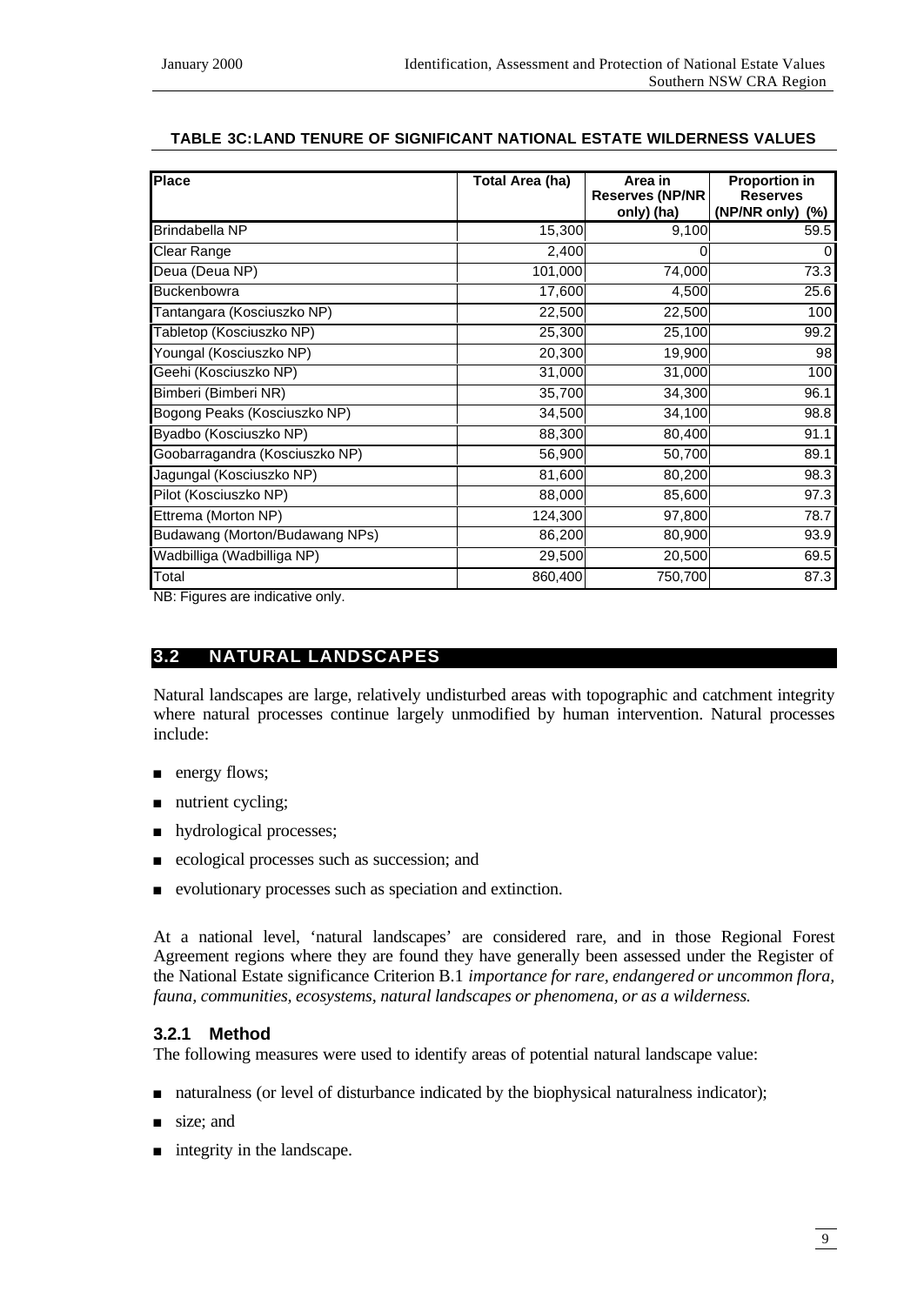# **TABLE 3C:LAND TENURE OF SIGNIFICANT NATIONAL ESTATE WILDERNESS VALUES**

| <b>Place</b>                   | Total Area (ha) | Area in<br><b>Reserves (NP/NR</b> | <b>Proportion in</b><br><b>Reserves</b> |
|--------------------------------|-----------------|-----------------------------------|-----------------------------------------|
|                                |                 | only) (ha)                        | (NP/NR only) (%)                        |
| Brindabella NP                 | 15,300          | 9,100                             | 59.5                                    |
| Clear Range                    | 2,400           | 0                                 | $\Omega$                                |
| Deua (Deua NP)                 | 101,000         | 74,000                            | 73.3                                    |
| <b>Buckenbowra</b>             | 17,600          | 4,500                             | 25.6                                    |
| Tantangara (Kosciuszko NP)     | 22,500          | 22,500                            | 100                                     |
| Tabletop (Kosciuszko NP)       | 25,300          | 25,100                            | 99.2                                    |
| Youngal (Kosciuszko NP)        | 20,300          | 19,900                            | 98                                      |
| Geehi (Kosciuszko NP)          | 31,000          | 31,000                            | 100                                     |
| Bimberi (Bimberi NR)           | 35,700          | 34,300                            | 96.1                                    |
| Bogong Peaks (Kosciuszko NP)   | 34,500          | 34,100                            | 98.8                                    |
| Byadbo (Kosciuszko NP)         | 88,300          | 80,400                            | 91.1                                    |
| Goobarragandra (Kosciuszko NP) | 56,900          | 50,700                            | 89.1                                    |
| Jagungal (Kosciuszko NP)       | 81,600          | 80,200                            | 98.3                                    |
| Pilot (Kosciuszko NP)          | 88,000          | 85,600                            | 97.3                                    |
| Ettrema (Morton NP)            | 124,300         | 97,800                            | 78.7                                    |
| Budawang (Morton/Budawang NPs) | 86,200          | 80,900                            | 93.9                                    |
| Wadbilliga (Wadbilliga NP)     | 29,500          | 20,500                            | 69.5                                    |
| Total                          | 860,400         | 750,700                           | 87.3                                    |

NB: Figures are indicative only.

# **3.2 NATURAL LANDSCAPES**

Natural landscapes are large, relatively undisturbed areas with topographic and catchment integrity where natural processes continue largely unmodified by human intervention. Natural processes include:

- $\blacksquare$  energy flows;
- $\blacksquare$  nutrient cycling;
- n hydrological processes;
- <sup>n</sup> ecological processes such as succession; and
- <sup>n</sup> evolutionary processes such as speciation and extinction.

At a national level, 'natural landscapes' are considered rare, and in those Regional Forest Agreement regions where they are found they have generally been assessed under the Register of the National Estate significance Criterion B.1 *importance for rare, endangered or uncommon flora, fauna, communities, ecosystems, natural landscapes or phenomena, or as a wilderness.*

#### **3.2.1 Method**

The following measures were used to identify areas of potential natural landscape value:

- naturalness (or level of disturbance indicated by the biophysical naturalness indicator);
- size; and
- $\blacksquare$  integrity in the landscape.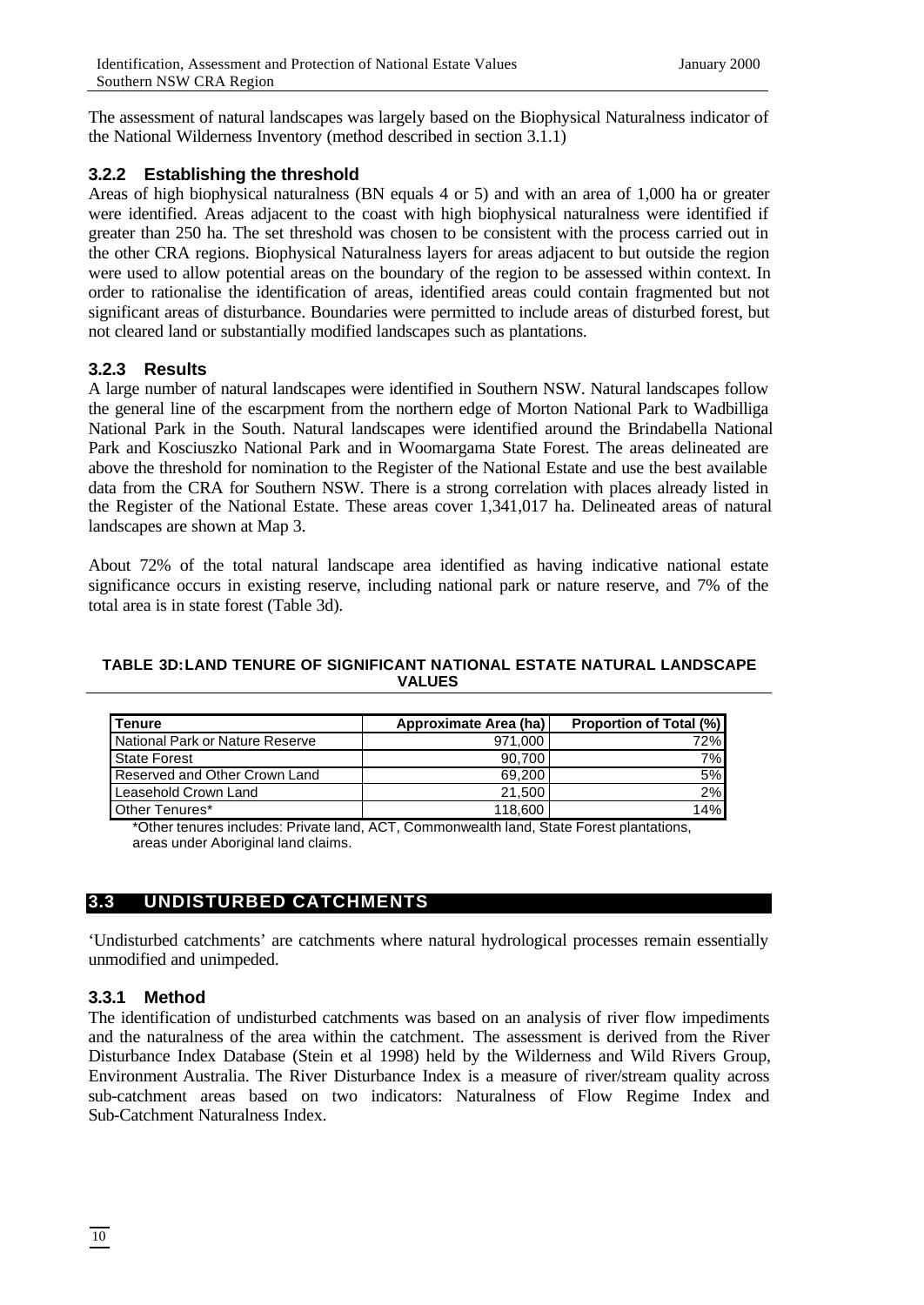The assessment of natural landscapes was largely based on the Biophysical Naturalness indicator of the National Wilderness Inventory (method described in section 3.1.1)

# **3.2.2 Establishing the threshold**

Areas of high biophysical naturalness (BN equals 4 or 5) and with an area of 1,000 ha or greater were identified. Areas adjacent to the coast with high biophysical naturalness were identified if greater than 250 ha. The set threshold was chosen to be consistent with the process carried out in the other CRA regions. Biophysical Naturalness layers for areas adjacent to but outside the region were used to allow potential areas on the boundary of the region to be assessed within context. In order to rationalise the identification of areas, identified areas could contain fragmented but not significant areas of disturbance. Boundaries were permitted to include areas of disturbed forest, but not cleared land or substantially modified landscapes such as plantations.

# **3.2.3 Results**

A large number of natural landscapes were identified in Southern NSW. Natural landscapes follow the general line of the escarpment from the northern edge of Morton National Park to Wadbilliga National Park in the South. Natural landscapes were identified around the Brindabella National Park and Kosciuszko National Park and in Woomargama State Forest. The areas delineated are above the threshold for nomination to the Register of the National Estate and use the best available data from the CRA for Southern NSW. There is a strong correlation with places already listed in the Register of the National Estate. These areas cover 1,341,017 ha. Delineated areas of natural landscapes are shown at Map 3.

About 72% of the total natural landscape area identified as having indicative national estate significance occurs in existing reserve, including national park or nature reserve, and 7% of the total area is in state forest (Table 3d).

#### **TABLE 3D:LAND TENURE OF SIGNIFICANT NATIONAL ESTATE NATURAL LANDSCAPE VALUES**

| l Tenure                        | Approximate Area (ha) | <b>Proportion of Total (%)</b> |
|---------------------------------|-----------------------|--------------------------------|
| National Park or Nature Reserve | 971,000               | 72%                            |
| <b>State Forest</b>             | 90,700                | 7%                             |
| Reserved and Other Crown Land   | 69.200                | 5%                             |
| Leasehold Crown Land            | 21,500                | 2%                             |
| Other Tenures*                  | 118,600               | 14%                            |

\*Other tenures includes: Private land, ACT, Commonwealth land, State Forest plantations, areas under Aboriginal land claims.

# **3.3 UNDISTURBED CATCHMENTS**

'Undisturbed catchments' are catchments where natural hydrological processes remain essentially unmodified and unimpeded.

# **3.3.1 Method**

The identification of undisturbed catchments was based on an analysis of river flow impediments and the naturalness of the area within the catchment. The assessment is derived from the River Disturbance Index Database (Stein et al 1998) held by the Wilderness and Wild Rivers Group, Environment Australia. The River Disturbance Index is a measure of river/stream quality across sub-catchment areas based on two indicators: Naturalness of Flow Regime Index and Sub-Catchment Naturalness Index.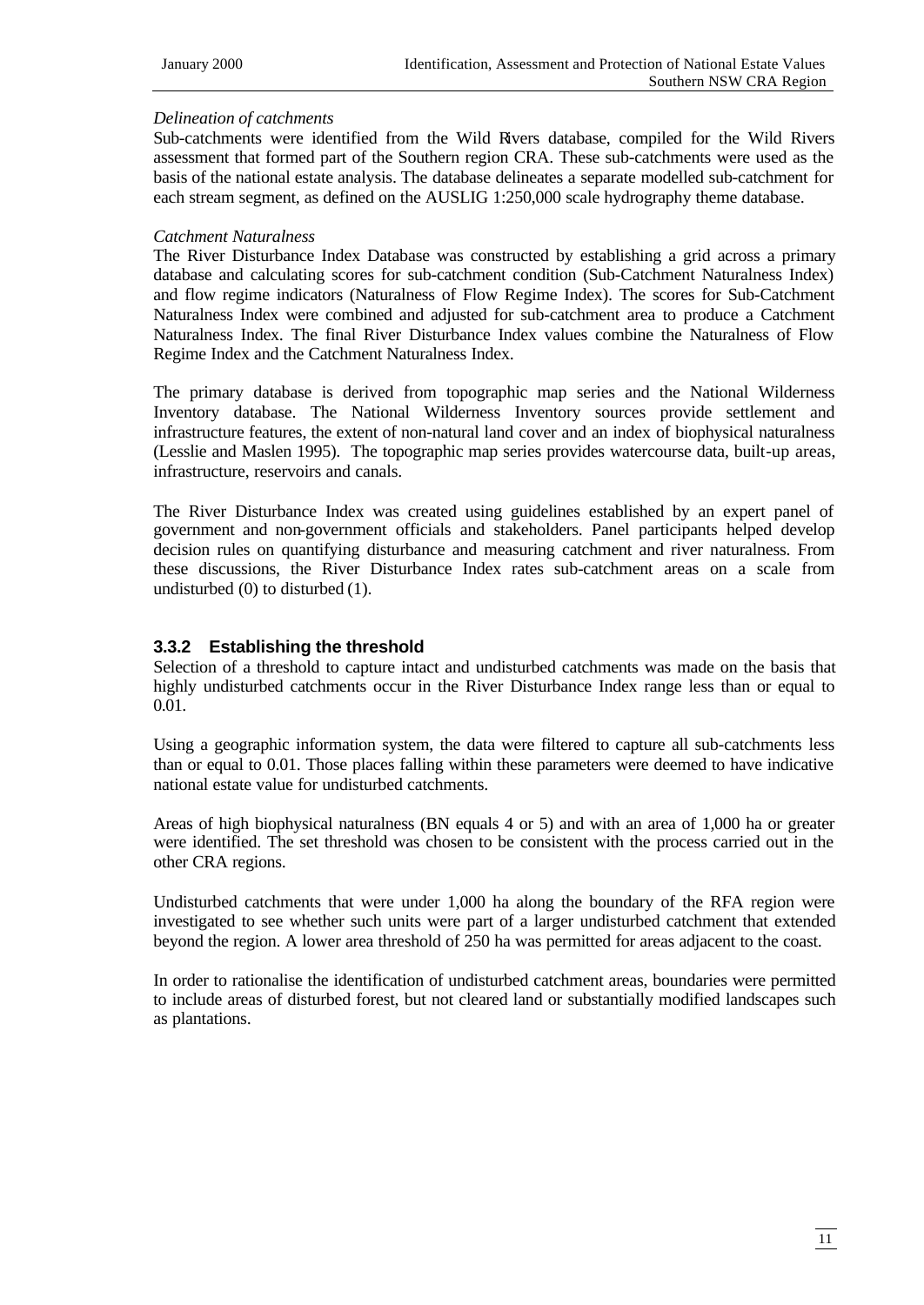#### *Delineation of catchments*

Sub-catchments were identified from the Wild Rivers database, compiled for the Wild Rivers assessment that formed part of the Southern region CRA. These sub-catchments were used as the basis of the national estate analysis. The database delineates a separate modelled sub-catchment for each stream segment, as defined on the AUSLIG 1:250,000 scale hydrography theme database.

#### *Catchment Naturalness*

The River Disturbance Index Database was constructed by establishing a grid across a primary database and calculating scores for sub-catchment condition (Sub-Catchment Naturalness Index) and flow regime indicators (Naturalness of Flow Regime Index). The scores for Sub-Catchment Naturalness Index were combined and adjusted for sub-catchment area to produce a Catchment Naturalness Index. The final River Disturbance Index values combine the Naturalness of Flow Regime Index and the Catchment Naturalness Index.

The primary database is derived from topographic map series and the National Wilderness Inventory database. The National Wilderness Inventory sources provide settlement and infrastructure features, the extent of non-natural land cover and an index of biophysical naturalness (Lesslie and Maslen 1995). The topographic map series provides watercourse data, built-up areas, infrastructure, reservoirs and canals.

The River Disturbance Index was created using guidelines established by an expert panel of government and non-government officials and stakeholders. Panel participants helped develop decision rules on quantifying disturbance and measuring catchment and river naturalness. From these discussions, the River Disturbance Index rates sub-catchment areas on a scale from undisturbed (0) to disturbed (1).

#### **3.3.2 Establishing the threshold**

Selection of a threshold to capture intact and undisturbed catchments was made on the basis that highly undisturbed catchments occur in the River Disturbance Index range less than or equal to 0.01.

Using a geographic information system, the data were filtered to capture all sub-catchments less than or equal to 0.01. Those places falling within these parameters were deemed to have indicative national estate value for undisturbed catchments.

Areas of high biophysical naturalness (BN equals 4 or 5) and with an area of 1,000 ha or greater were identified. The set threshold was chosen to be consistent with the process carried out in the other CRA regions.

Undisturbed catchments that were under 1,000 ha along the boundary of the RFA region were investigated to see whether such units were part of a larger undisturbed catchment that extended beyond the region. A lower area threshold of 250 ha was permitted for areas adjacent to the coast.

In order to rationalise the identification of undisturbed catchment areas, boundaries were permitted to include areas of disturbed forest, but not cleared land or substantially modified landscapes such as plantations.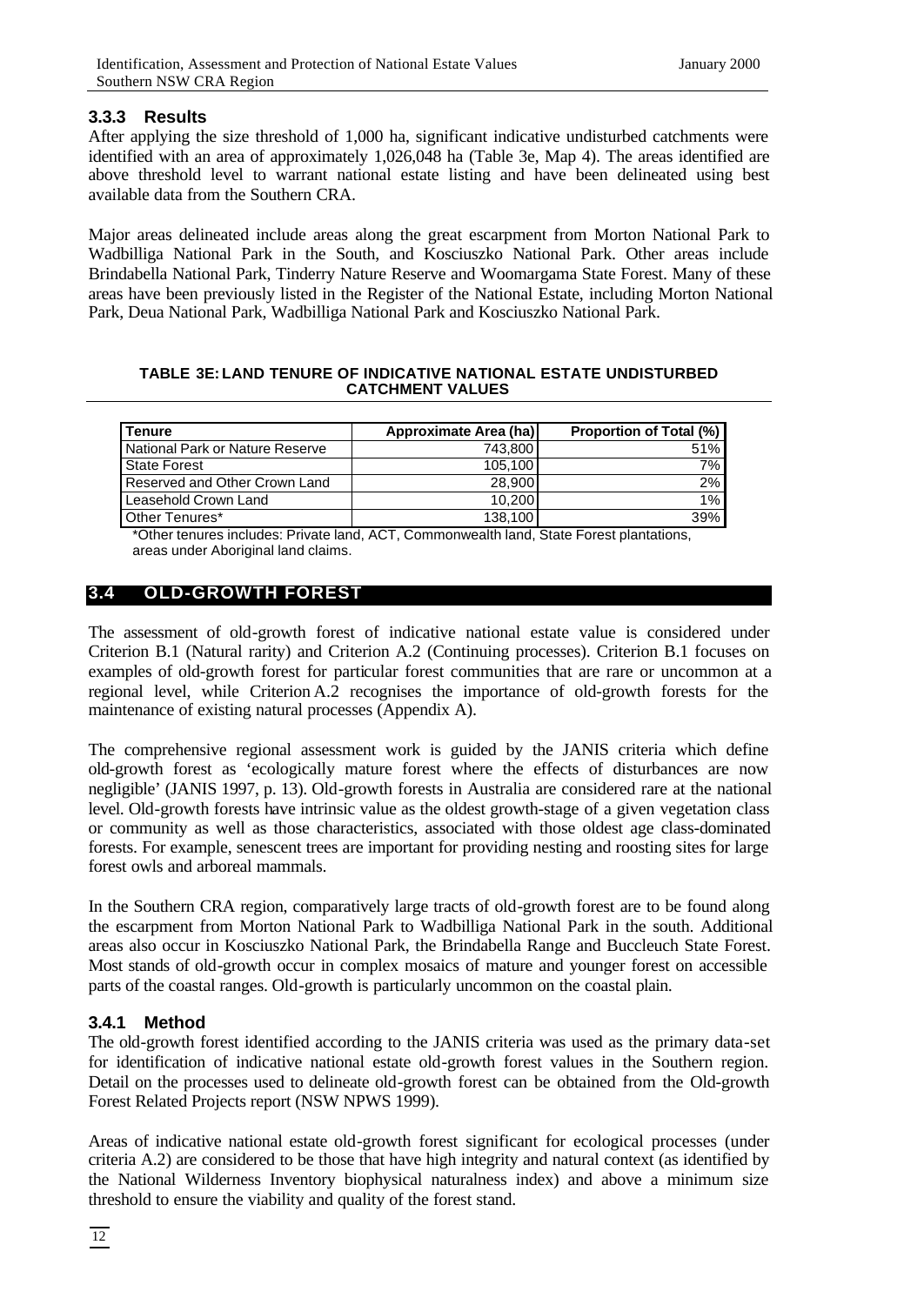#### **3.3.3 Results**

After applying the size threshold of 1,000 ha, significant indicative undisturbed catchments were identified with an area of approximately 1,026,048 ha (Table 3e, Map 4). The areas identified are above threshold level to warrant national estate listing and have been delineated using best available data from the Southern CRA.

Major areas delineated include areas along the great escarpment from Morton National Park to Wadbilliga National Park in the South, and Kosciuszko National Park. Other areas include Brindabella National Park, Tinderry Nature Reserve and Woomargama State Forest. Many of these areas have been previously listed in the Register of the National Estate, including Morton National Park, Deua National Park, Wadbilliga National Park and Kosciuszko National Park.

#### **TABLE 3E: LAND TENURE OF INDICATIVE NATIONAL ESTATE UNDISTURBED CATCHMENT VALUES**

| <b>Tenure</b>                   | Approximate Area (ha) | <b>Proportion of Total (%)</b> |
|---------------------------------|-----------------------|--------------------------------|
| National Park or Nature Reserve | 743.800               | 51%                            |
| <b>State Forest</b>             | 105.100               | 7%                             |
| Reserved and Other Crown Land   | 28.900                | 2%                             |
| Leasehold Crown Land            | 10.200                | 1%                             |
| Other Tenures*                  | 138,100               | 39%                            |

\*Other tenures includes: Private land, ACT, Commonwealth land, State Forest plantations, areas under Aboriginal land claims.

# **3.4 OLD-GROWTH FOREST**

The assessment of old-growth forest of indicative national estate value is considered under Criterion B.1 (Natural rarity) and Criterion A.2 (Continuing processes). Criterion B.1 focuses on examples of old-growth forest for particular forest communities that are rare or uncommon at a regional level, while Criterion A.2 recognises the importance of old-growth forests for the maintenance of existing natural processes (Appendix A).

The comprehensive regional assessment work is guided by the JANIS criteria which define old-growth forest as 'ecologically mature forest where the effects of disturbances are now negligible' (JANIS 1997, p. 13). Old-growth forests in Australia are considered rare at the national level. Old-growth forests have intrinsic value as the oldest growth-stage of a given vegetation class or community as well as those characteristics, associated with those oldest age class-dominated forests. For example, senescent trees are important for providing nesting and roosting sites for large forest owls and arboreal mammals.

In the Southern CRA region, comparatively large tracts of old-growth forest are to be found along the escarpment from Morton National Park to Wadbilliga National Park in the south. Additional areas also occur in Kosciuszko National Park, the Brindabella Range and Buccleuch State Forest. Most stands of old-growth occur in complex mosaics of mature and younger forest on accessible parts of the coastal ranges. Old-growth is particularly uncommon on the coastal plain.

#### **3.4.1 Method**

The old-growth forest identified according to the JANIS criteria was used as the primary data-set for identification of indicative national estate old-growth forest values in the Southern region. Detail on the processes used to delineate old-growth forest can be obtained from the Old-growth Forest Related Projects report (NSW NPWS 1999).

Areas of indicative national estate old-growth forest significant for ecological processes (under criteria A.2) are considered to be those that have high integrity and natural context (as identified by the National Wilderness Inventory biophysical naturalness index) and above a minimum size threshold to ensure the viability and quality of the forest stand.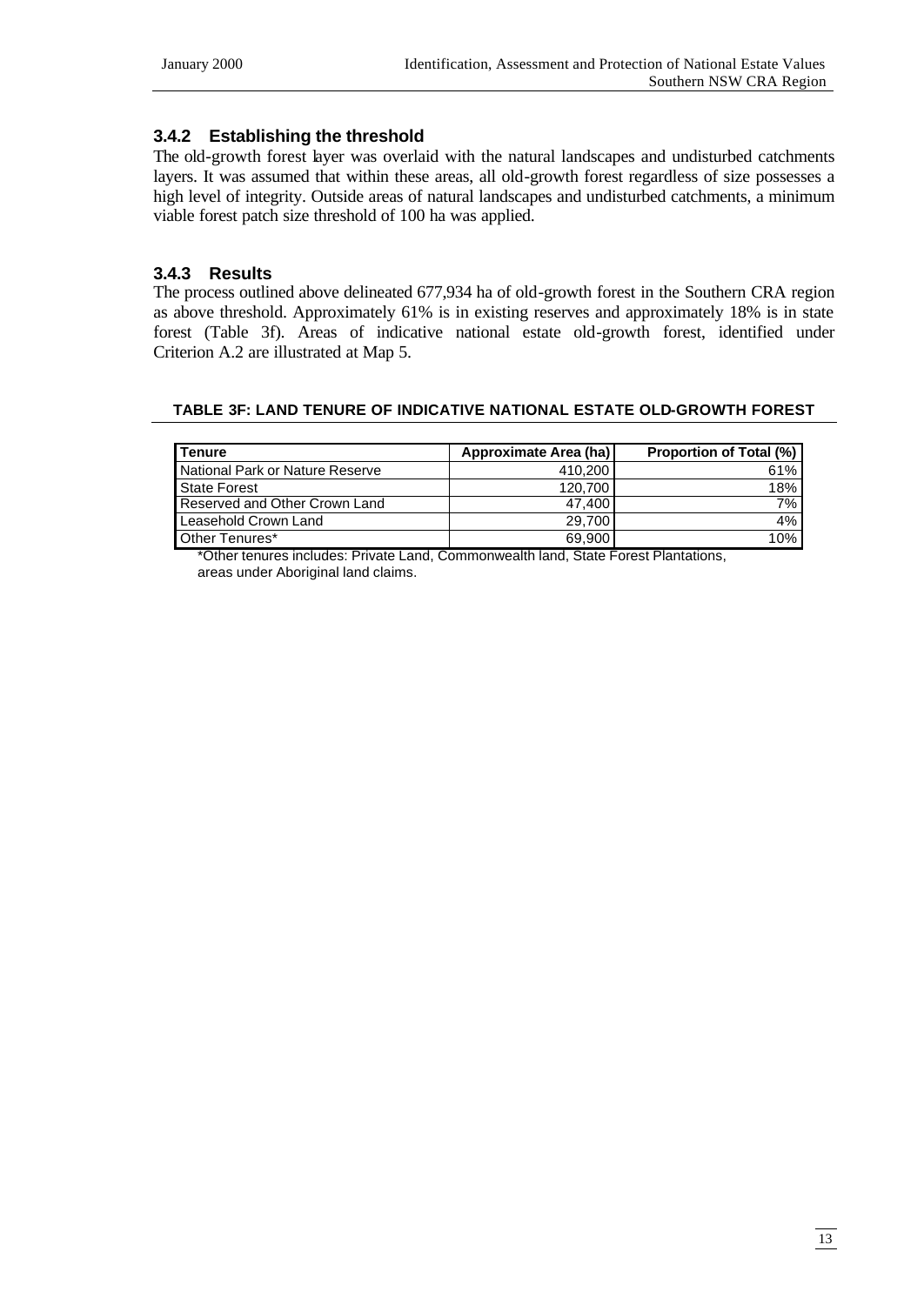# **3.4.2 Establishing the threshold**

The old-growth forest layer was overlaid with the natural landscapes and undisturbed catchments layers. It was assumed that within these areas, all old-growth forest regardless of size possesses a high level of integrity. Outside areas of natural landscapes and undisturbed catchments, a minimum viable forest patch size threshold of 100 ha was applied.

# **3.4.3 Results**

The process outlined above delineated 677,934 ha of old-growth forest in the Southern CRA region as above threshold. Approximately 61% is in existing reserves and approximately 18% is in state forest (Table 3f). Areas of indicative national estate old-growth forest, identified under Criterion A.2 are illustrated at Map 5.

#### **TABLE 3F: LAND TENURE OF INDICATIVE NATIONAL ESTATE OLD-GROWTH FOREST**

| <b>Tenure</b>                   | Approximate Area (ha) | <b>Proportion of Total (%)</b> |
|---------------------------------|-----------------------|--------------------------------|
| National Park or Nature Reserve | 410.200               | 61%                            |
| <b>State Forest</b>             | 120.700               | 18%                            |
| Reserved and Other Crown Land   | 47.400                | 7%                             |
| Leasehold Crown Land            | 29.700                | 4%                             |
| Other Tenures*                  | 69.900                | 10% ነ                          |

\*Other tenures includes: Private Land, Commonwealth land, State Forest Plantations, areas under Aboriginal land claims.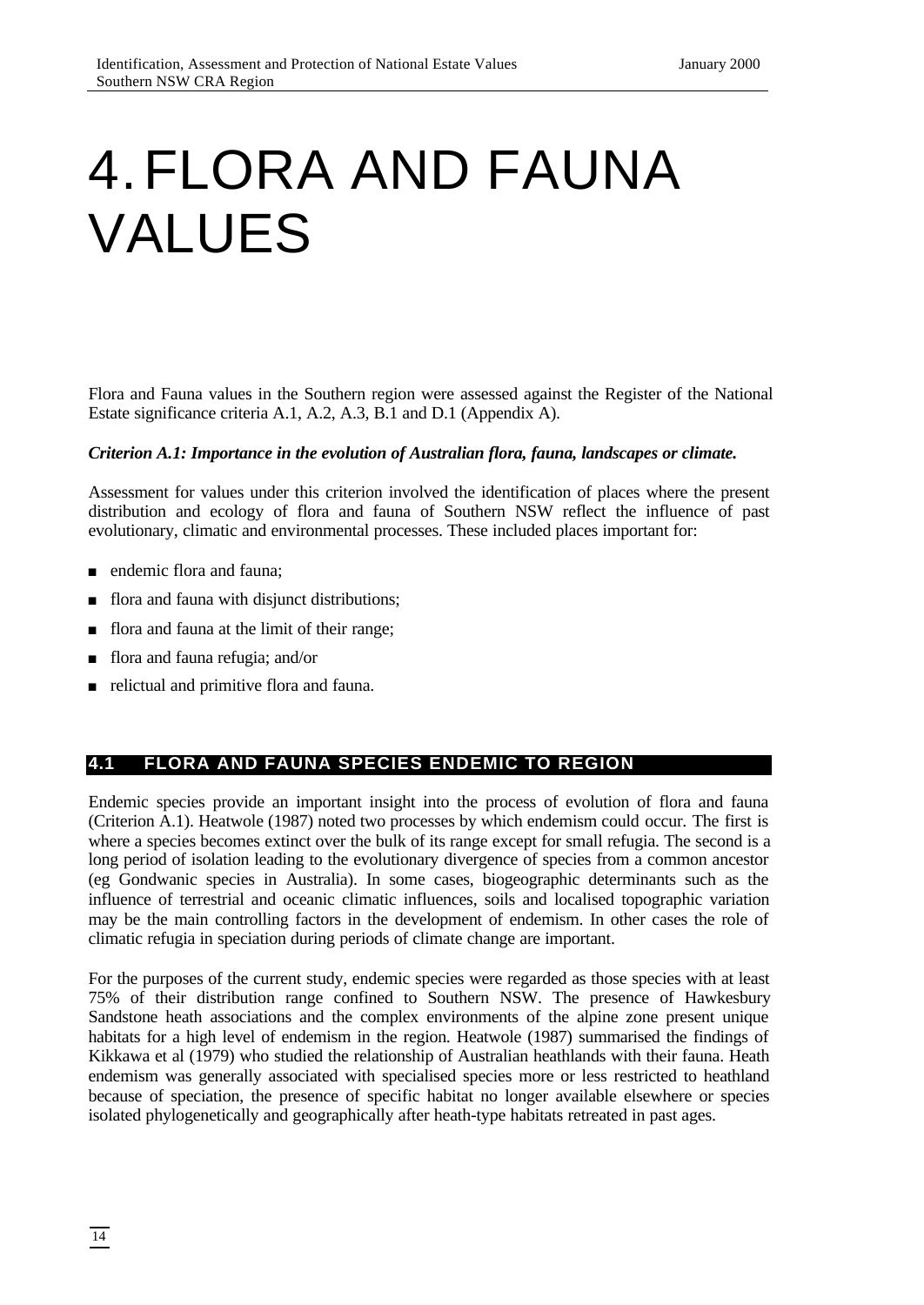# 4.FLORA AND FAUNA VALUES

Flora and Fauna values in the Southern region were assessed against the Register of the National Estate significance criteria A.1, A.2, A.3, B.1 and D.1 (Appendix A).

#### *Criterion A.1: Importance in the evolution of Australian flora, fauna, landscapes or climate.*

Assessment for values under this criterion involved the identification of places where the present distribution and ecology of flora and fauna of Southern NSW reflect the influence of past evolutionary, climatic and environmental processes. These included places important for:

- n endemic flora and fauna:
- flora and fauna with disjunct distributions;
- flora and fauna at the limit of their range;
- <sup>n</sup> flora and fauna refugia; and/or
- n relictual and primitive flora and fauna.

# **4.1 FLORA AND FAUNA SPECIES ENDEMIC TO REGION**

Endemic species provide an important insight into the process of evolution of flora and fauna (Criterion A.1). Heatwole (1987) noted two processes by which endemism could occur. The first is where a species becomes extinct over the bulk of its range except for small refugia. The second is a long period of isolation leading to the evolutionary divergence of species from a common ancestor (eg Gondwanic species in Australia). In some cases, biogeographic determinants such as the influence of terrestrial and oceanic climatic influences, soils and localised topographic variation may be the main controlling factors in the development of endemism. In other cases the role of climatic refugia in speciation during periods of climate change are important.

For the purposes of the current study, endemic species were regarded as those species with at least 75% of their distribution range confined to Southern NSW. The presence of Hawkesbury Sandstone heath associations and the complex environments of the alpine zone present unique habitats for a high level of endemism in the region. Heatwole (1987) summarised the findings of Kikkawa et al (1979) who studied the relationship of Australian heathlands with their fauna. Heath endemism was generally associated with specialised species more or less restricted to heathland because of speciation, the presence of specific habitat no longer available elsewhere or species isolated phylogenetically and geographically after heath-type habitats retreated in past ages.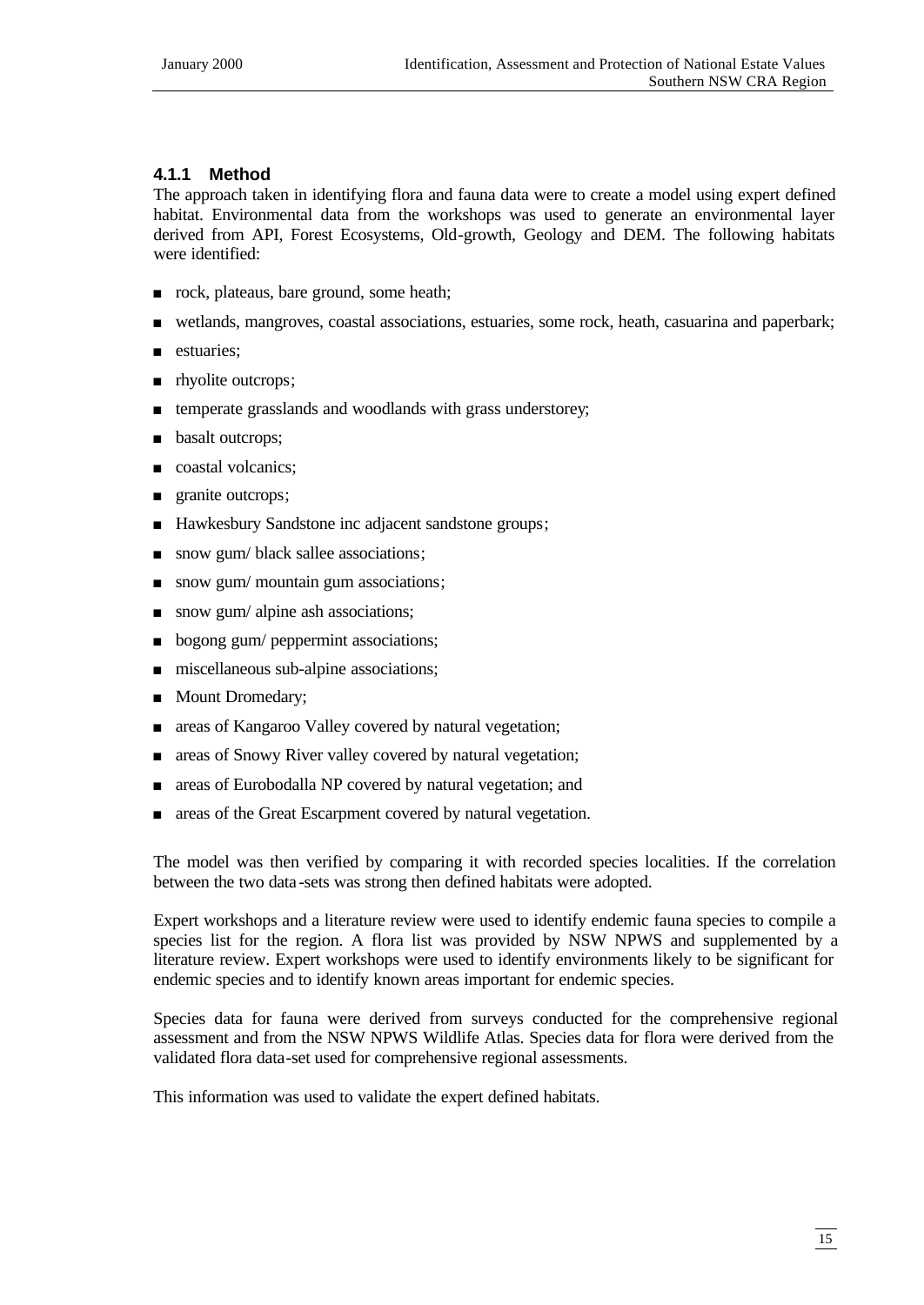# **4.1.1 Method**

The approach taken in identifying flora and fauna data were to create a model using expert defined habitat. Environmental data from the workshops was used to generate an environmental layer derived from API, Forest Ecosystems, Old-growth, Geology and DEM. The following habitats were identified:

- n rock, plateaus, bare ground, some heath;
- <sup>n</sup> wetlands, mangroves, coastal associations, estuaries, some rock, heath, casuarina and paperbark;
- estuaries;
- rhyolite outcrops;
- temperate grasslands and woodlands with grass understorey;
- basalt outcrops;
- coastal volcanics;
- granite outcrops;
- Hawkesbury Sandstone inc adjacent sandstone groups;
- snow gum/ black sallee associations;
- n snow gum/ mountain gum associations;
- snow gum/ alpine ash associations;
- bogong gum/ peppermint associations;
- n miscellaneous sub-alpine associations;
- **n** Mount Dromedary;
- n areas of Kangaroo Valley covered by natural vegetation;
- areas of Snowy River valley covered by natural vegetation;
- <sup>n</sup> areas of Eurobodalla NP covered by natural vegetation; and
- areas of the Great Escarpment covered by natural vegetation.

The model was then verified by comparing it with recorded species localities. If the correlation between the two data -sets was strong then defined habitats were adopted.

Expert workshops and a literature review were used to identify endemic fauna species to compile a species list for the region. A flora list was provided by NSW NPWS and supplemented by a literature review. Expert workshops were used to identify environments likely to be significant for endemic species and to identify known areas important for endemic species.

Species data for fauna were derived from surveys conducted for the comprehensive regional assessment and from the NSW NPWS Wildlife Atlas. Species data for flora were derived from the validated flora data-set used for comprehensive regional assessments.

This information was used to validate the expert defined habitats.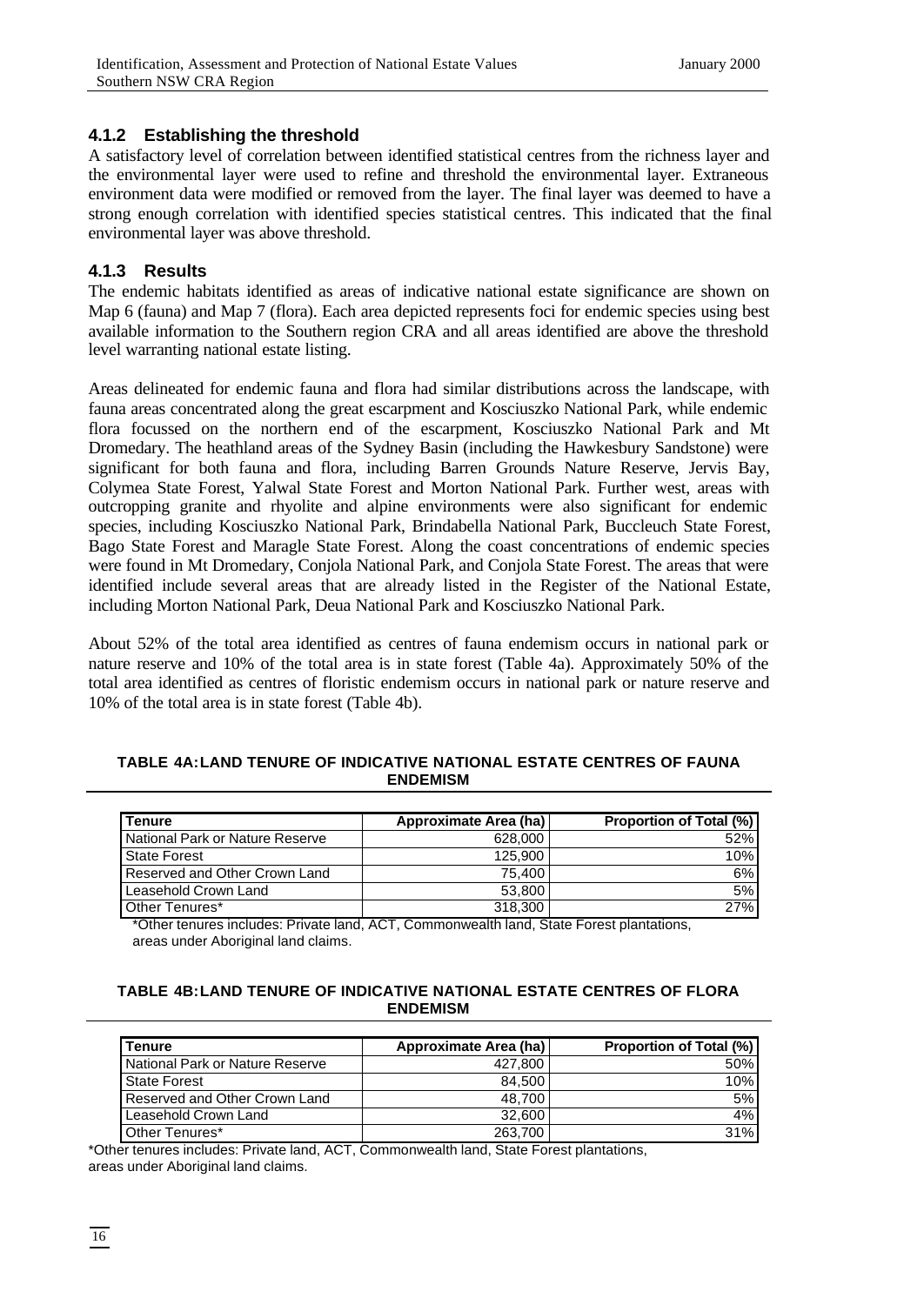### **4.1.2 Establishing the threshold**

A satisfactory level of correlation between identified statistical centres from the richness layer and the environmental layer were used to refine and threshold the environmental layer. Extraneous environment data were modified or removed from the layer. The final layer was deemed to have a strong enough correlation with identified species statistical centres. This indicated that the final environmental layer was above threshold.

### **4.1.3 Results**

The endemic habitats identified as areas of indicative national estate significance are shown on Map 6 (fauna) and Map 7 (flora). Each area depicted represents foci for endemic species using best available information to the Southern region CRA and all areas identified are above the threshold level warranting national estate listing.

Areas delineated for endemic fauna and flora had similar distributions across the landscape, with fauna areas concentrated along the great escarpment and Kosciuszko National Park, while endemic flora focussed on the northern end of the escarpment, Kosciuszko National Park and Mt Dromedary. The heathland areas of the Sydney Basin (including the Hawkesbury Sandstone) were significant for both fauna and flora, including Barren Grounds Nature Reserve, Jervis Bay, Colymea State Forest, Yalwal State Forest and Morton National Park. Further west, areas with outcropping granite and rhyolite and alpine environments were also significant for endemic species, including Kosciuszko National Park, Brindabella National Park, Buccleuch State Forest, Bago State Forest and Maragle State Forest. Along the coast concentrations of endemic species were found in Mt Dromedary, Conjola National Park, and Conjola State Forest. The areas that were identified include several areas that are already listed in the Register of the National Estate, including Morton National Park, Deua National Park and Kosciuszko National Park.

About 52% of the total area identified as centres of fauna endemism occurs in national park or nature reserve and 10% of the total area is in state forest (Table 4a). Approximately 50% of the total area identified as centres of floristic endemism occurs in national park or nature reserve and 10% of the total area is in state forest (Table 4b).

#### **TABLE 4A:LAND TENURE OF INDICATIVE NATIONAL ESTATE CENTRES OF FAUNA ENDEMISM**

| <b>I</b> Tenure                 | Approximate Area (ha) | <b>Proportion of Total (%)</b> |
|---------------------------------|-----------------------|--------------------------------|
| National Park or Nature Reserve | 628,000               | 52%                            |
| State Forest                    | 125.900               | 10%                            |
| Reserved and Other Crown Land   | 75.400                | 6%                             |
| Leasehold Crown Land            | 53,800                | 5%                             |
| Other Tenures*                  | 318,300               | 27%                            |

\*Other tenures includes: Private land, ACT, Commonwealth land, State Forest plantations, areas under Aboriginal land claims.

#### **TABLE 4B:LAND TENURE OF INDICATIVE NATIONAL ESTATE CENTRES OF FLORA ENDEMISM**

| <b>Tenure</b>                   | Approximate Area (ha) | <b>Proportion of Total (%)</b> |
|---------------------------------|-----------------------|--------------------------------|
| National Park or Nature Reserve | 427.800               | 50%                            |
| State Forest                    | 84.500                | 10%                            |
| Reserved and Other Crown Land   | 48.700                | 5%                             |
| Leasehold Crown Land            | 32,600                | 4%                             |
| Other Tenures*                  | 263.700               | 31%                            |

\*Other tenures includes: Private land, ACT, Commonwealth land, State Forest plantations, areas under Aboriginal land claims.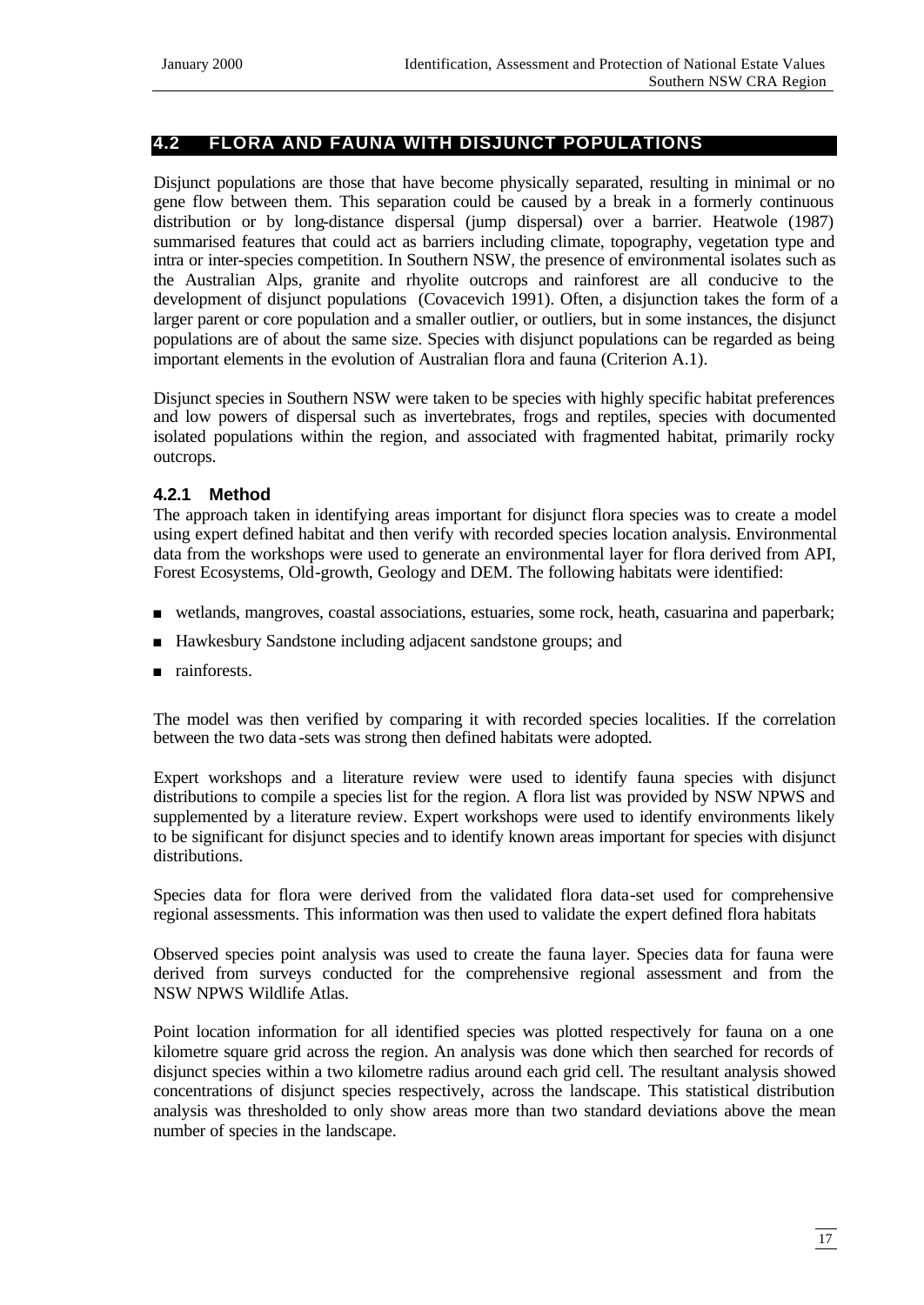#### **4.2 FLORA AND FAUNA WITH DISJUNCT POPULATIONS**

Disjunct populations are those that have become physically separated, resulting in minimal or no gene flow between them. This separation could be caused by a break in a formerly continuous distribution or by long-distance dispersal (jump dispersal) over a barrier. Heatwole (1987) summarised features that could act as barriers including climate, topography, vegetation type and intra or inter-species competition. In Southern NSW, the presence of environmental isolates such as the Australian Alps, granite and rhyolite outcrops and rainforest are all conducive to the development of disjunct populations (Covacevich 1991). Often, a disjunction takes the form of a larger parent or core population and a smaller outlier, or outliers, but in some instances, the disjunct populations are of about the same size. Species with disjunct populations can be regarded as being important elements in the evolution of Australian flora and fauna (Criterion A.1).

Disjunct species in Southern NSW were taken to be species with highly specific habitat preferences and low powers of dispersal such as invertebrates, frogs and reptiles, species with documented isolated populations within the region, and associated with fragmented habitat, primarily rocky outcrops.

#### **4.2.1 Method**

The approach taken in identifying areas important for disjunct flora species was to create a model using expert defined habitat and then verify with recorded species location analysis. Environmental data from the workshops were used to generate an environmental layer for flora derived from API, Forest Ecosystems, Old-growth, Geology and DEM. The following habitats were identified:

- <sup>n</sup> wetlands, mangroves, coastal associations, estuaries, some rock, heath, casuarina and paperbark;
- <sup>n</sup> Hawkesbury Sandstone including adjacent sandstone groups; and
- n rainforests.

The model was then verified by comparing it with recorded species localities. If the correlation between the two data -sets was strong then defined habitats were adopted.

Expert workshops and a literature review were used to identify fauna species with disjunct distributions to compile a species list for the region. A flora list was provided by NSW NPWS and supplemented by a literature review. Expert workshops were used to identify environments likely to be significant for disjunct species and to identify known areas important for species with disjunct distributions.

Species data for flora were derived from the validated flora data-set used for comprehensive regional assessments. This information was then used to validate the expert defined flora habitats

Observed species point analysis was used to create the fauna layer. Species data for fauna were derived from surveys conducted for the comprehensive regional assessment and from the NSW NPWS Wildlife Atlas.

Point location information for all identified species was plotted respectively for fauna on a one kilometre square grid across the region. An analysis was done which then searched for records of disjunct species within a two kilometre radius around each grid cell. The resultant analysis showed concentrations of disjunct species respectively, across the landscape. This statistical distribution analysis was thresholded to only show areas more than two standard deviations above the mean number of species in the landscape.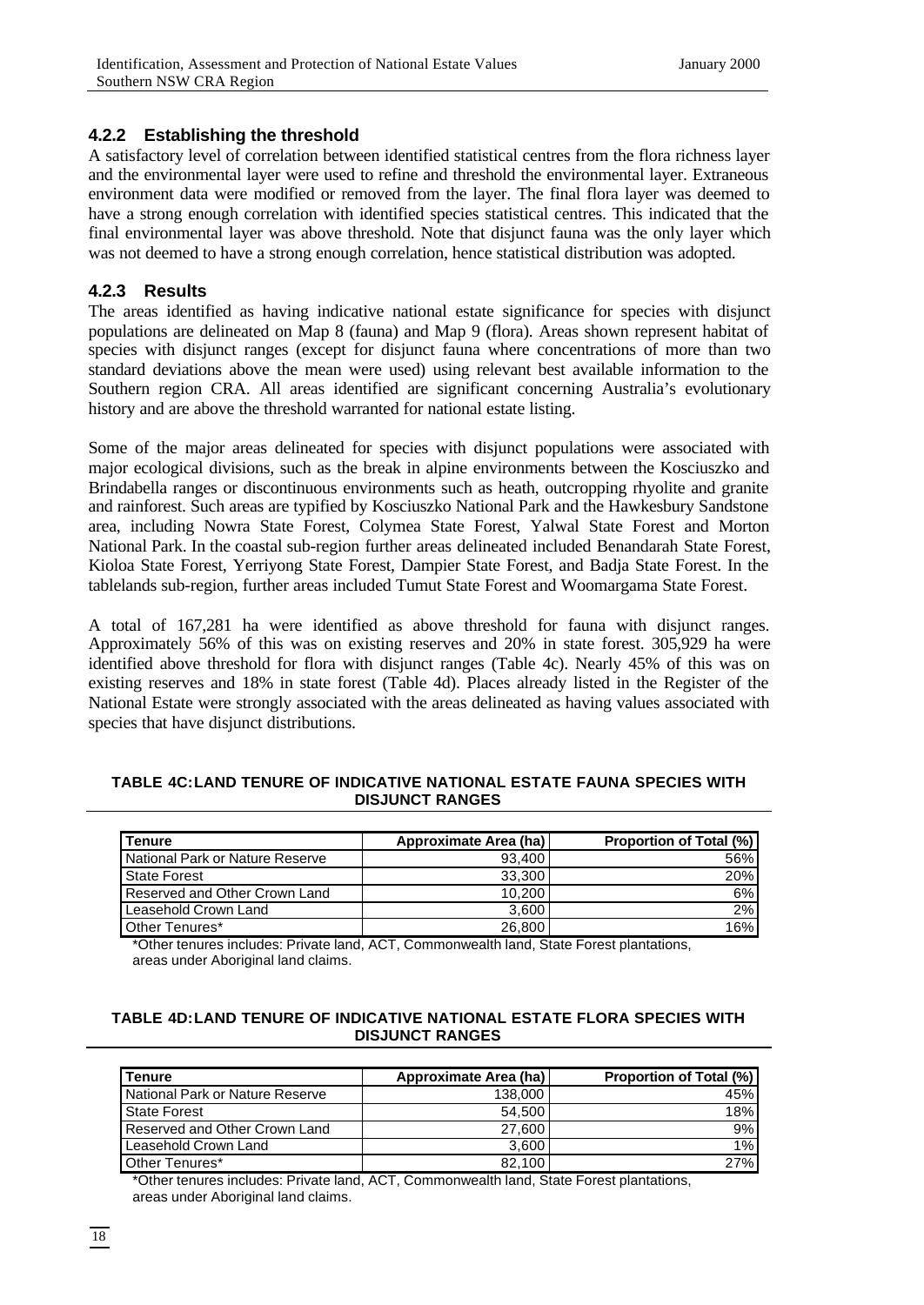### **4.2.2 Establishing the threshold**

A satisfactory level of correlation between identified statistical centres from the flora richness layer and the environmental layer were used to refine and threshold the environmental layer. Extraneous environment data were modified or removed from the layer. The final flora layer was deemed to have a strong enough correlation with identified species statistical centres. This indicated that the final environmental layer was above threshold. Note that disjunct fauna was the only layer which was not deemed to have a strong enough correlation, hence statistical distribution was adopted.

#### **4.2.3 Results**

The areas identified as having indicative national estate significance for species with disjunct populations are delineated on Map 8 (fauna) and Map 9 (flora). Areas shown represent habitat of species with disjunct ranges (except for disjunct fauna where concentrations of more than two standard deviations above the mean were used) using relevant best available information to the Southern region CRA. All areas identified are significant concerning Australia's evolutionary history and are above the threshold warranted for national estate listing.

Some of the major areas delineated for species with disjunct populations were associated with major ecological divisions, such as the break in alpine environments between the Kosciuszko and Brindabella ranges or discontinuous environments such as heath, outcropping rhyolite and granite and rainforest. Such areas are typified by Kosciuszko National Park and the Hawkesbury Sandstone area, including Nowra State Forest, Colymea State Forest, Yalwal State Forest and Morton National Park. In the coastal sub-region further areas delineated included Benandarah State Forest, Kioloa State Forest, Yerriyong State Forest, Dampier State Forest, and Badja State Forest. In the tablelands sub-region, further areas included Tumut State Forest and Woomargama State Forest.

A total of 167,281 ha were identified as above threshold for fauna with disjunct ranges. Approximately 56% of this was on existing reserves and 20% in state forest. 305,929 ha were identified above threshold for flora with disjunct ranges (Table 4c). Nearly 45% of this was on existing reserves and 18% in state forest (Table 4d). Places already listed in the Register of the National Estate were strongly associated with the areas delineated as having values associated with species that have disjunct distributions.

#### **TABLE 4C:LAND TENURE OF INDICATIVE NATIONAL ESTATE FAUNA SPECIES WITH DISJUNCT RANGES**

| l Tenure                        | Approximate Area (ha) | <b>Proportion of Total (%)</b> |
|---------------------------------|-----------------------|--------------------------------|
| National Park or Nature Reserve | 93.400                | 56%                            |
| State Forest                    | 33,300                | 20%                            |
| Reserved and Other Crown Land   | 10,200                | 6%                             |
| Leasehold Crown Land            | 3.600                 | 2%                             |
| Other Tenures*                  | 26,800                | 16%                            |

\*Other tenures includes: Private land, ACT, Commonwealth land, State Forest plantations, areas under Aboriginal land claims.

#### **TABLE 4D:LAND TENURE OF INDICATIVE NATIONAL ESTATE FLORA SPECIES WITH DISJUNCT RANGES**

| <b>I</b> Tenure                 | <b>Approximate Area (ha)</b> | <b>Proportion of Total (%)</b> |
|---------------------------------|------------------------------|--------------------------------|
| National Park or Nature Reserve | 138,000                      | 45%                            |
| State Forest                    | 54.500                       | 18%                            |
| Reserved and Other Crown Land   | 27.600                       | 9%                             |
| Leasehold Crown Land            | 3.600                        | $1\%$                          |
| Other Tenures*                  | 82.100                       | 27%                            |

\*Other tenures includes: Private land, ACT, Commonwealth land, State Forest plantations, areas under Aboriginal land claims.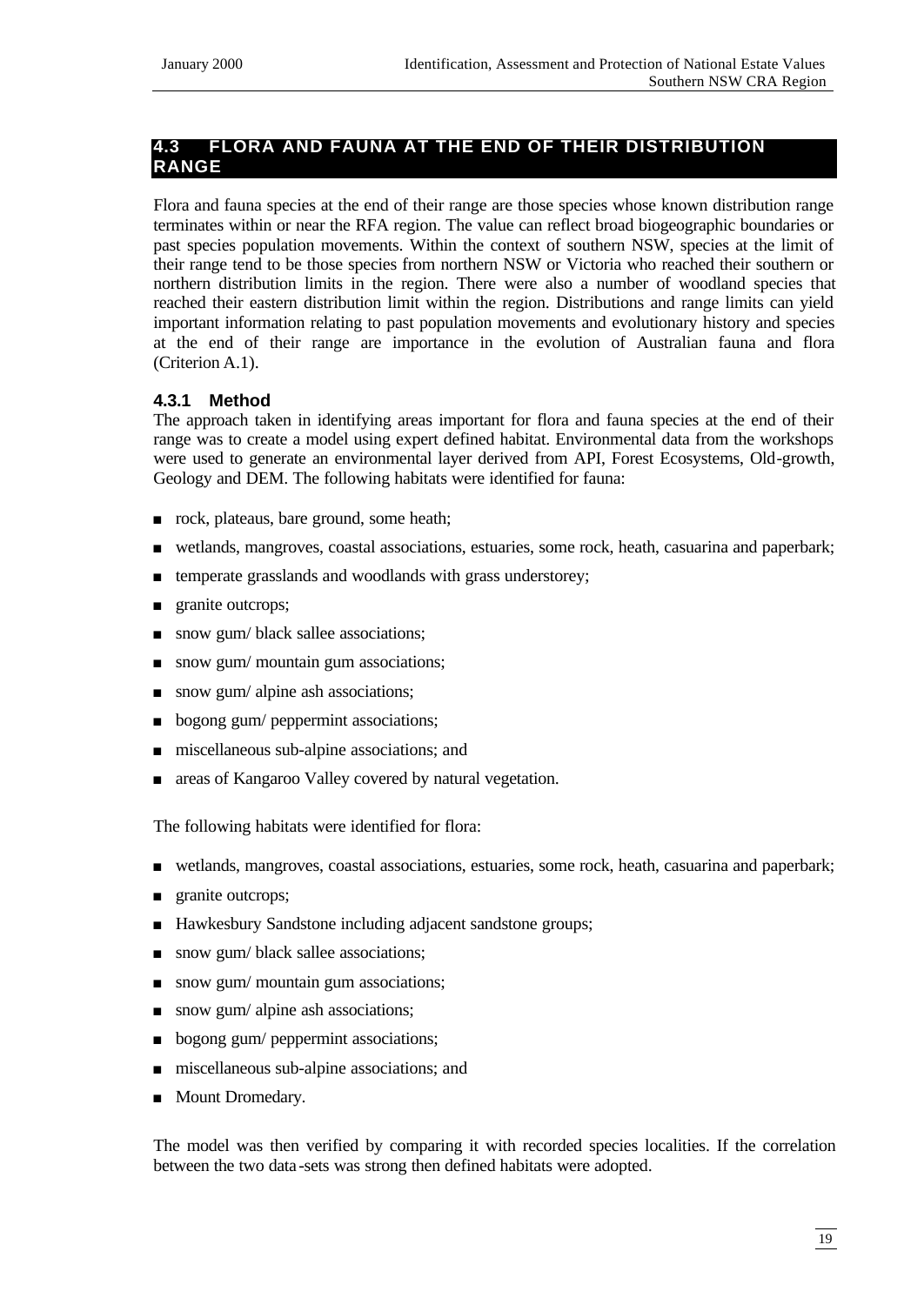# **4.3 FLORA AND FAUNA AT THE END OF THEIR DISTRIBUTION RANGE**

Flora and fauna species at the end of their range are those species whose known distribution range terminates within or near the RFA region. The value can reflect broad biogeographic boundaries or past species population movements. Within the context of southern NSW, species at the limit of their range tend to be those species from northern NSW or Victoria who reached their southern or northern distribution limits in the region. There were also a number of woodland species that reached their eastern distribution limit within the region. Distributions and range limits can yield important information relating to past population movements and evolutionary history and species at the end of their range are importance in the evolution of Australian fauna and flora (Criterion A.1).

# **4.3.1 Method**

The approach taken in identifying areas important for flora and fauna species at the end of their range was to create a model using expert defined habitat. Environmental data from the workshops were used to generate an environmental layer derived from API, Forest Ecosystems, Old-growth, Geology and DEM. The following habitats were identified for fauna:

- n rock, plateaus, bare ground, some heath;
- <sup>n</sup> wetlands, mangroves, coastal associations, estuaries, some rock, heath, casuarina and paperbark;
- temperate grasslands and woodlands with grass understorey;
- **n** granite outcrops;
- snow gum/ black sallee associations;
- n snow gum/ mountain gum associations;
- $\Box$  snow gum/ alpine ash associations;
- bogong gum/ peppermint associations;
- miscellaneous sub-alpine associations; and
- n areas of Kangaroo Valley covered by natural vegetation.

The following habitats were identified for flora:

- <sup>n</sup> wetlands, mangroves, coastal associations, estuaries, some rock, heath, casuarina and paperbark;
- granite outcrops;
- Hawkesbury Sandstone including adjacent sandstone groups;
- n snow gum/ black sallee associations;
- $\Box$  snow gum/ mountain gum associations;
- $\Box$  snow gum/ alpine ash associations;
- bogong gum/ peppermint associations;
- miscellaneous sub-alpine associations; and
- Mount Dromedary.

The model was then verified by comparing it with recorded species localities. If the correlation between the two data -sets was strong then defined habitats were adopted.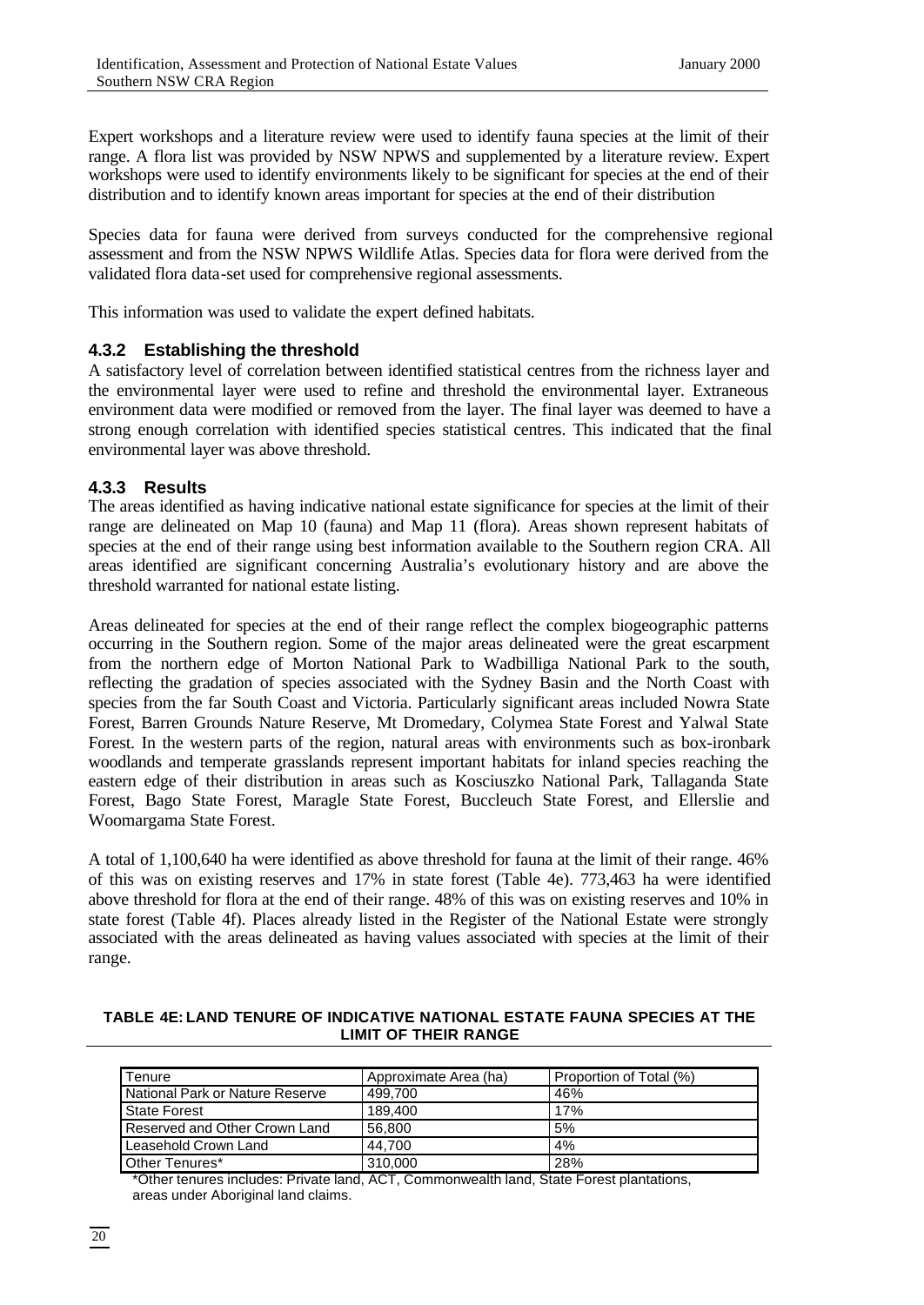Expert workshops and a literature review were used to identify fauna species at the limit of their range. A flora list was provided by NSW NPWS and supplemented by a literature review. Expert workshops were used to identify environments likely to be significant for species at the end of their distribution and to identify known areas important for species at the end of their distribution

Species data for fauna were derived from surveys conducted for the comprehensive regional assessment and from the NSW NPWS Wildlife Atlas. Species data for flora were derived from the validated flora data-set used for comprehensive regional assessments.

This information was used to validate the expert defined habitats.

#### **4.3.2 Establishing the threshold**

A satisfactory level of correlation between identified statistical centres from the richness layer and the environmental layer were used to refine and threshold the environmental layer. Extraneous environment data were modified or removed from the layer. The final layer was deemed to have a strong enough correlation with identified species statistical centres. This indicated that the final environmental layer was above threshold.

#### **4.3.3 Results**

The areas identified as having indicative national estate significance for species at the limit of their range are delineated on Map 10 (fauna) and Map 11 (flora). Areas shown represent habitats of species at the end of their range using best information available to the Southern region CRA. All areas identified are significant concerning Australia's evolutionary history and are above the threshold warranted for national estate listing.

Areas delineated for species at the end of their range reflect the complex biogeographic patterns occurring in the Southern region. Some of the major areas delineated were the great escarpment from the northern edge of Morton National Park to Wadbilliga National Park to the south, reflecting the gradation of species associated with the Sydney Basin and the North Coast with species from the far South Coast and Victoria. Particularly significant areas included Nowra State Forest, Barren Grounds Nature Reserve, Mt Dromedary, Colymea State Forest and Yalwal State Forest. In the western parts of the region, natural areas with environments such as box-ironbark woodlands and temperate grasslands represent important habitats for inland species reaching the eastern edge of their distribution in areas such as Kosciuszko National Park, Tallaganda State Forest, Bago State Forest, Maragle State Forest, Buccleuch State Forest, and Ellerslie and Woomargama State Forest.

A total of 1,100,640 ha were identified as above threshold for fauna at the limit of their range. 46% of this was on existing reserves and 17% in state forest (Table 4e). 773,463 ha were identified above threshold for flora at the end of their range. 48% of this was on existing reserves and 10% in state forest (Table 4f). Places already listed in the Register of the National Estate were strongly associated with the areas delineated as having values associated with species at the limit of their range.

**TABLE 4E: LAND TENURE OF INDICATIVE NATIONAL ESTATE FAUNA SPECIES AT THE LIMIT OF THEIR RANGE**

| Tenure                          | Approximate Area (ha) | Proportion of Total (%) |
|---------------------------------|-----------------------|-------------------------|
| National Park or Nature Reserve | 499.700               | 46%                     |
| State Forest                    | 189.400               | 17%                     |
| Reserved and Other Crown Land   | 56.800                | 5%                      |
| Leasehold Crown Land            | 44.700                | 4%                      |
| Other Tenures*                  | 310,000               | 28%                     |

\*Other tenures includes: Private land, ACT, Commonwealth land, State Forest plantations, areas under Aboriginal land claims.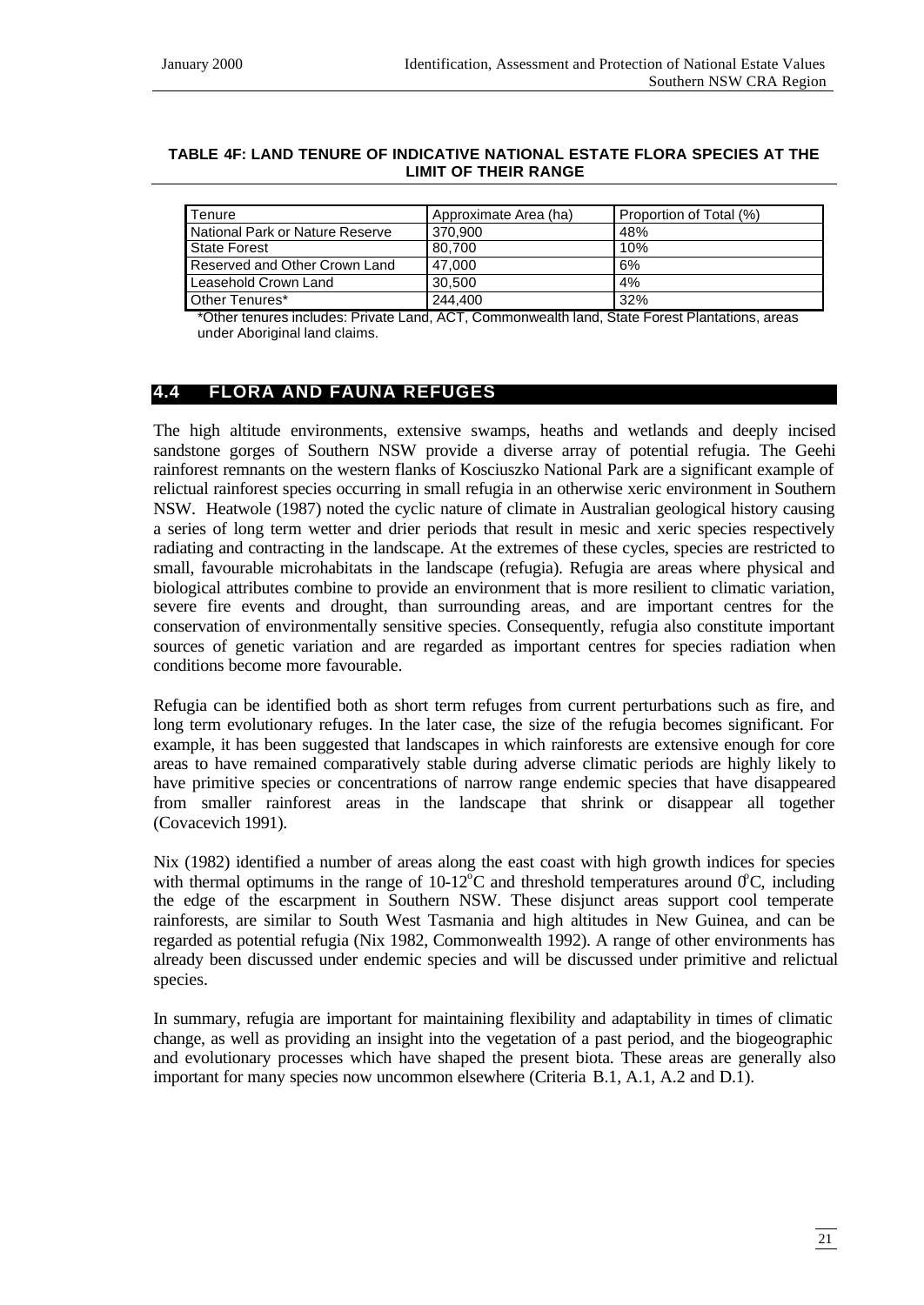#### **TABLE 4F: LAND TENURE OF INDICATIVE NATIONAL ESTATE FLORA SPECIES AT THE LIMIT OF THEIR RANGE**

| Tenure                          | Approximate Area (ha) | Proportion of Total (%) |
|---------------------------------|-----------------------|-------------------------|
| National Park or Nature Reserve | 370.900               | 48%                     |
| State Forest                    | 80.700                | 10%                     |
| Reserved and Other Crown Land   | 47.000                | 6%                      |
| Leasehold Crown Land            | 30.500                | 4%                      |
| Other Tenures*                  | 244,400               | 32%                     |

\*Other tenures includes: Private Land, ACT, Commonwealth land, State Forest Plantations, areas under Aboriginal land claims.

# **4.4 FLORA AND FAUNA REFUGES**

The high altitude environments, extensive swamps, heaths and wetlands and deeply incised sandstone gorges of Southern NSW provide a diverse array of potential refugia. The Geehi rainforest remnants on the western flanks of Kosciuszko National Park are a significant example of relictual rainforest species occurring in small refugia in an otherwise xeric environment in Southern NSW. Heatwole (1987) noted the cyclic nature of climate in Australian geological history causing a series of long term wetter and drier periods that result in mesic and xeric species respectively radiating and contracting in the landscape. At the extremes of these cycles, species are restricted to small, favourable microhabitats in the landscape (refugia). Refugia are areas where physical and biological attributes combine to provide an environment that is more resilient to climatic variation, severe fire events and drought, than surrounding areas, and are important centres for the conservation of environmentally sensitive species. Consequently, refugia also constitute important sources of genetic variation and are regarded as important centres for species radiation when conditions become more favourable.

Refugia can be identified both as short term refuges from current perturbations such as fire, and long term evolutionary refuges. In the later case, the size of the refugia becomes significant. For example, it has been suggested that landscapes in which rainforests are extensive enough for core areas to have remained comparatively stable during adverse climatic periods are highly likely to have primitive species or concentrations of narrow range endemic species that have disappeared from smaller rainforest areas in the landscape that shrink or disappear all together (Covacevich 1991).

Nix (1982) identified a number of areas along the east coast with high growth indices for species with thermal optimums in the range of  $10{\text -}12^{\circ}\text{C}$  and threshold temperatures around  $\sigma$ C, including the edge of the escarpment in Southern NSW. These disjunct areas support cool temperate rainforests, are similar to South West Tasmania and high altitudes in New Guinea, and can be regarded as potential refugia (Nix 1982, Commonwealth 1992). A range of other environments has already been discussed under endemic species and will be discussed under primitive and relictual species.

In summary, refugia are important for maintaining flexibility and adaptability in times of climatic change, as well as providing an insight into the vegetation of a past period, and the biogeographic and evolutionary processes which have shaped the present biota. These areas are generally also important for many species now uncommon elsewhere (Criteria B.1, A.1, A.2 and D.1).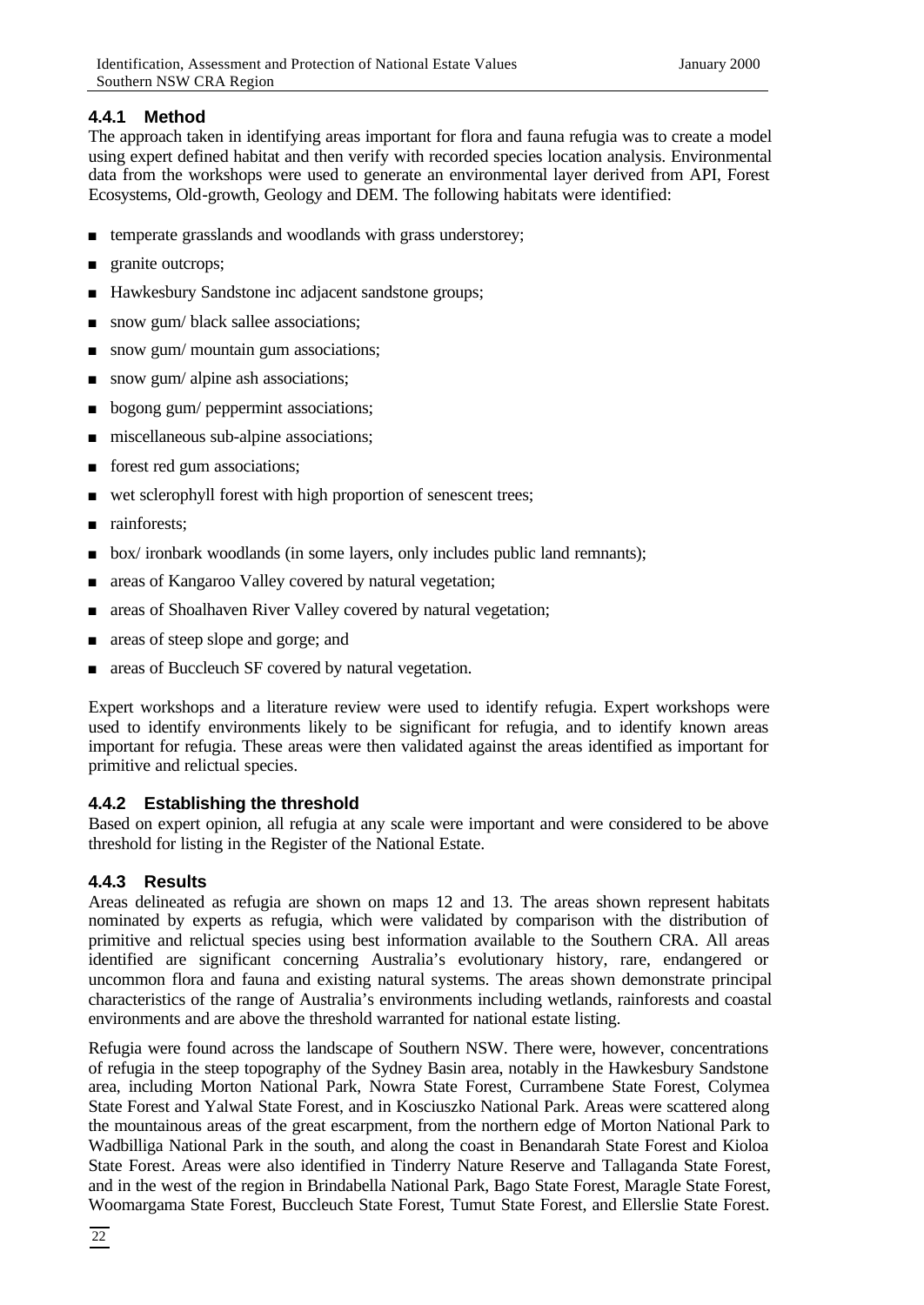# **4.4.1 Method**

The approach taken in identifying areas important for flora and fauna refugia was to create a model using expert defined habitat and then verify with recorded species location analysis. Environmental data from the workshops were used to generate an environmental layer derived from API, Forest Ecosystems, Old-growth, Geology and DEM. The following habitats were identified:

- temperate grasslands and woodlands with grass understorey;
- granite outcrops;
- Hawkesbury Sandstone inc adjacent sandstone groups;
- n snow gum/ black sallee associations;
- $\Box$  snow gum/ mountain gum associations;
- $\Box$  snow gum/ alpine ash associations;
- **n** bogong gum/ peppermint associations;
- miscellaneous sub-alpine associations;
- n forest red gum associations;
- wet sclerophyll forest with high proportion of senescent trees;
- n rainforests;
- <sup>n</sup> box/ ironbark woodlands (in some layers, only includes public land remnants);
- n areas of Kangaroo Valley covered by natural vegetation;
- areas of Shoalhaven River Valley covered by natural vegetation;
- n areas of steep slope and gorge; and
- n areas of Buccleuch SF covered by natural vegetation.

Expert workshops and a literature review were used to identify refugia. Expert workshops were used to identify environments likely to be significant for refugia, and to identify known areas important for refugia. These areas were then validated against the areas identified as important for primitive and relictual species.

# **4.4.2 Establishing the threshold**

Based on expert opinion, all refugia at any scale were important and were considered to be above threshold for listing in the Register of the National Estate.

# **4.4.3 Results**

Areas delineated as refugia are shown on maps 12 and 13. The areas shown represent habitats nominated by experts as refugia, which were validated by comparison with the distribution of primitive and relictual species using best information available to the Southern CRA. All areas identified are significant concerning Australia's evolutionary history, rare, endangered or uncommon flora and fauna and existing natural systems. The areas shown demonstrate principal characteristics of the range of Australia's environments including wetlands, rainforests and coastal environments and are above the threshold warranted for national estate listing.

Refugia were found across the landscape of Southern NSW. There were, however, concentrations of refugia in the steep topography of the Sydney Basin area, notably in the Hawkesbury Sandstone area, including Morton National Park, Nowra State Forest, Currambene State Forest, Colymea State Forest and Yalwal State Forest, and in Kosciuszko National Park. Areas were scattered along the mountainous areas of the great escarpment, from the northern edge of Morton National Park to Wadbilliga National Park in the south, and along the coast in Benandarah State Forest and Kioloa State Forest. Areas were also identified in Tinderry Nature Reserve and Tallaganda State Forest, and in the west of the region in Brindabella National Park, Bago State Forest, Maragle State Forest, Woomargama State Forest, Buccleuch State Forest, Tumut State Forest, and Ellerslie State Forest.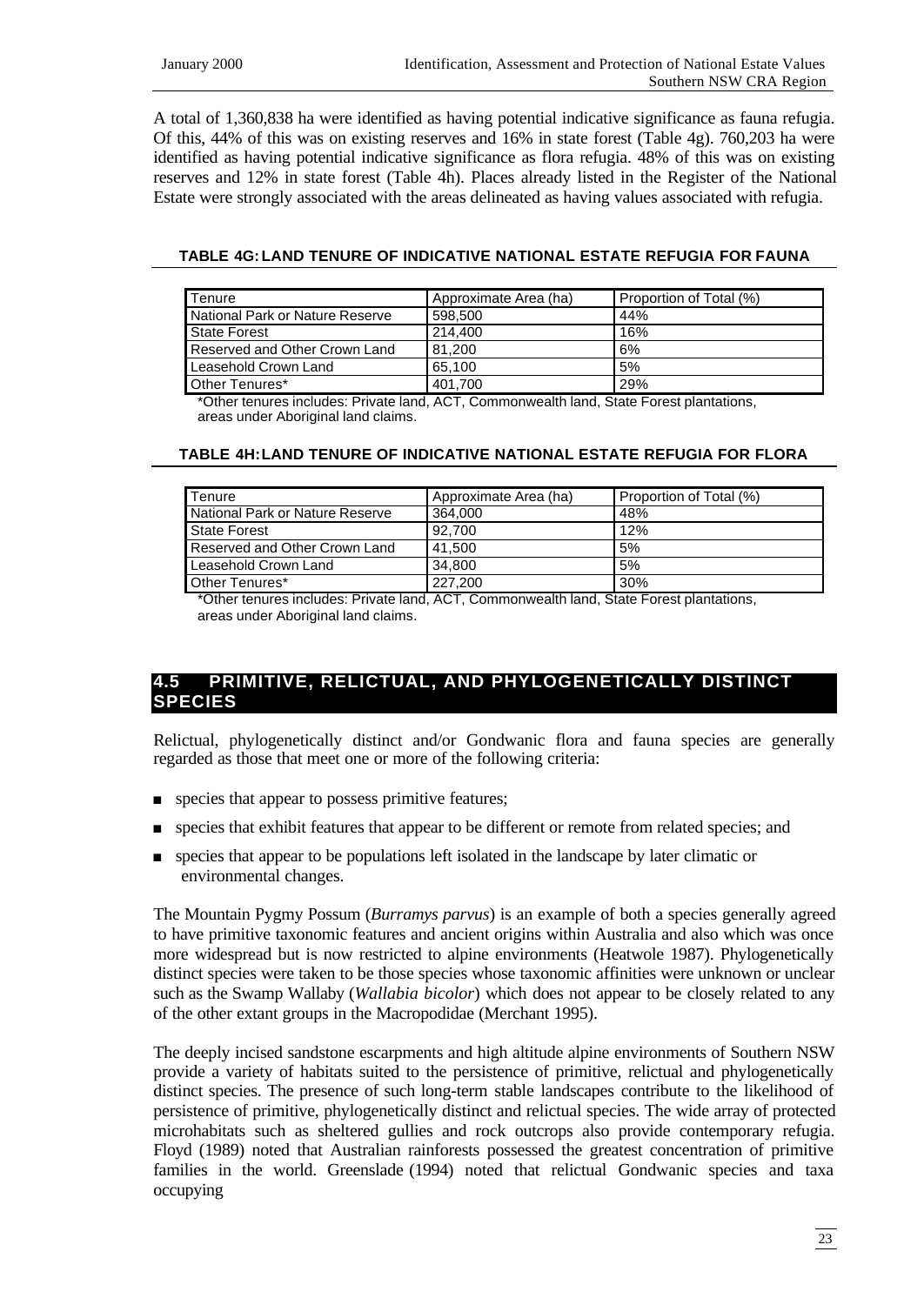A total of 1,360,838 ha were identified as having potential indicative significance as fauna refugia. Of this, 44% of this was on existing reserves and 16% in state forest (Table 4g). 760,203 ha were identified as having potential indicative significance as flora refugia. 48% of this was on existing reserves and 12% in state forest (Table 4h). Places already listed in the Register of the National Estate were strongly associated with the areas delineated as having values associated with refugia.

#### **TABLE 4G:LAND TENURE OF INDICATIVE NATIONAL ESTATE REFUGIA FOR FAUNA**

| <b>Tenure</b>                   | Approximate Area (ha) | Proportion of Total (%) |
|---------------------------------|-----------------------|-------------------------|
| National Park or Nature Reserve | 598.500               | 44%                     |
| State Forest                    | 214,400               | 16%                     |
| Reserved and Other Crown Land   | 81.200                | 6%                      |
| Leasehold Crown Land            | 65.100                | 5%                      |
| Other Tenures*                  | 401.700               | 29%                     |

\*Other tenures includes: Private land, ACT, Commonwealth land, State Forest plantations, areas under Aboriginal land claims.

#### **TABLE 4H:LAND TENURE OF INDICATIVE NATIONAL ESTATE REFUGIA FOR FLORA**

| Tenure                          | Approximate Area (ha) | Proportion of Total (%) |
|---------------------------------|-----------------------|-------------------------|
| National Park or Nature Reserve | 364.000               | 48%                     |
| State Forest                    | 92.700                | 12%                     |
| Reserved and Other Crown Land   | 41.500                | 5%                      |
| Leasehold Crown Land            | 34.800                | 5%                      |
| Other Tenures*                  | 227,200               | 30%                     |

\*Other tenures includes: Private land, ACT, Commonwealth land, State Forest plantations, areas under Aboriginal land claims.

# **4.5 PRIMITIVE, RELICTUAL, AND PHYLOGENETICALLY DISTINCT SPECIES**

Relictual, phylogenetically distinct and/or Gondwanic flora and fauna species are generally regarded as those that meet one or more of the following criteria:

- **n** species that appear to possess primitive features;
- **n** species that exhibit features that appear to be different or remote from related species; and
- <sup>n</sup> species that appear to be populations left isolated in the landscape by later climatic or environmental changes.

The Mountain Pygmy Possum (*Burramys parvus*) is an example of both a species generally agreed to have primitive taxonomic features and ancient origins within Australia and also which was once more widespread but is now restricted to alpine environments (Heatwole 1987). Phylogenetically distinct species were taken to be those species whose taxonomic affinities were unknown or unclear such as the Swamp Wallaby (*Wallabia bicolor*) which does not appear to be closely related to any of the other extant groups in the Macropodidae (Merchant 1995).

The deeply incised sandstone escarpments and high altitude alpine environments of Southern NSW provide a variety of habitats suited to the persistence of primitive, relictual and phylogenetically distinct species. The presence of such long-term stable landscapes contribute to the likelihood of persistence of primitive, phylogenetically distinct and relictual species. The wide array of protected microhabitats such as sheltered gullies and rock outcrops also provide contemporary refugia. Floyd (1989) noted that Australian rainforests possessed the greatest concentration of primitive families in the world. Greenslade (1994) noted that relictual Gondwanic species and taxa occupying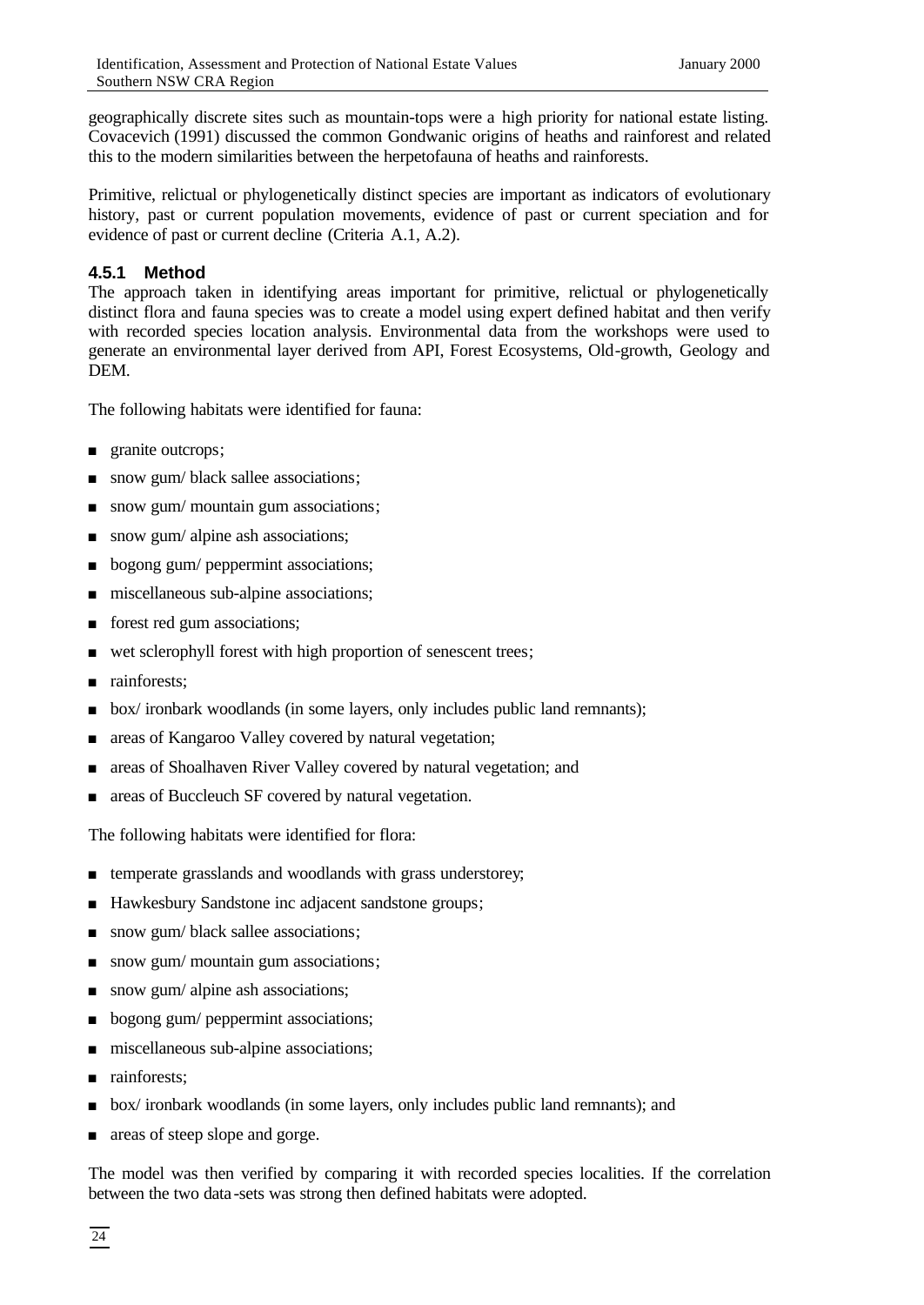geographically discrete sites such as mountain-tops were a high priority for national estate listing. Covacevich (1991) discussed the common Gondwanic origins of heaths and rainforest and related this to the modern similarities between the herpetofauna of heaths and rainforests.

Primitive, relictual or phylogenetically distinct species are important as indicators of evolutionary history, past or current population movements, evidence of past or current speciation and for evidence of past or current decline (Criteria A.1, A.2).

# **4.5.1 Method**

The approach taken in identifying areas important for primitive, relictual or phylogenetically distinct flora and fauna species was to create a model using expert defined habitat and then verify with recorded species location analysis. Environmental data from the workshops were used to generate an environmental layer derived from API, Forest Ecosystems, Old-growth, Geology and **DEM** 

The following habitats were identified for fauna:

- **n** granite outcrops;
- n snow gum/ black sallee associations;
- snow gum/ mountain gum associations;
- $\Box$  snow gum/ alpine ash associations;
- bogong gum/ peppermint associations;
- miscellaneous sub-alpine associations;
- n forest red gum associations;
- n wet sclerophyll forest with high proportion of senescent trees;
- rainforests;
- <sup>n</sup> box/ ironbark woodlands (in some layers, only includes public land remnants);
- n areas of Kangaroo Valley covered by natural vegetation;
- n areas of Shoalhaven River Valley covered by natural vegetation; and
- n areas of Buccleuch SF covered by natural vegetation.

The following habitats were identified for flora:

- $\blacksquare$  temperate grasslands and woodlands with grass understorey;
- Hawkesbury Sandstone inc adjacent sandstone groups;
- n snow gum/ black sallee associations;
- $\Box$  snow gum/ mountain gum associations;
- now gum/ alpine ash associations;
- **n** bogong gum/ peppermint associations;
- $\blacksquare$  miscellaneous sub-alpine associations;
- n rainforests;
- <sup>n</sup> box/ ironbark woodlands (in some layers, only includes public land remnants); and
- areas of steep slope and gorge.

The model was then verified by comparing it with recorded species localities. If the correlation between the two data -sets was strong then defined habitats were adopted.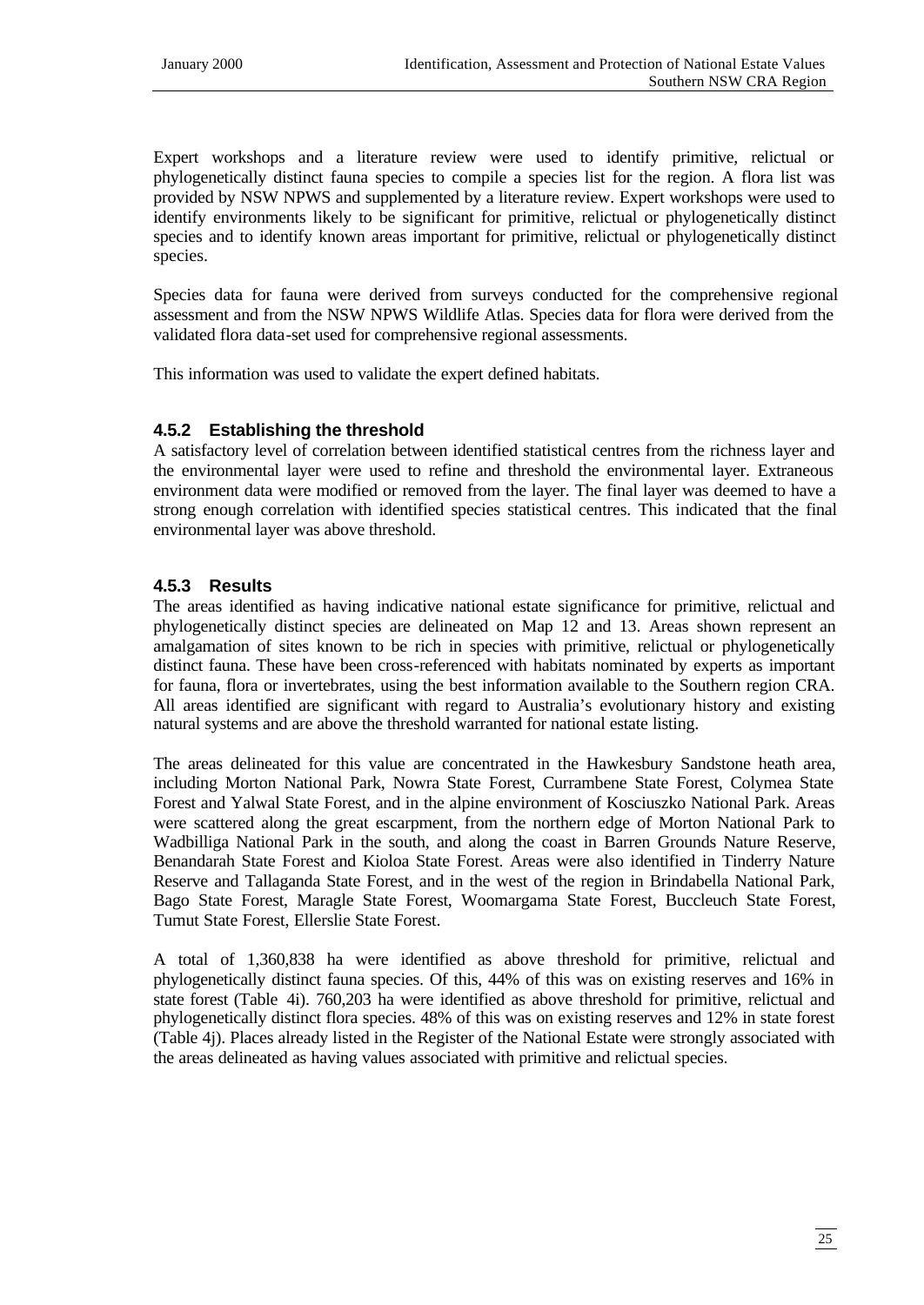Expert workshops and a literature review were used to identify primitive, relictual or phylogenetically distinct fauna species to compile a species list for the region. A flora list was provided by NSW NPWS and supplemented by a literature review. Expert workshops were used to identify environments likely to be significant for primitive, relictual or phylogenetically distinct species and to identify known areas important for primitive, relictual or phylogenetically distinct species.

Species data for fauna were derived from surveys conducted for the comprehensive regional assessment and from the NSW NPWS Wildlife Atlas. Species data for flora were derived from the validated flora data-set used for comprehensive regional assessments.

This information was used to validate the expert defined habitats.

#### **4.5.2 Establishing the threshold**

A satisfactory level of correlation between identified statistical centres from the richness layer and the environmental layer were used to refine and threshold the environmental layer. Extraneous environment data were modified or removed from the layer. The final layer was deemed to have a strong enough correlation with identified species statistical centres. This indicated that the final environmental layer was above threshold.

# **4.5.3 Results**

The areas identified as having indicative national estate significance for primitive, relictual and phylogenetically distinct species are delineated on Map 12 and 13. Areas shown represent an amalgamation of sites known to be rich in species with primitive, relictual or phylogenetically distinct fauna. These have been cross-referenced with habitats nominated by experts as important for fauna, flora or invertebrates, using the best information available to the Southern region CRA. All areas identified are significant with regard to Australia's evolutionary history and existing natural systems and are above the threshold warranted for national estate listing.

The areas delineated for this value are concentrated in the Hawkesbury Sandstone heath area, including Morton National Park, Nowra State Forest, Currambene State Forest, Colymea State Forest and Yalwal State Forest, and in the alpine environment of Kosciuszko National Park. Areas were scattered along the great escarpment, from the northern edge of Morton National Park to Wadbilliga National Park in the south, and along the coast in Barren Grounds Nature Reserve, Benandarah State Forest and Kioloa State Forest. Areas were also identified in Tinderry Nature Reserve and Tallaganda State Forest, and in the west of the region in Brindabella National Park, Bago State Forest, Maragle State Forest, Woomargama State Forest, Buccleuch State Forest, Tumut State Forest, Ellerslie State Forest.

A total of 1,360,838 ha were identified as above threshold for primitive, relictual and phylogenetically distinct fauna species. Of this, 44% of this was on existing reserves and 16% in state forest (Table 4i). 760,203 ha were identified as above threshold for primitive, relictual and phylogenetically distinct flora species. 48% of this was on existing reserves and 12% in state forest (Table 4j). Places already listed in the Register of the National Estate were strongly associated with the areas delineated as having values associated with primitive and relictual species.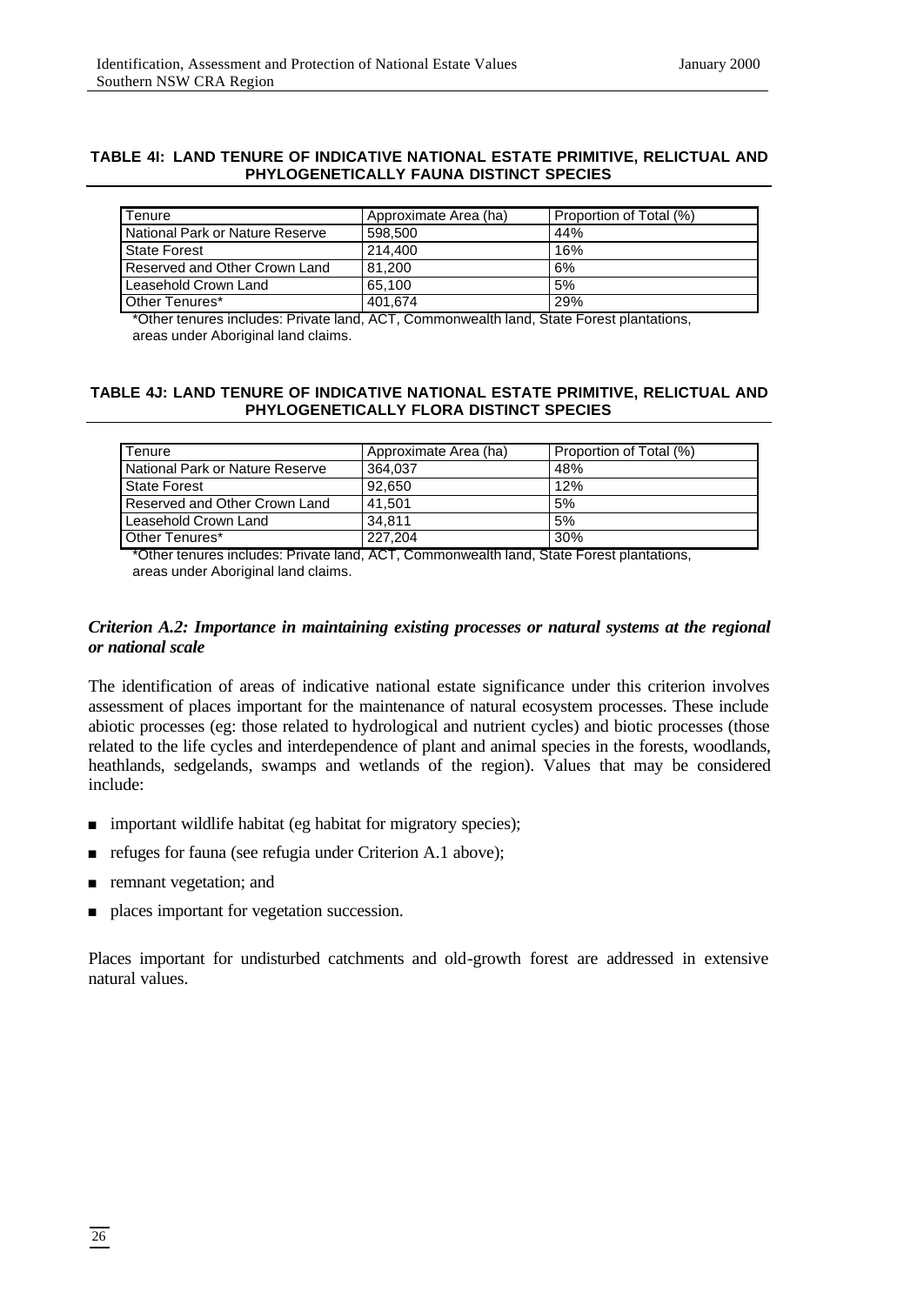#### **TABLE 4I: LAND TENURE OF INDICATIVE NATIONAL ESTATE PRIMITIVE, RELICTUAL AND PHYLOGENETICALLY FAUNA DISTINCT SPECIES**

| Tenure                          | Approximate Area (ha) | Proportion of Total (%) |
|---------------------------------|-----------------------|-------------------------|
| National Park or Nature Reserve | 598,500               | 44%                     |
| <b>State Forest</b>             | 214.400               | 16%                     |
| Reserved and Other Crown Land   | 81.200                | 6%                      |
| Leasehold Crown Land            | 65.100                | 5%                      |
| Other Tenures*                  | 401,674               | 29%                     |

\*Other tenures includes: Private land, ACT, Commonwealth land, State Forest plantations, areas under Aboriginal land claims.

#### **TABLE 4J: LAND TENURE OF INDICATIVE NATIONAL ESTATE PRIMITIVE, RELICTUAL AND PHYLOGENETICALLY FLORA DISTINCT SPECIES**

| Tenure                          | Approximate Area (ha) | Proportion of Total (%) |
|---------------------------------|-----------------------|-------------------------|
| National Park or Nature Reserve | 364.037               | 48%                     |
| State Forest                    | 92.650                | 12%                     |
| Reserved and Other Crown Land   | 41.501                | 5%                      |
| Leasehold Crown Land            | 34.811                | 5%                      |
| Other Tenures*                  | 227.204               | 30%                     |

\*Other tenures includes: Private land, ACT, Commonwealth land, State Forest plantations, areas under Aboriginal land claims.

#### *Criterion A.2: Importance in maintaining existing processes or natural systems at the regional or national scale*

The identification of areas of indicative national estate significance under this criterion involves assessment of places important for the maintenance of natural ecosystem processes. These include abiotic processes (eg: those related to hydrological and nutrient cycles) and biotic processes (those related to the life cycles and interdependence of plant and animal species in the forests, woodlands, heathlands, sedgelands, swamps and wetlands of the region). Values that may be considered include:

- n important wildlife habitat (eg habitat for migratory species);
- n refuges for fauna (see refugia under Criterion A.1 above);
- n remnant vegetation; and
- n places important for vegetation succession.

Places important for undisturbed catchments and old-growth forest are addressed in extensive natural values.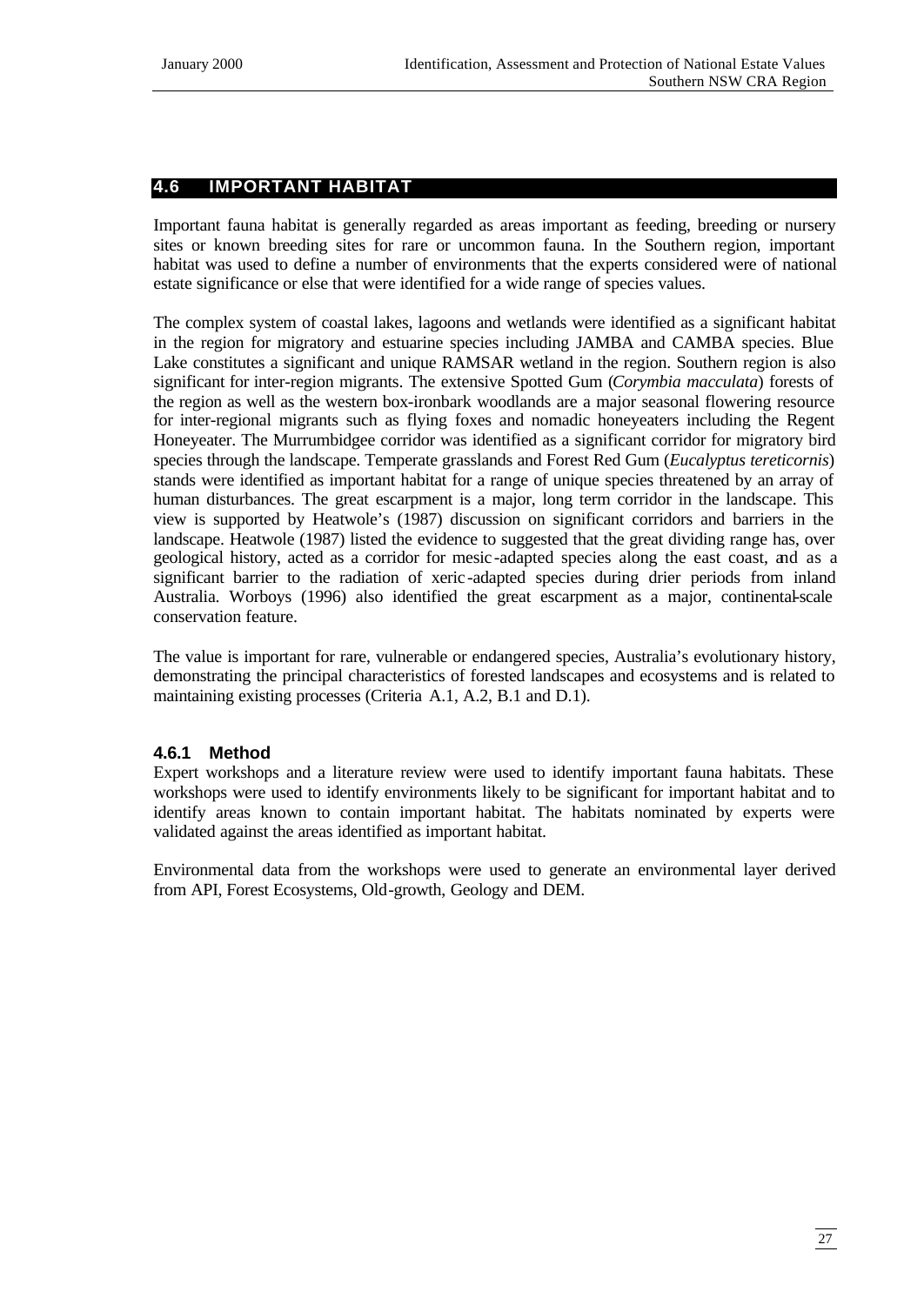# **4.6 IMPORTANT HABITAT**

Important fauna habitat is generally regarded as areas important as feeding, breeding or nursery sites or known breeding sites for rare or uncommon fauna. In the Southern region, important habitat was used to define a number of environments that the experts considered were of national estate significance or else that were identified for a wide range of species values.

The complex system of coastal lakes, lagoons and wetlands were identified as a significant habitat in the region for migratory and estuarine species including JAMBA and CAMBA species. Blue Lake constitutes a significant and unique RAMSAR wetland in the region. Southern region is also significant for inter-region migrants. The extensive Spotted Gum (*Corymbia macculata*) forests of the region as well as the western box-ironbark woodlands are a major seasonal flowering resource for inter-regional migrants such as flying foxes and nomadic honeyeaters including the Regent Honeyeater. The Murrumbidgee corridor was identified as a significant corridor for migratory bird species through the landscape. Temperate grasslands and Forest Red Gum (*Eucalyptus tereticornis*) stands were identified as important habitat for a range of unique species threatened by an array of human disturbances. The great escarpment is a major, long term corridor in the landscape. This view is supported by Heatwole's (1987) discussion on significant corridors and barriers in the landscape. Heatwole (1987) listed the evidence to suggested that the great dividing range has, over geological history, acted as a corridor for mesic -adapted species along the east coast, and as a significant barrier to the radiation of xeric -adapted species during drier periods from inland Australia. Worboys (1996) also identified the great escarpment as a major, continental-scale conservation feature.

The value is important for rare, vulnerable or endangered species, Australia's evolutionary history, demonstrating the principal characteristics of forested landscapes and ecosystems and is related to maintaining existing processes (Criteria A.1, A.2, B.1 and D.1).

## **4.6.1 Method**

Expert workshops and a literature review were used to identify important fauna habitats. These workshops were used to identify environments likely to be significant for important habitat and to identify areas known to contain important habitat. The habitats nominated by experts were validated against the areas identified as important habitat.

Environmental data from the workshops were used to generate an environmental layer derived from API, Forest Ecosystems, Old-growth, Geology and DEM.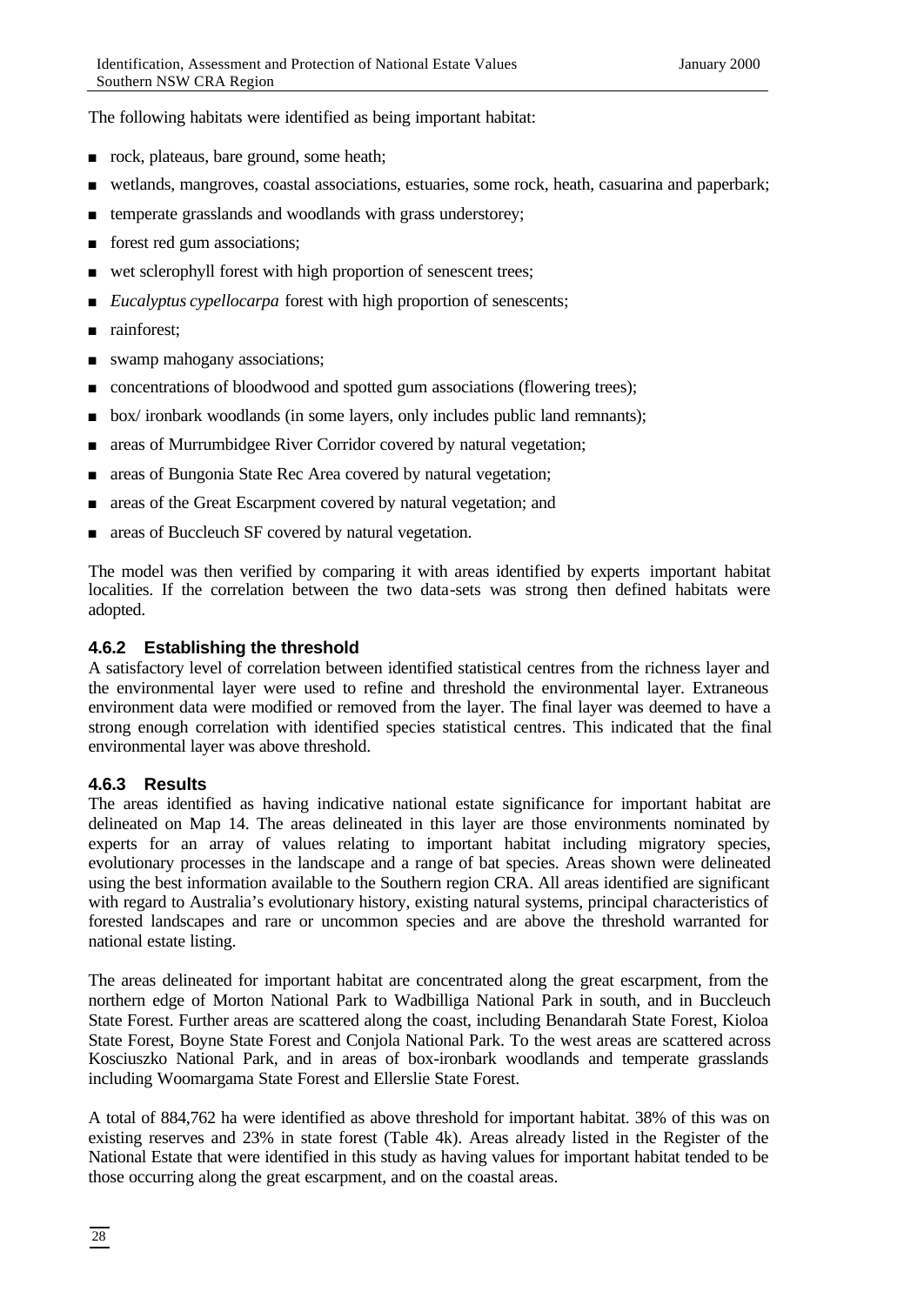The following habitats were identified as being important habitat:

- n rock, plateaus, bare ground, some heath;
- <sup>n</sup> wetlands, mangroves, coastal associations, estuaries, some rock, heath, casuarina and paperbark;
- $\blacksquare$  temperate grasslands and woodlands with grass understorey;
- forest red gum associations;
- n wet sclerophyll forest with high proportion of senescent trees;
- *Eucalyptus cypellocarpa* forest with high proportion of senescents;
- n rainforest;
- swamp mahogany associations;
- n concentrations of bloodwood and spotted gum associations (flowering trees);
- $\bullet$  box/ ironbark woodlands (in some layers, only includes public land remnants);
- n areas of Murrumbidgee River Corridor covered by natural vegetation;
- n areas of Bungonia State Rec Area covered by natural vegetation;
- n areas of the Great Escarpment covered by natural vegetation; and
- n areas of Buccleuch SF covered by natural vegetation.

The model was then verified by comparing it with areas identified by experts important habitat localities. If the correlation between the two data-sets was strong then defined habitats were adopted.

#### **4.6.2 Establishing the threshold**

A satisfactory level of correlation between identified statistical centres from the richness layer and the environmental layer were used to refine and threshold the environmental layer. Extraneous environment data were modified or removed from the layer. The final layer was deemed to have a strong enough correlation with identified species statistical centres. This indicated that the final environmental layer was above threshold.

## **4.6.3 Results**

The areas identified as having indicative national estate significance for important habitat are delineated on Map 14. The areas delineated in this layer are those environments nominated by experts for an array of values relating to important habitat including migratory species, evolutionary processes in the landscape and a range of bat species. Areas shown were delineated using the best information available to the Southern region CRA. All areas identified are significant with regard to Australia's evolutionary history, existing natural systems, principal characteristics of forested landscapes and rare or uncommon species and are above the threshold warranted for national estate listing.

The areas delineated for important habitat are concentrated along the great escarpment, from the northern edge of Morton National Park to Wadbilliga National Park in south, and in Buccleuch State Forest. Further areas are scattered along the coast, including Benandarah State Forest, Kioloa State Forest, Boyne State Forest and Conjola National Park. To the west areas are scattered across Kosciuszko National Park, and in areas of box-ironbark woodlands and temperate grasslands including Woomargama State Forest and Ellerslie State Forest.

A total of 884,762 ha were identified as above threshold for important habitat. 38% of this was on existing reserves and 23% in state forest (Table 4k). Areas already listed in the Register of the National Estate that were identified in this study as having values for important habitat tended to be those occurring along the great escarpment, and on the coastal areas.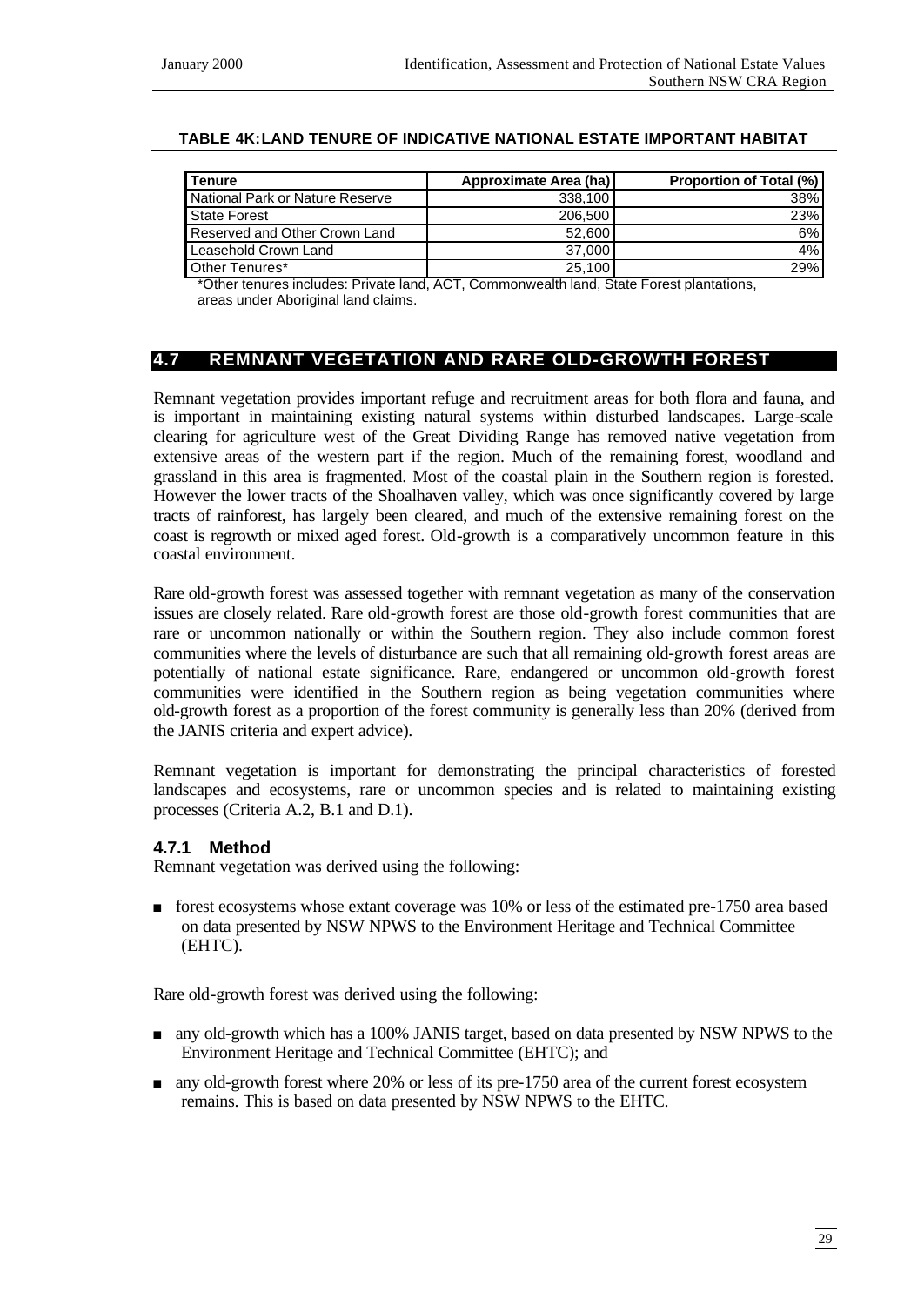#### **TABLE 4K:LAND TENURE OF INDICATIVE NATIONAL ESTATE IMPORTANT HABITAT**

| <b>I</b> Tenure                 | Approximate Area (ha) | <b>Proportion of Total (%)</b> |
|---------------------------------|-----------------------|--------------------------------|
| National Park or Nature Reserve | 338.100               | 38%                            |
| State Forest                    | 206.500               | 23%                            |
| Reserved and Other Crown Land   | 52,600                | $6\%$                          |
| Leasehold Crown Land            | 37,000                | $4\%$                          |
| Other Tenures*                  | 25,100                | 29%                            |

\*Other tenures includes: Private land, ACT, Commonwealth land, State Forest plantations, areas under Aboriginal land claims.

#### **4.7 REMNANT VEGETATION AND RARE OLD-GROWTH FOREST**

Remnant vegetation provides important refuge and recruitment areas for both flora and fauna, and is important in maintaining existing natural systems within disturbed landscapes. Large-scale clearing for agriculture west of the Great Dividing Range has removed native vegetation from extensive areas of the western part if the region. Much of the remaining forest, woodland and grassland in this area is fragmented. Most of the coastal plain in the Southern region is forested. However the lower tracts of the Shoalhaven valley, which was once significantly covered by large tracts of rainforest, has largely been cleared, and much of the extensive remaining forest on the coast is regrowth or mixed aged forest. Old-growth is a comparatively uncommon feature in this coastal environment.

Rare old-growth forest was assessed together with remnant vegetation as many of the conservation issues are closely related. Rare old-growth forest are those old-growth forest communities that are rare or uncommon nationally or within the Southern region. They also include common forest communities where the levels of disturbance are such that all remaining old-growth forest areas are potentially of national estate significance. Rare, endangered or uncommon old-growth forest communities were identified in the Southern region as being vegetation communities where old-growth forest as a proportion of the forest community is generally less than 20% (derived from the JANIS criteria and expert advice).

Remnant vegetation is important for demonstrating the principal characteristics of forested landscapes and ecosystems, rare or uncommon species and is related to maintaining existing processes (Criteria A.2, B.1 and D.1).

#### **4.7.1 Method**

Remnant vegetation was derived using the following:

<sup>n</sup> forest ecosystems whose extant coverage was 10% or less of the estimated pre-1750 area based on data presented by NSW NPWS to the Environment Heritage and Technical Committee (EHTC).

Rare old-growth forest was derived using the following:

- n any old-growth which has a 100% JANIS target, based on data presented by NSW NPWS to the Environment Heritage and Technical Committee (EHTC); and
- n any old-growth forest where 20% or less of its pre-1750 area of the current forest ecosystem remains. This is based on data presented by NSW NPWS to the EHTC.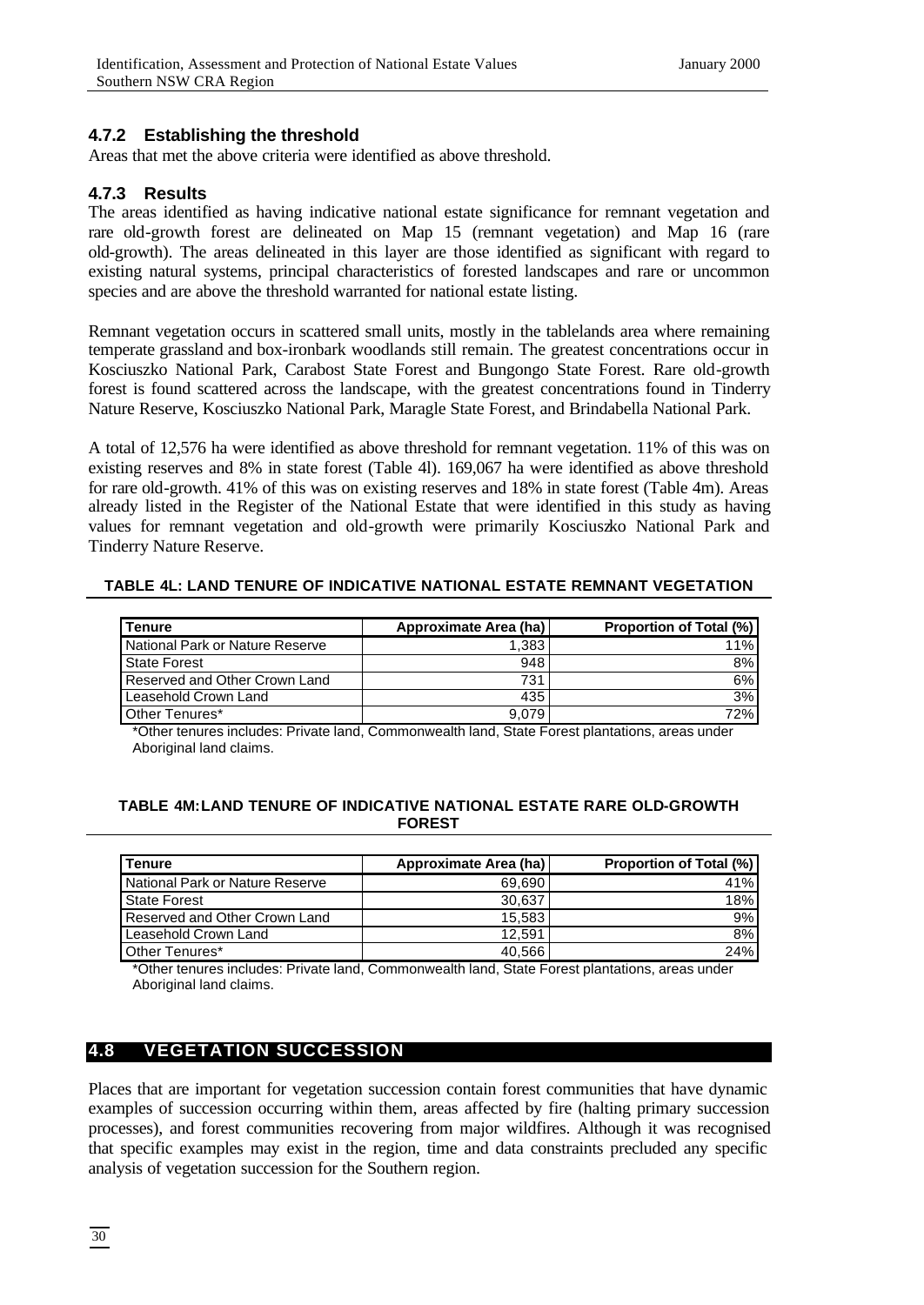#### **4.7.2 Establishing the threshold**

Areas that met the above criteria were identified as above threshold.

#### **4.7.3 Results**

The areas identified as having indicative national estate significance for remnant vegetation and rare old-growth forest are delineated on Map 15 (remnant vegetation) and Map 16 (rare old-growth). The areas delineated in this layer are those identified as significant with regard to existing natural systems, principal characteristics of forested landscapes and rare or uncommon species and are above the threshold warranted for national estate listing.

Remnant vegetation occurs in scattered small units, mostly in the tablelands area where remaining temperate grassland and box-ironbark woodlands still remain. The greatest concentrations occur in Kosciuszko National Park, Carabost State Forest and Bungongo State Forest. Rare old-growth forest is found scattered across the landscape, with the greatest concentrations found in Tinderry Nature Reserve, Kosciuszko National Park, Maragle State Forest, and Brindabella National Park.

A total of 12,576 ha were identified as above threshold for remnant vegetation. 11% of this was on existing reserves and 8% in state forest (Table 4l). 169,067 ha were identified as above threshold for rare old-growth. 41% of this was on existing reserves and 18% in state forest (Table 4m). Areas already listed in the Register of the National Estate that were identified in this study as having values for remnant vegetation and old-growth were primarily Kosciuszko National Park and Tinderry Nature Reserve.

| TABLE 4L: LAND TENURE OF INDICATIVE NATIONAL ESTATE REMNANT VEGETATION |  |
|------------------------------------------------------------------------|--|
|------------------------------------------------------------------------|--|

| <b>Tenure</b>                   | Approximate Area (ha) | <b>Proportion of Total (%)</b> |
|---------------------------------|-----------------------|--------------------------------|
| National Park or Nature Reserve | 1.383                 | 11%                            |
| State Forest                    | 948                   | 8%                             |
| Reserved and Other Crown Land   | 731                   | 6%                             |
| Leasehold Crown Land            | 435                   | 3%                             |
| Other Tenures*                  | 9.079                 | 72%                            |

\*Other tenures includes: Private land, Commonwealth land, State Forest plantations, areas under Aboriginal land claims.

#### **TABLE 4M:LAND TENURE OF INDICATIVE NATIONAL ESTATE RARE OLD-GROWTH FOREST**

| l Tenure                        | Approximate Area (ha) | <b>Proportion of Total (%)</b> |
|---------------------------------|-----------------------|--------------------------------|
| National Park or Nature Reserve | 69.690                | 41%                            |
| State Forest                    | 30,637                | 18%                            |
| Reserved and Other Crown Land   | 15,583                | 9%                             |
| Leasehold Crown Land            | 12.591                | 8%                             |
| Other Tenures*                  | 40.566                | 24%                            |

\*Other tenures includes: Private land, Commonwealth land, State Forest plantations, areas under Aboriginal land claims.

# **4.8 VEGETATION SUCCESSION**

Places that are important for vegetation succession contain forest communities that have dynamic examples of succession occurring within them, areas affected by fire (halting primary succession processes), and forest communities recovering from major wildfires. Although it was recognised that specific examples may exist in the region, time and data constraints precluded any specific analysis of vegetation succession for the Southern region.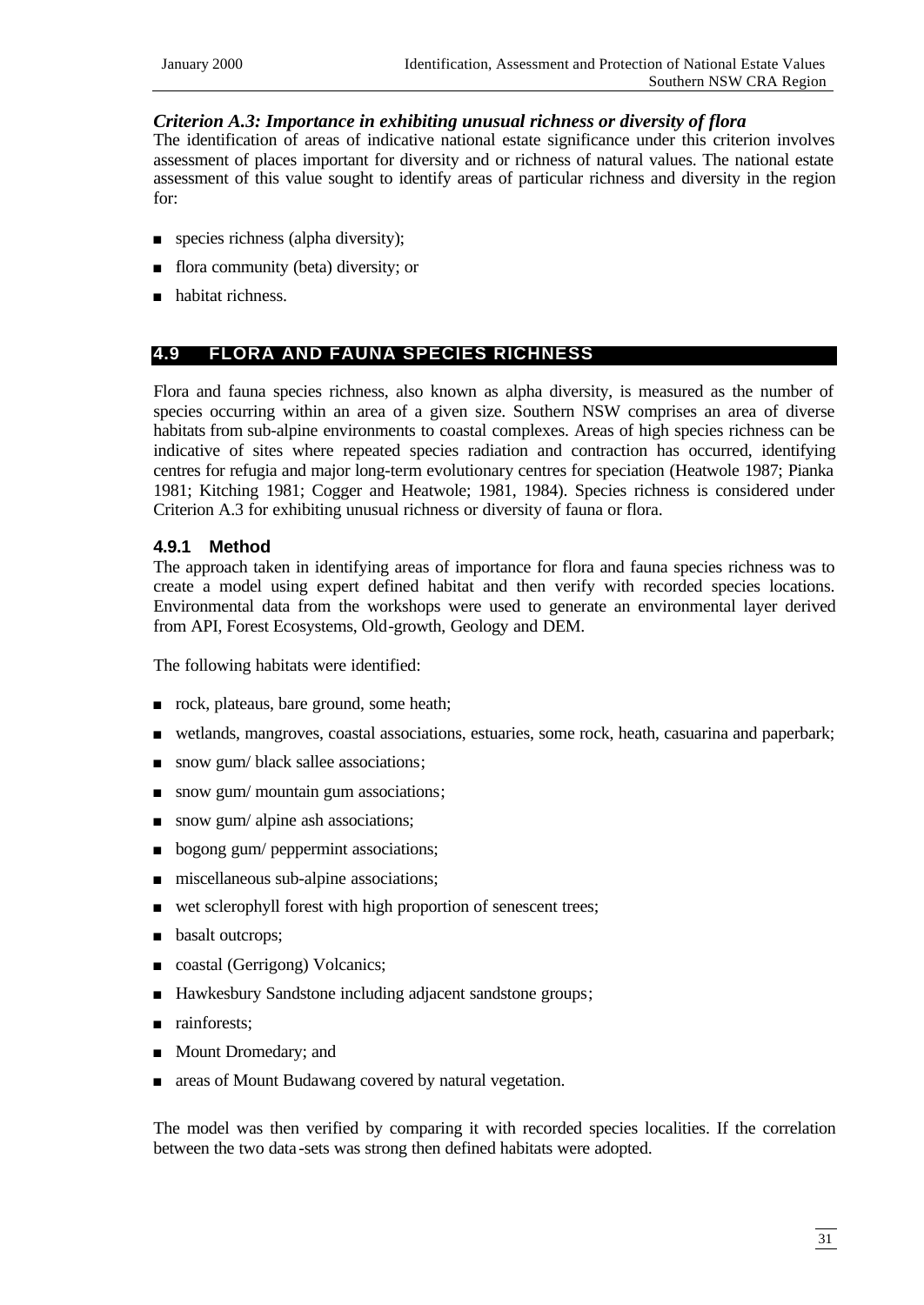#### *Criterion A.3: Importance in exhibiting unusual richness or diversity of flora*

The identification of areas of indicative national estate significance under this criterion involves assessment of places important for diversity and or richness of natural values. The national estate assessment of this value sought to identify areas of particular richness and diversity in the region for:

- $\Box$  species richness (alpha diversity);
- <sup>n</sup> flora community (beta) diversity; or
- n habitat richness.

## **4.9 FLORA AND FAUNA SPECIES RICHNESS**

Flora and fauna species richness, also known as alpha diversity, is measured as the number of species occurring within an area of a given size. Southern NSW comprises an area of diverse habitats from sub-alpine environments to coastal complexes. Areas of high species richness can be indicative of sites where repeated species radiation and contraction has occurred, identifying centres for refugia and major long-term evolutionary centres for speciation (Heatwole 1987; Pianka 1981; Kitching 1981; Cogger and Heatwole; 1981, 1984). Species richness is considered under Criterion A.3 for exhibiting unusual richness or diversity of fauna or flora.

#### **4.9.1 Method**

The approach taken in identifying areas of importance for flora and fauna species richness was to create a model using expert defined habitat and then verify with recorded species locations. Environmental data from the workshops were used to generate an environmental layer derived from API, Forest Ecosystems, Old-growth, Geology and DEM.

The following habitats were identified:

- n rock, plateaus, bare ground, some heath;
- <sup>n</sup> wetlands, mangroves, coastal associations, estuaries, some rock, heath, casuarina and paperbark;
- n snow gum/ black sallee associations;
- $\Box$  snow gum/ mountain gum associations;
- snow gum/ alpine ash associations;
- **n** bogong gum/ peppermint associations;
- $\blacksquare$  miscellaneous sub-alpine associations;
- wet sclerophyll forest with high proportion of senescent trees;
- **n** basalt outcrops;
- coastal (Gerrigong) Volcanics;
- Hawkesbury Sandstone including adjacent sandstone groups;
- n rainforests;
- **n** Mount Dromedary; and
- n areas of Mount Budawang covered by natural vegetation.

The model was then verified by comparing it with recorded species localities. If the correlation between the two data -sets was strong then defined habitats were adopted.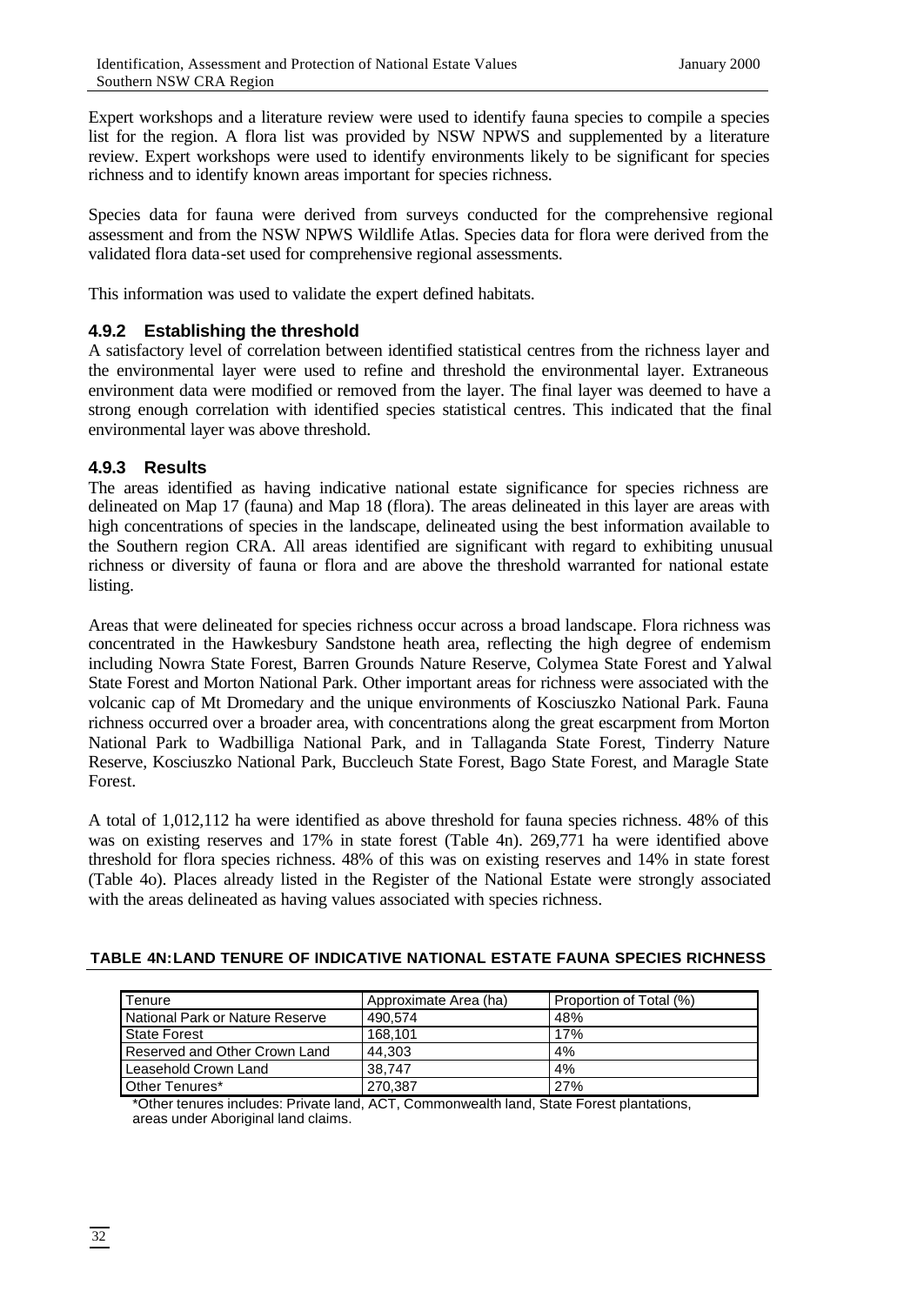Expert workshops and a literature review were used to identify fauna species to compile a species list for the region. A flora list was provided by NSW NPWS and supplemented by a literature review. Expert workshops were used to identify environments likely to be significant for species richness and to identify known areas important for species richness.

Species data for fauna were derived from surveys conducted for the comprehensive regional assessment and from the NSW NPWS Wildlife Atlas. Species data for flora were derived from the validated flora data-set used for comprehensive regional assessments.

This information was used to validate the expert defined habitats.

# **4.9.2 Establishing the threshold**

A satisfactory level of correlation between identified statistical centres from the richness layer and the environmental layer were used to refine and threshold the environmental layer. Extraneous environment data were modified or removed from the layer. The final layer was deemed to have a strong enough correlation with identified species statistical centres. This indicated that the final environmental layer was above threshold.

# **4.9.3 Results**

The areas identified as having indicative national estate significance for species richness are delineated on Map 17 (fauna) and Map 18 (flora). The areas delineated in this layer are areas with high concentrations of species in the landscape, delineated using the best information available to the Southern region CRA. All areas identified are significant with regard to exhibiting unusual richness or diversity of fauna or flora and are above the threshold warranted for national estate listing.

Areas that were delineated for species richness occur across a broad landscape. Flora richness was concentrated in the Hawkesbury Sandstone heath area, reflecting the high degree of endemism including Nowra State Forest, Barren Grounds Nature Reserve, Colymea State Forest and Yalwal State Forest and Morton National Park. Other important areas for richness were associated with the volcanic cap of Mt Dromedary and the unique environments of Kosciuszko National Park. Fauna richness occurred over a broader area, with concentrations along the great escarpment from Morton National Park to Wadbilliga National Park, and in Tallaganda State Forest, Tinderry Nature Reserve, Kosciuszko National Park, Buccleuch State Forest, Bago State Forest, and Maragle State Forest.

A total of 1,012,112 ha were identified as above threshold for fauna species richness. 48% of this was on existing reserves and 17% in state forest (Table 4n). 269,771 ha were identified above threshold for flora species richness. 48% of this was on existing reserves and 14% in state forest (Table 4o). Places already listed in the Register of the National Estate were strongly associated with the areas delineated as having values associated with species richness.

| Tenure                          | Approximate Area (ha) | Proportion of Total (%) |
|---------------------------------|-----------------------|-------------------------|
| National Park or Nature Reserve | 490.574               | 48%                     |
| State Forest                    | 168.101               | 17%                     |
| Reserved and Other Crown Land   | 44.303                | 4%                      |
| Leasehold Crown Land            | 38.747                | 4%                      |
| Other Tenures*                  | 270.387               | 27%                     |

#### **TABLE 4N:LAND TENURE OF INDICATIVE NATIONAL ESTATE FAUNA SPECIES RICHNESS**

\*Other tenures includes: Private land, ACT, Commonwealth land, State Forest plantations, areas under Aboriginal land claims.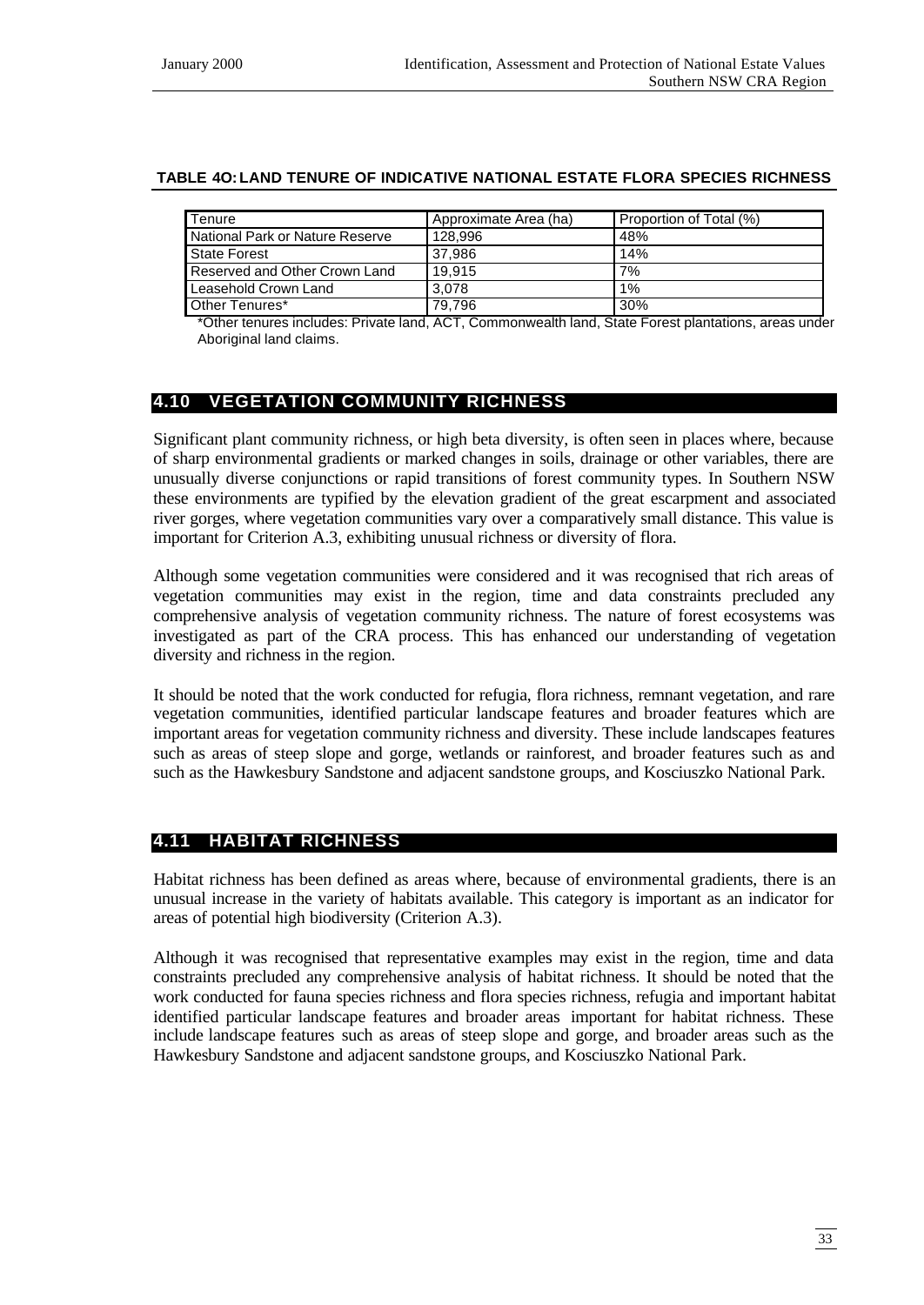#### **TABLE 4O:LAND TENURE OF INDICATIVE NATIONAL ESTATE FLORA SPECIES RICHNESS**

| Tenure                          | Approximate Area (ha) | Proportion of Total (%) |
|---------------------------------|-----------------------|-------------------------|
| National Park or Nature Reserve | 128.996               | 48%                     |
| <b>State Forest</b>             | 37.986                | 14%                     |
| Reserved and Other Crown Land   | 19.915                | 7%                      |
| Leasehold Crown Land            | 3.078                 | $1\%$                   |
| Other Tenures*                  | 79.796                | 30%                     |

\*Other tenures includes: Private land, ACT, Commonwealth land, State Forest plantations, areas under Aboriginal land claims.

# **4.10 VEGETATION COMMUNITY RICHNESS**

Significant plant community richness, or high beta diversity, is often seen in places where, because of sharp environmental gradients or marked changes in soils, drainage or other variables, there are unusually diverse conjunctions or rapid transitions of forest community types. In Southern NSW these environments are typified by the elevation gradient of the great escarpment and associated river gorges, where vegetation communities vary over a comparatively small distance. This value is important for Criterion A.3, exhibiting unusual richness or diversity of flora.

Although some vegetation communities were considered and it was recognised that rich areas of vegetation communities may exist in the region, time and data constraints precluded any comprehensive analysis of vegetation community richness. The nature of forest ecosystems was investigated as part of the CRA process. This has enhanced our understanding of vegetation diversity and richness in the region.

It should be noted that the work conducted for refugia, flora richness, remnant vegetation, and rare vegetation communities, identified particular landscape features and broader features which are important areas for vegetation community richness and diversity. These include landscapes features such as areas of steep slope and gorge, wetlands or rainforest, and broader features such as and such as the Hawkesbury Sandstone and adjacent sandstone groups, and Kosciuszko National Park.

# **4.11 HABITAT RICHNESS**

Habitat richness has been defined as areas where, because of environmental gradients, there is an unusual increase in the variety of habitats available. This category is important as an indicator for areas of potential high biodiversity (Criterion A.3).

Although it was recognised that representative examples may exist in the region, time and data constraints precluded any comprehensive analysis of habitat richness. It should be noted that the work conducted for fauna species richness and flora species richness, refugia and important habitat identified particular landscape features and broader areas important for habitat richness. These include landscape features such as areas of steep slope and gorge, and broader areas such as the Hawkesbury Sandstone and adjacent sandstone groups, and Kosciuszko National Park.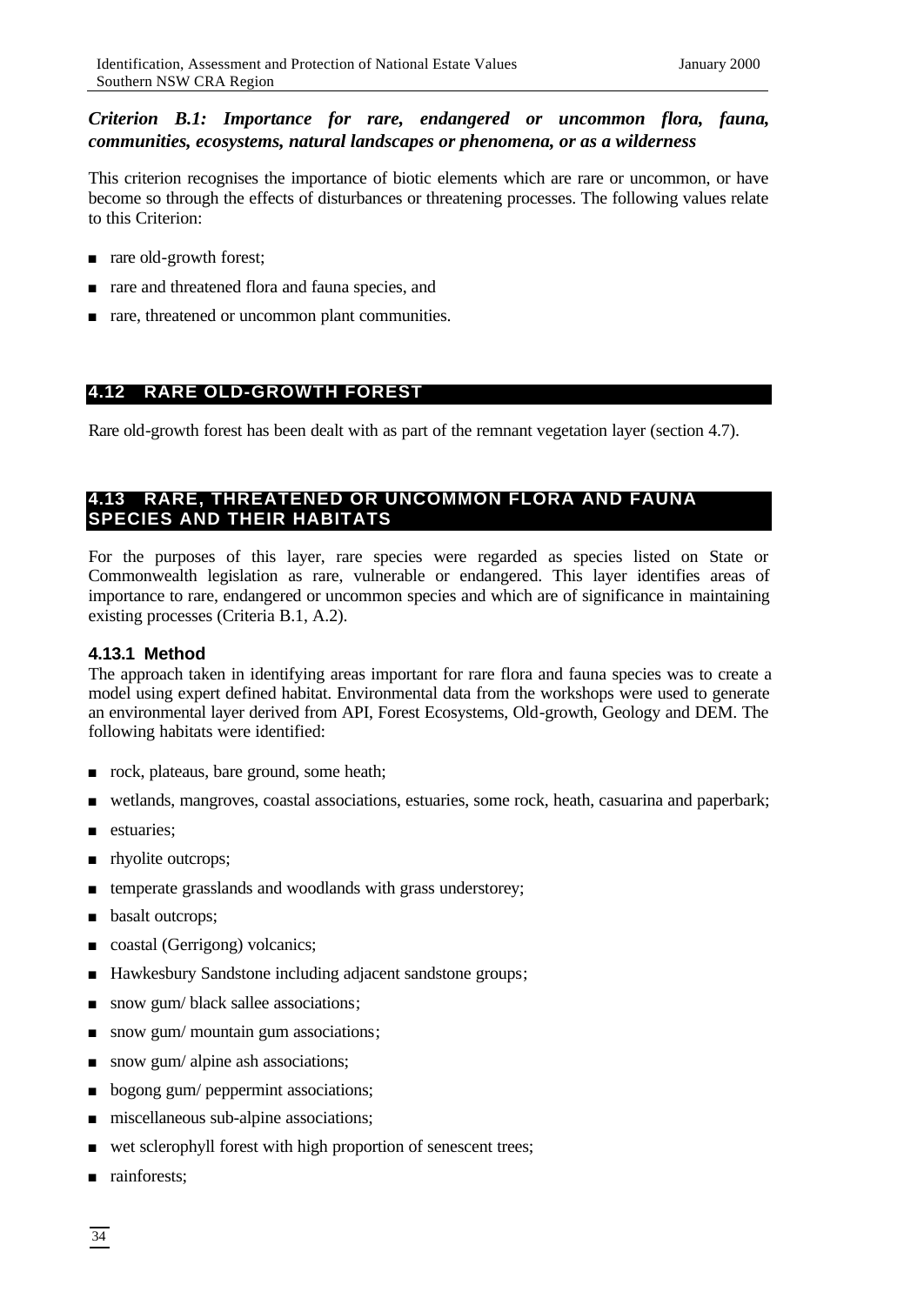# *Criterion B.1: Importance for rare, endangered or uncommon flora, fauna, communities, ecosystems, natural landscapes or phenomena, or as a wilderness*

This criterion recognises the importance of biotic elements which are rare or uncommon, or have become so through the effects of disturbances or threatening processes. The following values relate to this Criterion:

- n rare old-growth forest;
- n rare and threatened flora and fauna species, and
- n rare, threatened or uncommon plant communities.

# **4.12 RARE OLD-GROWTH FOREST**

Rare old-growth forest has been dealt with as part of the remnant vegetation layer (section 4.7).

# **4.13 RARE, THREATENED OR UNCOMMON FLORA AND FAUNA SPECIES AND THEIR HABITATS**

For the purposes of this layer, rare species were regarded as species listed on State or Commonwealth legislation as rare, vulnerable or endangered. This layer identifies areas of importance to rare, endangered or uncommon species and which are of significance in maintaining existing processes (Criteria B.1, A.2).

## **4.13.1 Method**

The approach taken in identifying areas important for rare flora and fauna species was to create a model using expert defined habitat. Environmental data from the workshops were used to generate an environmental layer derived from API, Forest Ecosystems, Old-growth, Geology and DEM. The following habitats were identified:

- n rock, plateaus, bare ground, some heath;
- <sup>n</sup> wetlands, mangroves, coastal associations, estuaries, some rock, heath, casuarina and paperbark;
- stuaries;
- n rhyolite outcrops;
- n temperate grasslands and woodlands with grass understorey;
- basalt outcrops;
- coastal (Gerrigong) volcanics;
- Hawkesbury Sandstone including adjacent sandstone groups;
- $\Box$  snow gum/ black sallee associations;
- $\blacksquare$  snow gum/ mountain gum associations;
- $\Box$  snow gum/ alpine ash associations;
- **n** bogong gum/ peppermint associations;
- $\blacksquare$  miscellaneous sub-alpine associations;
- $\blacksquare$  wet sclerophyll forest with high proportion of senescent trees;
- n rainforests;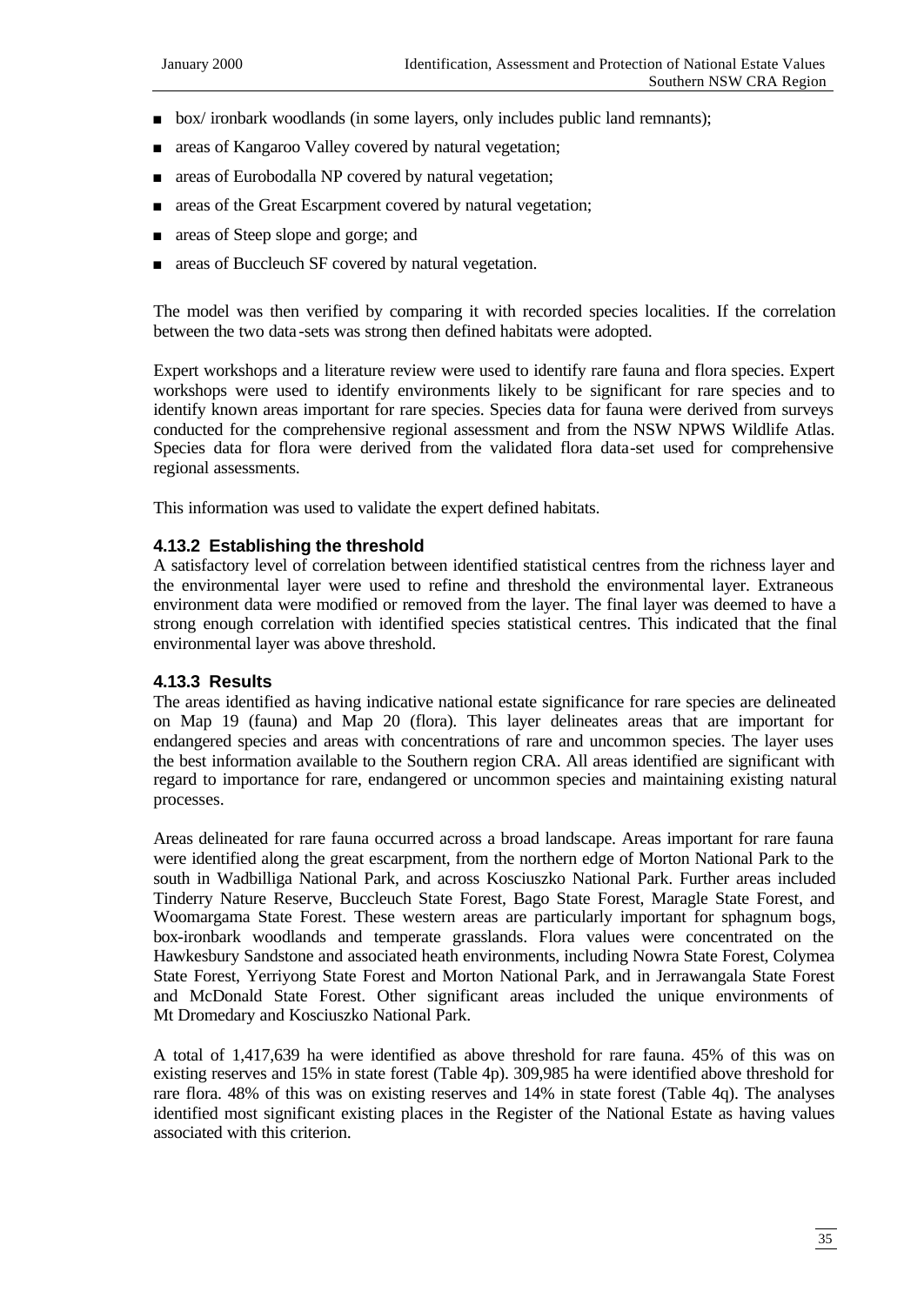- <sup>n</sup> box/ ironbark woodlands (in some layers, only includes public land remnants);
- n areas of Kangaroo Valley covered by natural vegetation;
- n areas of Eurobodalla NP covered by natural vegetation;
- n areas of the Great Escarpment covered by natural vegetation;
- n areas of Steep slope and gorge; and
- areas of Buccleuch SF covered by natural vegetation.

The model was then verified by comparing it with recorded species localities. If the correlation between the two data -sets was strong then defined habitats were adopted.

Expert workshops and a literature review were used to identify rare fauna and flora species. Expert workshops were used to identify environments likely to be significant for rare species and to identify known areas important for rare species. Species data for fauna were derived from surveys conducted for the comprehensive regional assessment and from the NSW NPWS Wildlife Atlas. Species data for flora were derived from the validated flora data-set used for comprehensive regional assessments.

This information was used to validate the expert defined habitats.

#### **4.13.2 Establishing the threshold**

A satisfactory level of correlation between identified statistical centres from the richness layer and the environmental layer were used to refine and threshold the environmental layer. Extraneous environment data were modified or removed from the layer. The final layer was deemed to have a strong enough correlation with identified species statistical centres. This indicated that the final environmental layer was above threshold.

#### **4.13.3 Results**

The areas identified as having indicative national estate significance for rare species are delineated on Map 19 (fauna) and Map 20 (flora). This layer delineates areas that are important for endangered species and areas with concentrations of rare and uncommon species. The layer uses the best information available to the Southern region CRA. All areas identified are significant with regard to importance for rare, endangered or uncommon species and maintaining existing natural processes.

Areas delineated for rare fauna occurred across a broad landscape. Areas important for rare fauna were identified along the great escarpment, from the northern edge of Morton National Park to the south in Wadbilliga National Park, and across Kosciuszko National Park. Further areas included Tinderry Nature Reserve, Buccleuch State Forest, Bago State Forest, Maragle State Forest, and Woomargama State Forest. These western areas are particularly important for sphagnum bogs, box-ironbark woodlands and temperate grasslands. Flora values were concentrated on the Hawkesbury Sandstone and associated heath environments, including Nowra State Forest, Colymea State Forest, Yerriyong State Forest and Morton National Park, and in Jerrawangala State Forest and McDonald State Forest. Other significant areas included the unique environments of Mt Dromedary and Kosciuszko National Park.

A total of 1,417,639 ha were identified as above threshold for rare fauna. 45% of this was on existing reserves and 15% in state forest (Table 4p). 309,985 ha were identified above threshold for rare flora. 48% of this was on existing reserves and 14% in state forest (Table 4q). The analyses identified most significant existing places in the Register of the National Estate as having values associated with this criterion.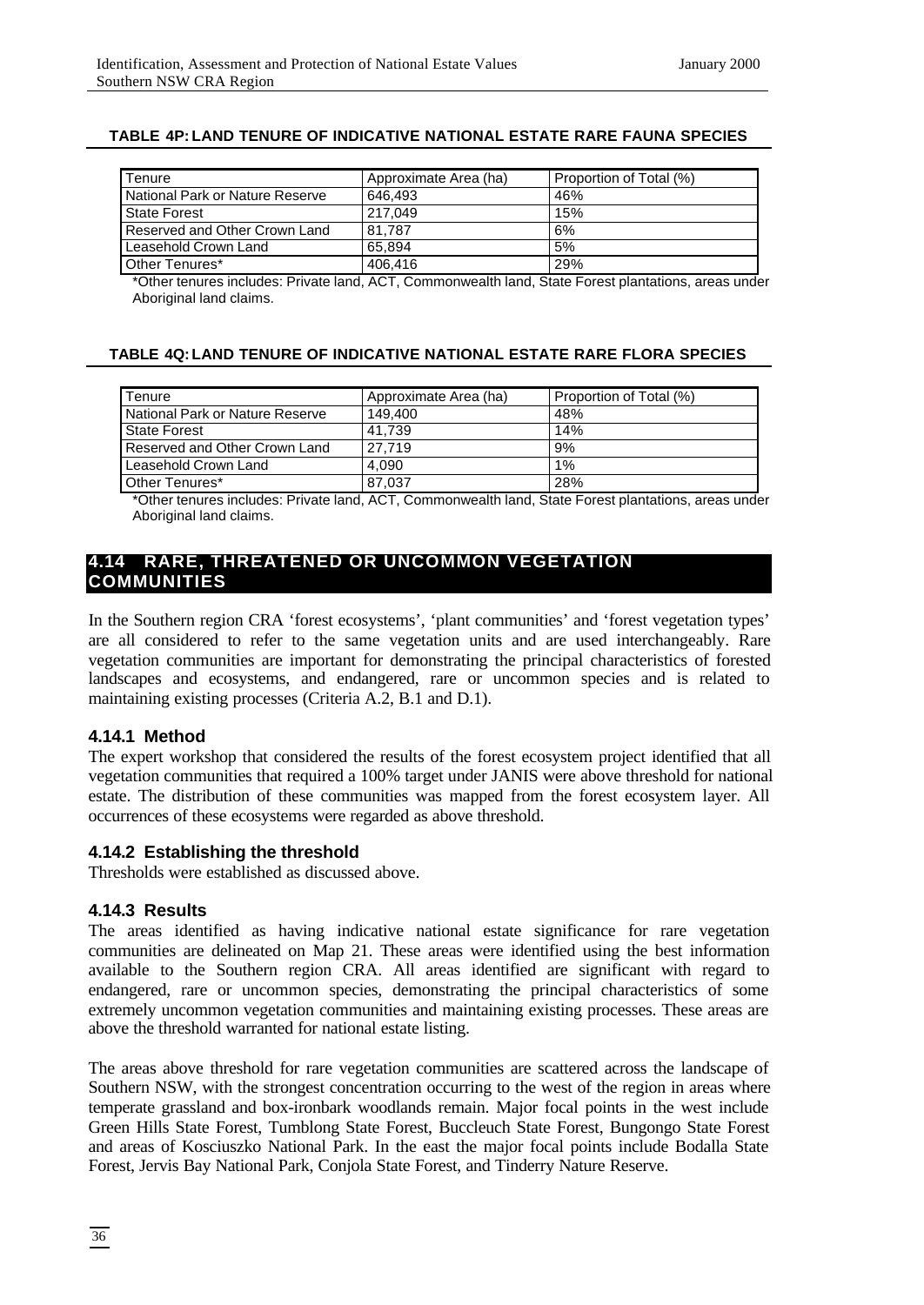| Tenure                          | Approximate Area (ha) | Proportion of Total (%) |
|---------------------------------|-----------------------|-------------------------|
| National Park or Nature Reserve | 646.493               | 46%                     |
| <b>State Forest</b>             | 217.049               | 15%                     |
| Reserved and Other Crown Land   | 81.787                | 6%                      |
| Leasehold Crown Land            | 65.894                | 5%                      |
| Other Tenures*                  | 406.416               | 29%                     |

#### **TABLE 4P: LAND TENURE OF INDICATIVE NATIONAL ESTATE RARE FAUNA SPECIES**

\*Other tenures includes: Private land, ACT, Commonwealth land, State Forest plantations, areas under Aboriginal land claims.

#### **TABLE 4Q:LAND TENURE OF INDICATIVE NATIONAL ESTATE RARE FLORA SPECIES**

| <b>Tenure</b>                   | Approximate Area (ha) | Proportion of Total (%) |
|---------------------------------|-----------------------|-------------------------|
| National Park or Nature Reserve | 149.400               | 48%                     |
| <b>State Forest</b>             | 41.739                | 14%                     |
| Reserved and Other Crown Land   | 27.719                | 9%                      |
| Leasehold Crown Land            | 4.090                 | 1%                      |
| Other Tenures*                  | 87.037                | 28%                     |

\*Other tenures includes: Private land, ACT, Commonwealth land, State Forest plantations, areas under Aboriginal land claims.

## **4.14 RARE, THREATENED OR UNCOMMON VEGETATION COMMUNITIES**

In the Southern region CRA 'forest ecosystems', 'plant communities' and 'forest vegetation types' are all considered to refer to the same vegetation units and are used interchangeably. Rare vegetation communities are important for demonstrating the principal characteristics of forested landscapes and ecosystems, and endangered, rare or uncommon species and is related to maintaining existing processes (Criteria A.2, B.1 and D.1).

#### **4.14.1 Method**

The expert workshop that considered the results of the forest ecosystem project identified that all vegetation communities that required a 100% target under JANIS were above threshold for national estate. The distribution of these communities was mapped from the forest ecosystem layer. All occurrences of these ecosystems were regarded as above threshold.

#### **4.14.2 Establishing the threshold**

Thresholds were established as discussed above.

#### **4.14.3 Results**

The areas identified as having indicative national estate significance for rare vegetation communities are delineated on Map 21. These areas were identified using the best information available to the Southern region CRA. All areas identified are significant with regard to endangered, rare or uncommon species, demonstrating the principal characteristics of some extremely uncommon vegetation communities and maintaining existing processes. These areas are above the threshold warranted for national estate listing.

The areas above threshold for rare vegetation communities are scattered across the landscape of Southern NSW, with the strongest concentration occurring to the west of the region in areas where temperate grassland and box-ironbark woodlands remain. Major focal points in the west include Green Hills State Forest, Tumblong State Forest, Buccleuch State Forest, Bungongo State Forest and areas of Kosciuszko National Park. In the east the major focal points include Bodalla State Forest, Jervis Bay National Park, Conjola State Forest, and Tinderry Nature Reserve.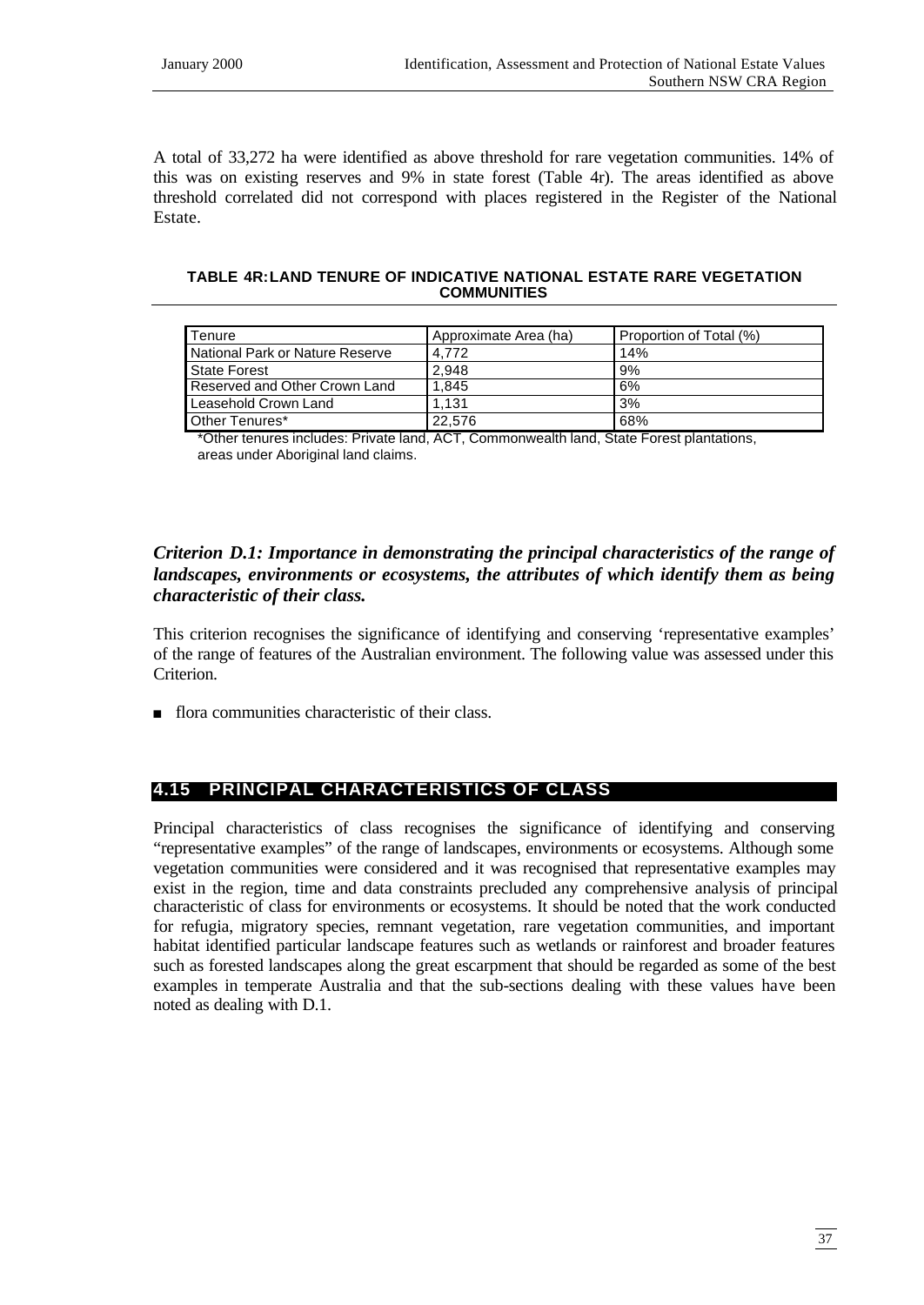A total of 33,272 ha were identified as above threshold for rare vegetation communities. 14% of this was on existing reserves and 9% in state forest (Table 4r). The areas identified as above threshold correlated did not correspond with places registered in the Register of the National Estate.

#### **TABLE 4R:LAND TENURE OF INDICATIVE NATIONAL ESTATE RARE VEGETATION COMMUNITIES**

| <b>Tenure</b>                   | Approximate Area (ha) | Proportion of Total (%) |
|---------------------------------|-----------------------|-------------------------|
| National Park or Nature Reserve | 4.772                 | 14%                     |
| State Forest                    | 2.948                 | 9%                      |
| Reserved and Other Crown Land   | 1.845                 | 6%                      |
| Leasehold Crown Land            | 1.131                 | 3%                      |
| Other Tenures*                  | 22.576                | 68%                     |

\*Other tenures includes: Private land, ACT, Commonwealth land, State Forest plantations, areas under Aboriginal land claims.

## *Criterion D.1: Importance in demonstrating the principal characteristics of the range of landscapes, environments or ecosystems, the attributes of which identify them as being characteristic of their class.*

This criterion recognises the significance of identifying and conserving 'representative examples' of the range of features of the Australian environment. The following value was assessed under this Criterion.

n flora communities characteristic of their class.

# **4.15 PRINCIPAL CHARACTERISTICS OF CLASS**

Principal characteristics of class recognises the significance of identifying and conserving "representative examples" of the range of landscapes, environments or ecosystems. Although some vegetation communities were considered and it was recognised that representative examples may exist in the region, time and data constraints precluded any comprehensive analysis of principal characteristic of class for environments or ecosystems. It should be noted that the work conducted for refugia, migratory species, remnant vegetation, rare vegetation communities, and important habitat identified particular landscape features such as wetlands or rainforest and broader features such as forested landscapes along the great escarpment that should be regarded as some of the best examples in temperate Australia and that the sub-sections dealing with these values have been noted as dealing with D.1.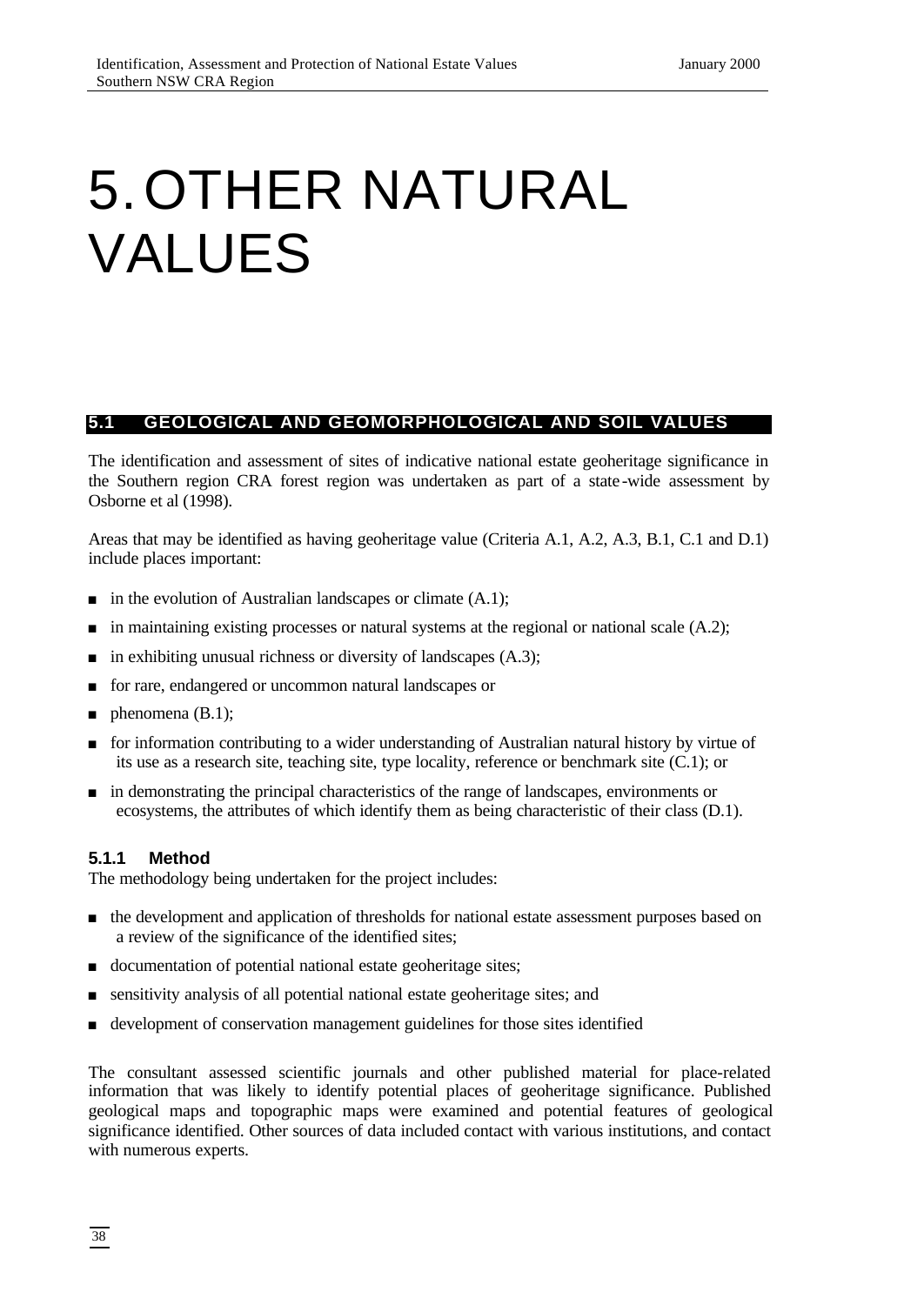# 5.OTHER NATURAL VALUES

## **5.1 GEOLOGICAL AND GEOMORPHOLOGICAL AND SOIL VALUES**

The identification and assessment of sites of indicative national estate geoheritage significance in the Southern region CRA forest region was undertaken as part of a state -wide assessment by Osborne et al (1998).

Areas that may be identified as having geoheritage value (Criteria A.1, A.2, A.3, B.1, C.1 and D.1) include places important:

- $\blacksquare$  in the evolution of Australian landscapes or climate  $(A.1)$ ;
- $\blacksquare$  in maintaining existing processes or natural systems at the regional or national scale (A.2);
- $\blacksquare$  in exhibiting unusual richness or diversity of landscapes (A.3);
- <sup>n</sup> for rare, endangered or uncommon natural landscapes or
- **n** phenomena  $(B.1)$ ;
- <sup>n</sup> for information contributing to a wider understanding of Australian natural history by virtue of its use as a research site, teaching site, type locality, reference or benchmark site (C.1); or
- <sup>n</sup> in demonstrating the principal characteristics of the range of landscapes, environments or ecosystems, the attributes of which identify them as being characteristic of their class (D.1).

#### **5.1.1 Method**

The methodology being undertaken for the project includes:

- <sup>n</sup> the development and application of thresholds for national estate assessment purposes based on a review of the significance of the identified sites;
- documentation of potential national estate geoheritage sites;
- sensitivity analysis of all potential national estate geoheritage sites; and
- <sup>n</sup> development of conservation management guidelines for those sites identified

The consultant assessed scientific journals and other published material for place-related information that was likely to identify potential places of geoheritage significance. Published geological maps and topographic maps were examined and potential features of geological significance identified. Other sources of data included contact with various institutions, and contact with numerous experts.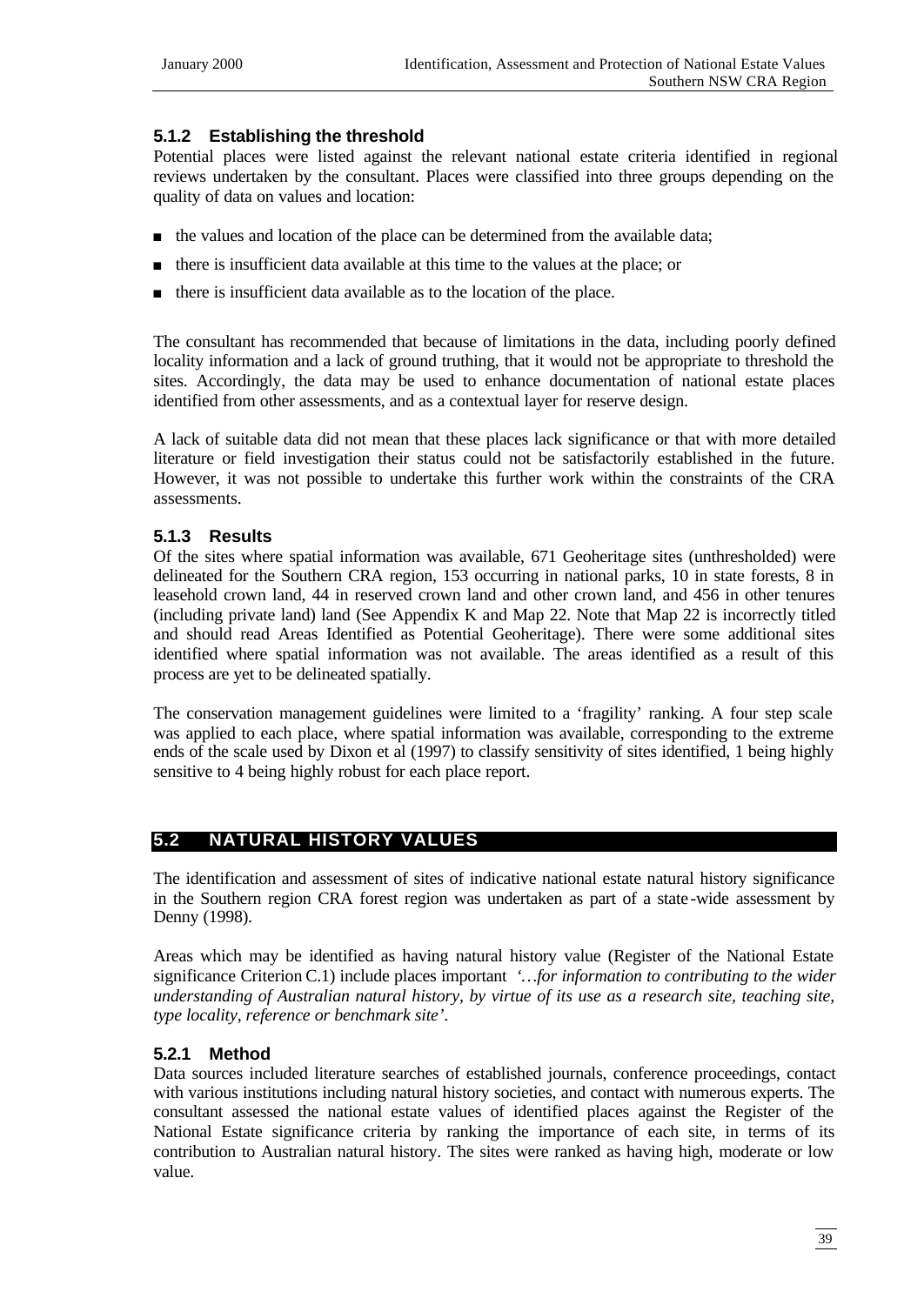## **5.1.2 Establishing the threshold**

Potential places were listed against the relevant national estate criteria identified in regional reviews undertaken by the consultant. Places were classified into three groups depending on the quality of data on values and location:

- n the values and location of the place can be determined from the available data;
- <sup>n</sup> there is insufficient data available at this time to the values at the place; or
- <sup>n</sup> there is insufficient data available as to the location of the place.

The consultant has recommended that because of limitations in the data, including poorly defined locality information and a lack of ground truthing, that it would not be appropriate to threshold the sites. Accordingly, the data may be used to enhance documentation of national estate places identified from other assessments, and as a contextual layer for reserve design.

A lack of suitable data did not mean that these places lack significance or that with more detailed literature or field investigation their status could not be satisfactorily established in the future. However, it was not possible to undertake this further work within the constraints of the CRA assessments.

## **5.1.3 Results**

Of the sites where spatial information was available, 671 Geoheritage sites (unthresholded) were delineated for the Southern CRA region, 153 occurring in national parks, 10 in state forests, 8 in leasehold crown land, 44 in reserved crown land and other crown land, and 456 in other tenures (including private land) land (See Appendix K and Map 22. Note that Map 22 is incorrectly titled and should read Areas Identified as Potential Geoheritage). There were some additional sites identified where spatial information was not available. The areas identified as a result of this process are yet to be delineated spatially.

The conservation management guidelines were limited to a 'fragility' ranking. A four step scale was applied to each place, where spatial information was available, corresponding to the extreme ends of the scale used by Dixon et al (1997) to classify sensitivity of sites identified, 1 being highly sensitive to 4 being highly robust for each place report.

# **5.2 NATURAL HISTORY VALUES**

The identification and assessment of sites of indicative national estate natural history significance in the Southern region CRA forest region was undertaken as part of a state -wide assessment by Denny (1998).

Areas which may be identified as having natural history value (Register of the National Estate significance Criterion C.1) include places important *'…for information to contributing to the wider understanding of Australian natural history, by virtue of its use as a research site, teaching site, type locality, reference or benchmark site'*.

## **5.2.1 Method**

Data sources included literature searches of established journals, conference proceedings, contact with various institutions including natural history societies, and contact with numerous experts. The consultant assessed the national estate values of identified places against the Register of the National Estate significance criteria by ranking the importance of each site, in terms of its contribution to Australian natural history. The sites were ranked as having high, moderate or low value.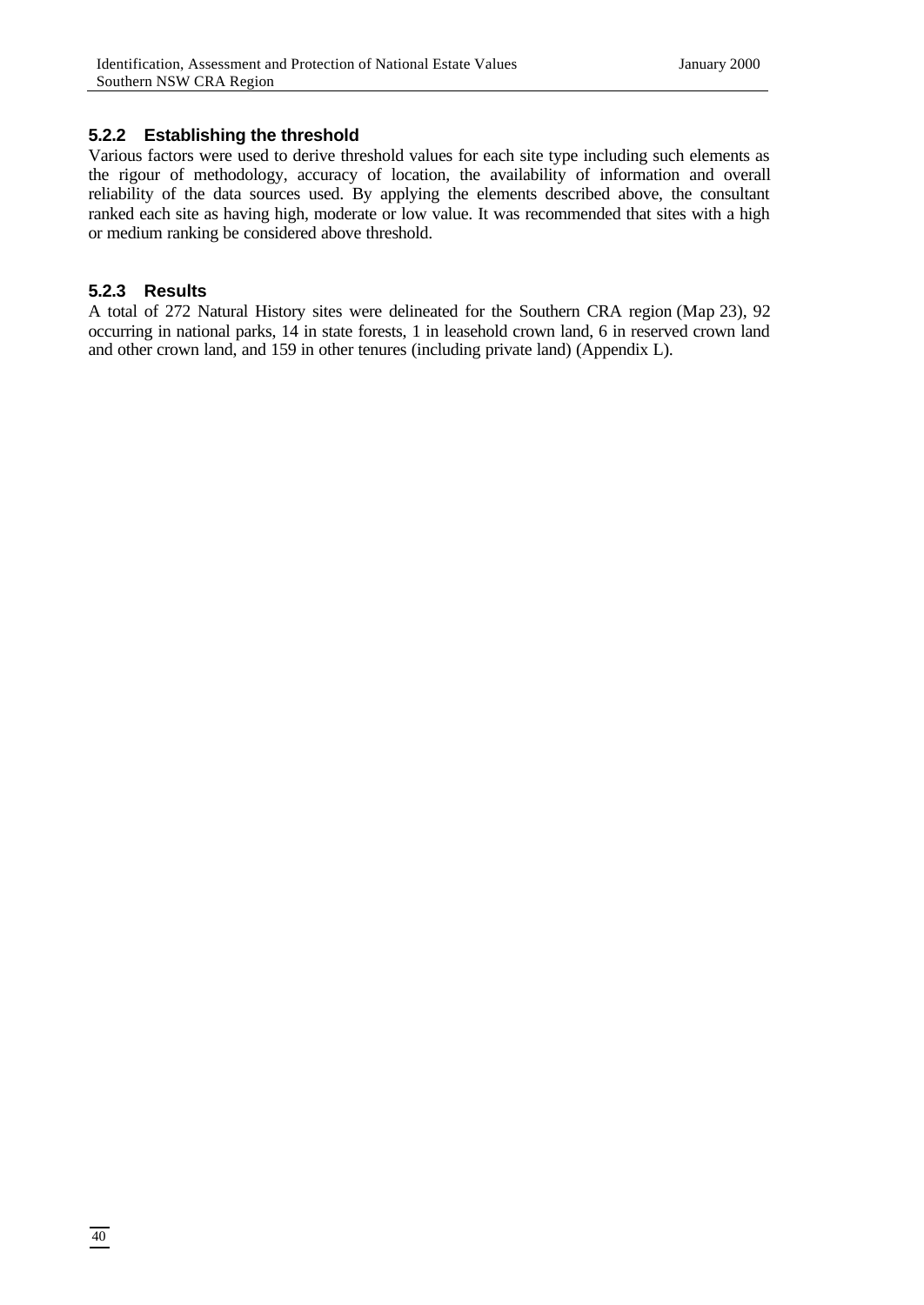#### **5.2.2 Establishing the threshold**

Various factors were used to derive threshold values for each site type including such elements as the rigour of methodology, accuracy of location, the availability of information and overall reliability of the data sources used. By applying the elements described above, the consultant ranked each site as having high, moderate or low value. It was recommended that sites with a high or medium ranking be considered above threshold.

#### **5.2.3 Results**

A total of 272 Natural History sites were delineated for the Southern CRA region (Map 23), 92 occurring in national parks, 14 in state forests, 1 in leasehold crown land, 6 in reserved crown land and other crown land, and 159 in other tenures (including private land) (Appendix L).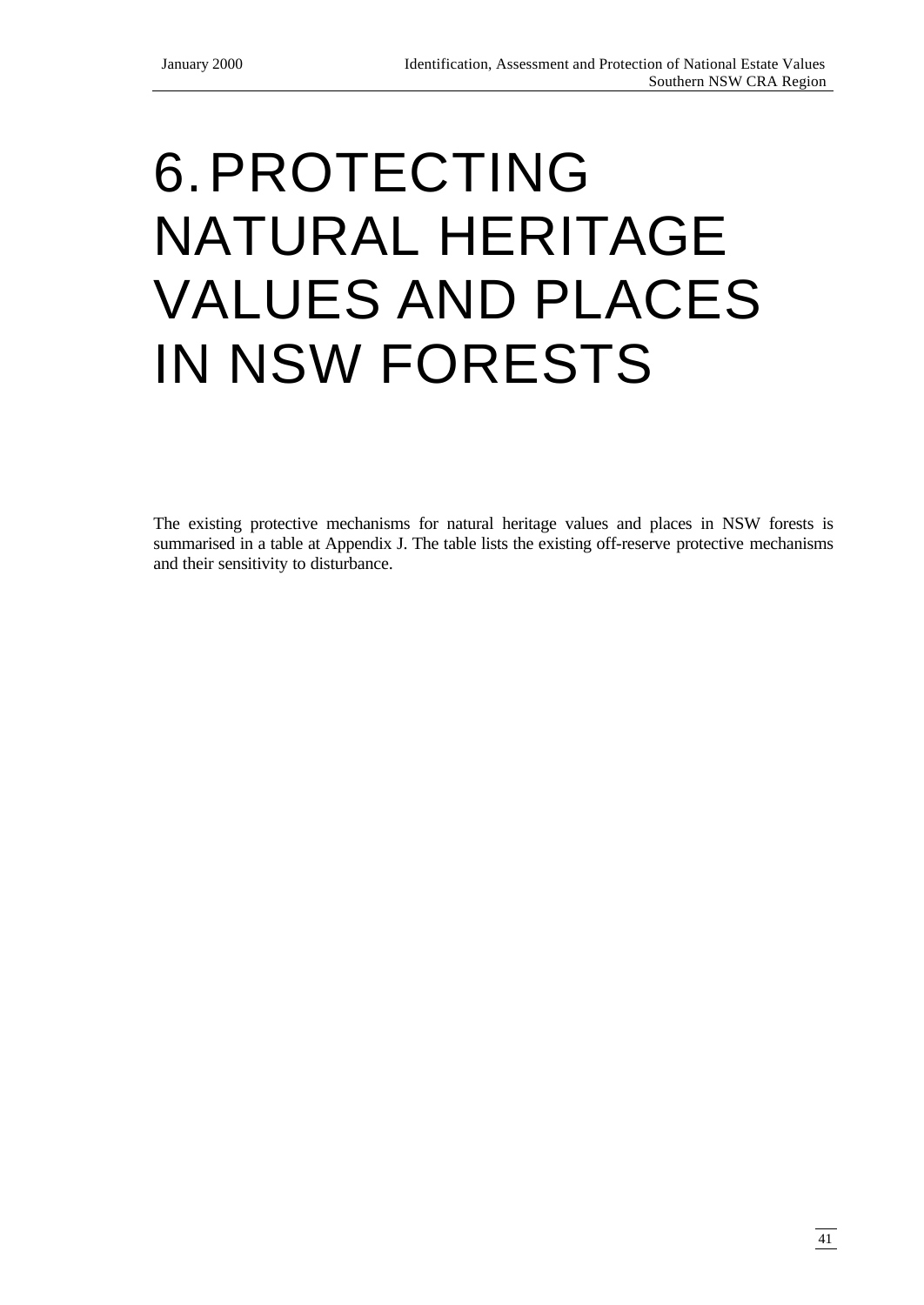# 6.PROTECTING NATURAL HERITAGE VALUES AND PLACES IN NSW FORESTS

The existing protective mechanisms for natural heritage values and places in NSW forests is summarised in a table at Appendix J. The table lists the existing off-reserve protective mechanisms and their sensitivity to disturbance.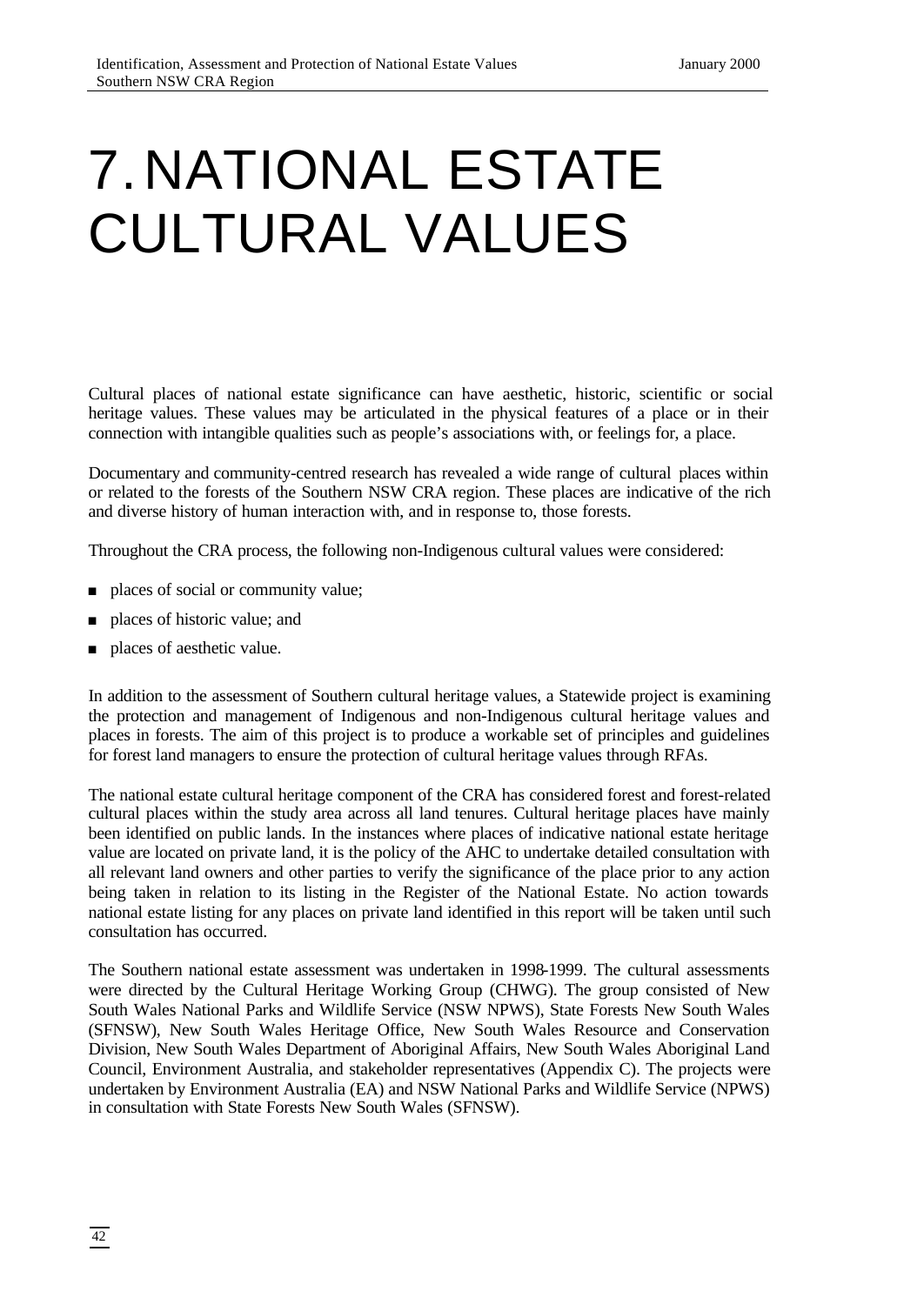# 7.NATIONAL ESTATE CULTURAL VALUES

Cultural places of national estate significance can have aesthetic, historic, scientific or social heritage values. These values may be articulated in the physical features of a place or in their connection with intangible qualities such as people's associations with, or feelings for, a place.

Documentary and community-centred research has revealed a wide range of cultural places within or related to the forests of the Southern NSW CRA region. These places are indicative of the rich and diverse history of human interaction with, and in response to, those forests.

Throughout the CRA process, the following non-Indigenous cultural values were considered:

- $\Box$  places of social or community value;
- n places of historic value; and
- n places of aesthetic value.

In addition to the assessment of Southern cultural heritage values, a Statewide project is examining the protection and management of Indigenous and non-Indigenous cultural heritage values and places in forests. The aim of this project is to produce a workable set of principles and guidelines for forest land managers to ensure the protection of cultural heritage values through RFAs.

The national estate cultural heritage component of the CRA has considered forest and forest-related cultural places within the study area across all land tenures. Cultural heritage places have mainly been identified on public lands. In the instances where places of indicative national estate heritage value are located on private land, it is the policy of the AHC to undertake detailed consultation with all relevant land owners and other parties to verify the significance of the place prior to any action being taken in relation to its listing in the Register of the National Estate. No action towards national estate listing for any places on private land identified in this report will be taken until such consultation has occurred.

The Southern national estate assessment was undertaken in 1998-1999. The cultural assessments were directed by the Cultural Heritage Working Group (CHWG). The group consisted of New South Wales National Parks and Wildlife Service (NSW NPWS), State Forests New South Wales (SFNSW), New South Wales Heritage Office, New South Wales Resource and Conservation Division, New South Wales Department of Aboriginal Affairs, New South Wales Aboriginal Land Council, Environment Australia, and stakeholder representatives (Appendix C). The projects were undertaken by Environment Australia (EA) and NSW National Parks and Wildlife Service (NPWS) in consultation with State Forests New South Wales (SFNSW).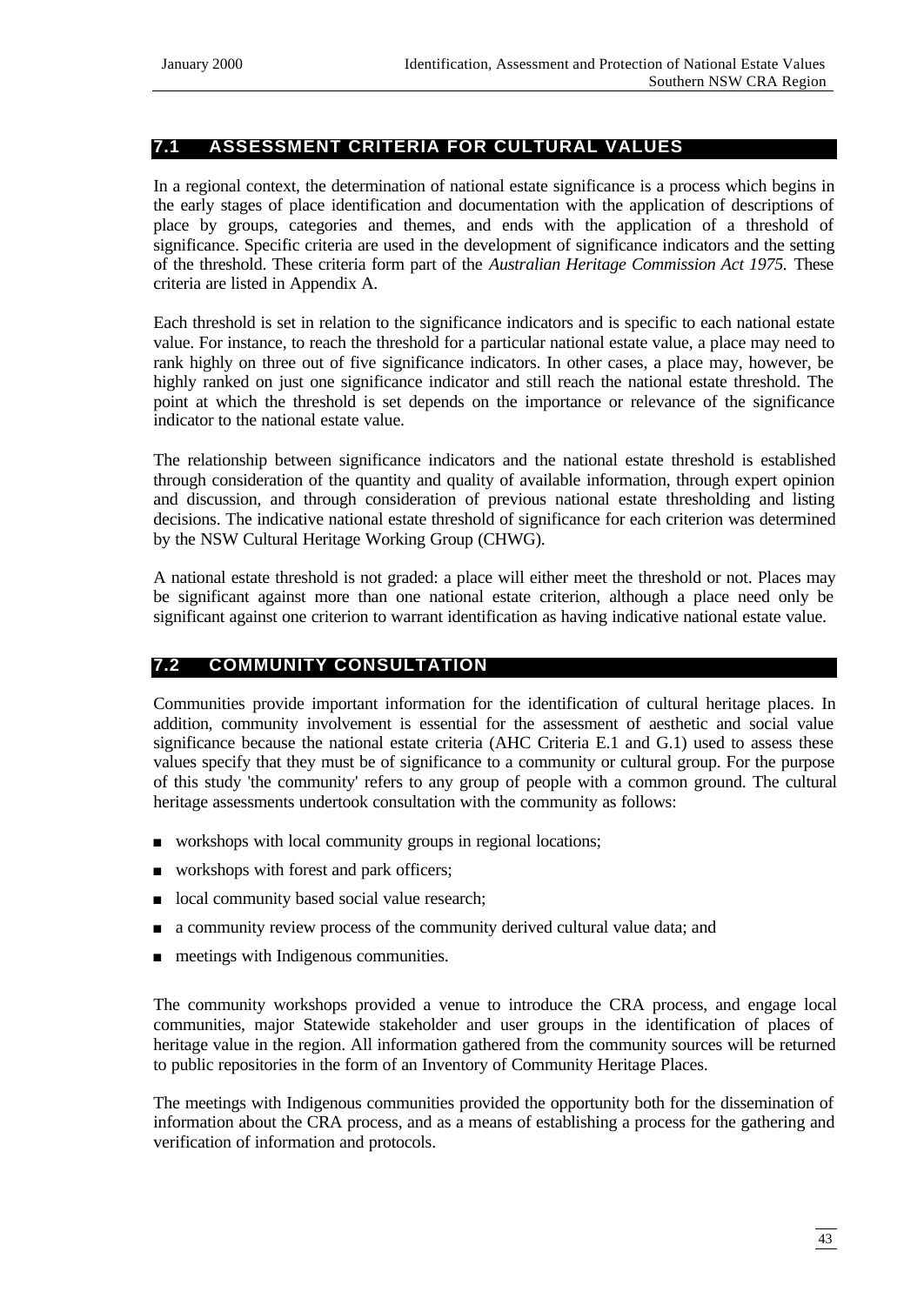## **7.1 ASSESSMENT CRITERIA FOR CULTURAL VALUES**

In a regional context, the determination of national estate significance is a process which begins in the early stages of place identification and documentation with the application of descriptions of place by groups, categories and themes, and ends with the application of a threshold of significance. Specific criteria are used in the development of significance indicators and the setting of the threshold. These criteria form part of the *Australian Heritage Commission Act 1975.* These criteria are listed in Appendix A.

Each threshold is set in relation to the significance indicators and is specific to each national estate value. For instance, to reach the threshold for a particular national estate value, a place may need to rank highly on three out of five significance indicators. In other cases, a place may, however, be highly ranked on just one significance indicator and still reach the national estate threshold. The point at which the threshold is set depends on the importance or relevance of the significance indicator to the national estate value.

The relationship between significance indicators and the national estate threshold is established through consideration of the quantity and quality of available information, through expert opinion and discussion, and through consideration of previous national estate thresholding and listing decisions. The indicative national estate threshold of significance for each criterion was determined by the NSW Cultural Heritage Working Group (CHWG).

A national estate threshold is not graded: a place will either meet the threshold or not. Places may be significant against more than one national estate criterion, although a place need only be significant against one criterion to warrant identification as having indicative national estate value.

## **7.2 COMMUNITY CONSULTATION**

Communities provide important information for the identification of cultural heritage places. In addition, community involvement is essential for the assessment of aesthetic and social value significance because the national estate criteria (AHC Criteria E.1 and G.1) used to assess these values specify that they must be of significance to a community or cultural group. For the purpose of this study 'the community' refers to any group of people with a common ground. The cultural heritage assessments undertook consultation with the community as follows:

- n workshops with local community groups in regional locations;
- workshops with forest and park officers;
- n local community based social value research;
- <sup>n</sup> a community review process of the community derived cultural value data; and
- n meetings with Indigenous communities.

The community workshops provided a venue to introduce the CRA process, and engage local communities, major Statewide stakeholder and user groups in the identification of places of heritage value in the region. All information gathered from the community sources will be returned to public repositories in the form of an Inventory of Community Heritage Places.

The meetings with Indigenous communities provided the opportunity both for the dissemination of information about the CRA process, and as a means of establishing a process for the gathering and verification of information and protocols.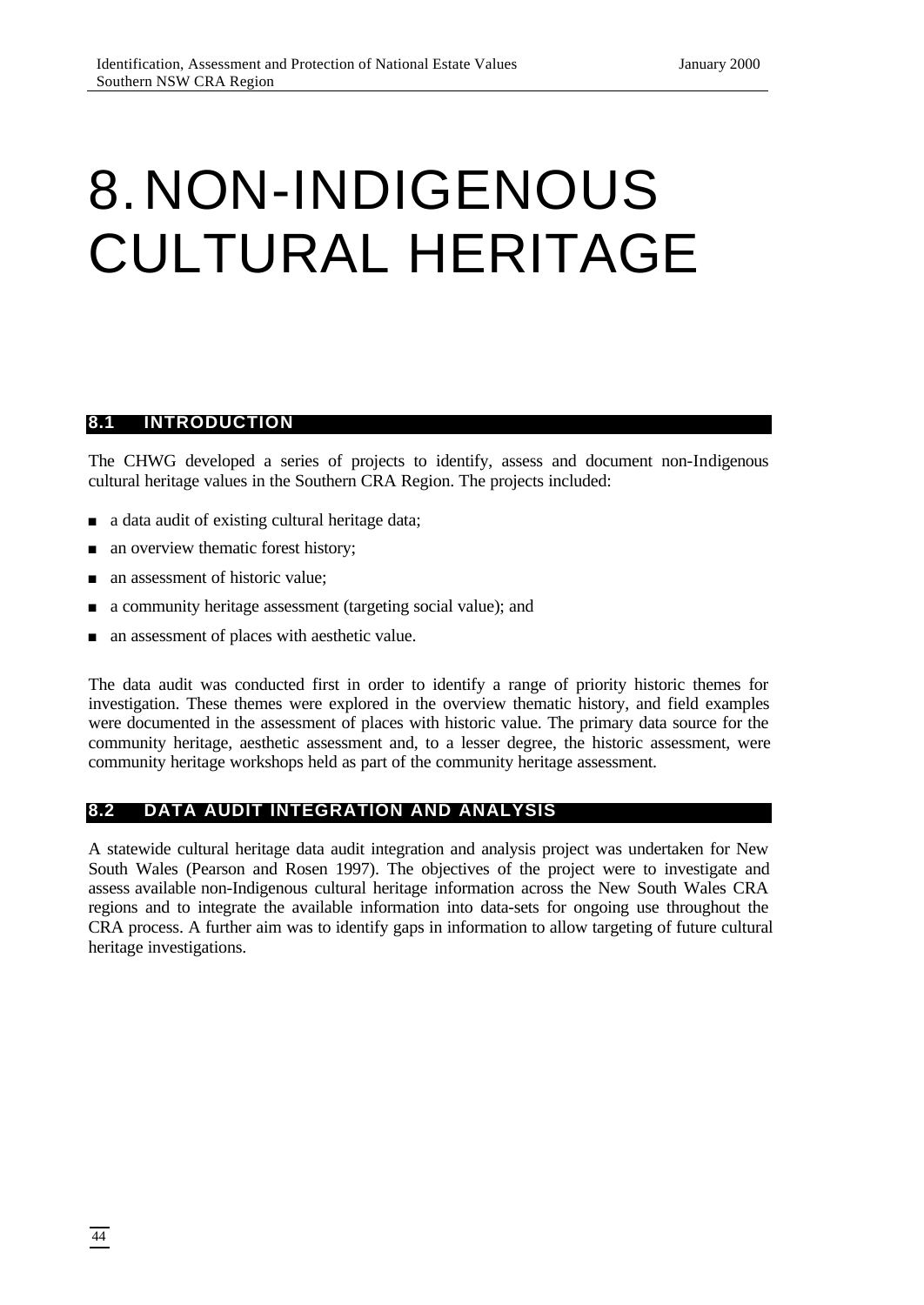# 8.NON-INDIGENOUS CULTURAL HERITAGE

#### **8.1 INTRODUCTION**

The CHWG developed a series of projects to identify, assess and document non-Indigenous cultural heritage values in the Southern CRA Region. The projects included:

- $\Box$  a data audit of existing cultural heritage data;
- n an overview thematic forest history;
- <sup>n</sup> an assessment of historic value;
- <sup>n</sup> a community heritage assessment (targeting social value); and
- <sup>n</sup> an assessment of places with aesthetic value.

The data audit was conducted first in order to identify a range of priority historic themes for investigation. These themes were explored in the overview thematic history, and field examples were documented in the assessment of places with historic value. The primary data source for the community heritage, aesthetic assessment and, to a lesser degree, the historic assessment, were community heritage workshops held as part of the community heritage assessment.

# **8.2 DATA AUDIT INTEGRATION AND ANALYSIS**

A statewide cultural heritage data audit integration and analysis project was undertaken for New South Wales (Pearson and Rosen 1997). The objectives of the project were to investigate and assess available non-Indigenous cultural heritage information across the New South Wales CRA regions and to integrate the available information into data-sets for ongoing use throughout the CRA process. A further aim was to identify gaps in information to allow targeting of future cultural heritage investigations.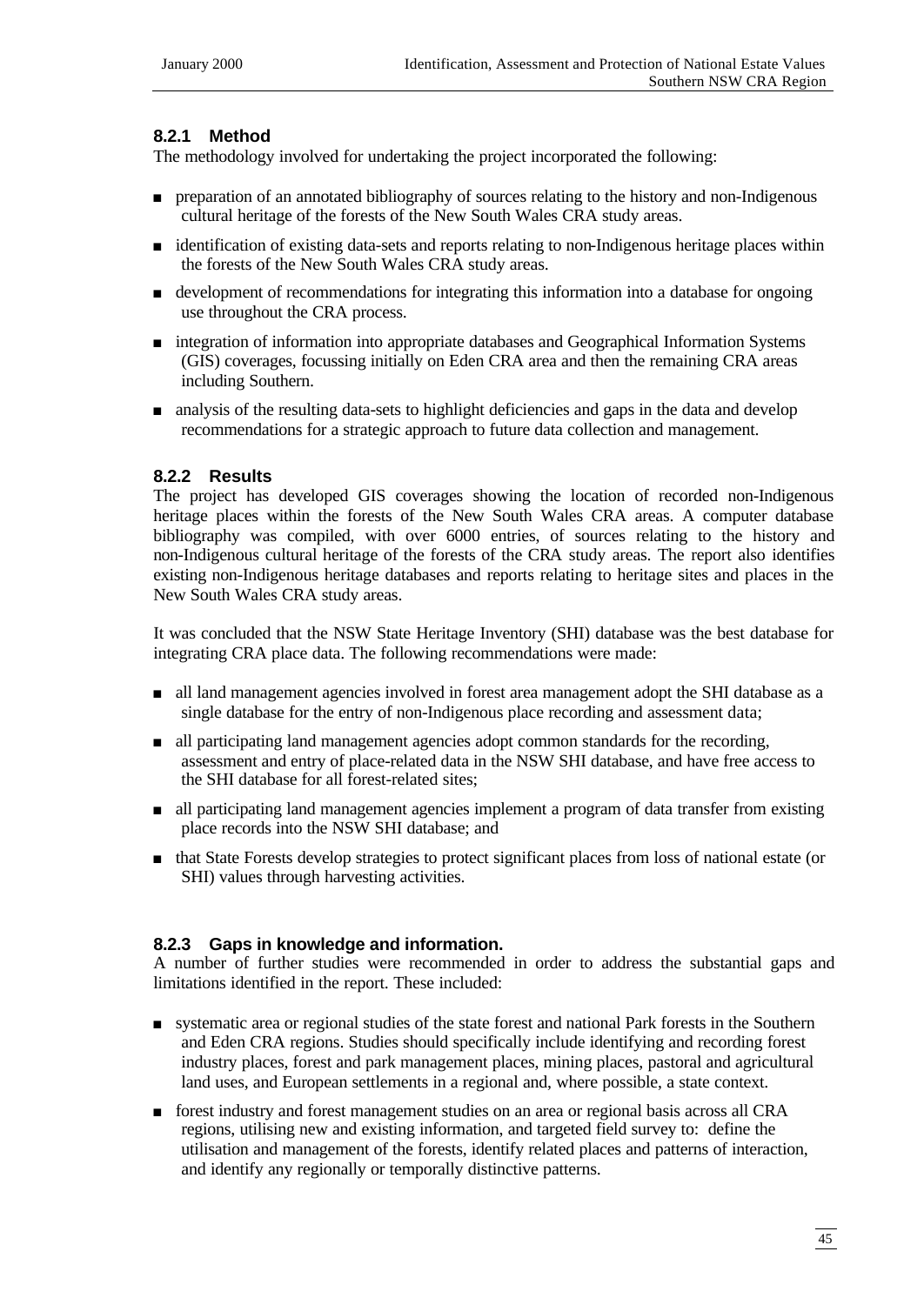## **8.2.1 Method**

The methodology involved for undertaking the project incorporated the following:

- n preparation of an annotated bibliography of sources relating to the history and non-Indigenous cultural heritage of the forests of the New South Wales CRA study areas.
- <sup>n</sup> identification of existing data-sets and reports relating to non-Indigenous heritage places within the forests of the New South Wales CRA study areas.
- <sup>n</sup> development of recommendations for integrating this information into a database for ongoing use throughout the CRA process.
- n integration of information into appropriate databases and Geographical Information Systems (GIS) coverages, focussing initially on Eden CRA area and then the remaining CRA areas including Southern.
- n analysis of the resulting data-sets to highlight deficiencies and gaps in the data and develop recommendations for a strategic approach to future data collection and management.

# **8.2.2 Results**

The project has developed GIS coverages showing the location of recorded non-Indigenous heritage places within the forests of the New South Wales CRA areas. A computer database bibliography was compiled, with over 6000 entries, of sources relating to the history and non-Indigenous cultural heritage of the forests of the CRA study areas. The report also identifies existing non-Indigenous heritage databases and reports relating to heritage sites and places in the New South Wales CRA study areas.

It was concluded that the NSW State Heritage Inventory (SHI) database was the best database for integrating CRA place data. The following recommendations were made:

- <sup>n</sup> all land management agencies involved in forest area management adopt the SHI database as a single database for the entry of non-Indigenous place recording and assessment data;
- n all participating land management agencies adopt common standards for the recording, assessment and entry of place-related data in the NSW SHI database, and have free access to the SHI database for all forest-related sites;
- <sup>n</sup> all participating land management agencies implement a program of data transfer from existing place records into the NSW SHI database; and
- <sup>n</sup> that State Forests develop strategies to protect significant places from loss of national estate (or SHI) values through harvesting activities.

## **8.2.3 Gaps in knowledge and information.**

A number of further studies were recommended in order to address the substantial gaps and limitations identified in the report. These included:

- <sup>n</sup> systematic area or regional studies of the state forest and national Park forests in the Southern and Eden CRA regions. Studies should specifically include identifying and recording forest industry places, forest and park management places, mining places, pastoral and agricultural land uses, and European settlements in a regional and, where possible, a state context.
- <sup>n</sup> forest industry and forest management studies on an area or regional basis across all CRA regions, utilising new and existing information, and targeted field survey to: define the utilisation and management of the forests, identify related places and patterns of interaction, and identify any regionally or temporally distinctive patterns.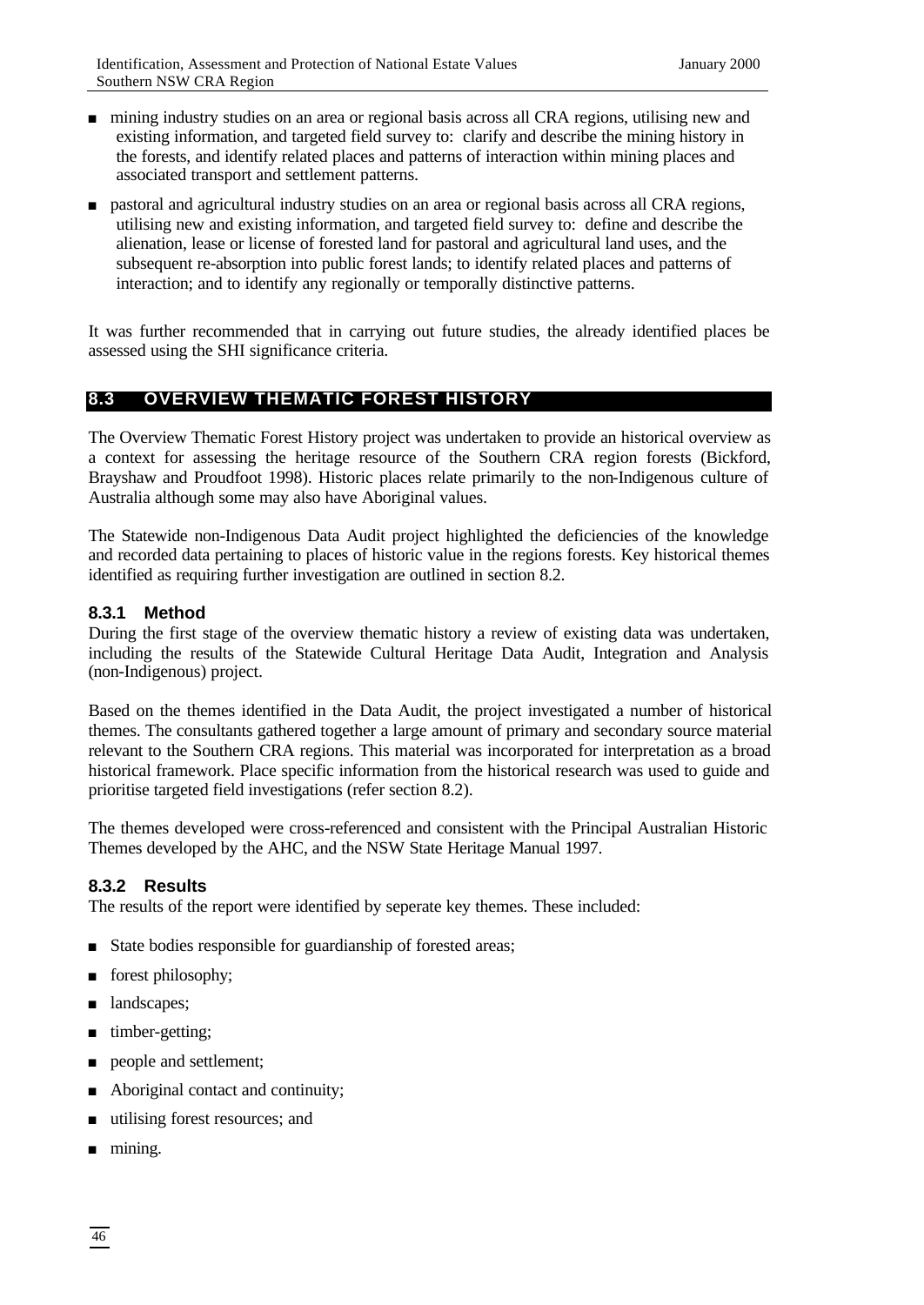- n mining industry studies on an area or regional basis across all CRA regions, utilising new and existing information, and targeted field survey to: clarify and describe the mining history in the forests, and identify related places and patterns of interaction within mining places and associated transport and settlement patterns.
- <sup>n</sup> pastoral and agricultural industry studies on an area or regional basis across all CRA regions, utilising new and existing information, and targeted field survey to: define and describe the alienation, lease or license of forested land for pastoral and agricultural land uses, and the subsequent re-absorption into public forest lands; to identify related places and patterns of interaction; and to identify any regionally or temporally distinctive patterns.

It was further recommended that in carrying out future studies, the already identified places be assessed using the SHI significance criteria.

# **8.3 OVERVIEW THEMATIC FOREST HISTORY**

The Overview Thematic Forest History project was undertaken to provide an historical overview as a context for assessing the heritage resource of the Southern CRA region forests (Bickford, Brayshaw and Proudfoot 1998). Historic places relate primarily to the non-Indigenous culture of Australia although some may also have Aboriginal values.

The Statewide non-Indigenous Data Audit project highlighted the deficiencies of the knowledge and recorded data pertaining to places of historic value in the regions forests. Key historical themes identified as requiring further investigation are outlined in section 8.2.

# **8.3.1 Method**

During the first stage of the overview thematic history a review of existing data was undertaken, including the results of the Statewide Cultural Heritage Data Audit, Integration and Analysis (non-Indigenous) project.

Based on the themes identified in the Data Audit, the project investigated a number of historical themes. The consultants gathered together a large amount of primary and secondary source material relevant to the Southern CRA regions. This material was incorporated for interpretation as a broad historical framework. Place specific information from the historical research was used to guide and prioritise targeted field investigations (refer section 8.2).

The themes developed were cross-referenced and consistent with the Principal Australian Historic Themes developed by the AHC, and the NSW State Heritage Manual 1997.

## **8.3.2 Results**

The results of the report were identified by seperate key themes. These included:

- State bodies responsible for guardianship of forested areas;
- n forest philosophy;
- **n** landscapes;
- $\blacksquare$  timber-getting;
- **n** people and settlement;
- $\blacksquare$  Aboriginal contact and continuity;
- n utilising forest resources; and
- $\blacksquare$  mining.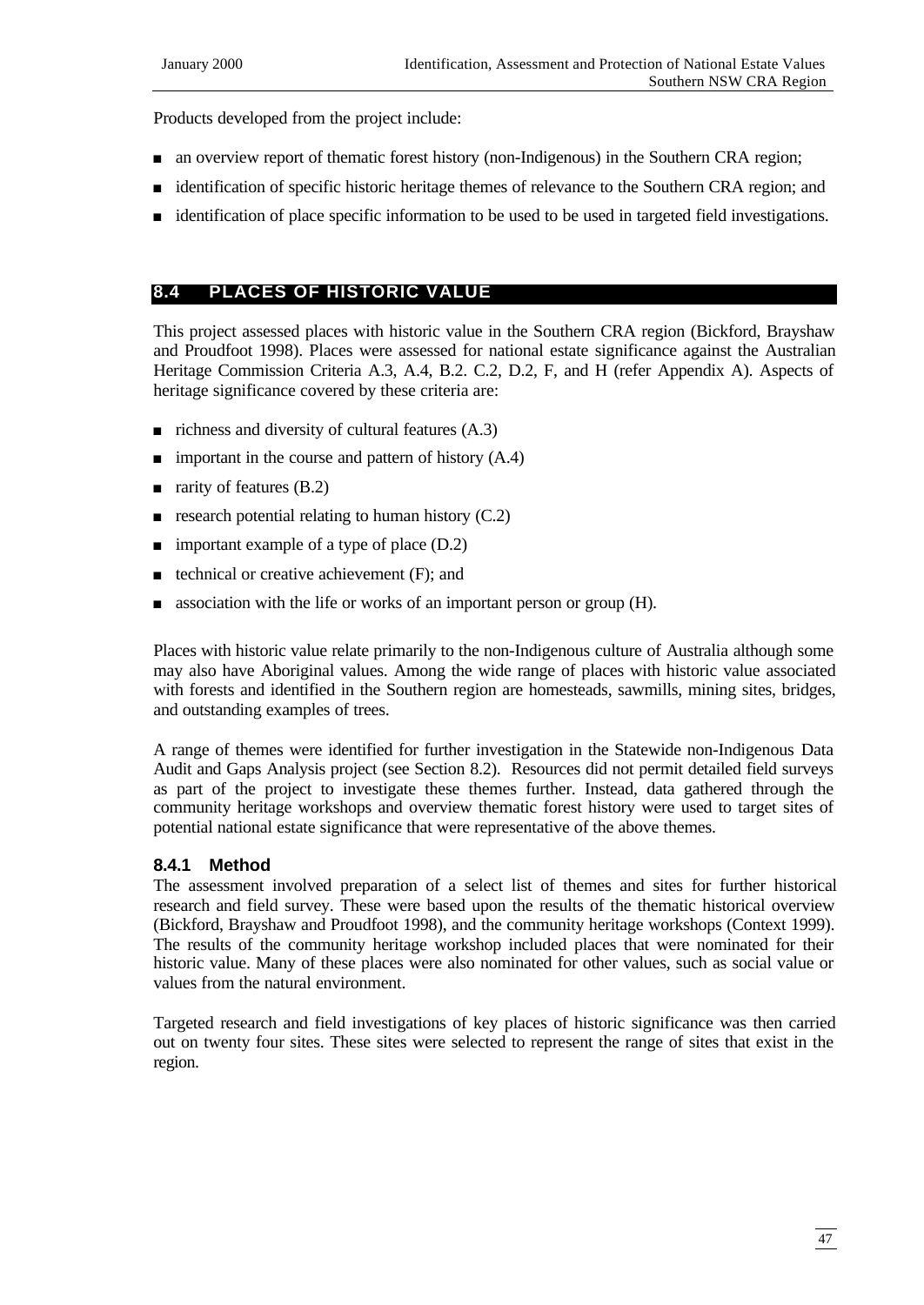Products developed from the project include:

- n an overview report of thematic forest history (non-Indigenous) in the Southern CRA region;
- identification of specific historic heritage themes of relevance to the Southern CRA region; and
- <sup>n</sup> identification of place specific information to be used to be used in targeted field investigations.

## **8.4 PLACES OF HISTORIC VALUE**

This project assessed places with historic value in the Southern CRA region (Bickford, Brayshaw and Proudfoot 1998). Places were assessed for national estate significance against the Australian Heritage Commission Criteria A.3, A.4, B.2. C.2, D.2, F, and H (refer Appendix A). Aspects of heritage significance covered by these criteria are:

- $\blacksquare$  richness and diversity of cultural features (A.3)
- important in the course and pattern of history  $(A.4)$
- n rarity of features  $(B.2)$
- research potential relating to human history  $(C.2)$
- $\blacksquare$  important example of a type of place (D.2)
- <sup>n</sup> technical or creative achievement (F); and
- association with the life or works of an important person or group (H).

Places with historic value relate primarily to the non-Indigenous culture of Australia although some may also have Aboriginal values. Among the wide range of places with historic value associated with forests and identified in the Southern region are homesteads, sawmills, mining sites, bridges, and outstanding examples of trees.

A range of themes were identified for further investigation in the Statewide non-Indigenous Data Audit and Gaps Analysis project (see Section 8.2). Resources did not permit detailed field surveys as part of the project to investigate these themes further. Instead, data gathered through the community heritage workshops and overview thematic forest history were used to target sites of potential national estate significance that were representative of the above themes.

## **8.4.1 Method**

The assessment involved preparation of a select list of themes and sites for further historical research and field survey. These were based upon the results of the thematic historical overview (Bickford, Brayshaw and Proudfoot 1998), and the community heritage workshops (Context 1999). The results of the community heritage workshop included places that were nominated for their historic value. Many of these places were also nominated for other values, such as social value or values from the natural environment.

Targeted research and field investigations of key places of historic significance was then carried out on twenty four sites. These sites were selected to represent the range of sites that exist in the region.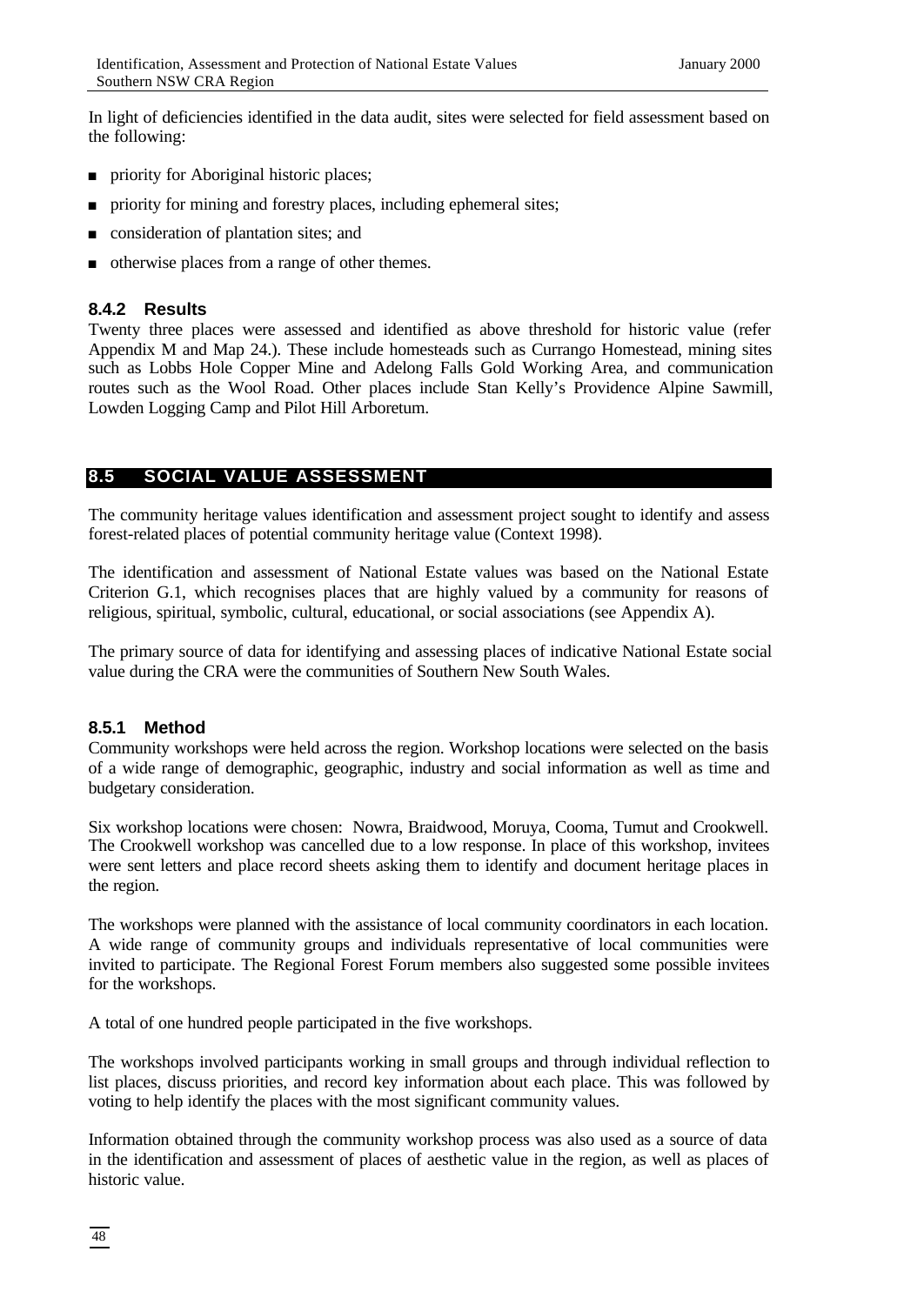In light of deficiencies identified in the data audit, sites were selected for field assessment based on the following:

- n priority for Aboriginal historic places;
- n priority for mining and forestry places, including ephemeral sites;
- n consideration of plantation sites; and
- otherwise places from a range of other themes.

#### **8.4.2 Results**

Twenty three places were assessed and identified as above threshold for historic value (refer Appendix M and Map 24.). These include homesteads such as Currango Homestead, mining sites such as Lobbs Hole Copper Mine and Adelong Falls Gold Working Area, and communication routes such as the Wool Road. Other places include Stan Kelly's Providence Alpine Sawmill, Lowden Logging Camp and Pilot Hill Arboretum.

#### **8.5 SOCIAL VALUE ASSESSMENT**

The community heritage values identification and assessment project sought to identify and assess forest-related places of potential community heritage value (Context 1998).

The identification and assessment of National Estate values was based on the National Estate Criterion G.1, which recognises places that are highly valued by a community for reasons of religious, spiritual, symbolic, cultural, educational, or social associations (see Appendix A).

The primary source of data for identifying and assessing places of indicative National Estate social value during the CRA were the communities of Southern New South Wales.

#### **8.5.1 Method**

Community workshops were held across the region. Workshop locations were selected on the basis of a wide range of demographic, geographic, industry and social information as well as time and budgetary consideration.

Six workshop locations were chosen: Nowra, Braidwood, Moruya, Cooma, Tumut and Crookwell. The Crookwell workshop was cancelled due to a low response. In place of this workshop, invitees were sent letters and place record sheets asking them to identify and document heritage places in the region.

The workshops were planned with the assistance of local community coordinators in each location. A wide range of community groups and individuals representative of local communities were invited to participate. The Regional Forest Forum members also suggested some possible invitees for the workshops.

A total of one hundred people participated in the five workshops.

The workshops involved participants working in small groups and through individual reflection to list places, discuss priorities, and record key information about each place. This was followed by voting to help identify the places with the most significant community values.

Information obtained through the community workshop process was also used as a source of data in the identification and assessment of places of aesthetic value in the region, as well as places of historic value.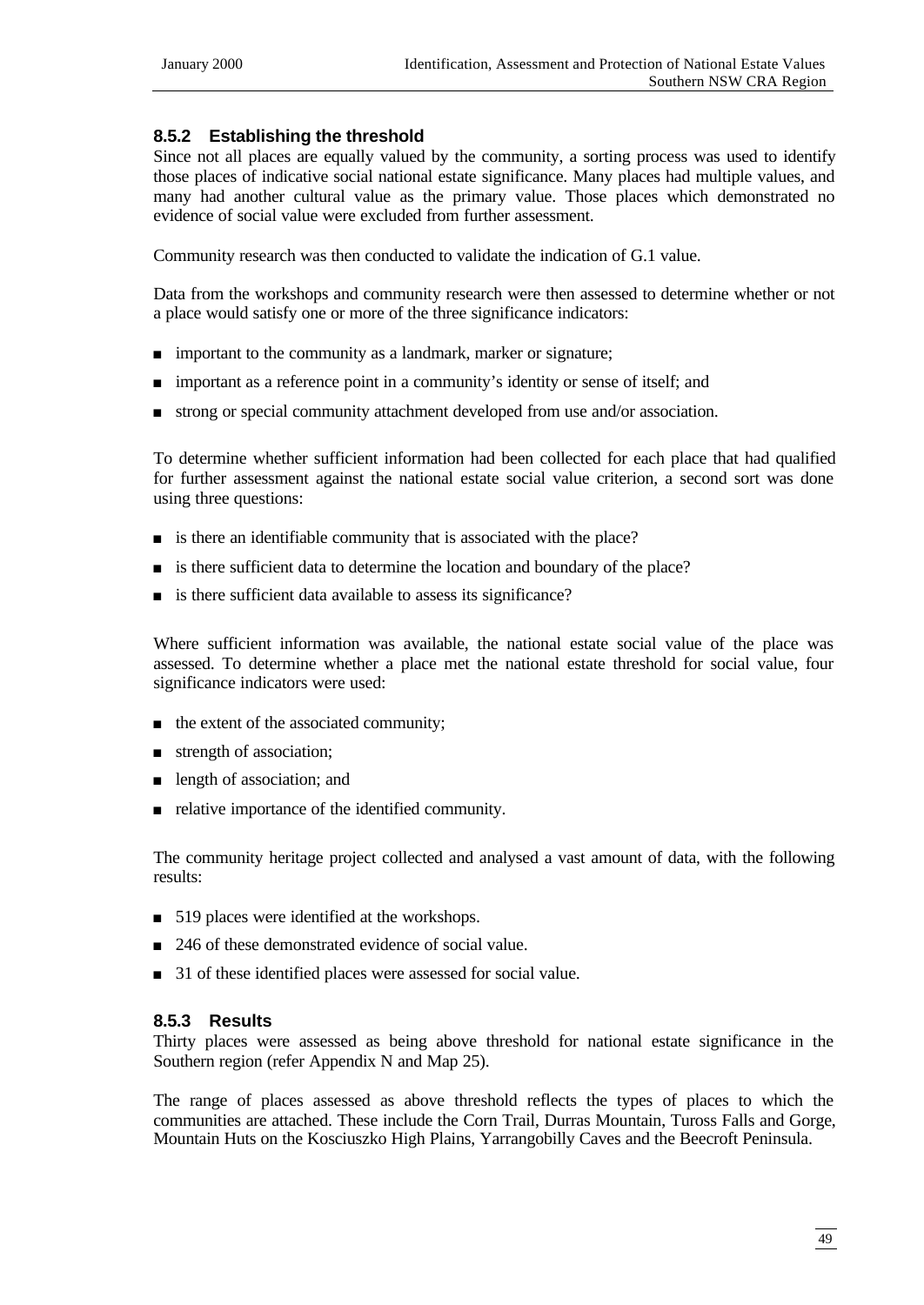## **8.5.2 Establishing the threshold**

Since not all places are equally valued by the community, a sorting process was used to identify those places of indicative social national estate significance. Many places had multiple values, and many had another cultural value as the primary value. Those places which demonstrated no evidence of social value were excluded from further assessment.

Community research was then conducted to validate the indication of G.1 value.

Data from the workshops and community research were then assessed to determine whether or not a place would satisfy one or more of the three significance indicators:

- <sup>n</sup> important to the community as a landmark, marker or signature;
- n important as a reference point in a community's identity or sense of itself; and
- <sup>n</sup> strong or special community attachment developed from use and/or association.

To determine whether sufficient information had been collected for each place that had qualified for further assessment against the national estate social value criterion, a second sort was done using three questions:

- $\blacksquare$  is there an identifiable community that is associated with the place?
- <sup>n</sup> is there sufficient data to determine the location and boundary of the place?
- is there sufficient data available to assess its significance?

Where sufficient information was available, the national estate social value of the place was assessed. To determine whether a place met the national estate threshold for social value, four significance indicators were used:

- $\blacksquare$  the extent of the associated community;
- $\blacksquare$  strength of association;
- n length of association; and
- $\blacksquare$  relative importance of the identified community.

The community heritage project collected and analysed a vast amount of data, with the following results:

- $\Box$  519 places were identified at the workshops.
- $\Box$  246 of these demonstrated evidence of social value.
- 31 of these identified places were assessed for social value.

## **8.5.3 Results**

Thirty places were assessed as being above threshold for national estate significance in the Southern region (refer Appendix N and Map 25).

The range of places assessed as above threshold reflects the types of places to which the communities are attached. These include the Corn Trail, Durras Mountain, Tuross Falls and Gorge, Mountain Huts on the Kosciuszko High Plains, Yarrangobilly Caves and the Beecroft Peninsula.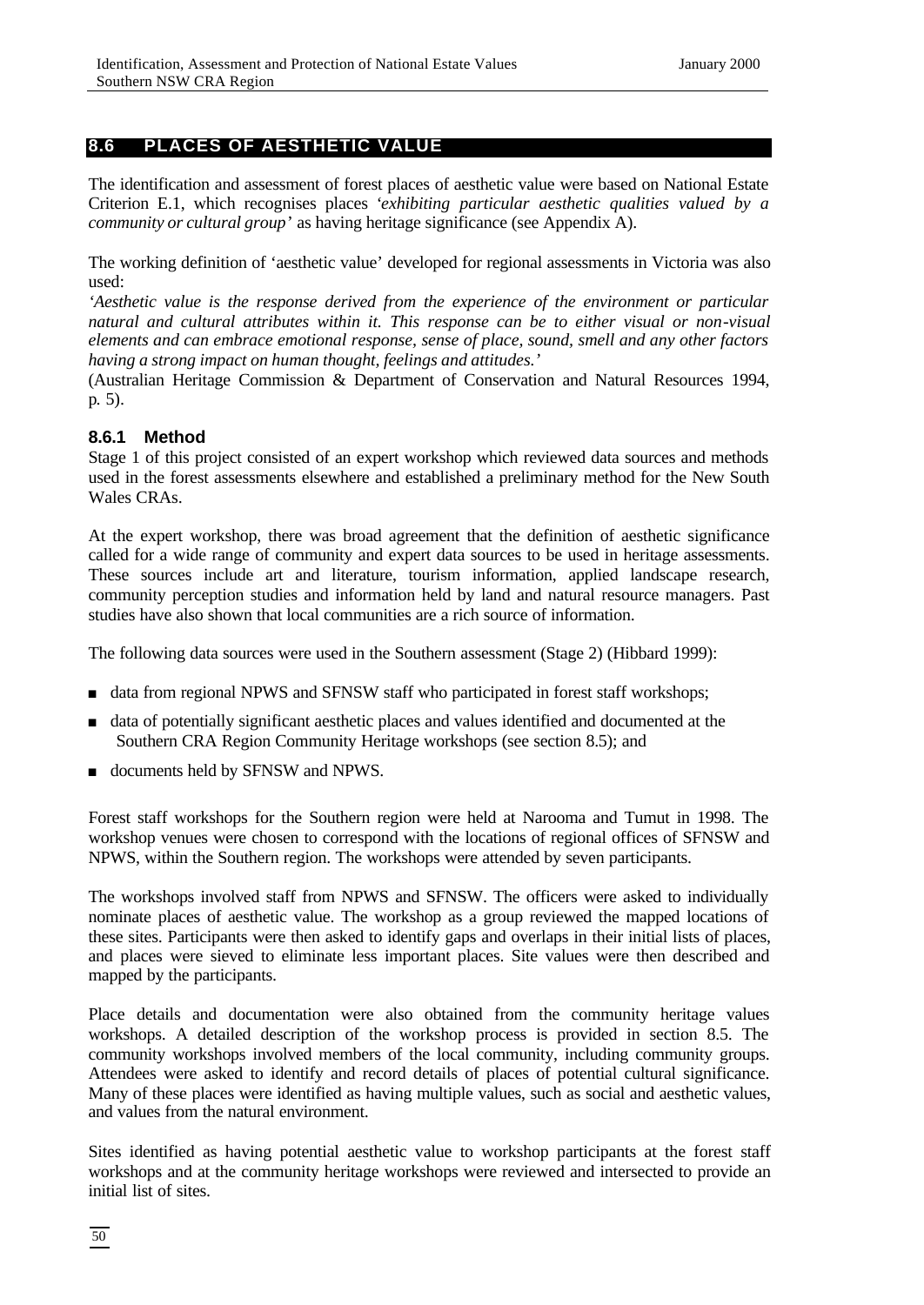# **8.6 PLACES OF AESTHETIC VALUE**

The identification and assessment of forest places of aesthetic value were based on National Estate Criterion E.1, which recognises places '*exhibiting particular aesthetic qualities valued by a community or cultural group*' as having heritage significance (see Appendix A).

The working definition of 'aesthetic value' developed for regional assessments in Victoria was also used:

*'Aesthetic value is the response derived from the experience of the environment or particular natural and cultural attributes within it. This response can be to either visual or non*-*visual elements and can embrace emotional response, sense of place, sound, smell and any other factors having a strong impact on human thought, feelings and attitudes.'*

(Australian Heritage Commission & Department of Conservation and Natural Resources 1994, p. 5).

## **8.6.1 Method**

Stage 1 of this project consisted of an expert workshop which reviewed data sources and methods used in the forest assessments elsewhere and established a preliminary method for the New South Wales CRAs.

At the expert workshop, there was broad agreement that the definition of aesthetic significance called for a wide range of community and expert data sources to be used in heritage assessments. These sources include art and literature, tourism information, applied landscape research, community perception studies and information held by land and natural resource managers. Past studies have also shown that local communities are a rich source of information.

The following data sources were used in the Southern assessment (Stage 2) (Hibbard 1999):

- data from regional NPWS and SFNSW staff who participated in forest staff workshops;
- <sup>n</sup> data of potentially significant aesthetic places and values identified and documented at the Southern CRA Region Community Heritage workshops (see section 8.5); and
- <sup>n</sup> documents held by SFNSW and NPWS.

Forest staff workshops for the Southern region were held at Narooma and Tumut in 1998. The workshop venues were chosen to correspond with the locations of regional offices of SFNSW and NPWS, within the Southern region. The workshops were attended by seven participants.

The workshops involved staff from NPWS and SFNSW. The officers were asked to individually nominate places of aesthetic value. The workshop as a group reviewed the mapped locations of these sites. Participants were then asked to identify gaps and overlaps in their initial lists of places, and places were sieved to eliminate less important places. Site values were then described and mapped by the participants.

Place details and documentation were also obtained from the community heritage values workshops. A detailed description of the workshop process is provided in section 8.5. The community workshops involved members of the local community, including community groups. Attendees were asked to identify and record details of places of potential cultural significance. Many of these places were identified as having multiple values, such as social and aesthetic values, and values from the natural environment.

Sites identified as having potential aesthetic value to workshop participants at the forest staff workshops and at the community heritage workshops were reviewed and intersected to provide an initial list of sites.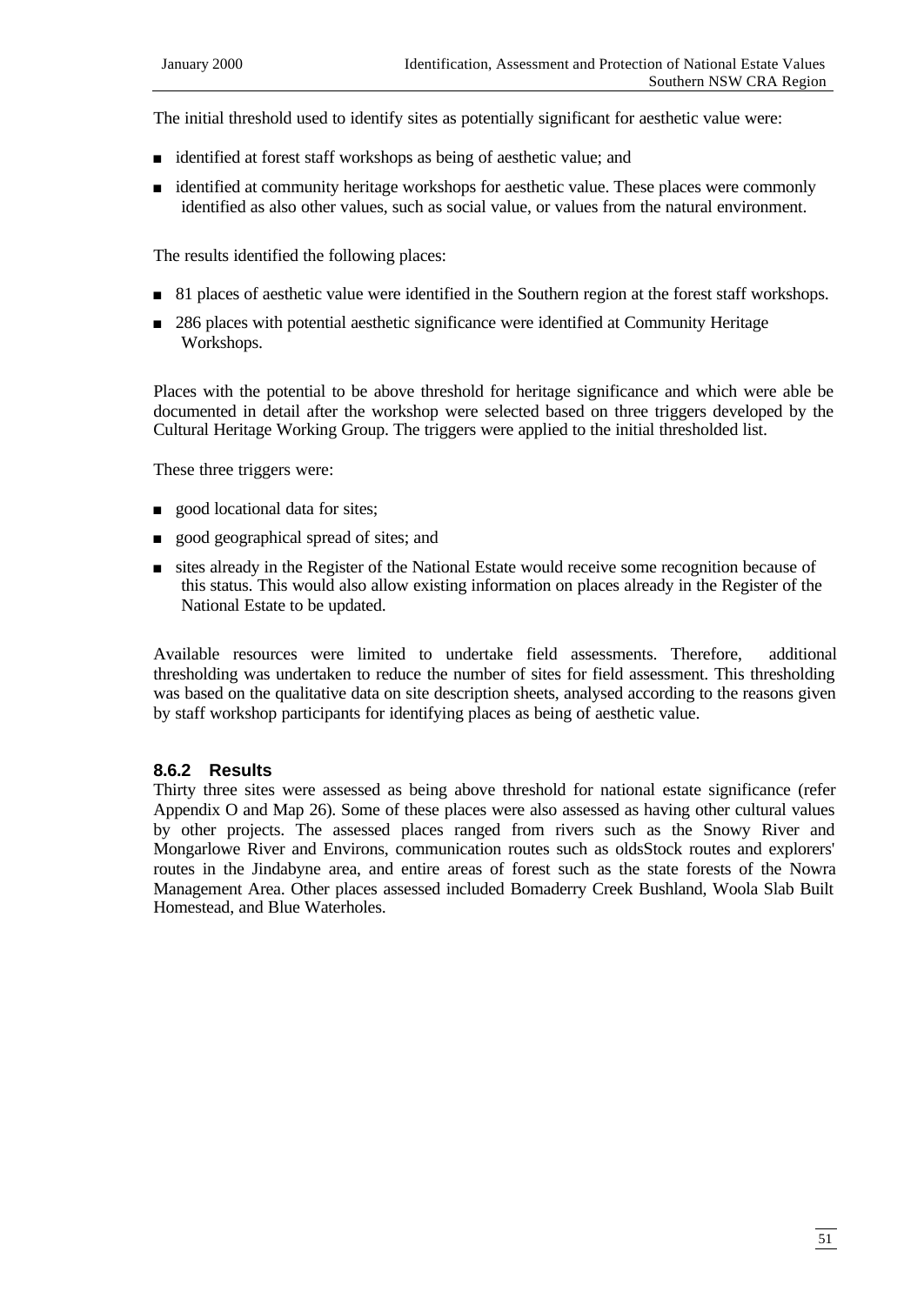The initial threshold used to identify sites as potentially significant for aesthetic value were:

- <sup>n</sup> identified at forest staff workshops as being of aesthetic value; and
- <sup>n</sup> identified at community heritage workshops for aesthetic value. These places were commonly identified as also other values, such as social value, or values from the natural environment.

The results identified the following places:

- 81 places of aesthetic value were identified in the Southern region at the forest staff workshops.
- n 286 places with potential aesthetic significance were identified at Community Heritage Workshops.

Places with the potential to be above threshold for heritage significance and which were able be documented in detail after the workshop were selected based on three triggers developed by the Cultural Heritage Working Group. The triggers were applied to the initial thresholded list.

These three triggers were:

- **n** good locational data for sites;
- <sup>n</sup> good geographical spread of sites; and
- <sup>n</sup> sites already in the Register of the National Estate would receive some recognition because of this status. This would also allow existing information on places already in the Register of the National Estate to be updated.

Available resources were limited to undertake field assessments. Therefore, additional thresholding was undertaken to reduce the number of sites for field assessment. This thresholding was based on the qualitative data on site description sheets, analysed according to the reasons given by staff workshop participants for identifying places as being of aesthetic value.

## **8.6.2 Results**

Thirty three sites were assessed as being above threshold for national estate significance (refer Appendix O and Map 26). Some of these places were also assessed as having other cultural values by other projects. The assessed places ranged from rivers such as the Snowy River and Mongarlowe River and Environs, communication routes such as oldsStock routes and explorers' routes in the Jindabyne area, and entire areas of forest such as the state forests of the Nowra Management Area. Other places assessed included Bomaderry Creek Bushland, Woola Slab Built Homestead, and Blue Waterholes.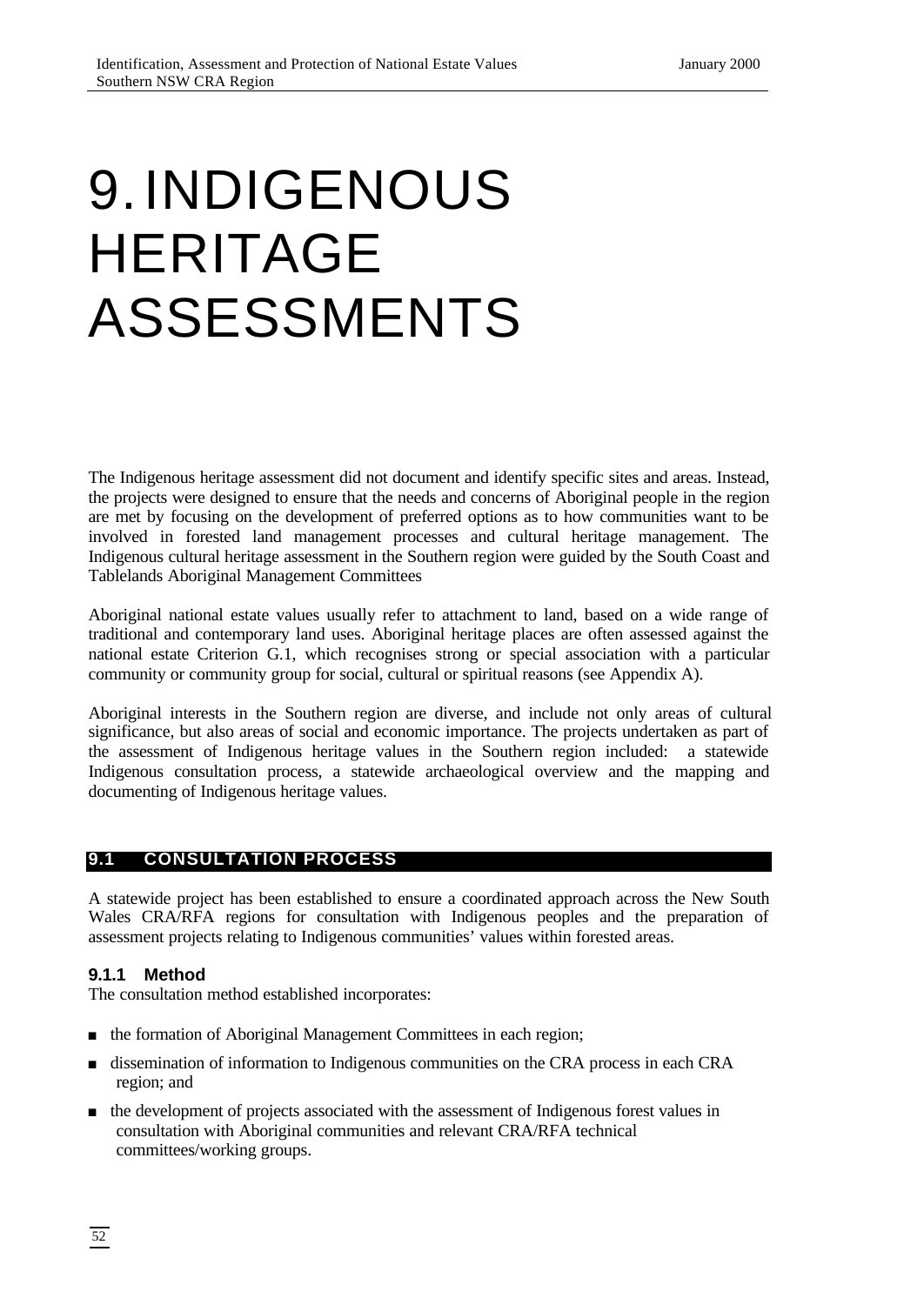# 9.INDIGENOUS HERITAGE ASSESSMENTS

The Indigenous heritage assessment did not document and identify specific sites and areas. Instead, the projects were designed to ensure that the needs and concerns of Aboriginal people in the region are met by focusing on the development of preferred options as to how communities want to be involved in forested land management processes and cultural heritage management. The Indigenous cultural heritage assessment in the Southern region were guided by the South Coast and Tablelands Aboriginal Management Committees

Aboriginal national estate values usually refer to attachment to land, based on a wide range of traditional and contemporary land uses. Aboriginal heritage places are often assessed against the national estate Criterion G.1, which recognises strong or special association with a particular community or community group for social, cultural or spiritual reasons (see Appendix A).

Aboriginal interests in the Southern region are diverse, and include not only areas of cultural significance, but also areas of social and economic importance. The projects undertaken as part of the assessment of Indigenous heritage values in the Southern region included: a statewide Indigenous consultation process, a statewide archaeological overview and the mapping and documenting of Indigenous heritage values.

# **9.1 CONSULTATION PROCESS**

A statewide project has been established to ensure a coordinated approach across the New South Wales CRA/RFA regions for consultation with Indigenous peoples and the preparation of assessment projects relating to Indigenous communities' values within forested areas.

## **9.1.1 Method**

The consultation method established incorporates:

- the formation of Aboriginal Management Committees in each region;
- dissemination of information to Indigenous communities on the CRA process in each CRA region; and
- <sup>n</sup> the development of projects associated with the assessment of Indigenous forest values in consultation with Aboriginal communities and relevant CRA/RFA technical committees/working groups.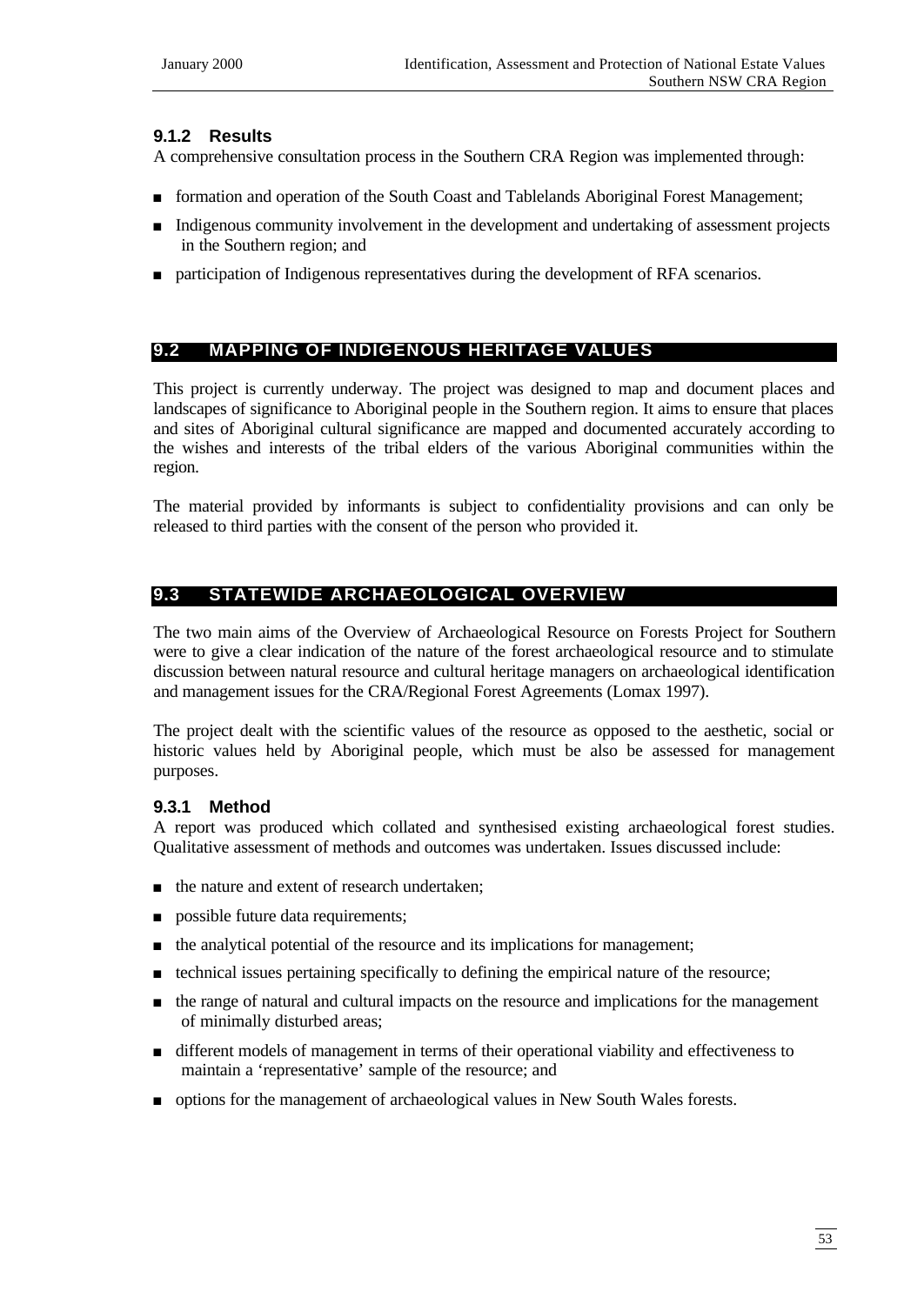#### **9.1.2 Results**

A comprehensive consultation process in the Southern CRA Region was implemented through:

- n formation and operation of the South Coast and Tablelands Aboriginal Forest Management;
- <sup>n</sup> Indigenous community involvement in the development and undertaking of assessment projects in the Southern region; and
- n participation of Indigenous representatives during the development of RFA scenarios.

# **9.2 MAPPING OF INDIGENOUS HERITAGE VALUES**

This project is currently underway. The project was designed to map and document places and landscapes of significance to Aboriginal people in the Southern region. It aims to ensure that places and sites of Aboriginal cultural significance are mapped and documented accurately according to the wishes and interests of the tribal elders of the various Aboriginal communities within the region.

The material provided by informants is subject to confidentiality provisions and can only be released to third parties with the consent of the person who provided it.

# **9.3 STATEWIDE ARCHAEOLOGICAL OVERVIEW**

The two main aims of the Overview of Archaeological Resource on Forests Project for Southern were to give a clear indication of the nature of the forest archaeological resource and to stimulate discussion between natural resource and cultural heritage managers on archaeological identification and management issues for the CRA/Regional Forest Agreements (Lomax 1997).

The project dealt with the scientific values of the resource as opposed to the aesthetic, social or historic values held by Aboriginal people, which must be also be assessed for management purposes.

## **9.3.1 Method**

A report was produced which collated and synthesised existing archaeological forest studies. Qualitative assessment of methods and outcomes was undertaken. Issues discussed include:

- $\blacksquare$  the nature and extent of research undertaken;
- **n** possible future data requirements;
- n the analytical potential of the resource and its implications for management;
- <sup>n</sup> technical issues pertaining specifically to defining the empirical nature of the resource;
- <sup>n</sup> the range of natural and cultural impacts on the resource and implications for the management of minimally disturbed areas;
- <sup>n</sup> different models of management in terms of their operational viability and effectiveness to maintain a 'representative' sample of the resource; and
- n options for the management of archaeological values in New South Wales forests.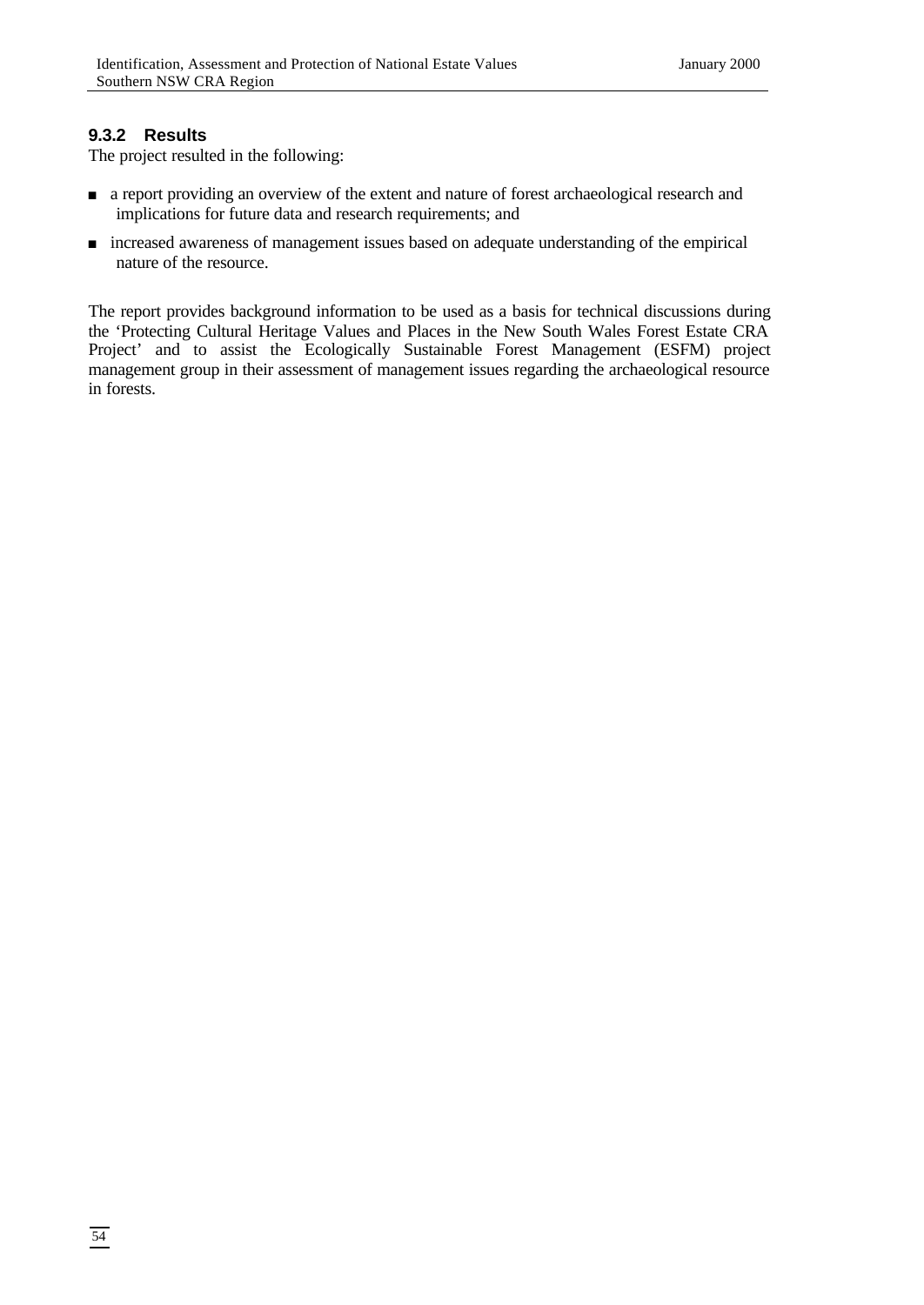## **9.3.2 Results**

The project resulted in the following:

- <sup>n</sup> a report providing an overview of the extent and nature of forest archaeological research and implications for future data and research requirements; and
- <sup>n</sup> increased awareness of management issues based on adequate understanding of the empirical nature of the resource.

The report provides background information to be used as a basis for technical discussions during the 'Protecting Cultural Heritage Values and Places in the New South Wales Forest Estate CRA Project' and to assist the Ecologically Sustainable Forest Management (ESFM) project management group in their assessment of management issues regarding the archaeological resource in forests.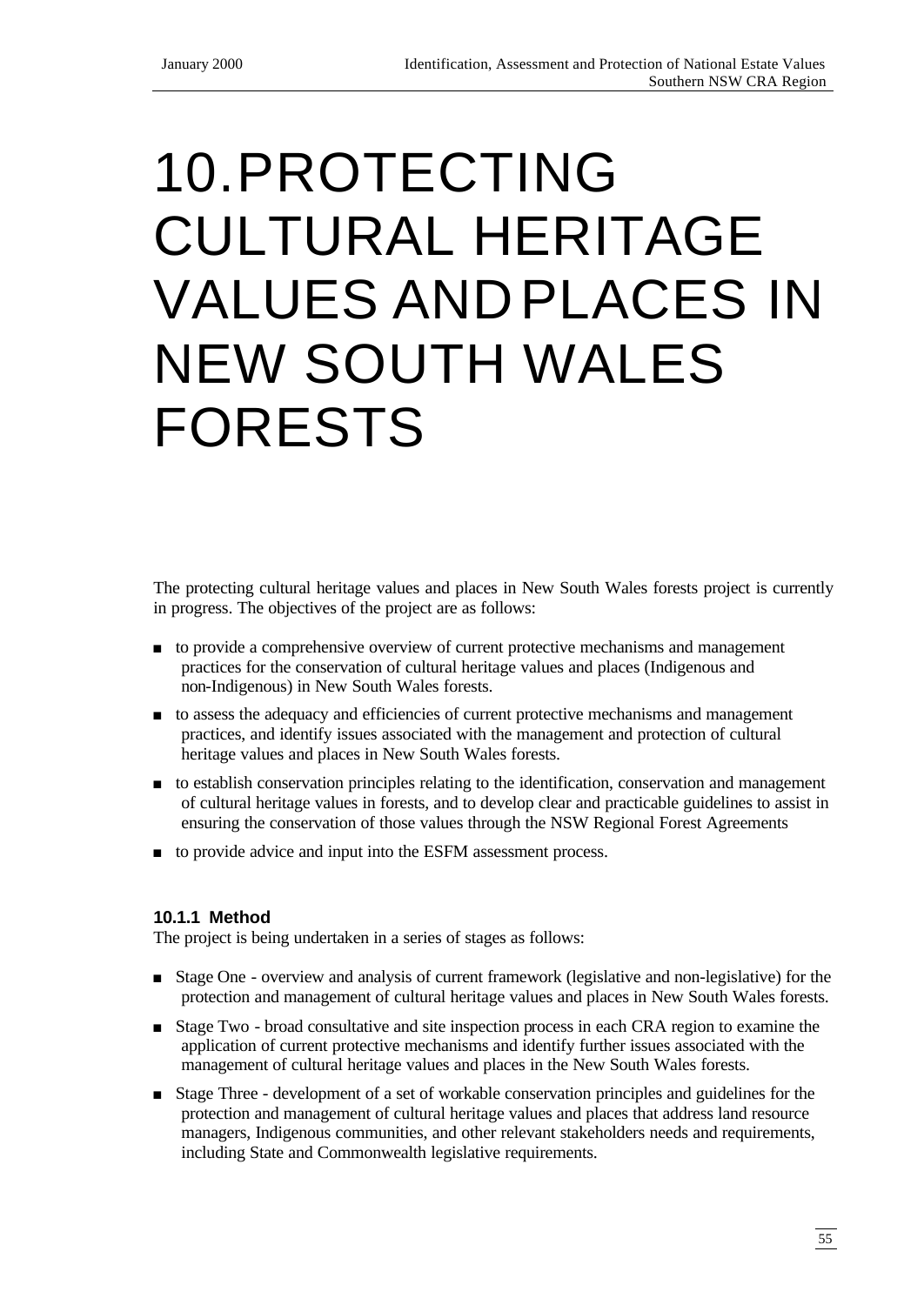# 10.PROTECTING CULTURAL HERITAGE VALUES ANDPLACES IN NEW SOUTH WALES FORESTS

The protecting cultural heritage values and places in New South Wales forests project is currently in progress. The objectives of the project are as follows:

- <sup>n</sup> to provide a comprehensive overview of current protective mechanisms and management practices for the conservation of cultural heritage values and places (Indigenous and non-Indigenous) in New South Wales forests.
- <sup>n</sup> to assess the adequacy and efficiencies of current protective mechanisms and management practices, and identify issues associated with the management and protection of cultural heritage values and places in New South Wales forests.
- <sup>n</sup> to establish conservation principles relating to the identification, conservation and management of cultural heritage values in forests, and to develop clear and practicable guidelines to assist in ensuring the conservation of those values through the NSW Regional Forest Agreements
- to provide advice and input into the ESFM assessment process.

## **10.1.1 Method**

The project is being undertaken in a series of stages as follows:

- <sup>n</sup> Stage One overview and analysis of current framework (legislative and non-legislative) for the protection and management of cultural heritage values and places in New South Wales forests.
- <sup>n</sup> Stage Two broad consultative and site inspection process in each CRA region to examine the application of current protective mechanisms and identify further issues associated with the management of cultural heritage values and places in the New South Wales forests.
- <sup>n</sup> Stage Three development of a set of workable conservation principles and guidelines for the protection and management of cultural heritage values and places that address land resource managers, Indigenous communities, and other relevant stakeholders needs and requirements, including State and Commonwealth legislative requirements.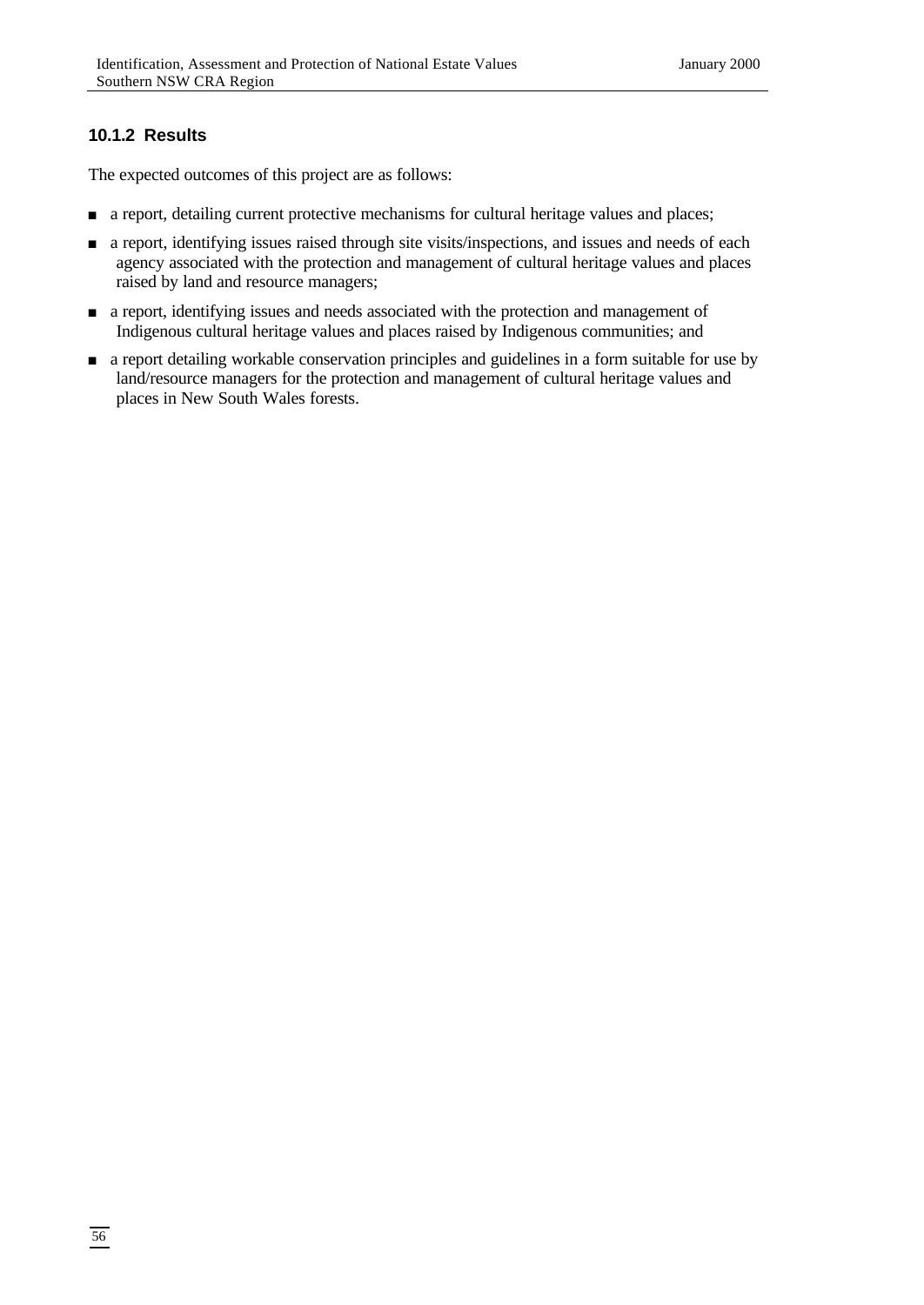# **10.1.2 Results**

The expected outcomes of this project are as follows:

- n a report, detailing current protective mechanisms for cultural heritage values and places;
- <sup>n</sup> a report, identifying issues raised through site visits/inspections, and issues and needs of each agency associated with the protection and management of cultural heritage values and places raised by land and resource managers;
- <sup>n</sup> a report, identifying issues and needs associated with the protection and management of Indigenous cultural heritage values and places raised by Indigenous communities; and
- n a report detailing workable conservation principles and guidelines in a form suitable for use by land/resource managers for the protection and management of cultural heritage values and places in New South Wales forests.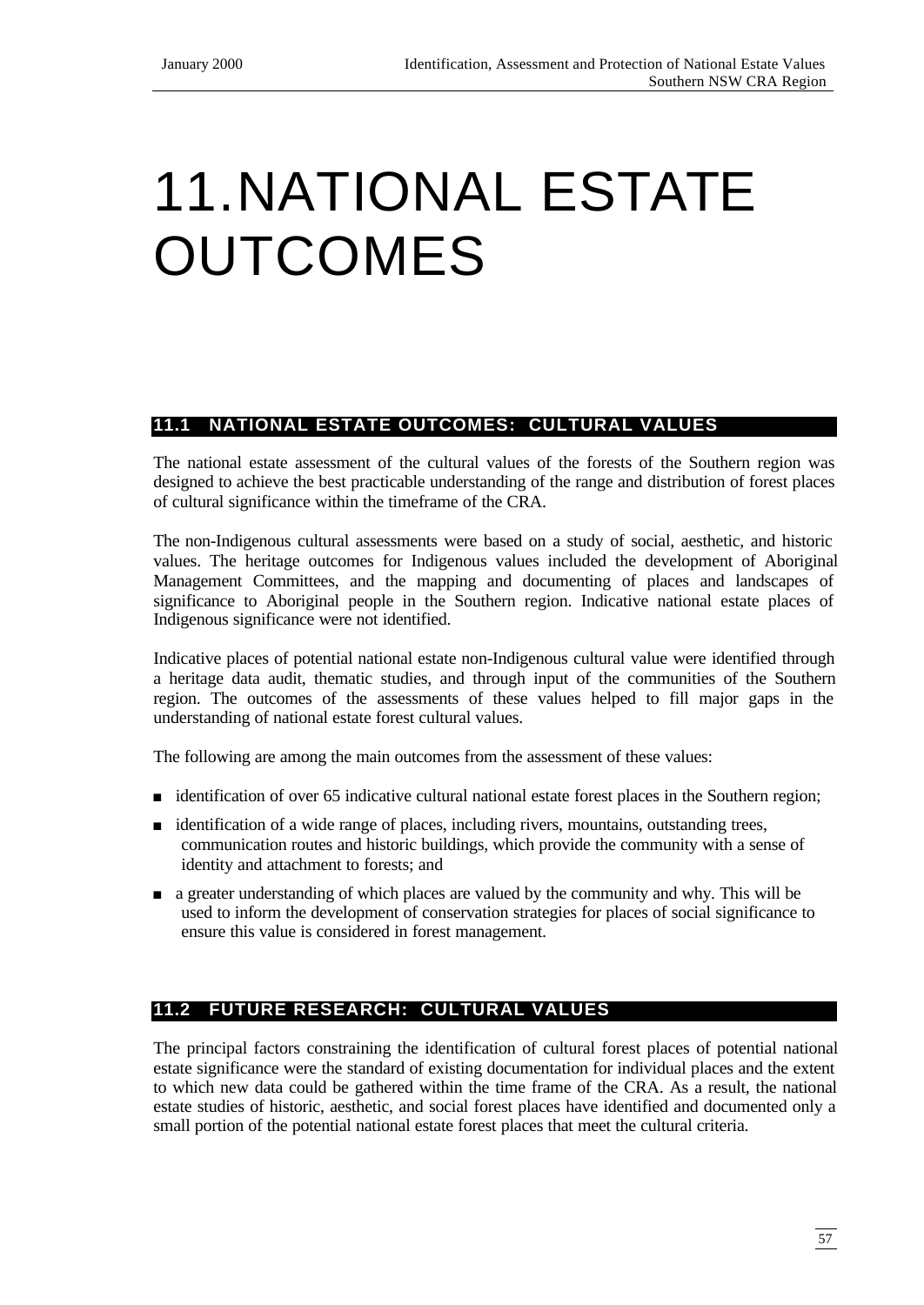# 11.NATIONAL ESTATE OUTCOMES

# **11.1 NATIONAL ESTATE OUTCOMES: CULTURAL VALUES**

The national estate assessment of the cultural values of the forests of the Southern region was designed to achieve the best practicable understanding of the range and distribution of forest places of cultural significance within the timeframe of the CRA.

The non-Indigenous cultural assessments were based on a study of social, aesthetic, and historic values. The heritage outcomes for Indigenous values included the development of Aboriginal Management Committees, and the mapping and documenting of places and landscapes of significance to Aboriginal people in the Southern region. Indicative national estate places of Indigenous significance were not identified.

Indicative places of potential national estate non-Indigenous cultural value were identified through a heritage data audit, thematic studies, and through input of the communities of the Southern region. The outcomes of the assessments of these values helped to fill major gaps in the understanding of national estate forest cultural values.

The following are among the main outcomes from the assessment of these values:

- identification of over 65 indicative cultural national estate forest places in the Southern region;
- <sup>n</sup> identification of a wide range of places, including rivers, mountains, outstanding trees, communication routes and historic buildings, which provide the community with a sense of identity and attachment to forests; and
- <sup>n</sup> a greater understanding of which places are valued by the community and why. This will be used to inform the development of conservation strategies for places of social significance to ensure this value is considered in forest management.

## **11.2 FUTURE RESEARCH: CULTURAL VALUES**

The principal factors constraining the identification of cultural forest places of potential national estate significance were the standard of existing documentation for individual places and the extent to which new data could be gathered within the time frame of the CRA. As a result, the national estate studies of historic, aesthetic, and social forest places have identified and documented only a small portion of the potential national estate forest places that meet the cultural criteria.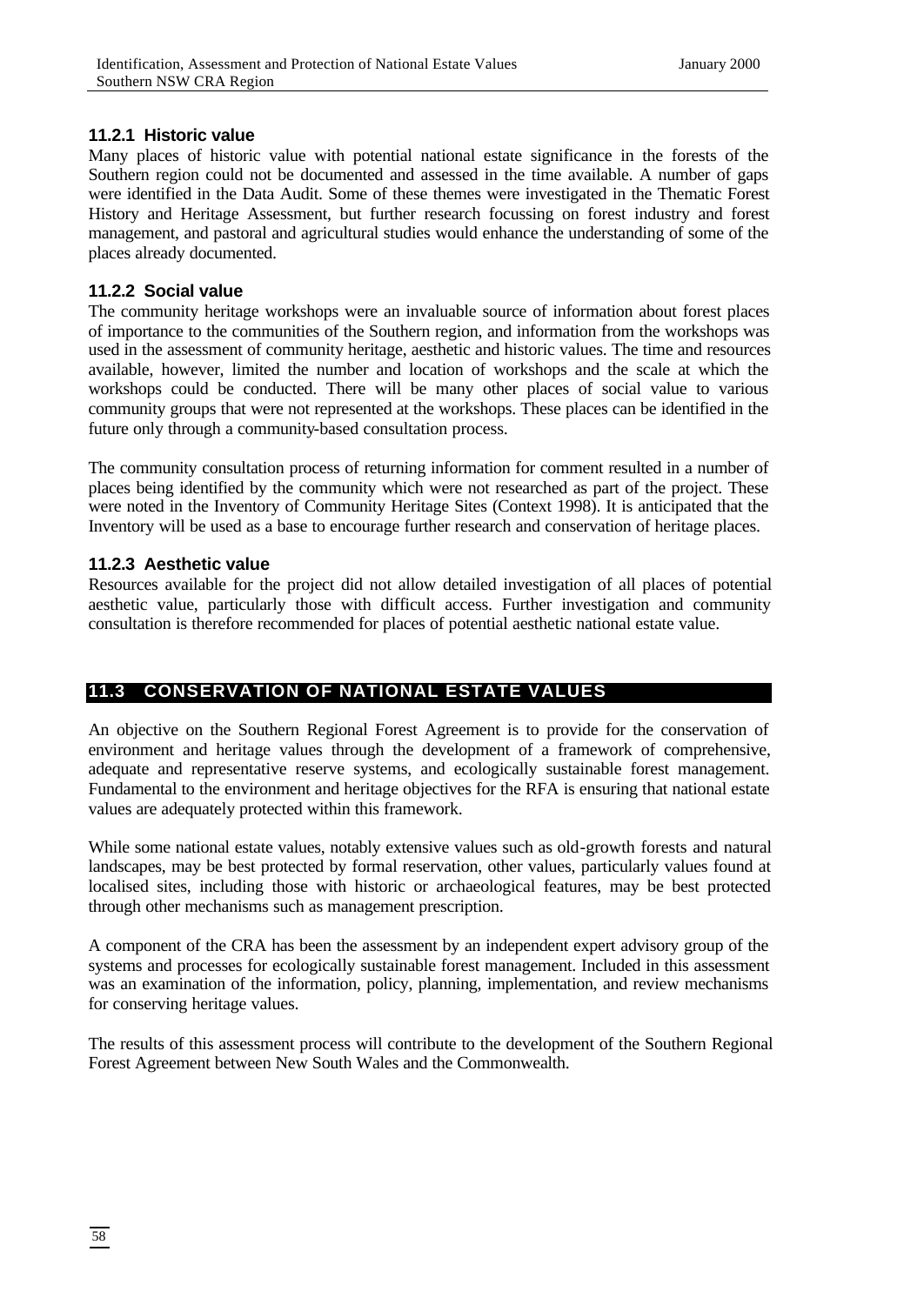#### **11.2.1 Historic value**

Many places of historic value with potential national estate significance in the forests of the Southern region could not be documented and assessed in the time available. A number of gaps were identified in the Data Audit. Some of these themes were investigated in the Thematic Forest History and Heritage Assessment, but further research focussing on forest industry and forest management, and pastoral and agricultural studies would enhance the understanding of some of the places already documented.

#### **11.2.2 Social value**

The community heritage workshops were an invaluable source of information about forest places of importance to the communities of the Southern region, and information from the workshops was used in the assessment of community heritage, aesthetic and historic values. The time and resources available, however, limited the number and location of workshops and the scale at which the workshops could be conducted. There will be many other places of social value to various community groups that were not represented at the workshops. These places can be identified in the future only through a community-based consultation process.

The community consultation process of returning information for comment resulted in a number of places being identified by the community which were not researched as part of the project. These were noted in the Inventory of Community Heritage Sites (Context 1998). It is anticipated that the Inventory will be used as a base to encourage further research and conservation of heritage places.

#### **11.2.3 Aesthetic value**

Resources available for the project did not allow detailed investigation of all places of potential aesthetic value, particularly those with difficult access. Further investigation and community consultation is therefore recommended for places of potential aesthetic national estate value.

## **11.3 CONSERVATION OF NATIONAL ESTATE VALUES**

An objective on the Southern Regional Forest Agreement is to provide for the conservation of environment and heritage values through the development of a framework of comprehensive, adequate and representative reserve systems, and ecologically sustainable forest management. Fundamental to the environment and heritage objectives for the RFA is ensuring that national estate values are adequately protected within this framework.

While some national estate values, notably extensive values such as old-growth forests and natural landscapes, may be best protected by formal reservation, other values, particularly values found at localised sites, including those with historic or archaeological features, may be best protected through other mechanisms such as management prescription.

A component of the CRA has been the assessment by an independent expert advisory group of the systems and processes for ecologically sustainable forest management. Included in this assessment was an examination of the information, policy, planning, implementation, and review mechanisms for conserving heritage values.

The results of this assessment process will contribute to the development of the Southern Regional Forest Agreement between New South Wales and the Commonwealth.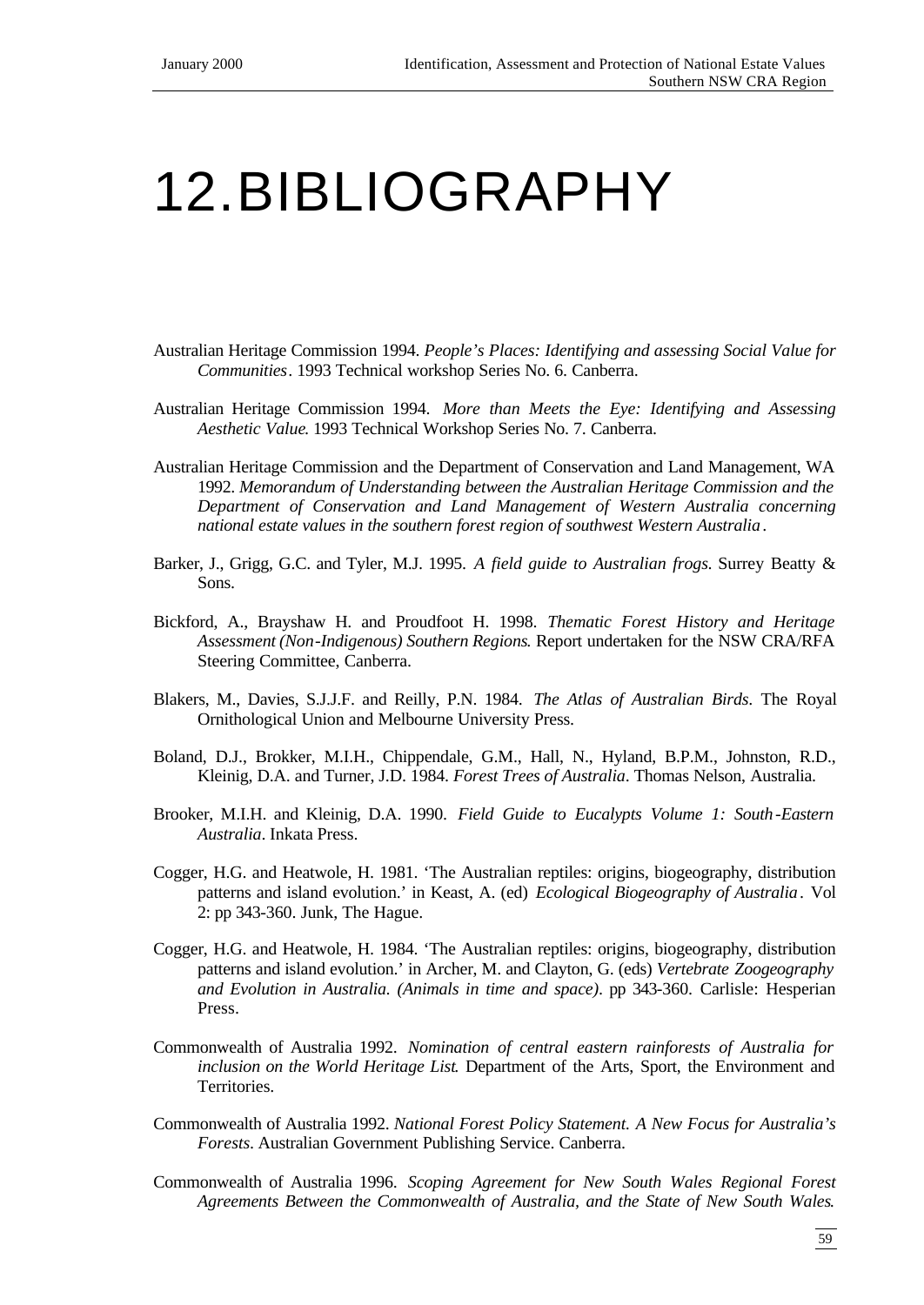# 12.BIBLIOGRAPHY

- Australian Heritage Commission 1994. *People's Places: Identifying and assessing Social Value for Communities*. 1993 Technical workshop Series No. 6. Canberra.
- Australian Heritage Commission 1994. *More than Meets the Eye: Identifying and Assessing Aesthetic Value*. 1993 Technical Workshop Series No. 7. Canberra.
- Australian Heritage Commission and the Department of Conservation and Land Management, WA 1992. *Memorandum of Understanding between the Australian Heritage Commission and the Department of Conservation and Land Management of Western Australia concerning national estate values in the southern forest region of southwest Western Australia*.
- Barker, J., Grigg, G.C. and Tyler, M.J. 1995. *A field guide to Australian frogs.* Surrey Beatty & Sons.
- Bickford, A., Brayshaw H. and Proudfoot H. 1998. *Thematic Forest History and Heritage Assessment (Non*-*Indigenous) Southern Regions*. Report undertaken for the NSW CRA/RFA Steering Committee, Canberra.
- Blakers, M., Davies, S.J.J.F. and Reilly, P.N. 1984. *The Atlas of Australian Birds*. The Royal Ornithological Union and Melbourne University Press.
- Boland, D.J., Brokker, M.I.H., Chippendale, G.M., Hall, N., Hyland, B.P.M., Johnston, R.D., Kleinig, D.A. and Turner, J.D. 1984. *Forest Trees of Australia*. Thomas Nelson, Australia.
- Brooker, M.I.H. and Kleinig, D.A. 1990. *Field Guide to Eucalypts Volume 1: South*-*Eastern Australia*. Inkata Press.
- Cogger, H.G. and Heatwole, H. 1981. 'The Australian reptiles: origins, biogeography, distribution patterns and island evolution.' in Keast, A. (ed) *Ecological Biogeography of Australia*. Vol 2: pp 343-360. Junk, The Hague.
- Cogger, H.G. and Heatwole, H. 1984. 'The Australian reptiles: origins, biogeography, distribution patterns and island evolution.' in Archer, M. and Clayton, G. (eds) *Vertebrate Zoogeography and Evolution in Australia. (Animals in time and space)*. pp 343-360. Carlisle: Hesperian Press.
- Commonwealth of Australia 1992. *Nomination of central eastern rainforests of Australia for inclusion on the World Heritage List*. Department of the Arts, Sport, the Environment and Territories.
- Commonwealth of Australia 1992. *National Forest Policy Statement. A New Focus for Australia's Forests.* Australian Government Publishing Service. Canberra.
- Commonwealth of Australia 1996. *Scoping Agreement for New South Wales Regional Forest Agreements Between the Commonwealth of Australia, and the State of New South Wales*.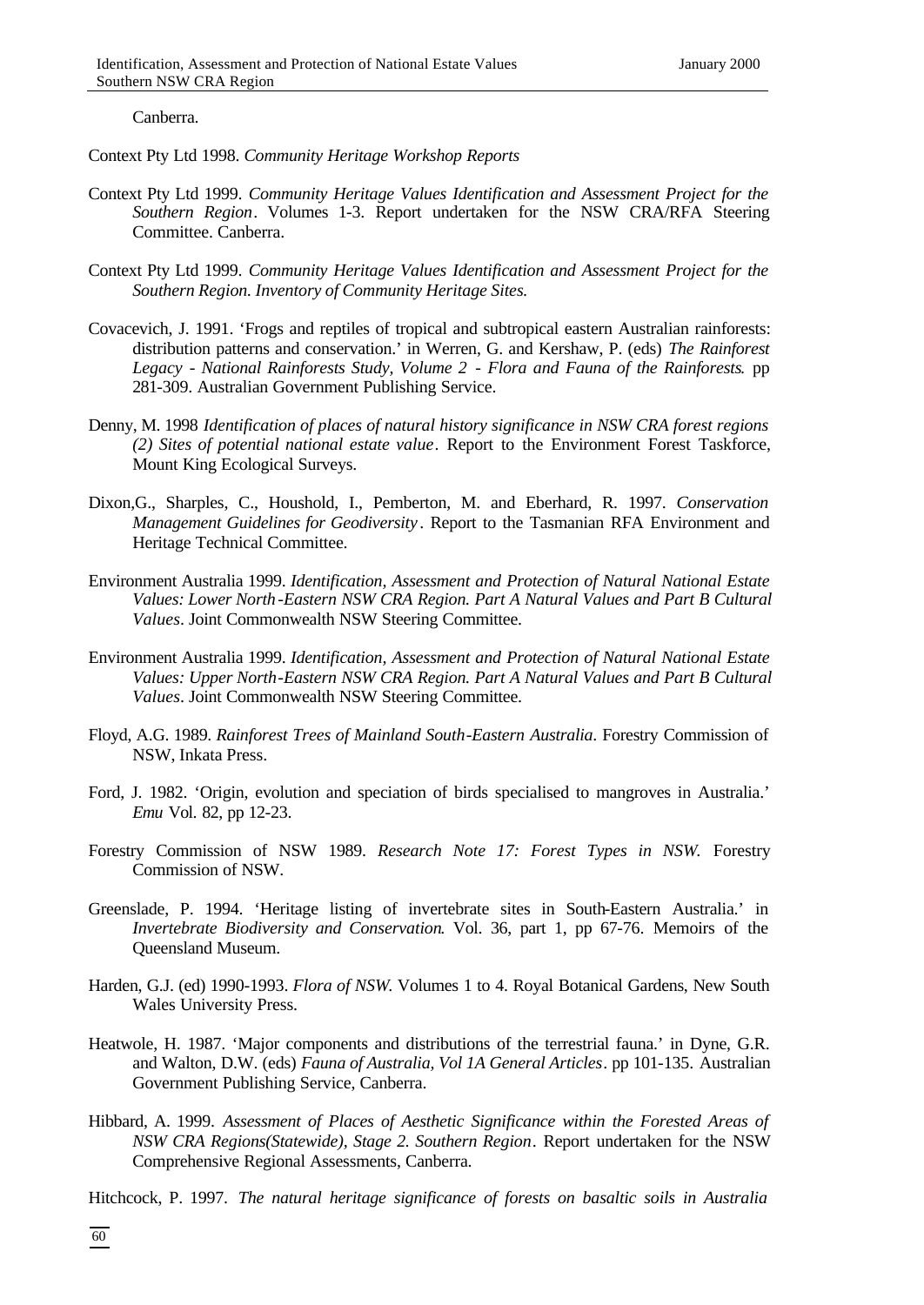Canberra.

Context Pty Ltd 1998. *Community Heritage Workshop Reports*

- Context Pty Ltd 1999. *Community Heritage Values Identification and Assessment Project for the Southern Region*. Volumes 1-3. Report undertaken for the NSW CRA/RFA Steering Committee. Canberra.
- Context Pty Ltd 1999. *Community Heritage Values Identification and Assessment Project for the Southern Region. Inventory of Community Heritage Sites.*
- Covacevich, J. 1991. 'Frogs and reptiles of tropical and subtropical eastern Australian rainforests: distribution patterns and conservation.' in Werren, G. and Kershaw, P. (eds) *The Rainforest Legacy* - *National Rainforests Study, Volume 2* - *Flora and Fauna of the Rainforests*. pp 281-309. Australian Government Publishing Service.
- Denny, M. 1998 *Identification of places of natural history significance in NSW CRA forest regions (2) Sites of potential national estate value*. Report to the Environment Forest Taskforce, Mount King Ecological Surveys.
- Dixon,G., Sharples, C., Houshold, I., Pemberton, M. and Eberhard, R. 1997. *Conservation Management Guidelines for Geodiversity* . Report to the Tasmanian RFA Environment and Heritage Technical Committee.
- Environment Australia 1999. *Identification, Assessment and Protection of Natural National Estate Values: Lower North*-*Eastern NSW CRA Region. Part A Natural Values and Part B Cultural Values*. Joint Commonwealth NSW Steering Committee.
- Environment Australia 1999. *Identification, Assessment and Protection of Natural National Estate Values: Upper North*-*Eastern NSW CRA Region. Part A Natural Values and Part B Cultural Values*. Joint Commonwealth NSW Steering Committee.
- Floyd, A.G. 1989. *Rainforest Trees of Mainland South*-*Eastern Australia*. Forestry Commission of NSW, Inkata Press.
- Ford, J. 1982. 'Origin, evolution and speciation of birds specialised to mangroves in Australia.' *Emu* Vol. 82, pp 12-23.
- Forestry Commission of NSW 1989. *Research Note 17: Forest Types in NSW*. Forestry Commission of NSW.
- Greenslade, P. 1994. 'Heritage listing of invertebrate sites in South-Eastern Australia.' in *Invertebrate Biodiversity and Conservation*. Vol. 36, part 1, pp 67-76. Memoirs of the Queensland Museum.
- Harden, G.J. (ed) 1990-1993. *Flora of NSW*. Volumes 1 to 4. Royal Botanical Gardens, New South Wales University Press.
- Heatwole, H. 1987. 'Major components and distributions of the terrestrial fauna.' in Dyne, G.R. and Walton, D.W. (eds) *Fauna of Australia, Vol 1A General Articles*. pp 101-135. Australian Government Publishing Service, Canberra.
- Hibbard, A. 1999. *Assessment of Places of Aesthetic Significance within the Forested Areas of NSW CRA Regions(Statewide), Stage 2. Southern Region*. Report undertaken for the NSW Comprehensive Regional Assessments, Canberra.
- Hitchcock, P. 1997. *The natural heritage significance of forests on basaltic soils in Australia*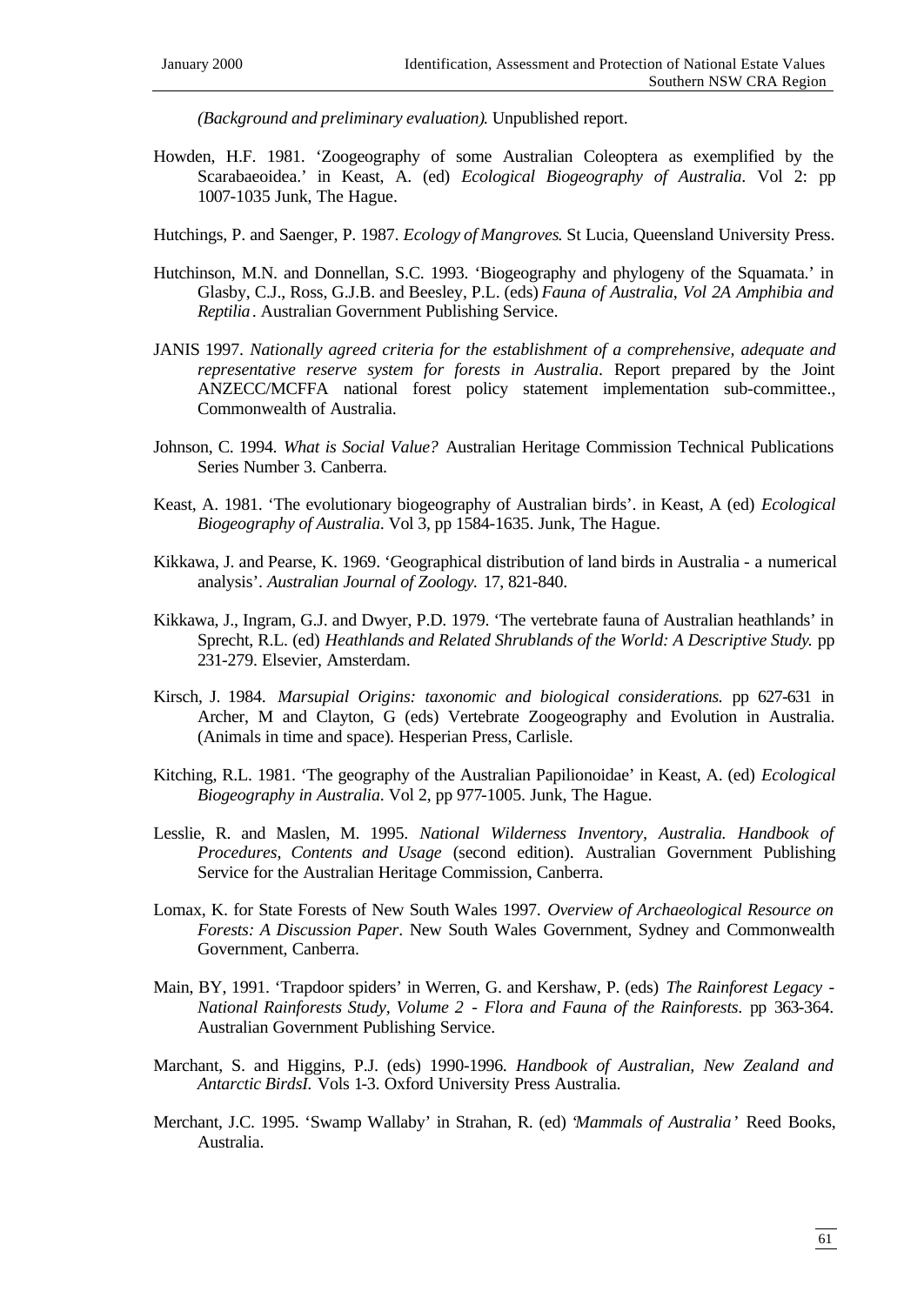*(Background and preliminary evaluation)*. Unpublished report.

- Howden, H.F. 1981. 'Zoogeography of some Australian Coleoptera as exemplified by the Scarabaeoidea.' in Keast, A. (ed) *Ecological Biogeography of Australia*. Vol 2: pp 1007-1035 Junk, The Hague.
- Hutchings, P. and Saenger, P. 1987. *Ecology of Mangroves*. St Lucia, Queensland University Press.
- Hutchinson, M.N. and Donnellan, S.C. 1993. 'Biogeography and phylogeny of the Squamata.' in Glasby, C.J., Ross, G.J.B. and Beesley, P.L. (eds) *Fauna of Australia, Vol 2A Amphibia and Reptilia*. Australian Government Publishing Service.
- JANIS 1997. *Nationally agreed criteria for the establishment of a comprehensive, adequate and representative reserve system for forests in Australia*. Report prepared by the Joint ANZECC/MCFFA national forest policy statement implementation sub-committee., Commonwealth of Australia.
- Johnson, C. 1994. *What is Social Value?* Australian Heritage Commission Technical Publications Series Number 3. Canberra.
- Keast, A. 1981. 'The evolutionary biogeography of Australian birds'. in Keast, A (ed) *Ecological Biogeography of Australia*. Vol 3, pp 1584-1635. Junk, The Hague.
- Kikkawa, J. and Pearse, K. 1969. 'Geographical distribution of land birds in Australia a numerical analysis'. *Australian Journal of Zoology.* 17, 821-840.
- Kikkawa, J., Ingram, G.J. and Dwyer, P.D. 1979. 'The vertebrate fauna of Australian heathlands' in Sprecht, R.L. (ed) *Heathlands and Related Shrublands of the World: A Descriptive Study*. pp 231-279. Elsevier, Amsterdam.
- Kirsch, J. 1984. *Marsupial Origins: taxonomic and biological considerations.* pp 627-631 in Archer, M and Clayton, G (eds) Vertebrate Zoogeography and Evolution in Australia. (Animals in time and space). Hesperian Press, Carlisle.
- Kitching, R.L. 1981. 'The geography of the Australian Papilionoidae' in Keast, A. (ed) *Ecological Biogeography in Australia*. Vol 2, pp 977-1005. Junk, The Hague.
- Lesslie, R. and Maslen, M. 1995. *National Wilderness Inventory, Australia. Handbook of Procedures, Contents and Usage* (second edition). Australian Government Publishing Service for the Australian Heritage Commission, Canberra.
- Lomax, K. for State Forests of New South Wales 1997. *Overview of Archaeological Resource on Forests: A Discussion Paper*. New South Wales Government, Sydney and Commonwealth Government, Canberra.
- Main, BY, 1991. 'Trapdoor spiders' in Werren, G. and Kershaw, P. (eds) *The Rainforest Legacy National Rainforests Study, Volume 2* - *Flora and Fauna of the Rainforests*. pp 363-364. Australian Government Publishing Service.
- Marchant, S. and Higgins, P.J. (eds) 1990-1996. *Handbook of Australian, New Zealand and Antarctic BirdsI.* Vols 1-3. Oxford University Press Australia.
- Merchant, J.C. 1995. 'Swamp Wallaby' in Strahan, R. (ed) '*Mammals of Australia*' Reed Books, Australia.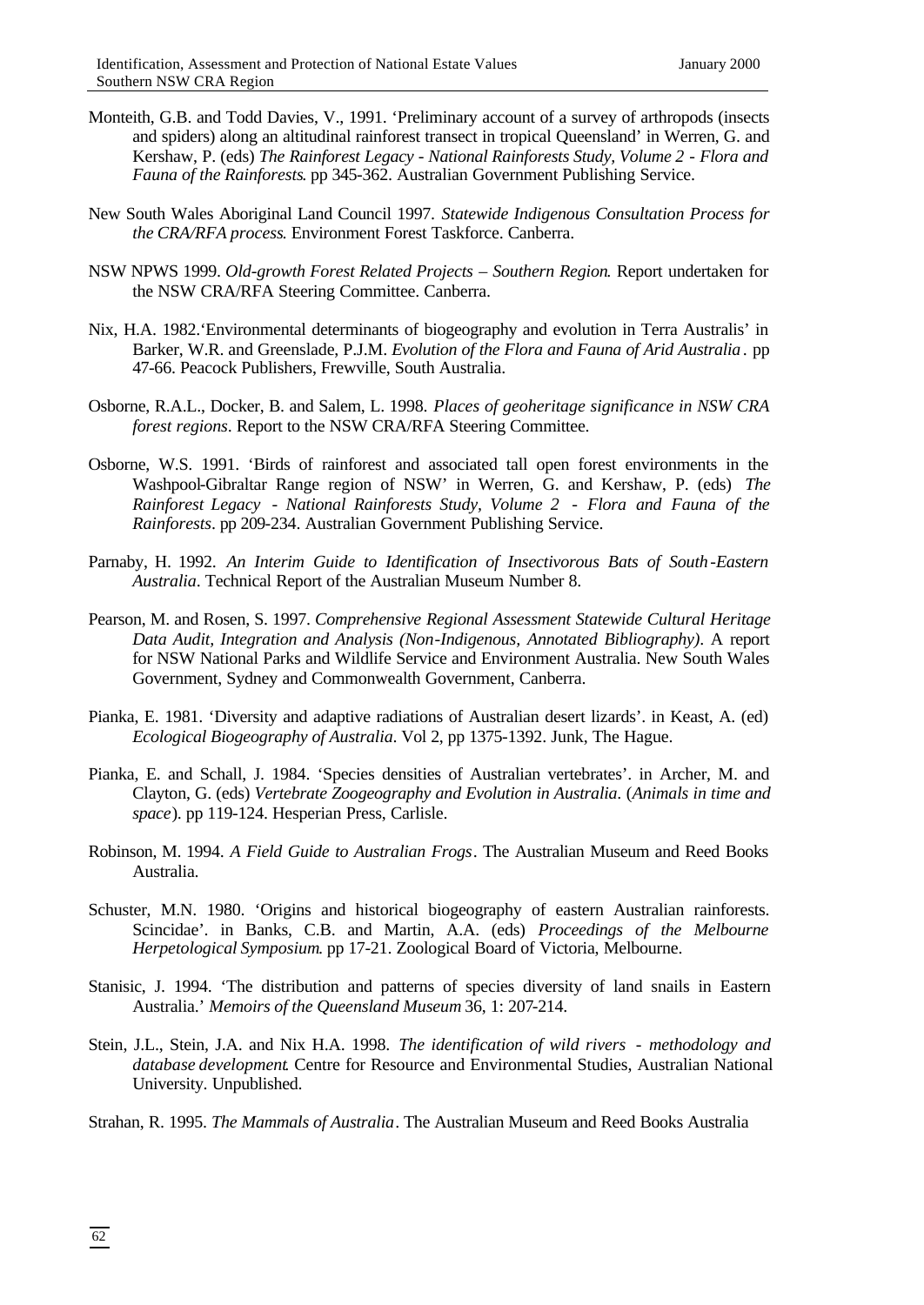- Monteith, G.B. and Todd Davies, V., 1991. 'Preliminary account of a survey of arthropods (insects and spiders) along an altitudinal rainforest transect in tropical Queensland' in Werren, G. and Kershaw, P. (eds) *The Rainforest Legacy* - *National Rainforests Study, Volume 2* - *Flora and Fauna of the Rainforests*. pp 345-362. Australian Government Publishing Service.
- New South Wales Aboriginal Land Council 1997. *Statewide Indigenous Consultation Process for the CRA/RFA process*. Environment Forest Taskforce. Canberra.
- NSW NPWS 1999. *Old-growth Forest Related Projects Southern Region*. Report undertaken for the NSW CRA/RFA Steering Committee. Canberra.
- Nix, H.A. 1982.'Environmental determinants of biogeography and evolution in Terra Australis' in Barker, W.R. and Greenslade, P.J.M. *Evolution of the Flora and Fauna of Arid Australia*. pp 47-66. Peacock Publishers, Frewville, South Australia.
- Osborne, R.A.L., Docker, B. and Salem, L. 1998. *Places of geoheritage significance in NSW CRA forest regions*. Report to the NSW CRA/RFA Steering Committee.
- Osborne, W.S. 1991. 'Birds of rainforest and associated tall open forest environments in the Washpool-Gibraltar Range region of NSW' in Werren, G. and Kershaw, P. (eds) *The Rainforest Legacy* - *National Rainforests Study, Volume 2* - *Flora and Fauna of the Rainforests*. pp 209-234. Australian Government Publishing Service.
- Parnaby, H. 1992. *An Interim Guide to Identification of Insectivorous Bats of South*-*Eastern Australia*. Technical Report of the Australian Museum Number 8.
- Pearson, M. and Rosen, S. 1997. *Comprehensive Regional Assessment Statewide Cultural Heritage Data Audit, Integration and Analysis (Non*-*Indigenous, Annotated Bibliography)*. A report for NSW National Parks and Wildlife Service and Environment Australia. New South Wales Government, Sydney and Commonwealth Government, Canberra.
- Pianka, E. 1981. 'Diversity and adaptive radiations of Australian desert lizards'. in Keast, A. (ed) *Ecological Biogeography of Australia*. Vol 2, pp 1375-1392. Junk, The Hague.
- Pianka, E. and Schall, J. 1984. 'Species densities of Australian vertebrates'. in Archer, M. and Clayton, G. (eds) *Vertebrate Zoogeography and Evolution in Australia*. (*Animals in time and space*). pp 119-124. Hesperian Press, Carlisle.
- Robinson, M. 1994. *A Field Guide to Australian Frogs*. The Australian Museum and Reed Books Australia.
- Schuster, M.N. 1980. 'Origins and historical biogeography of eastern Australian rainforests. Scincidae'. in Banks, C.B. and Martin, A.A. (eds) *Proceedings of the Melbourne Herpetological Symposium*. pp 17-21. Zoological Board of Victoria, Melbourne.
- Stanisic, J. 1994. 'The distribution and patterns of species diversity of land snails in Eastern Australia.' *Memoirs of the Queensland Museum* 36, 1: 207-214.
- Stein, J.L., Stein, J.A. and Nix H.A. 1998. *The identification of wild rivers* - *methodology and database development*. Centre for Resource and Environmental Studies, Australian National University. Unpublished.
- Strahan, R. 1995. *The Mammals of Australia*. The Australian Museum and Reed Books Australia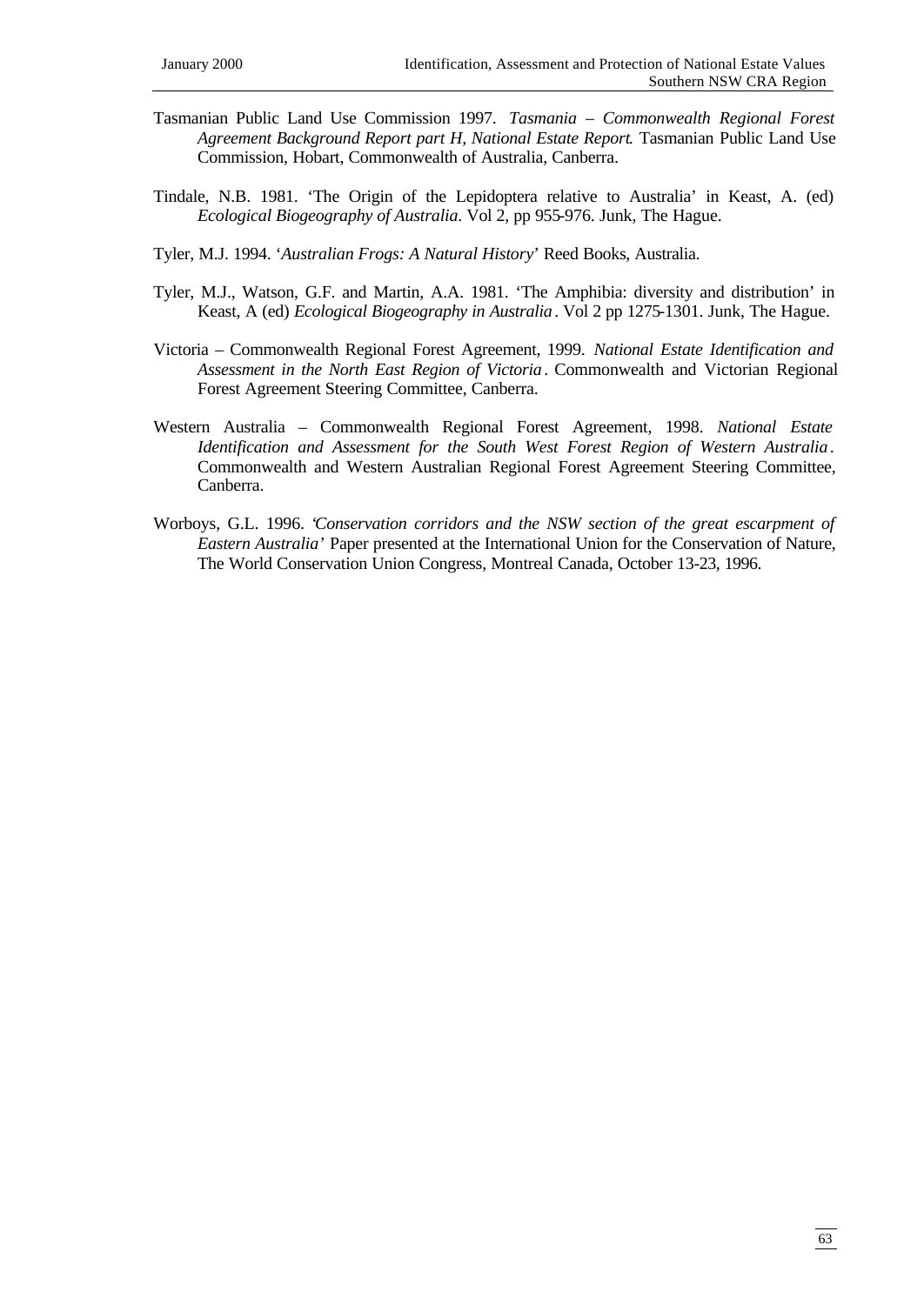- Tasmanian Public Land Use Commission 1997. *Tasmania Commonwealth Regional Forest Agreement Background Report part H, National Estate Report*. Tasmanian Public Land Use Commission, Hobart, Commonwealth of Australia, Canberra.
- Tindale, N.B. 1981. 'The Origin of the Lepidoptera relative to Australia' in Keast, A. (ed) *Ecological Biogeography of Australia*. Vol 2, pp 955-976. Junk, The Hague.
- Tyler, M.J. 1994. '*Australian Frogs: A Natural History*' Reed Books, Australia.
- Tyler, M.J., Watson, G.F. and Martin, A.A. 1981. 'The Amphibia: diversity and distribution' in Keast, A (ed) *Ecological Biogeography in Australia*. Vol 2 pp 1275-1301. Junk, The Hague.
- Victoria Commonwealth Regional Forest Agreement, 1999. *National Estate Identification and Assessment in the North East Region of Victoria*. Commonwealth and Victorian Regional Forest Agreement Steering Committee, Canberra.
- Western Australia Commonwealth Regional Forest Agreement, 1998. *National Estate Identification and Assessment for the South West Forest Region of Western Australia*. Commonwealth and Western Australian Regional Forest Agreement Steering Committee, Canberra.
- Worboys, G.L. 1996. '*Conservation corridors and the NSW section of the great escarpment of Eastern Australia*' Paper presented at the International Union for the Conservation of Nature, The World Conservation Union Congress, Montreal Canada, October 13-23, 1996.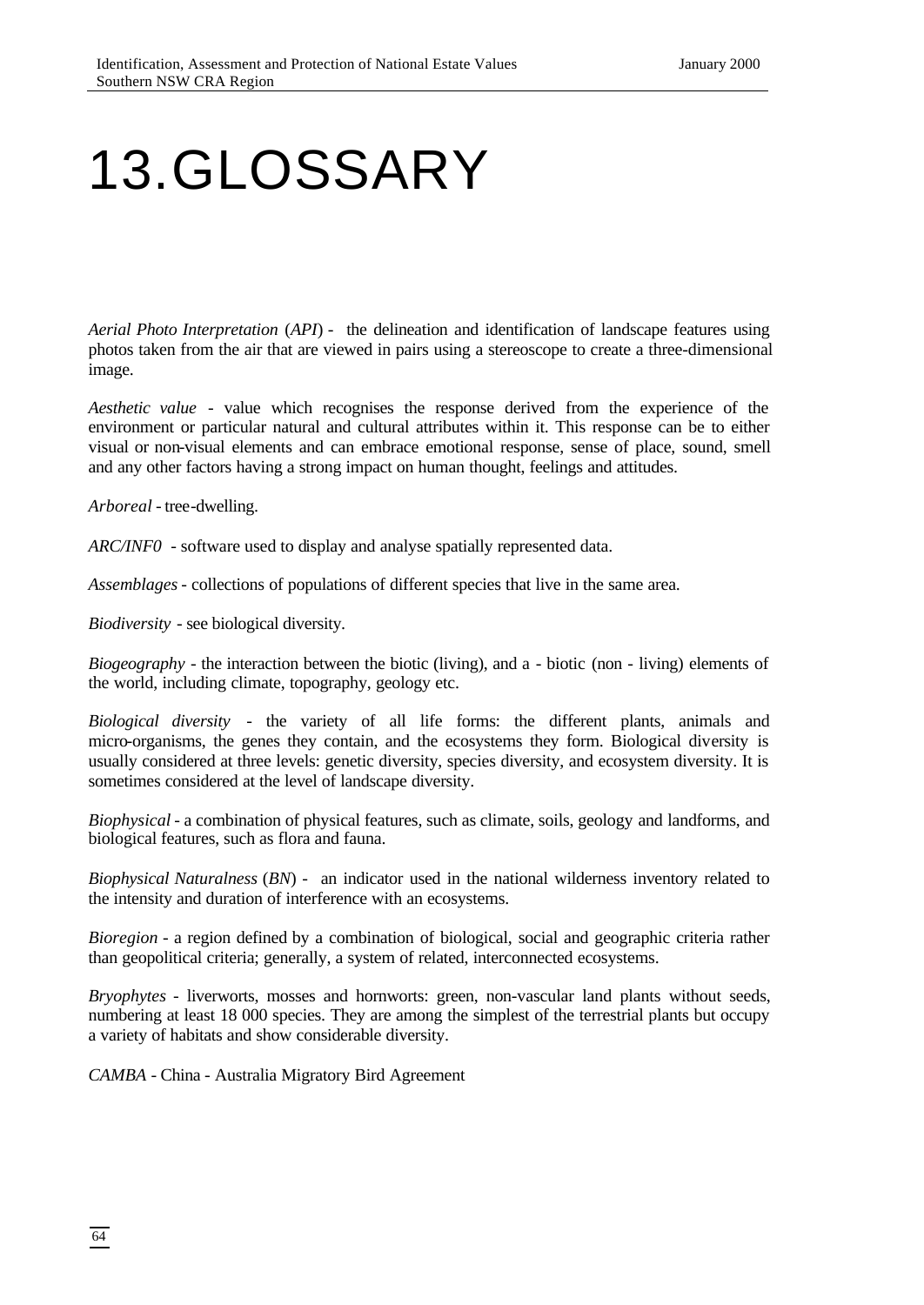## 13.GLOSSARY

*Aerial Photo Interpretation* (*API*) - the delineation and identification of landscape features using photos taken from the air that are viewed in pairs using a stereoscope to create a three-dimensional image.

*Aesthetic value* - value which recognises the response derived from the experience of the environment or particular natural and cultural attributes within it. This response can be to either visual or non-visual elements and can embrace emotional response, sense of place, sound, smell and any other factors having a strong impact on human thought, feelings and attitudes.

*Arboreal* - tree-dwelling.

*ARC/INF0* - software used to display and analyse spatially represented data.

*Assemblages* - collections of populations of different species that live in the same area.

*Biodiversity* - see biological diversity.

*Biogeography* - the interaction between the biotic (living), and a - biotic (non - living) elements of the world, including climate, topography, geology etc.

*Biological diversity* - the variety of all life forms: the different plants, animals and micro-organisms, the genes they contain, and the ecosystems they form. Biological diversity is usually considered at three levels: genetic diversity, species diversity, and ecosystem diversity. It is sometimes considered at the level of landscape diversity.

*Biophysical* - a combination of physical features, such as climate, soils, geology and landforms, and biological features, such as flora and fauna.

*Biophysical Naturalness* (*BN*) - an indicator used in the national wilderness inventory related to the intensity and duration of interference with an ecosystems.

*Bioregion* - a region defined by a combination of biological, social and geographic criteria rather than geopolitical criteria; generally, a system of related, interconnected ecosystems.

*Bryophytes* - liverworts, mosses and hornworts: green, non-vascular land plants without seeds, numbering at least 18 000 species. They are among the simplest of the terrestrial plants but occupy a variety of habitats and show considerable diversity.

*CAMBA* - China - Australia Migratory Bird Agreement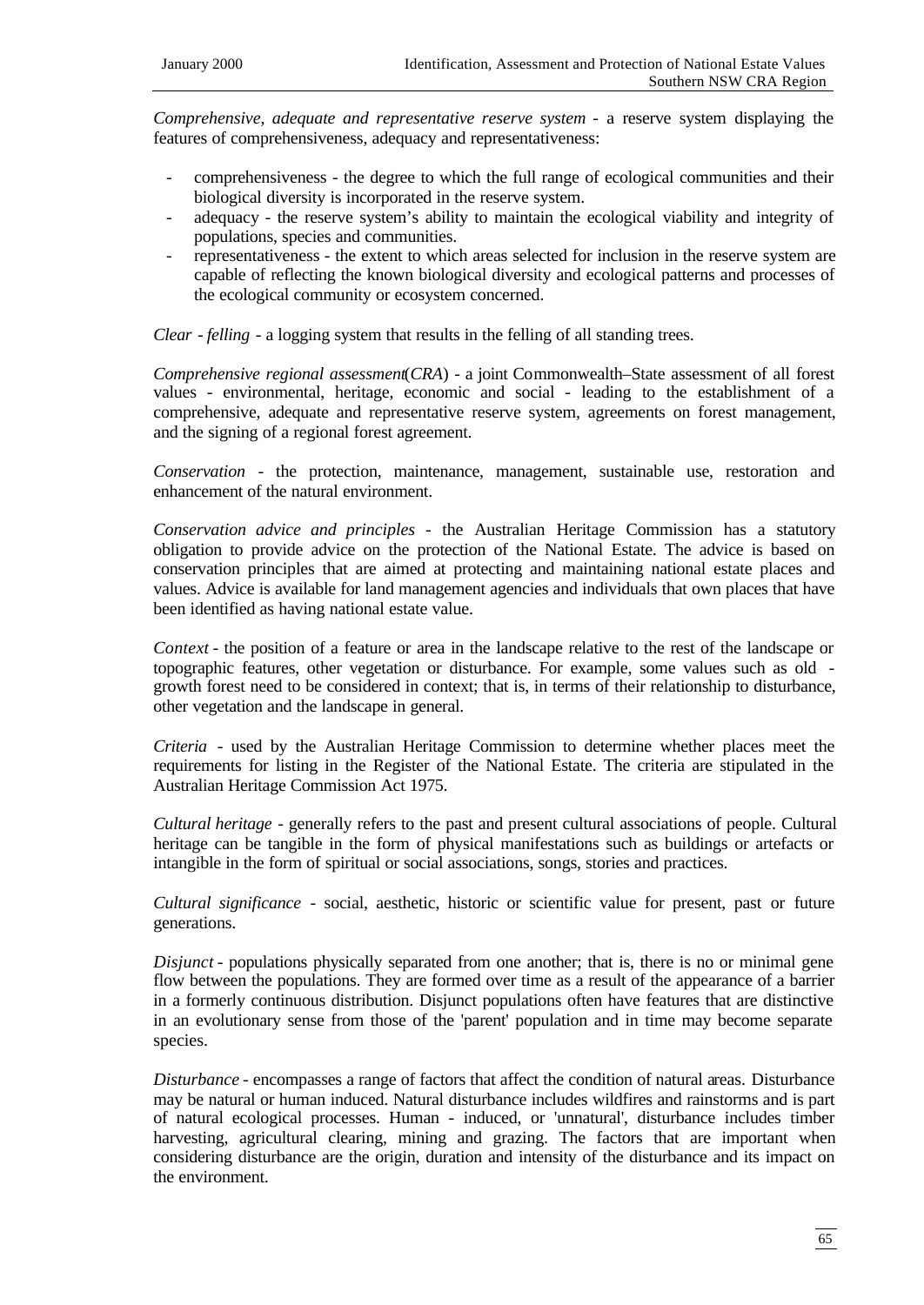*Comprehensive, adequate and representative reserve system* - a reserve system displaying the features of comprehensiveness, adequacy and representativeness:

- comprehensiveness the degree to which the full range of ecological communities and their biological diversity is incorporated in the reserve system.
- adequacy the reserve system's ability to maintain the ecological viability and integrity of populations, species and communities.
- representativeness the extent to which areas selected for inclusion in the reserve system are capable of reflecting the known biological diversity and ecological patterns and processes of the ecological community or ecosystem concerned.

*Clear* - *felling* - a logging system that results in the felling of all standing trees.

*Comprehensive regional assessment*(*CRA*) - a joint Commonwealth–State assessment of all forest values - environmental, heritage, economic and social - leading to the establishment of a comprehensive, adequate and representative reserve system, agreements on forest management, and the signing of a regional forest agreement.

*Conservation* - the protection, maintenance, management, sustainable use, restoration and enhancement of the natural environment.

*Conservation advice and principles* - the Australian Heritage Commission has a statutory obligation to provide advice on the protection of the National Estate. The advice is based on conservation principles that are aimed at protecting and maintaining national estate places and values. Advice is available for land management agencies and individuals that own places that have been identified as having national estate value.

*Context* - the position of a feature or area in the landscape relative to the rest of the landscape or topographic features, other vegetation or disturbance. For example, some values such as old growth forest need to be considered in context; that is, in terms of their relationship to disturbance, other vegetation and the landscape in general.

*Criteria* - used by the Australian Heritage Commission to determine whether places meet the requirements for listing in the Register of the National Estate. The criteria are stipulated in the Australian Heritage Commission Act 1975.

*Cultural heritage* - generally refers to the past and present cultural associations of people. Cultural heritage can be tangible in the form of physical manifestations such as buildings or artefacts or intangible in the form of spiritual or social associations, songs, stories and practices.

*Cultural significance* - social, aesthetic, historic or scientific value for present, past or future generations.

*Disjunct* - populations physically separated from one another; that is, there is no or minimal gene flow between the populations. They are formed over time as a result of the appearance of a barrier in a formerly continuous distribution. Disjunct populations often have features that are distinctive in an evolutionary sense from those of the 'parent' population and in time may become separate species.

*Disturbance* - encompasses a range of factors that affect the condition of natural areas. Disturbance may be natural or human induced. Natural disturbance includes wildfires and rainstorms and is part of natural ecological processes. Human - induced, or 'unnatural', disturbance includes timber harvesting, agricultural clearing, mining and grazing. The factors that are important when considering disturbance are the origin, duration and intensity of the disturbance and its impact on the environment.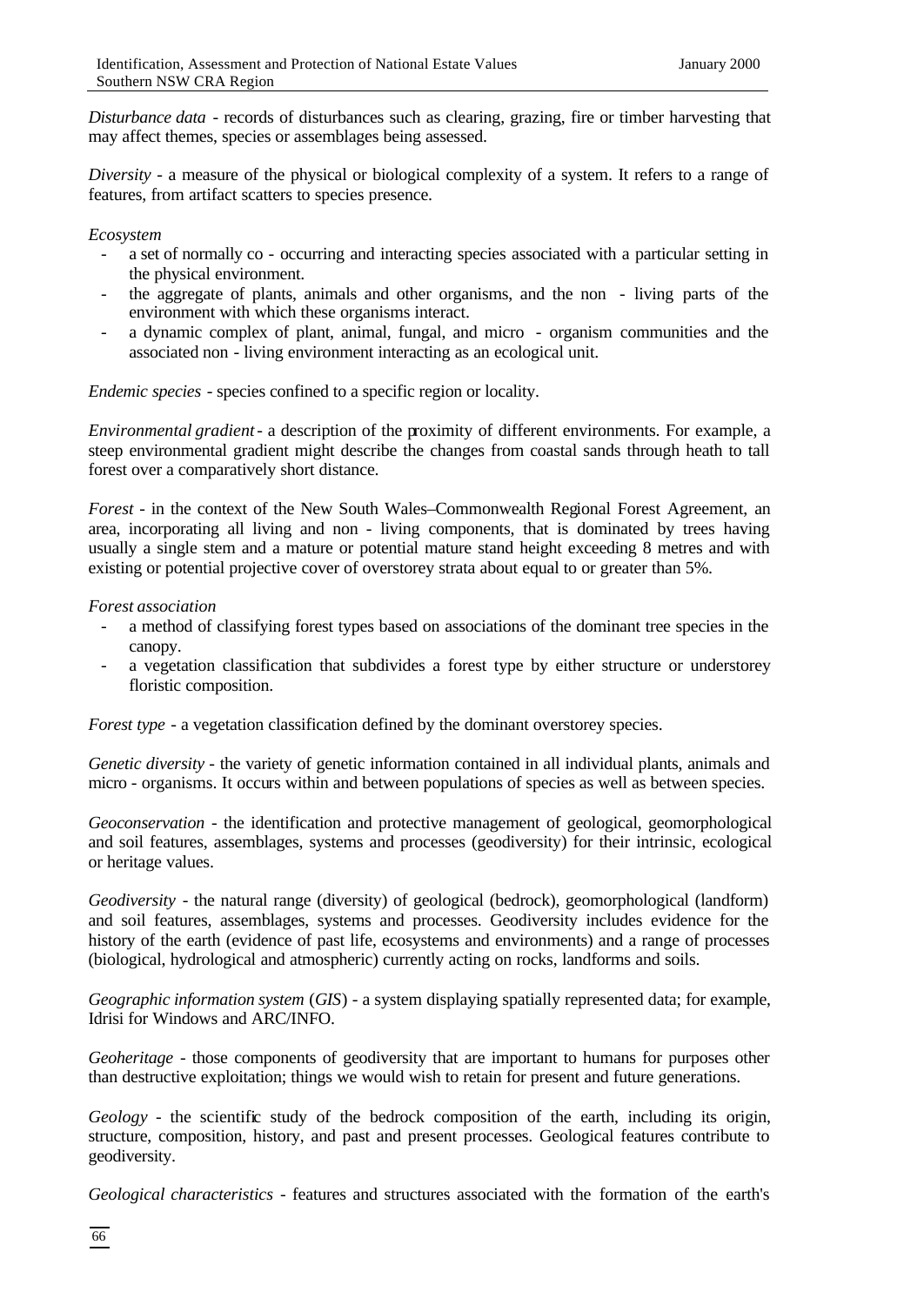*Disturbance data* - records of disturbances such as clearing, grazing, fire or timber harvesting that may affect themes, species or assemblages being assessed.

*Diversity* - a measure of the physical or biological complexity of a system. It refers to a range of features, from artifact scatters to species presence.

## *Ecosystem*

- a set of normally co occurring and interacting species associated with a particular setting in the physical environment.
- the aggregate of plants, animals and other organisms, and the non living parts of the environment with which these organisms interact.
- a dynamic complex of plant, animal, fungal, and micro organism communities and the associated non - living environment interacting as an ecological unit.

*Endemic species* - species confined to a specific region or locality.

*Environmental gradient*- a description of the proximity of different environments. For example, a steep environmental gradient might describe the changes from coastal sands through heath to tall forest over a comparatively short distance.

*Forest* - in the context of the New South Wales–Commonwealth Regional Forest Agreement, an area, incorporating all living and non - living components, that is dominated by trees having usually a single stem and a mature or potential mature stand height exceeding 8 metres and with existing or potential projective cover of overstorey strata about equal to or greater than 5%.

## *Forest association*

- a method of classifying forest types based on associations of the dominant tree species in the canopy.
- a vegetation classification that subdivides a forest type by either structure or understorey floristic composition.

*Forest type* - a vegetation classification defined by the dominant overstorey species.

*Genetic diversity* - the variety of genetic information contained in all individual plants, animals and micro - organisms. It occurs within and between populations of species as well as between species.

*Geoconservation* - the identification and protective management of geological, geomorphological and soil features, assemblages, systems and processes (geodiversity) for their intrinsic, ecological or heritage values.

*Geodiversity* - the natural range (diversity) of geological (bedrock), geomorphological (landform) and soil features, assemblages, systems and processes. Geodiversity includes evidence for the history of the earth (evidence of past life, ecosystems and environments) and a range of processes (biological, hydrological and atmospheric) currently acting on rocks, landforms and soils.

*Geographic information system* (*GIS*) - a system displaying spatially represented data; for example, Idrisi for Windows and ARC/INFO.

*Geoheritage* - those components of geodiversity that are important to humans for purposes other than destructive exploitation; things we would wish to retain for present and future generations.

*Geology* - the scientific study of the bedrock composition of the earth, including its origin, structure, composition, history, and past and present processes. Geological features contribute to geodiversity.

*Geological characteristics* - features and structures associated with the formation of the earth's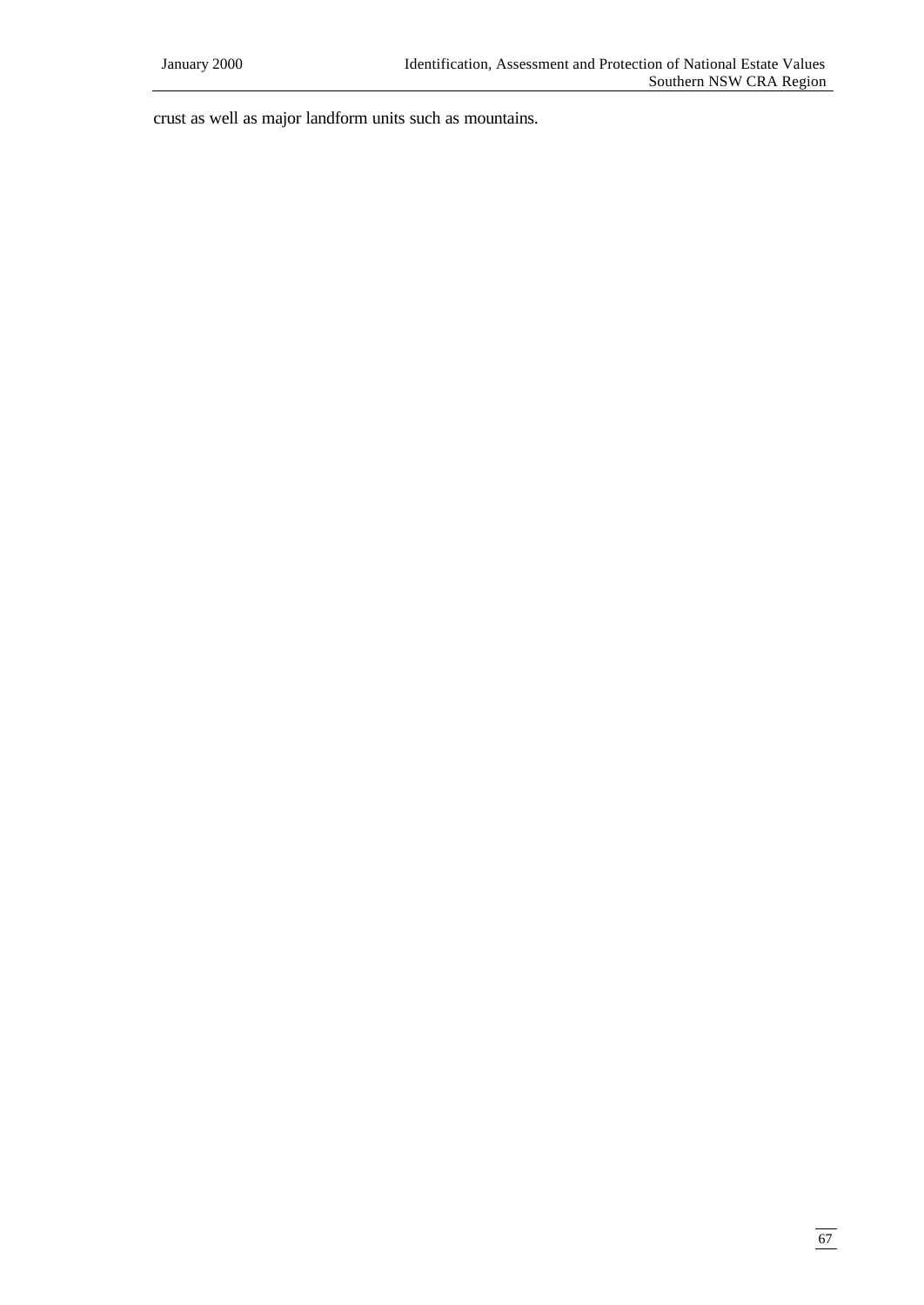crust as well as major landform units such as mountains.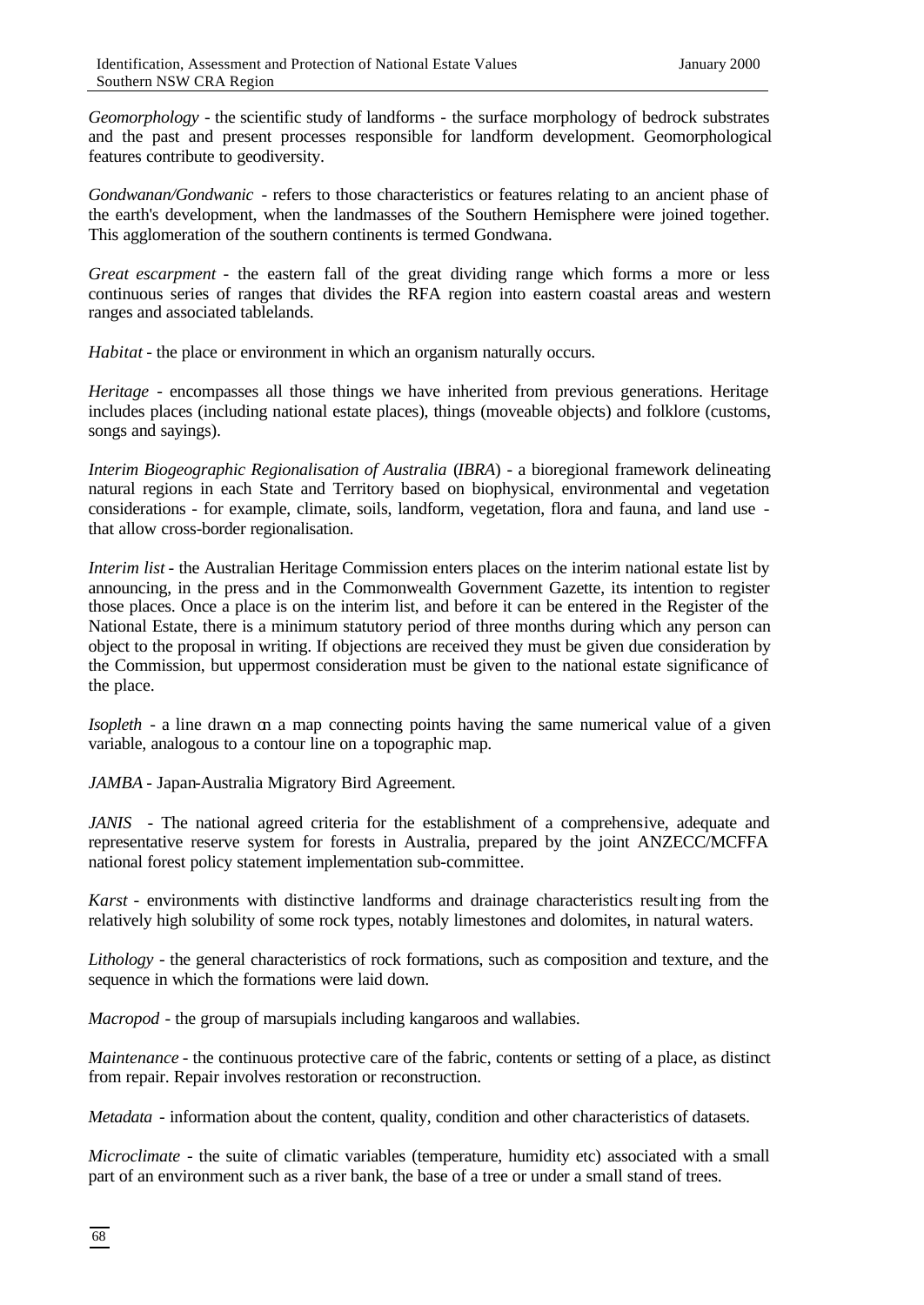*Geomorphology* - the scientific study of landforms - the surface morphology of bedrock substrates and the past and present processes responsible for landform development. Geomorphological features contribute to geodiversity.

*Gondwanan/Gondwanic* - refers to those characteristics or features relating to an ancient phase of the earth's development, when the landmasses of the Southern Hemisphere were joined together. This agglomeration of the southern continents is termed Gondwana.

*Great escarpment* - the eastern fall of the great dividing range which forms a more or less continuous series of ranges that divides the RFA region into eastern coastal areas and western ranges and associated tablelands.

*Habitat* - the place or environment in which an organism naturally occurs.

*Heritage* - encompasses all those things we have inherited from previous generations. Heritage includes places (including national estate places), things (moveable objects) and folklore (customs, songs and sayings).

*Interim Biogeographic Regionalisation of Australia* (*IBRA*) - a bioregional framework delineating natural regions in each State and Territory based on biophysical, environmental and vegetation considerations - for example, climate, soils, landform, vegetation, flora and fauna, and land use that allow cross-border regionalisation.

*Interim list* - the Australian Heritage Commission enters places on the interim national estate list by announcing, in the press and in the Commonwealth Government Gazette, its intention to register those places. Once a place is on the interim list, and before it can be entered in the Register of the National Estate, there is a minimum statutory period of three months during which any person can object to the proposal in writing. If objections are received they must be given due consideration by the Commission, but uppermost consideration must be given to the national estate significance of the place.

*Isopleth* - a line drawn on a map connecting points having the same numerical value of a given variable, analogous to a contour line on a topographic map.

*JAMBA* - Japan-Australia Migratory Bird Agreement.

*JANIS* - The national agreed criteria for the establishment of a comprehensive, adequate and representative reserve system for forests in Australia, prepared by the joint ANZECC/MCFFA national forest policy statement implementation sub-committee.

*Karst* - environments with distinctive landforms and drainage characteristics resulting from the relatively high solubility of some rock types, notably limestones and dolomites, in natural waters.

*Lithology* - the general characteristics of rock formations, such as composition and texture, and the sequence in which the formations were laid down.

*Macropod* - the group of marsupials including kangaroos and wallabies.

*Maintenance* - the continuous protective care of the fabric, contents or setting of a place, as distinct from repair. Repair involves restoration or reconstruction.

*Metadata* - information about the content, quality, condition and other characteristics of datasets.

*Microclimate* - the suite of climatic variables (temperature, humidity etc) associated with a small part of an environment such as a river bank, the base of a tree or under a small stand of trees.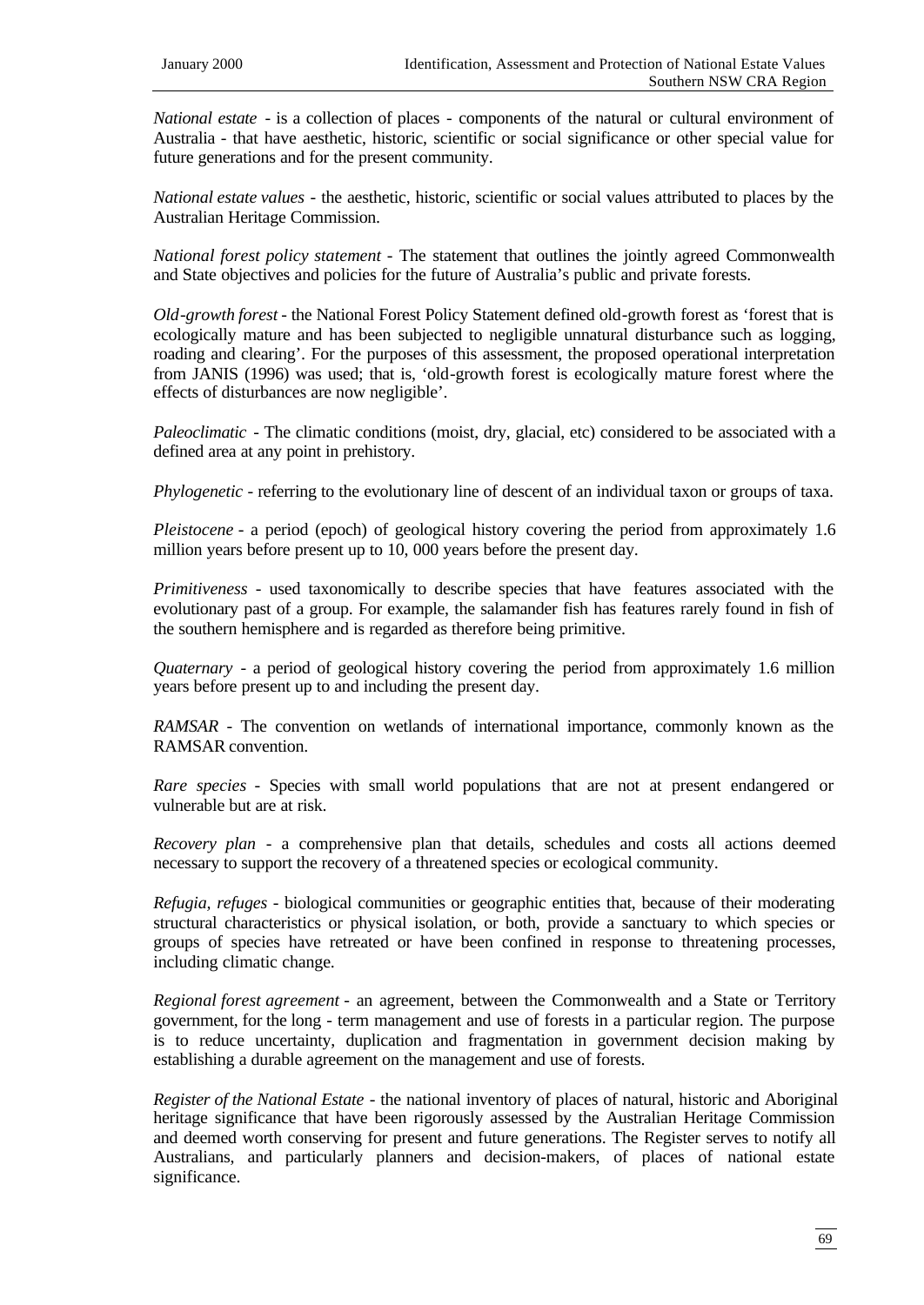*National estate* - is a collection of places - components of the natural or cultural environment of Australia - that have aesthetic, historic, scientific or social significance or other special value for future generations and for the present community.

*National estate values* - the aesthetic, historic, scientific or social values attributed to places by the Australian Heritage Commission.

*National forest policy statement* - The statement that outlines the jointly agreed Commonwealth and State objectives and policies for the future of Australia's public and private forests.

*Old-growth forest* - the National Forest Policy Statement defined old-growth forest as 'forest that is ecologically mature and has been subjected to negligible unnatural disturbance such as logging, roading and clearing'. For the purposes of this assessment, the proposed operational interpretation from JANIS (1996) was used; that is, 'old-growth forest is ecologically mature forest where the effects of disturbances are now negligible'.

*Paleoclimatic* - The climatic conditions (moist, dry, glacial, etc) considered to be associated with a defined area at any point in prehistory.

*Phylogenetic* - referring to the evolutionary line of descent of an individual taxon or groups of taxa.

*Pleistocene* - a period (epoch) of geological history covering the period from approximately 1.6 million years before present up to 10, 000 years before the present day.

*Primitiveness* - used taxonomically to describe species that have features associated with the evolutionary past of a group. For example, the salamander fish has features rarely found in fish of the southern hemisphere and is regarded as therefore being primitive.

*Quaternary* - a period of geological history covering the period from approximately 1.6 million years before present up to and including the present day.

*RAMSAR* - The convention on wetlands of international importance, commonly known as the RAMSAR convention.

*Rare species* - Species with small world populations that are not at present endangered or vulnerable but are at risk.

*Recovery plan* - a comprehensive plan that details, schedules and costs all actions deemed necessary to support the recovery of a threatened species or ecological community.

*Refugia, refuges* - biological communities or geographic entities that, because of their moderating structural characteristics or physical isolation, or both, provide a sanctuary to which species or groups of species have retreated or have been confined in response to threatening processes, including climatic change.

*Regional forest agreement* - an agreement, between the Commonwealth and a State or Territory government, for the long - term management and use of forests in a particular region. The purpose is to reduce uncertainty, duplication and fragmentation in government decision making by establishing a durable agreement on the management and use of forests.

*Register of the National Estate* - the national inventory of places of natural, historic and Aboriginal heritage significance that have been rigorously assessed by the Australian Heritage Commission and deemed worth conserving for present and future generations. The Register serves to notify all Australians, and particularly planners and decision-makers, of places of national estate significance.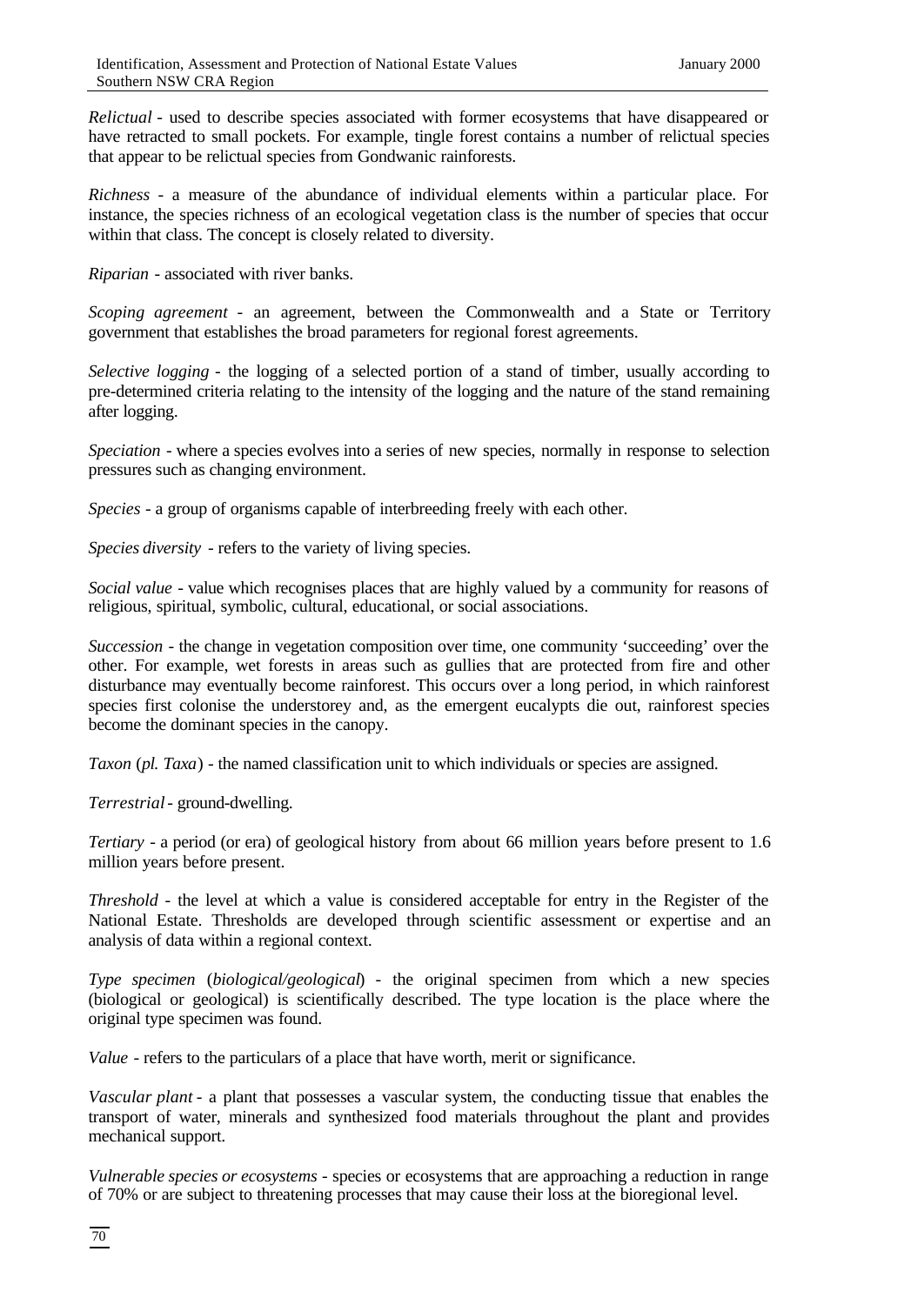*Relictual* - used to describe species associated with former ecosystems that have disappeared or have retracted to small pockets. For example, tingle forest contains a number of relictual species that appear to be relictual species from Gondwanic rainforests.

*Richness* - a measure of the abundance of individual elements within a particular place. For instance, the species richness of an ecological vegetation class is the number of species that occur within that class. The concept is closely related to diversity.

*Riparian* - associated with river banks.

*Scoping agreement* - an agreement, between the Commonwealth and a State or Territory government that establishes the broad parameters for regional forest agreements.

*Selective logging* - the logging of a selected portion of a stand of timber, usually according to pre-determined criteria relating to the intensity of the logging and the nature of the stand remaining after logging.

*Speciation* - where a species evolves into a series of new species, normally in response to selection pressures such as changing environment.

*Species* - a group of organisms capable of interbreeding freely with each other.

*Species diversity* - refers to the variety of living species.

*Social value* - value which recognises places that are highly valued by a community for reasons of religious, spiritual, symbolic, cultural, educational, or social associations.

*Succession* - the change in vegetation composition over time, one community 'succeeding' over the other. For example, wet forests in areas such as gullies that are protected from fire and other disturbance may eventually become rainforest. This occurs over a long period, in which rainforest species first colonise the understorey and, as the emergent eucalypts die out, rainforest species become the dominant species in the canopy.

*Taxon* (*pl. Taxa*) - the named classification unit to which individuals or species are assigned.

*Terrestrial*- ground-dwelling.

*Tertiary* - a period (or era) of geological history from about 66 million years before present to 1.6 million years before present.

*Threshold* - the level at which a value is considered acceptable for entry in the Register of the National Estate. Thresholds are developed through scientific assessment or expertise and an analysis of data within a regional context.

*Type specimen* (*biological/geological*) - the original specimen from which a new species (biological or geological) is scientifically described. The type location is the place where the original type specimen was found.

*Value* - refers to the particulars of a place that have worth, merit or significance.

*Vascular plant* - a plant that possesses a vascular system, the conducting tissue that enables the transport of water, minerals and synthesized food materials throughout the plant and provides mechanical support.

*Vulnerable species or ecosystems* - species or ecosystems that are approaching a reduction in range of 70% or are subject to threatening processes that may cause their loss at the bioregional level.